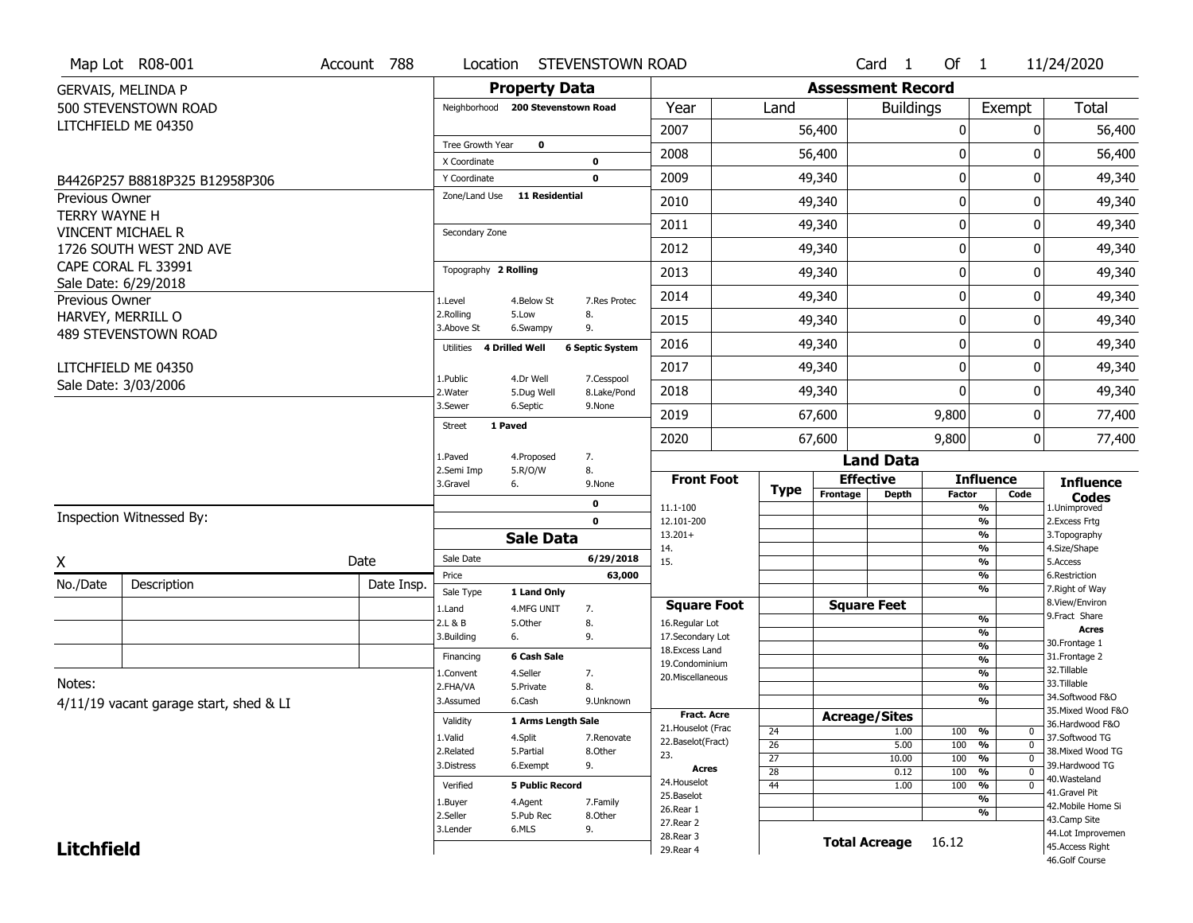|                       | Map Lot R08-001                        | Account 788 | Location                           |                           | STEVENSTOWN ROAD          |                                         |                                    |                          | Card <sub>1</sub> | Of $1$                                       |                                | 11/24/2020                            |
|-----------------------|----------------------------------------|-------------|------------------------------------|---------------------------|---------------------------|-----------------------------------------|------------------------------------|--------------------------|-------------------|----------------------------------------------|--------------------------------|---------------------------------------|
|                       | <b>GERVAIS, MELINDA P</b>              |             |                                    | <b>Property Data</b>      |                           |                                         |                                    | <b>Assessment Record</b> |                   |                                              |                                |                                       |
|                       | 500 STEVENSTOWN ROAD                   |             | Neighborhood 200 Stevenstown Road  |                           |                           | Year                                    | Land                               |                          | <b>Buildings</b>  |                                              | Exempt                         | <b>Total</b>                          |
|                       | LITCHFIELD ME 04350                    |             |                                    |                           |                           | 2007                                    |                                    | 56,400                   |                   | 0                                            | 0                              | 56,400                                |
|                       |                                        |             | Tree Growth Year                   | 0                         |                           | 2008                                    |                                    | 56,400                   |                   | 0                                            | O                              | 56,400                                |
|                       |                                        |             | X Coordinate<br>Y Coordinate       |                           | 0<br>0                    | 2009                                    |                                    | 49,340                   |                   | 0                                            | 0                              | 49,340                                |
| <b>Previous Owner</b> | B4426P257 B8818P325 B12958P306         |             | Zone/Land Use                      | <b>11 Residential</b>     |                           |                                         |                                    |                          |                   |                                              |                                |                                       |
| <b>TERRY WAYNE H</b>  |                                        |             |                                    |                           |                           | 2010                                    |                                    | 49,340                   |                   | $\mathbf 0$                                  | 0                              | 49,340                                |
|                       | VINCENT MICHAEL R                      |             | Secondary Zone                     |                           |                           | 2011                                    |                                    | 49,340                   |                   | 0                                            | 0                              | 49,340                                |
|                       | 1726 SOUTH WEST 2ND AVE                |             |                                    |                           |                           | 2012                                    |                                    | 49,340                   |                   | $\boldsymbol{0}$                             | 0                              | 49,340                                |
|                       | CAPE CORAL FL 33991                    |             | Topography 2 Rolling               |                           |                           | 2013                                    |                                    | 49,340                   |                   | 0                                            | 0                              | 49,340                                |
| Previous Owner        | Sale Date: 6/29/2018                   |             | 1.Level                            | 4.Below St                | 7.Res Protec              | 2014                                    |                                    | 49,340                   |                   | $\mathbf 0$                                  | 0                              | 49,340                                |
|                       | HARVEY, MERRILL O                      |             | 2.Rolling<br>3.Above St            | 5.Low                     | 8.<br>9.                  | 2015                                    |                                    | 49,340                   |                   | $\boldsymbol{0}$                             | 0                              | 49,340                                |
|                       | 489 STEVENSTOWN ROAD                   |             | <b>4 Drilled Well</b><br>Utilities | 6.Swampy                  | <b>6 Septic System</b>    | 2016                                    |                                    | 49,340                   |                   | $\boldsymbol{0}$                             | 0                              | 49,340                                |
|                       | LITCHFIELD ME 04350                    |             |                                    |                           |                           | 2017                                    |                                    | 49,340                   |                   | 0                                            | 0                              | 49,340                                |
|                       | Sale Date: 3/03/2006                   |             | 1.Public<br>2. Water               | 4.Dr Well<br>5.Dug Well   | 7.Cesspool<br>8.Lake/Pond | 2018                                    |                                    | 49,340                   |                   | $\mathbf 0$                                  | 0                              | 49,340                                |
|                       |                                        |             | 3.Sewer                            | 6.Septic                  | 9.None                    | 2019                                    |                                    | 67,600                   |                   | 9,800                                        | 0                              | 77,400                                |
|                       |                                        |             | <b>Street</b><br>1 Paved           |                           |                           | 2020                                    |                                    | 67,600                   |                   | 9,800                                        | 0                              | 77,400                                |
|                       |                                        |             | 1.Paved                            | 4.Proposed                | 7.                        |                                         |                                    |                          | <b>Land Data</b>  |                                              |                                |                                       |
|                       |                                        |             | 2.Semi Imp<br>3.Gravel<br>6.       | 5.R/O/W                   | 8.<br>9.None              | <b>Front Foot</b>                       |                                    | <b>Effective</b>         |                   |                                              | <b>Influence</b>               | <b>Influence</b>                      |
|                       |                                        |             |                                    |                           | 0                         | 11.1-100                                | <b>Type</b>                        | Frontage                 | <b>Depth</b>      | <b>Factor</b>                                | Code<br>$\frac{9}{6}$          | <b>Codes</b>                          |
|                       | Inspection Witnessed By:               |             |                                    |                           | $\mathbf 0$               | 12.101-200                              |                                    |                          |                   | $\frac{9}{6}$                                |                                | 1.Unimproved<br>2.Excess Frtg         |
|                       |                                        |             |                                    | <b>Sale Data</b>          |                           | $13.201+$<br>14.                        |                                    |                          |                   |                                              | $\frac{9}{6}$<br>$\frac{9}{6}$ | 3. Topography<br>4.Size/Shape         |
| Χ                     |                                        | Date        | Sale Date                          |                           | 6/29/2018                 | 15.                                     |                                    |                          |                   |                                              | $\frac{9}{6}$                  | 5.Access                              |
| No./Date              | Description                            | Date Insp.  | Price                              |                           | 63,000                    |                                         |                                    |                          |                   | $\frac{9}{6}$                                | %                              | 6.Restriction                         |
|                       |                                        |             | Sale Type<br>1.Land                | 1 Land Only<br>4.MFG UNIT |                           |                                         |                                    | <b>Square Feet</b>       |                   |                                              |                                | 7. Right of Way<br>8.View/Environ     |
|                       |                                        |             |                                    |                           |                           |                                         |                                    |                          |                   |                                              |                                | 9.Fract Share                         |
|                       |                                        |             | 2.L & B                            | 5.Other                   | 7.<br>8.                  | <b>Square Foot</b><br>16.Regular Lot    |                                    |                          |                   | $\frac{9}{6}$                                |                                |                                       |
|                       |                                        |             | 3.Building<br>6.                   |                           | 9.                        | 17.Secondary Lot                        |                                    |                          |                   | $\frac{9}{6}$                                |                                | <b>Acres</b>                          |
|                       |                                        |             | Financing                          | 6 Cash Sale               |                           | 18. Excess Land                         |                                    |                          |                   | $\frac{9}{6}$<br>$\frac{9}{6}$               |                                | 30. Frontage 1<br>31. Frontage 2      |
|                       |                                        |             | 1.Convent                          | 4.Seller                  | 7.                        | 19.Condominium<br>20. Miscellaneous     |                                    |                          |                   |                                              | $\overline{\frac{9}{6}}$       | 32.Tillable                           |
| Notes:                |                                        |             | 2.FHA/VA                           | 5.Private                 | 8.                        |                                         |                                    |                          |                   | $\frac{9}{6}$                                |                                | 33.Tillable                           |
|                       | 4/11/19 vacant garage start, shed & LI |             | 3.Assumed                          | 6.Cash                    | 9.Unknown                 |                                         |                                    |                          |                   |                                              | $\overline{\frac{9}{6}}$       | 34.Softwood F&O<br>35. Mixed Wood F&O |
|                       |                                        |             | Validity                           | 1 Arms Length Sale        |                           | <b>Fract. Acre</b>                      |                                    | <b>Acreage/Sites</b>     |                   |                                              |                                | 36.Hardwood F&O                       |
|                       |                                        |             | 1.Valid                            | 4.Split                   | 7.Renovate                | 21. Houselot (Frac<br>22.Baselot(Fract) | 24                                 |                          | 1.00              | 100<br>%                                     | $\mathbf{0}$<br>$\overline{0}$ | 37.Softwood TG                        |
|                       |                                        |             | 2.Related                          | 5.Partial                 | 8.Other                   | 23.                                     | $\overline{26}$<br>$\overline{27}$ |                          | 5.00<br>10.00     | 100<br>$\frac{9}{6}$<br>100<br>$\frac{9}{6}$ | $\overline{0}$                 | 38. Mixed Wood TG                     |
|                       |                                        |             | 3.Distress                         | 6.Exempt                  | 9.                        | Acres                                   | 28                                 |                          | 0.12              | 100<br>$\frac{9}{6}$                         | $\overline{0}$                 | 39.Hardwood TG                        |
|                       |                                        |             | Verified                           | <b>5 Public Record</b>    |                           | 24. Houselot                            | $\overline{44}$                    |                          | 1.00              | 100<br>$\frac{9}{6}$                         | $\mathbf 0$                    | 40.Wasteland<br>41.Gravel Pit         |
|                       |                                        |             | 1.Buyer                            | 4.Agent                   | 7.Family                  | 25.Baselot<br>26.Rear 1                 |                                    |                          |                   |                                              | $\frac{9}{6}$                  | 42. Mobile Home Si                    |
|                       |                                        |             | 2.Seller                           | 5.Pub Rec                 | 8.Other                   | 27. Rear 2                              |                                    |                          |                   |                                              | %                              | 43.Camp Site                          |
| <b>Litchfield</b>     |                                        |             | 3.Lender                           | 6.MLS                     | 9.                        | 28. Rear 3<br>29. Rear 4                |                                    | <b>Total Acreage</b>     |                   | 16.12                                        |                                | 44.Lot Improvemen<br>45.Access Right  |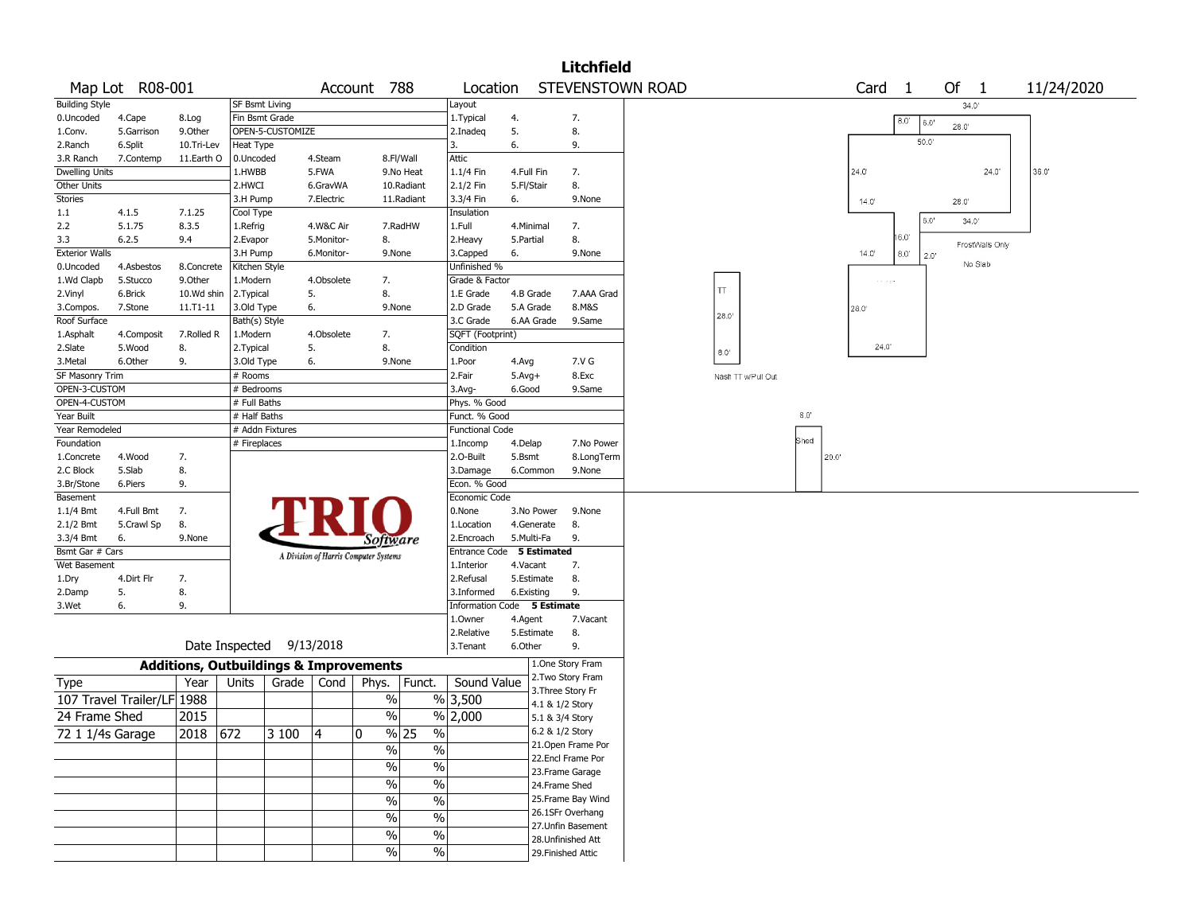|                              |                            |            |                                                   |                  |            |                                       |                           |                             |              |                                    | <b>Litchfield</b>  |                  |                    |      |      |                   |                     |      |                 |            |  |
|------------------------------|----------------------------|------------|---------------------------------------------------|------------------|------------|---------------------------------------|---------------------------|-----------------------------|--------------|------------------------------------|--------------------|------------------|--------------------|------|------|-------------------|---------------------|------|-----------------|------------|--|
|                              | Map Lot R08-001            |            |                                                   |                  | Account    | 788                                   |                           | Location                    |              |                                    |                    | STEVENSTOWN ROAD |                    |      |      | Card <sub>1</sub> |                     |      | Of 1            | 11/24/2020 |  |
| <b>Building Style</b>        |                            |            | SF Bsmt Living                                    |                  |            |                                       |                           | Layout                      |              |                                    |                    |                  |                    |      |      |                   |                     |      | 34.0'           |            |  |
| 0.Uncoded                    | 4.Cape                     | 8.Log      | Fin Bsmt Grade                                    |                  |            |                                       |                           | 1. Typical                  | 4.           |                                    | 7.                 |                  |                    |      |      |                   | 8.0<br>$6.0^\prime$ |      |                 |            |  |
| 1.Conv.                      | 5.Garrison                 | 9.Other    |                                                   | OPEN-5-CUSTOMIZE |            |                                       |                           | 2.Inadeg                    | 5.           |                                    | 8.                 |                  |                    |      |      |                   |                     |      | 28.0            |            |  |
| 2.Ranch                      | 6.Split                    | 10.Tri-Lev | Heat Type                                         |                  |            |                                       |                           | 3.                          | 6.           |                                    | 9.                 |                  |                    |      |      |                   | 50.0                |      |                 |            |  |
| 3.R Ranch                    | 7.Contemp                  | 11.Earth O | 0.Uncoded                                         |                  | 4.Steam    |                                       | 8.Fl/Wall                 | Attic                       |              |                                    |                    |                  |                    |      |      |                   |                     |      |                 |            |  |
| <b>Dwelling Units</b>        |                            |            | 1.HWBB                                            |                  | 5.FWA      |                                       | 9.No Heat                 | 1.1/4 Fin                   | 4.Full Fin   |                                    | 7.                 |                  |                    |      | 24.0 |                   |                     |      | 24.0'           | 36.0       |  |
| Other Units                  |                            |            | 2.HWCI                                            |                  | 6.GravWA   |                                       | 10.Radiant                | 2.1/2 Fin                   | 5.Fl/Stair   |                                    | 8.                 |                  |                    |      |      |                   |                     |      |                 |            |  |
| Stories                      |                            |            | 3.H Pump                                          |                  | 7.Electric |                                       | 11.Radiant                | 3.3/4 Fin                   | 6.           |                                    | 9.None             |                  |                    |      |      | 14.0'             |                     |      | 28.0            |            |  |
| 1.1                          | 4.1.5                      | 7.1.25     | Cool Type                                         |                  |            |                                       |                           | Insulation                  |              |                                    |                    |                  |                    |      |      |                   |                     |      |                 |            |  |
| 2.2                          | 5.1.75                     | 8.3.5      | 1.Refrig                                          |                  | 4.W&C Air  |                                       | 7.RadHW                   | 1.Full                      |              | 4.Minimal                          | 7.                 |                  |                    |      |      |                   | 6.0'                |      | 34.0'           |            |  |
| 3.3                          | 6.2.5                      | 9.4        | 2.Evapor                                          |                  | 5.Monitor- | 8.                                    |                           | 2.Heavy                     | 5.Partial    |                                    | 8.                 |                  |                    |      |      |                   | 16.0'               |      | FrostWalls Only |            |  |
| <b>Exterior Walls</b>        |                            |            | 3.H Pump                                          |                  | 6.Monitor- | 9.None                                |                           | 3.Capped                    | 6.           |                                    | 9.None             |                  |                    |      |      | 14.0'             | $8.0^{\circ}$       | 2.0' |                 |            |  |
| 0.Uncoded                    | 4.Asbestos                 | 8.Concrete | Kitchen Style                                     |                  |            |                                       |                           | Unfinished %                |              |                                    |                    |                  |                    |      |      |                   |                     |      | No Slab         |            |  |
| 1.Wd Clapb                   | 5.Stucco                   | 9.Other    | 1.Modern                                          |                  | 4.Obsolete | 7.                                    |                           | Grade & Factor              |              |                                    |                    |                  |                    |      |      | contract          |                     |      |                 |            |  |
| 2.Vinyl                      | 6.Brick                    | 10.Wd shin | 2. Typical                                        |                  | 5.         | 8.                                    |                           | 1.E Grade                   |              | 4.B Grade                          | 7.AAA Grad         |                  | TΤ                 |      |      |                   |                     |      |                 |            |  |
| 3.Compos.                    | 7.Stone                    | 11.T1-11   | 3.Old Type                                        |                  | 6.         | 9.None                                |                           | 2.D Grade                   |              | 5.A Grade                          | 8.M&S              |                  |                    |      | 28.0 |                   |                     |      |                 |            |  |
| Roof Surface                 |                            |            | Bath(s) Style                                     |                  |            |                                       |                           | 3.C Grade                   |              | 6.AA Grade                         | 9.Same             |                  | 28.0               |      |      |                   |                     |      |                 |            |  |
| 1.Asphalt                    | 4.Composit                 | 7.Rolled R | 1.Modern                                          |                  | 4.Obsolete | 7.                                    |                           | SQFT (Footprint)            |              |                                    |                    |                  |                    |      |      |                   |                     |      |                 |            |  |
| 2.Slate                      | 5.Wood                     | 8.         | 2.Typical                                         |                  | 5.         | 8.                                    |                           | Condition                   |              |                                    |                    |                  | $8.0^{\circ}$      |      |      | 24.0              |                     |      |                 |            |  |
| 3.Metal                      | 6.Other                    | 9.         | 3.Old Type                                        |                  | 6.         | 9.None                                |                           | 1.Poor                      | 4.Avg        |                                    | 7.V G              |                  |                    |      |      |                   |                     |      |                 |            |  |
| SF Masonry Trim              |                            |            | # Rooms                                           |                  |            |                                       |                           | 2.Fair                      | $5.$ Avg $+$ |                                    | 8.Exc              |                  | Nash TT w'Pull Out |      |      |                   |                     |      |                 |            |  |
| OPEN-3-CUSTOM                |                            |            | # Bedrooms                                        |                  |            |                                       |                           | 3.Avg-                      | 6.Good       |                                    | 9.Same             |                  |                    |      |      |                   |                     |      |                 |            |  |
| OPEN-4-CUSTOM                |                            |            | # Full Baths                                      |                  |            |                                       |                           | Phys. % Good                |              |                                    |                    |                  |                    |      |      |                   |                     |      |                 |            |  |
| Year Built                   |                            |            | # Half Baths                                      |                  |            |                                       |                           | Funct. % Good               |              |                                    |                    |                  |                    | 8.0  |      |                   |                     |      |                 |            |  |
| Year Remodeled               |                            |            | # Addn Fixtures                                   |                  |            |                                       |                           | <b>Functional Code</b>      |              |                                    |                    |                  |                    |      |      |                   |                     |      |                 |            |  |
| Foundation                   |                            |            | # Fireplaces                                      |                  |            |                                       |                           | 1.Incomp                    | 4.Delap      |                                    | 7.No Power         |                  |                    | Shed |      |                   |                     |      |                 |            |  |
| 1.Concrete                   | 4.Wood                     | 7.         |                                                   |                  |            |                                       |                           | 2.0-Built                   | 5.Bsmt       |                                    | 8.LongTerm         |                  |                    |      | 20.0 |                   |                     |      |                 |            |  |
| 2.C Block                    | 5.Slab                     | 8.         |                                                   |                  |            |                                       |                           | 3.Damage                    |              | 6.Common                           | 9.None             |                  |                    |      |      |                   |                     |      |                 |            |  |
| 3.Br/Stone                   | 6.Piers                    | 9.         |                                                   |                  |            |                                       |                           | Econ. % Good                |              |                                    |                    |                  |                    |      |      |                   |                     |      |                 |            |  |
| Basement                     |                            |            |                                                   |                  |            |                                       |                           | Economic Code               |              |                                    |                    |                  |                    |      |      |                   |                     |      |                 |            |  |
| $1.1/4$ Bmt                  | 4.Full Bmt                 | 7.         |                                                   |                  |            |                                       |                           | 0.None                      |              | 3.No Power                         | 9.None             |                  |                    |      |      |                   |                     |      |                 |            |  |
| 2.1/2 Bmt                    | 5.Crawl Sp                 | 8.         |                                                   |                  |            |                                       |                           | 1.Location                  |              | 4.Generate                         | 8.                 |                  |                    |      |      |                   |                     |      |                 |            |  |
| 3.3/4 Bmt                    | 6.                         | 9.None     |                                                   |                  |            | Software                              |                           | 2.Encroach                  |              | 5.Multi-Fa                         | 9.                 |                  |                    |      |      |                   |                     |      |                 |            |  |
| Bsmt Gar # Cars              |                            |            |                                                   |                  |            | A Division of Harris Computer Systems |                           | Entrance Code 5 Estimated   |              |                                    |                    |                  |                    |      |      |                   |                     |      |                 |            |  |
| Wet Basement                 |                            |            |                                                   |                  |            |                                       |                           | 1.Interior                  | 4.Vacant     |                                    | 7.                 |                  |                    |      |      |                   |                     |      |                 |            |  |
| 1.Dry                        | 4.Dirt Flr                 | 7.         |                                                   |                  |            |                                       |                           | 2.Refusal                   |              | 5.Estimate                         | 8.                 |                  |                    |      |      |                   |                     |      |                 |            |  |
| 2.Damp                       | 5.                         | 8.         |                                                   |                  |            |                                       |                           | 3.Informed                  |              | 6.Existing                         | 9.                 |                  |                    |      |      |                   |                     |      |                 |            |  |
| 3.Wet                        | 6.                         | 9.         |                                                   |                  |            |                                       |                           | Information Code 5 Estimate |              |                                    |                    |                  |                    |      |      |                   |                     |      |                 |            |  |
|                              |                            |            |                                                   |                  |            |                                       |                           | 1.Owner                     | 4.Agent      |                                    | 7.Vacant           |                  |                    |      |      |                   |                     |      |                 |            |  |
|                              |                            |            |                                                   |                  |            |                                       |                           | 2.Relative                  |              | 5.Estimate                         | 8.                 |                  |                    |      |      |                   |                     |      |                 |            |  |
|                              |                            |            | Date Inspected 9/13/2018                          |                  |            |                                       |                           | 3.Tenant                    | 6.Other      |                                    | 9.                 |                  |                    |      |      |                   |                     |      |                 |            |  |
|                              |                            |            | <b>Additions, Outbuildings &amp; Improvements</b> |                  |            |                                       |                           |                             |              |                                    | 1.One Story Fram   |                  |                    |      |      |                   |                     |      |                 |            |  |
| <b>Type</b>                  |                            | Year       | Units                                             | Grade            | Cond       | Phys.                                 | Funct.                    | Sound Value                 |              |                                    | 2. Two Story Fram  |                  |                    |      |      |                   |                     |      |                 |            |  |
|                              | 107 Travel Trailer/LF 1988 |            |                                                   |                  |            | $\%$                                  |                           | %3,500                      |              |                                    | 3. Three Story Fr  |                  |                    |      |      |                   |                     |      |                 |            |  |
| 24 Frame Shed                |                            | 2015       |                                                   |                  |            | $\%$                                  |                           | % 2,000                     |              | 4.1 & 1/2 Story<br>5.1 & 3/4 Story |                    |                  |                    |      |      |                   |                     |      |                 |            |  |
|                              |                            |            |                                                   |                  |            |                                       |                           |                             |              | 6.2 & 1/2 Story                    |                    |                  |                    |      |      |                   |                     |      |                 |            |  |
| $\overline{721}$ 1/4s Garage |                            | 2018 672   |                                                   | 3 100            | 14         | $\Omega$                              | $\sqrt{25}$<br>$\sqrt{6}$ |                             |              |                                    | 21. Open Frame Por |                  |                    |      |      |                   |                     |      |                 |            |  |
|                              |                            |            |                                                   |                  |            | $\%$                                  | %                         |                             |              |                                    | 22.Encl Frame Por  |                  |                    |      |      |                   |                     |      |                 |            |  |
|                              |                            |            |                                                   |                  |            | $\sqrt{6}$                            | %                         |                             |              |                                    | 23.Frame Garage    |                  |                    |      |      |                   |                     |      |                 |            |  |
|                              |                            |            |                                                   |                  |            | $\overline{\frac{0}{0}}$              | $\frac{9}{6}$             |                             |              |                                    | 24.Frame Shed      |                  |                    |      |      |                   |                     |      |                 |            |  |
|                              |                            |            |                                                   |                  |            | $\%$                                  | $\frac{9}{6}$             |                             |              |                                    | 25. Frame Bay Wind |                  |                    |      |      |                   |                     |      |                 |            |  |
|                              |                            |            |                                                   |                  |            |                                       |                           |                             |              |                                    | 26.1SFr Overhang   |                  |                    |      |      |                   |                     |      |                 |            |  |
|                              |                            |            |                                                   |                  |            | $\overline{\frac{0}{0}}$              | $\frac{9}{6}$             |                             |              |                                    | 27. Unfin Basement |                  |                    |      |      |                   |                     |      |                 |            |  |
|                              |                            |            |                                                   |                  |            | $\frac{0}{0}$                         | $\sqrt{20}$               |                             |              |                                    | 28. Unfinished Att |                  |                    |      |      |                   |                     |      |                 |            |  |
|                              |                            |            |                                                   |                  |            | $\sqrt{6}$                            | $\frac{9}{6}$             |                             |              |                                    | 29. Finished Attic |                  |                    |      |      |                   |                     |      |                 |            |  |
|                              |                            |            |                                                   |                  |            |                                       |                           |                             |              |                                    |                    |                  |                    |      |      |                   |                     |      |                 |            |  |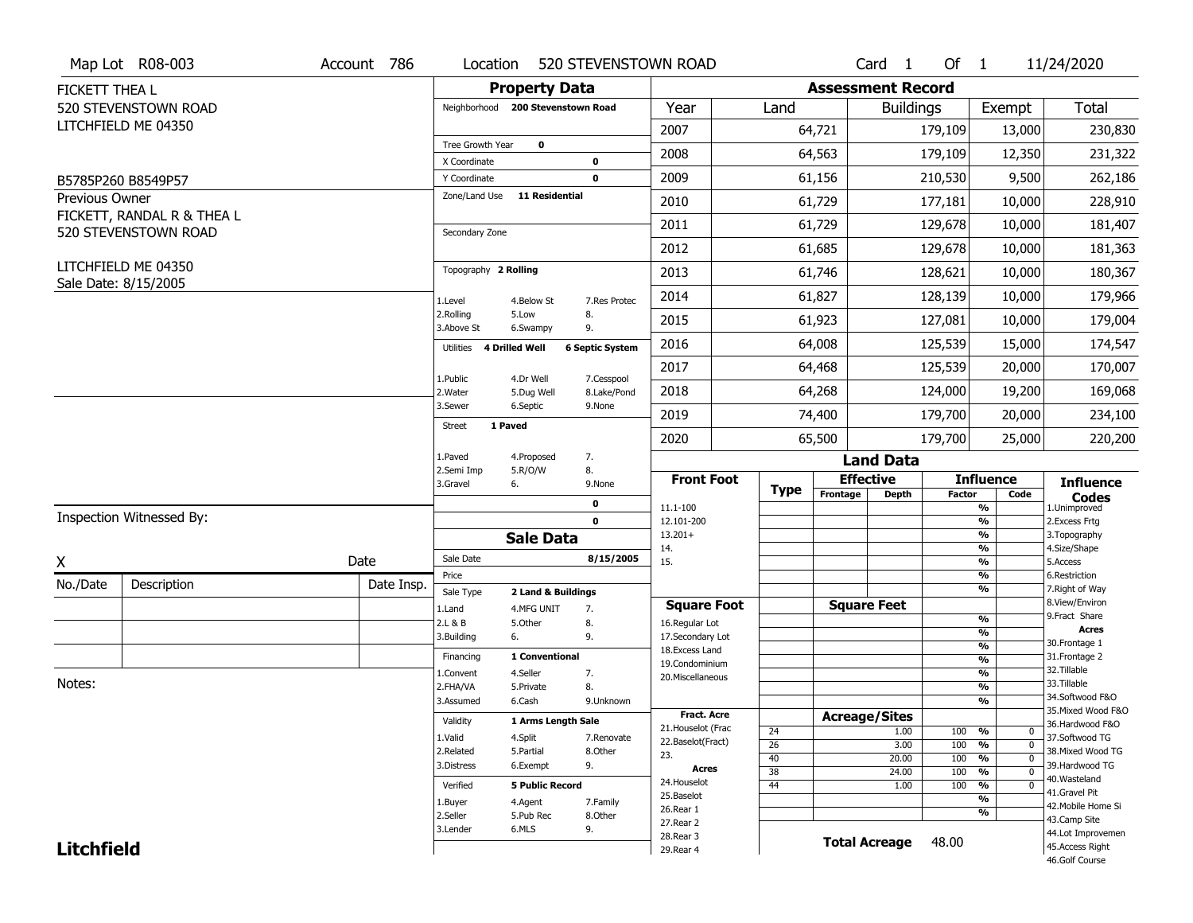|                   | Map Lot R08-003            | Account 786 | Location                          |                         | 520 STEVENSTOWN ROAD      |                                         |                       |                          | Card <sub>1</sub>    | Of $1$        |                                                              | 11/24/2020                            |
|-------------------|----------------------------|-------------|-----------------------------------|-------------------------|---------------------------|-----------------------------------------|-----------------------|--------------------------|----------------------|---------------|--------------------------------------------------------------|---------------------------------------|
| FICKETT THEA L    |                            |             |                                   | <b>Property Data</b>    |                           |                                         |                       | <b>Assessment Record</b> |                      |               |                                                              |                                       |
|                   | 520 STEVENSTOWN ROAD       |             | Neighborhood 200 Stevenstown Road |                         |                           | Year                                    | Land                  |                          | <b>Buildings</b>     |               | Exempt                                                       | Total                                 |
|                   | LITCHFIELD ME 04350        |             |                                   |                         |                           | 2007                                    |                       | 64,721                   |                      | 179,109       | 13,000                                                       | 230,830                               |
|                   |                            |             | Tree Growth Year                  | $\mathbf 0$             |                           | 2008                                    |                       | 64,563                   |                      | 179,109       | 12,350                                                       | 231,322                               |
|                   |                            |             | X Coordinate                      |                         | 0                         |                                         |                       |                          |                      |               |                                                              |                                       |
|                   | B5785P260 B8549P57         |             | Y Coordinate<br>Zone/Land Use     | <b>11 Residential</b>   | $\mathbf 0$               | 2009                                    |                       | 61,156                   |                      | 210,530       | 9,500                                                        | 262,186                               |
| Previous Owner    | FICKETT, RANDAL R & THEA L |             |                                   |                         |                           | 2010                                    |                       | 61,729                   |                      | 177,181       | 10,000                                                       | 228,910                               |
|                   | 520 STEVENSTOWN ROAD       |             | Secondary Zone                    |                         |                           | 2011                                    |                       | 61,729                   |                      | 129,678       | 10,000                                                       | 181,407                               |
|                   |                            |             |                                   |                         |                           | 2012                                    |                       | 61,685                   |                      | 129,678       | 10,000                                                       | 181,363                               |
|                   | LITCHFIELD ME 04350        |             | Topography 2 Rolling              |                         |                           | 2013                                    |                       | 61,746                   |                      | 128,621       | 10,000                                                       | 180,367                               |
|                   | Sale Date: 8/15/2005       |             | 1.Level                           | 4.Below St              | 7.Res Protec              | 2014                                    |                       | 61,827                   |                      | 128,139       | 10,000                                                       | 179,966                               |
|                   |                            |             | 2.Rolling<br>3.Above St           | 5.Low<br>6.Swampy       | 8.<br>9.                  | 2015                                    |                       | 61,923                   |                      | 127,081       | 10,000                                                       | 179,004                               |
|                   |                            |             | 4 Drilled Well<br>Utilities       |                         | <b>6 Septic System</b>    | 2016                                    |                       | 64,008                   |                      | 125,539       | 15,000                                                       | 174,547                               |
|                   |                            |             |                                   |                         |                           | 2017                                    |                       | 64,468                   |                      | 125,539       | 20,000                                                       | 170,007                               |
|                   |                            |             | 1.Public<br>2. Water              | 4.Dr Well<br>5.Dug Well | 7.Cesspool<br>8.Lake/Pond | 2018                                    |                       | 64,268                   |                      | 124,000       | 19,200                                                       | 169,068                               |
|                   |                            |             | 3.Sewer<br><b>Street</b>          | 6.Septic                | 9.None                    | 2019                                    |                       | 74,400                   |                      | 179,700       | 20,000                                                       | 234,100                               |
|                   |                            |             |                                   | 1 Paved                 |                           | 2020                                    |                       | 65,500                   |                      | 179,700       | 25,000                                                       | 220,200                               |
|                   |                            |             | 1.Paved                           | 4.Proposed              | 7.                        |                                         |                       |                          | <b>Land Data</b>     |               |                                                              |                                       |
|                   |                            |             | 2.Semi Imp<br>3.Gravel            | 5.R/O/W<br>6.           | 8.<br>9.None              | <b>Front Foot</b>                       |                       | <b>Effective</b>         |                      |               | <b>Influence</b>                                             | <b>Influence</b>                      |
|                   |                            |             |                                   |                         | 0                         | 11.1-100                                | <b>Type</b>           | Frontage                 | <b>Depth</b>         | <b>Factor</b> | Code<br>%                                                    | <b>Codes</b><br>1.Unimproved          |
|                   | Inspection Witnessed By:   |             |                                   |                         | $\mathbf 0$               | 12.101-200                              |                       |                          |                      |               | $\frac{9}{6}$                                                | 2.Excess Frtg                         |
|                   |                            |             |                                   | <b>Sale Data</b>        |                           | $13.201+$                               |                       |                          |                      |               | %                                                            | 3. Topography                         |
| X                 |                            | Date        | Sale Date                         |                         | 8/15/2005                 | 14.<br>15.                              |                       |                          |                      |               | %<br>$\frac{9}{6}$                                           | 4.Size/Shape<br>5.Access              |
| No./Date          | Description                | Date Insp.  | Price                             |                         |                           |                                         |                       |                          |                      |               | %                                                            | 6.Restriction                         |
|                   |                            |             | Sale Type                         | 2 Land & Buildings      |                           | <b>Square Foot</b>                      |                       |                          | <b>Square Feet</b>   |               | %                                                            | 7. Right of Way<br>8.View/Environ     |
|                   |                            |             | 1.Land<br>2.L & B                 | 4.MFG UNIT<br>5.Other   | 7.<br>8.                  | 16.Regular Lot                          |                       |                          |                      |               | %                                                            | 9. Fract Share                        |
|                   |                            |             | 3.Building                        | 6.                      | 9.                        | 17.Secondary Lot                        |                       |                          |                      |               | $\frac{9}{6}$                                                | <b>Acres</b><br>30.Frontage 1         |
|                   |                            |             | Financing                         | 1 Conventional          |                           | 18.Excess Land                          |                       |                          |                      |               | $\frac{9}{6}$<br>$\frac{9}{6}$                               | 31. Frontage 2                        |
|                   |                            |             | 1.Convent                         | 4.Seller                | 7.                        | 19.Condominium<br>20.Miscellaneous      |                       |                          |                      |               | $\frac{9}{6}$                                                | 32.Tillable                           |
| Notes:            |                            |             | 2.FHA/VA                          | 5.Private               | 8.                        |                                         |                       |                          |                      |               | $\frac{9}{6}$                                                | 33.Tillable                           |
|                   |                            |             | 3.Assumed                         | 6.Cash                  | 9.Unknown                 |                                         |                       |                          |                      |               | $\frac{9}{6}$                                                | 34.Softwood F&O                       |
|                   |                            |             | Validity                          | 1 Arms Length Sale      |                           | <b>Fract. Acre</b>                      |                       | <b>Acreage/Sites</b>     |                      |               |                                                              | 35. Mixed Wood F&O<br>36.Hardwood F&O |
|                   |                            |             | 1.Valid                           | 4.Split                 | 7.Renovate                | 21. Houselot (Frac<br>22.Baselot(Fract) | 24                    |                          | 1.00                 | 100 %         | $\mathbf 0$                                                  | 37.Softwood TG                        |
|                   |                            |             | 2.Related                         | 5.Partial               | 8.Other                   | 23.                                     | 26                    |                          | 3.00                 | 100           | $\frac{9}{6}$<br>$\mathbf 0$                                 | 38. Mixed Wood TG                     |
|                   |                            |             | 3.Distress                        | 6.Exempt                | 9.                        | <b>Acres</b>                            | 40<br>$\overline{38}$ |                          | 20.00<br>24.00       | 100<br>100    | $\frac{9}{6}$<br>$\mathbf 0$<br>$\frac{9}{6}$<br>$\mathbf 0$ | 39.Hardwood TG                        |
|                   |                            |             | Verified                          | <b>5 Public Record</b>  |                           | 24. Houselot                            | 44                    |                          | 1.00                 | 100           | %<br>0                                                       | 40. Wasteland                         |
|                   |                            |             | 1.Buyer                           | 4.Agent                 | 7.Family                  | 25.Baselot                              |                       |                          |                      |               | $\frac{9}{6}$                                                | 41.Gravel Pit                         |
|                   |                            | 2.Seller    | 5.Pub Rec                         | 8.Other                 | 26.Rear 1                 |                                         |                       |                          |                      | %             | 42. Mobile Home Si<br>43.Camp Site                           |                                       |
|                   |                            |             |                                   |                         |                           |                                         |                       |                          |                      |               |                                                              |                                       |
|                   |                            |             | 3.Lender                          | 6.MLS                   | 9.                        | 27.Rear 2                               |                       |                          |                      |               |                                                              |                                       |
| <b>Litchfield</b> |                            |             |                                   |                         |                           | 28. Rear 3<br>29. Rear 4                |                       |                          | <b>Total Acreage</b> | 48.00         |                                                              | 44.Lot Improvemen<br>45.Access Right  |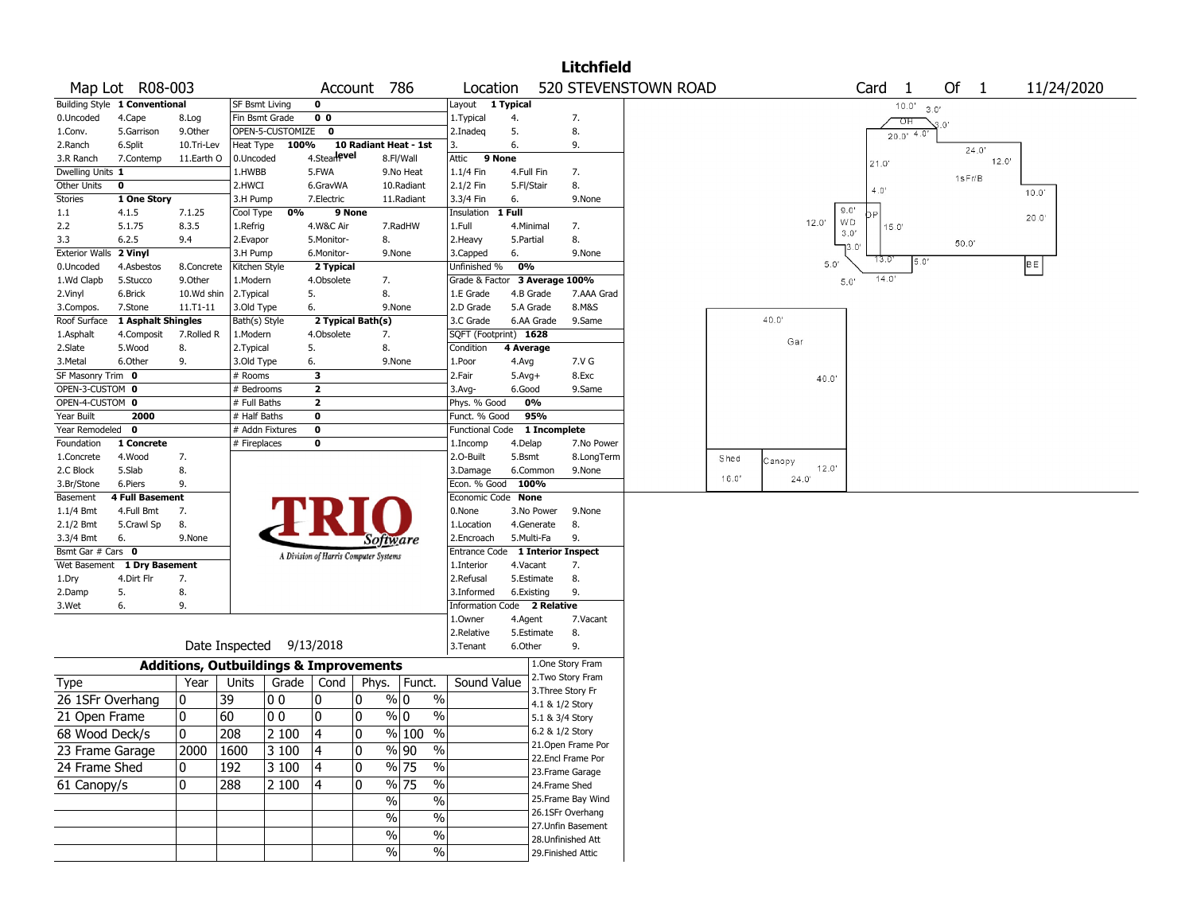|                       |                               |            |                                                   |                                       |                          |                                           |                       | <b>Litchfield</b>                     |                      |       |                |                     |               |            |
|-----------------------|-------------------------------|------------|---------------------------------------------------|---------------------------------------|--------------------------|-------------------------------------------|-----------------------|---------------------------------------|----------------------|-------|----------------|---------------------|---------------|------------|
|                       | Map Lot R08-003               |            |                                                   | Account                               | 786                      | Location                                  |                       |                                       | 520 STEVENSTOWN ROAD |       |                | Card<br>-1          | Of 1          | 11/24/2020 |
|                       | Building Style 1 Conventional |            | <b>SF Bsmt Living</b>                             | 0                                     |                          | Layout 1 Typical                          |                       |                                       |                      |       |                | 10.0'               | 3.0'          |            |
| 0.Uncoded             | 4.Cape                        | 8.Log      | Fin Bsmt Grade                                    | 0 <sub>0</sub>                        |                          | 1. Typical                                | 4.                    | 7.                                    |                      |       |                | ਾਸ                  | $3.0^{\circ}$ |            |
| 1.Conv.               | 5.Garrison                    | 9.Other    | OPEN-5-CUSTOMIZE                                  | $\mathbf{o}$                          |                          | 2.Inadeg                                  | 5.                    | 8.                                    |                      |       |                | $20.0'$ 4.0         |               |            |
| 2.Ranch               | 6.Split                       | 10.Tri-Lev | Heat Type                                         | 100%                                  | 10 Radiant Heat - 1st    | 3.                                        | 6.                    | 9.                                    |                      |       |                |                     | 24.0'         |            |
| 3.R Ranch             | 7.Contemp                     | 11.Earth O | 0.Uncoded                                         | 4.Stearlevel                          | 8.Fl/Wall                | 9 None<br>Attic                           |                       |                                       |                      |       |                | 21.0                | 12.0'         |            |
| Dwelling Units 1      |                               |            | 1.HWBB                                            | 5.FWA                                 | 9.No Heat                | 1.1/4 Fin                                 | 4.Full Fin            | 7.                                    |                      |       |                |                     | 1sFr/B        |            |
| Other Units           | 0                             |            | 2.HWCI                                            | 6.GravWA                              | 10.Radiant               | 2.1/2 Fin                                 | 5.Fl/Stair            | 8.                                    |                      |       |                | 4.0'                |               | 10.0       |
| <b>Stories</b>        | 1 One Story                   |            | 3.H Pump                                          | 7.Electric                            | 11.Radiant               | 3.3/4 Fin                                 | 6.                    | 9.None                                |                      |       |                |                     |               |            |
| 1.1                   | 4.1.5                         | 7.1.25     | 0%<br>Cool Type                                   | 9 None                                |                          | Insulation                                | 1 Full                |                                       |                      |       |                | 9.0'                |               | 20.0'      |
| 2.2                   | 5.1.75                        | 8.3.5      | 1.Refrig                                          | 4.W&C Air                             | 7.RadHW                  | 1.Full                                    | 4.Minimal             | 7.                                    |                      |       | 12.0'          | WD<br>15.0'<br>3.0' |               |            |
| 3.3                   | 6.2.5                         | 9.4        | 2.Evapor                                          | 5.Monitor-                            | 8.                       | 2.Heavy                                   | 5.Partial             | 8.                                    |                      |       |                | יס.נ                | 50.0'         |            |
| <b>Exterior Walls</b> | 2 Vinyl                       |            | 3.H Pump                                          | 6.Monitor-                            | 9.None                   | 3.Capped                                  | 6.                    | 9.None                                |                      |       |                | 13.0<br>5.0'        |               |            |
| 0.Uncoded             | 4.Asbestos                    | 8.Concrete | Kitchen Style                                     | 2 Typical                             |                          | Unfinished %                              | 0%                    |                                       |                      |       | 5.0'           |                     |               | BE         |
| 1.Wd Clapb            | 5.Stucco                      | 9.0ther    | 1.Modern                                          | 4.Obsolete                            | 7.                       | Grade & Factor 3 Average 100%             |                       |                                       |                      |       |                | 14.0'<br>5.0'       |               |            |
| 2.Vinyl               | 6.Brick                       | 10.Wd shin | 2.Typical                                         | 5.                                    | 8.                       | 1.E Grade                                 | 4.B Grade             | 7.AAA Grad                            |                      |       |                |                     |               |            |
| 3.Compos.             | 7.Stone                       | 11.T1-11   | 3.Old Type                                        | 6.                                    | 9.None                   | 2.D Grade                                 | 5.A Grade             | 8.M&S                                 |                      |       |                |                     |               |            |
| Roof Surface          | 1 Asphalt Shingles            |            | Bath(s) Style                                     | 2 Typical Bath(s)                     |                          | 3.C Grade                                 | 6.AA Grade            | 9.Same                                |                      |       | 40.0           |                     |               |            |
| 1.Asphalt             | 4.Composit                    | 7.Rolled R | 1.Modern                                          | 4.Obsolete                            | 7.                       | SQFT (Footprint) 1628                     |                       |                                       |                      |       | Gar            |                     |               |            |
| 2.Slate               | 5.Wood                        | 8.         | 2.Typical                                         | 5.                                    | 8.                       | Condition                                 | 4 Average             |                                       |                      |       |                |                     |               |            |
| 3.Metal               | 6.Other                       | 9.         | 3.Old Type                                        | 6.                                    | 9.None                   | 1.Poor                                    | 4.Avg                 | 7.V G                                 |                      |       |                |                     |               |            |
| SF Masonry Trim 0     |                               |            | # Rooms                                           | 3                                     |                          | 2.Fair                                    | $5.Avg+$              | 8.Exc                                 |                      |       | 40.0'          |                     |               |            |
| OPEN-3-CUSTOM 0       |                               |            | $#$ Bedrooms                                      | $\mathbf{2}$                          |                          | 3.Avg-                                    | 6.Good                | 9.Same                                |                      |       |                |                     |               |            |
| OPEN-4-CUSTOM 0       |                               |            | # Full Baths                                      | $\mathbf{2}$                          |                          | Phys. % Good                              | 0%                    |                                       |                      |       |                |                     |               |            |
| Year Built            | 2000                          |            | # Half Baths                                      | 0                                     |                          | Funct. % Good                             | 95%                   |                                       |                      |       |                |                     |               |            |
| Year Remodeled 0      |                               |            | # Addn Fixtures                                   | $\pmb{0}$                             |                          | <b>Functional Code</b>                    |                       | 1 Incomplete                          |                      |       |                |                     |               |            |
| Foundation            | 1 Concrete                    |            | # Fireplaces                                      | 0                                     |                          | 1.Incomp                                  | 4.Delap               | 7.No Power                            |                      |       |                |                     |               |            |
| 1.Concrete            | 4.Wood                        | 7.         |                                                   |                                       |                          | 2.0-Built                                 | 5.Bsmt                | 8.LongTerm                            |                      | Shed  | Canopy         |                     |               |            |
| 2.C Block             | 5.Slab                        | 8.         |                                                   |                                       |                          | 3.Damage                                  | 6.Common              | 9.None                                |                      | 16.0' | 12.0"<br>24.0' |                     |               |            |
| 3.Br/Stone            | 6.Piers                       | 9.         |                                                   |                                       |                          | Econ. % Good                              | 100%                  |                                       |                      |       |                |                     |               |            |
| Basement              | <b>4 Full Basement</b>        |            |                                                   |                                       |                          | Economic Code None                        |                       |                                       |                      |       |                |                     |               |            |
| $1.1/4$ Bmt           | 4.Full Bmt                    | 7.         |                                                   |                                       |                          | 0.None                                    | 3.No Power            | 9.None                                |                      |       |                |                     |               |            |
| $2.1/2$ Bmt           | 5.Crawl Sp                    | 8.         |                                                   |                                       |                          | 1.Location                                | 4.Generate            | 8.                                    |                      |       |                |                     |               |            |
| 3.3/4 Bmt             | 6.                            | 9.None     |                                                   |                                       | Software                 | 2.Encroach                                | 5.Multi-Fa            | 9.                                    |                      |       |                |                     |               |            |
| Bsmt Gar # Cars 0     |                               |            |                                                   | A Division of Harris Computer Systems |                          |                                           |                       | Entrance Code 1 Interior Inspect      |                      |       |                |                     |               |            |
| Wet Basement          | 1 Dry Basement                |            |                                                   |                                       |                          | 1.Interior                                | 4.Vacant              | 7.                                    |                      |       |                |                     |               |            |
| 1.Dry                 | 4.Dirt Flr                    | 7.         |                                                   |                                       |                          | 2.Refusal                                 | 5.Estimate            | 8.                                    |                      |       |                |                     |               |            |
| 2.Damp                | 5.                            | 8.         |                                                   |                                       |                          | 3.Informed<br>Information Code 2 Relative | 6.Existing            | 9.                                    |                      |       |                |                     |               |            |
| 3.Wet                 | 6.                            | 9.         |                                                   |                                       |                          | 1.0wner                                   |                       | 7.Vacant                              |                      |       |                |                     |               |            |
|                       |                               |            |                                                   |                                       |                          | 2.Relative                                | 4.Agent<br>5.Estimate | 8.                                    |                      |       |                |                     |               |            |
|                       |                               |            | Date Inspected                                    | 9/13/2018                             |                          | 3. Tenant                                 | 6.Other               | 9.                                    |                      |       |                |                     |               |            |
|                       |                               |            |                                                   |                                       |                          |                                           |                       |                                       |                      |       |                |                     |               |            |
|                       |                               |            | <b>Additions, Outbuildings &amp; Improvements</b> |                                       |                          |                                           |                       | 1.One Story Fram<br>2. Two Story Fram |                      |       |                |                     |               |            |
| Type                  |                               | Year       | Units<br>Grade                                    | Cond $ $                              | Phys.   Funct.           | Sound Value                               |                       | 3. Three Story Fr                     |                      |       |                |                     |               |            |
| 26 1SFr Overhang      |                               | 0          | 39<br> O O                                        | 0<br>10                               | % 0<br>%                 |                                           |                       | 4.1 & 1/2 Story                       |                      |       |                |                     |               |            |
| 21 Open Frame         |                               | 0          | 60<br>0 <sub>0</sub>                              | 0<br>0                                | % 0<br>$\%$              |                                           |                       | 5.1 & 3/4 Story                       |                      |       |                |                     |               |            |
| 68 Wood Deck/s        |                               | 0          | 208<br>2 100                                      | $\vert$ 4<br>$\pmb{0}$                | % 100 %                  |                                           |                       | 6.2 & 1/2 Story                       |                      |       |                |                     |               |            |
|                       |                               |            |                                                   |                                       |                          |                                           |                       | 21.Open Frame Por                     |                      |       |                |                     |               |            |
| 23 Frame Garage       |                               | 2000       | 1600<br>3 100                                     | 0<br> 4                               | $%  90\rangle$<br>%      |                                           |                       | 22.Encl Frame Por                     |                      |       |                |                     |               |            |
| 24 Frame Shed         |                               | 0          | 192<br>3 100                                      | 0<br>14                               | $\frac{9}{6}$ 75<br>%    |                                           |                       | 23. Frame Garage                      |                      |       |                |                     |               |            |
| 61 Canopy/s           |                               | 0          | 288<br>2 100                                      | $\mathbf 0$<br>Ι4                     | $\frac{9}{6}$ 75<br>$\%$ |                                           |                       | 24.Frame Shed                         |                      |       |                |                     |               |            |
|                       |                               |            |                                                   |                                       | $\%$<br>$\%$             |                                           |                       | 25.Frame Bay Wind                     |                      |       |                |                     |               |            |
|                       |                               |            |                                                   |                                       | $\%$<br>$\%$             |                                           |                       | 26.1SFr Overhang                      |                      |       |                |                     |               |            |
|                       |                               |            |                                                   |                                       |                          |                                           |                       | 27.Unfin Basement                     |                      |       |                |                     |               |            |
|                       |                               |            |                                                   |                                       | $\%$<br>$\%$             |                                           |                       | 28.Unfinished Att                     |                      |       |                |                     |               |            |
|                       |                               |            |                                                   |                                       | $\%$<br>$\%$             |                                           |                       | 29. Finished Attic                    |                      |       |                |                     |               |            |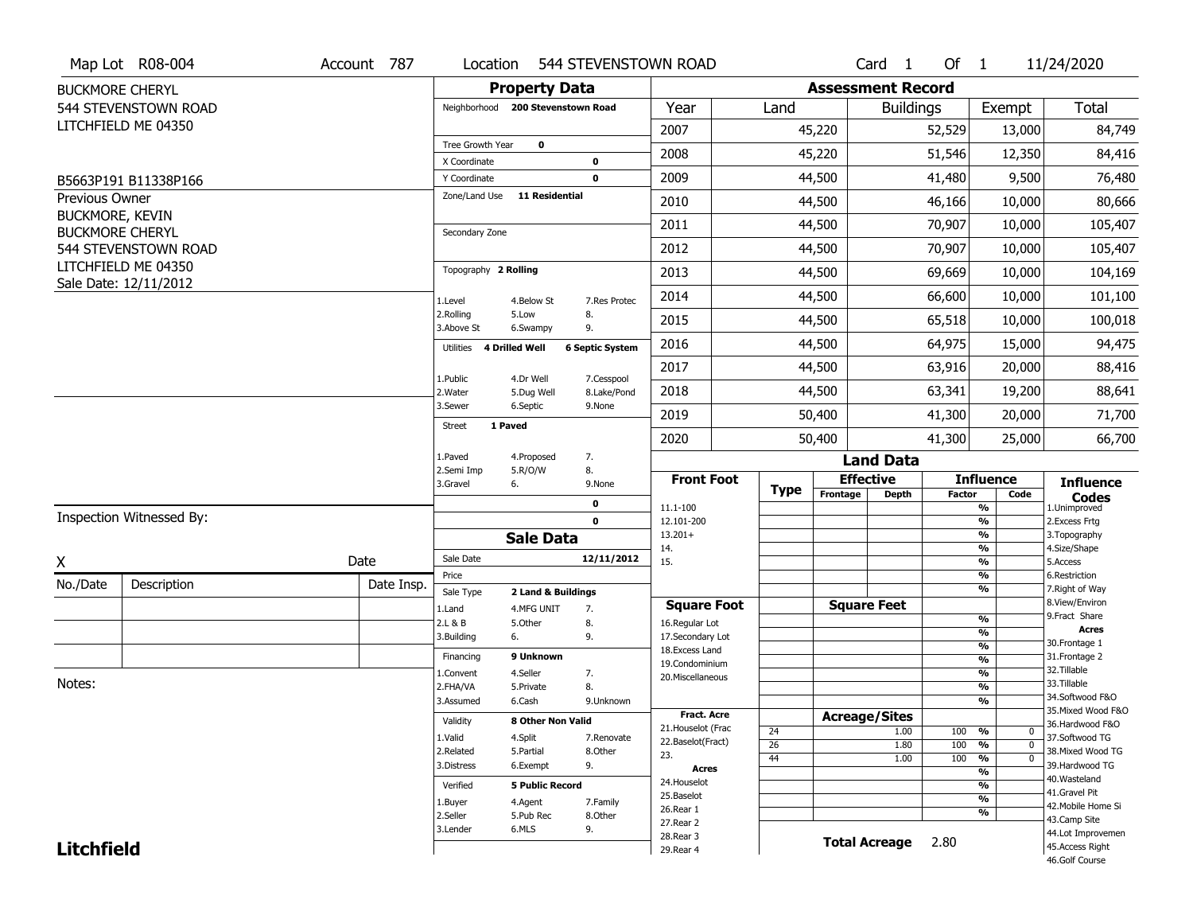|                   | Map Lot R08-004                                | Account 787 | Location                          |                        | 544 STEVENSTOWN ROAD   |                                     |             |                          | Card <sub>1</sub>    | Of $1$        |                                           | 11/24/2020                        |
|-------------------|------------------------------------------------|-------------|-----------------------------------|------------------------|------------------------|-------------------------------------|-------------|--------------------------|----------------------|---------------|-------------------------------------------|-----------------------------------|
|                   | <b>BUCKMORE CHERYL</b>                         |             |                                   | <b>Property Data</b>   |                        |                                     |             | <b>Assessment Record</b> |                      |               |                                           |                                   |
|                   | 544 STEVENSTOWN ROAD                           |             | Neighborhood 200 Stevenstown Road |                        |                        | Year                                | Land        |                          | <b>Buildings</b>     |               | Exempt                                    | Total                             |
|                   | LITCHFIELD ME 04350                            |             |                                   |                        |                        | 2007                                |             | 45,220                   |                      | 52,529        | 13,000                                    | 84,749                            |
|                   |                                                |             | Tree Growth Year<br>X Coordinate  | $\mathbf 0$            | 0                      | 2008                                |             | 45,220                   |                      | 51,546        | 12,350                                    | 84,416                            |
|                   | B5663P191 B11338P166                           |             | Y Coordinate                      |                        | $\mathbf 0$            | 2009                                |             | 44,500                   |                      | 41,480        | 9,500                                     | 76,480                            |
| Previous Owner    |                                                |             | Zone/Land Use                     | <b>11 Residential</b>  |                        | 2010                                |             | 44,500                   |                      | 46,166        | 10,000                                    | 80,666                            |
| BUCKMORE, KEVIN   |                                                |             |                                   |                        |                        | 2011                                |             | 44,500                   |                      | 70,907        | 10,000                                    | 105,407                           |
|                   | <b>BUCKMORE CHERYL</b><br>544 STEVENSTOWN ROAD |             | Secondary Zone                    |                        |                        | 2012                                |             | 44,500                   |                      | 70,907        | 10,000                                    | 105,407                           |
|                   | LITCHFIELD ME 04350                            |             | Topography 2 Rolling              |                        |                        |                                     |             |                          |                      |               |                                           |                                   |
|                   | Sale Date: 12/11/2012                          |             |                                   |                        |                        | 2013                                |             | 44,500                   |                      | 69,669        | 10,000                                    | 104,169                           |
|                   |                                                |             | 1.Level<br>2.Rolling              | 4.Below St<br>5.Low    | 7.Res Protec<br>8.     | 2014                                |             | 44,500                   |                      | 66,600        | 10,000                                    | 101,100                           |
|                   |                                                |             | 3.Above St                        | 6.Swampy               | 9.                     | 2015                                |             | 44,500                   |                      | 65,518        | 10,000                                    | 100,018                           |
|                   |                                                |             | 4 Drilled Well<br>Utilities       |                        | <b>6 Septic System</b> | 2016                                |             | 44,500                   |                      | 64,975        | 15,000                                    | 94,475                            |
|                   |                                                |             | 1.Public                          | 4.Dr Well              | 7.Cesspool             | 2017                                |             | 44,500                   |                      | 63,916        | 20,000                                    | 88,416                            |
|                   |                                                |             | 2. Water                          | 5.Dug Well             | 8.Lake/Pond            | 2018                                |             | 44,500                   |                      | 63,341        | 19,200                                    | 88,641                            |
|                   |                                                |             | 3.Sewer                           | 6.Septic               | 9.None                 | 2019                                |             | 50,400                   |                      | 41,300        | 20,000                                    | 71,700                            |
|                   |                                                |             | 1 Paved<br><b>Street</b>          |                        |                        | 2020                                |             | 50,400                   |                      | 41,300        | 25,000                                    | 66,700                            |
|                   |                                                |             | 1.Paved                           | 4.Proposed             | 7.                     |                                     |             |                          | <b>Land Data</b>     |               |                                           |                                   |
|                   |                                                |             | 2.Semi Imp<br>3.Gravel<br>6.      | 5.R/O/W                | 8.<br>9.None           | <b>Front Foot</b>                   | <b>Type</b> | <b>Effective</b>         |                      |               | <b>Influence</b>                          | <b>Influence</b>                  |
|                   |                                                |             |                                   |                        | $\mathbf 0$            | 11.1-100                            |             | Frontage                 | <b>Depth</b>         | <b>Factor</b> | Code<br>%                                 | <b>Codes</b><br>1.Unimproved      |
|                   | Inspection Witnessed By:                       |             |                                   |                        | $\mathbf 0$            | 12.101-200                          |             |                          |                      |               | $\frac{9}{6}$<br>$\frac{9}{6}$            | 2. Excess Frtg                    |
|                   |                                                |             |                                   | <b>Sale Data</b>       |                        | $13.201+$<br>14.                    |             |                          |                      |               | %                                         | 3. Topography<br>4.Size/Shape     |
| X                 |                                                | Date        | Sale Date<br>Price                |                        | 12/11/2012             | 15.                                 |             |                          |                      |               | $\frac{9}{6}$<br>%                        | 5.Access<br>6.Restriction         |
| No./Date          | Description                                    | Date Insp.  | Sale Type                         | 2 Land & Buildings     |                        |                                     |             |                          |                      |               | %                                         | 7. Right of Way                   |
|                   |                                                |             | 1.Land                            | 4.MFG UNIT             | 7.                     | <b>Square Foot</b>                  |             |                          | <b>Square Feet</b>   |               |                                           | 8.View/Environ<br>9. Fract Share  |
|                   |                                                |             | 2.L & B                           | 5.Other                | 8.                     | 16.Regular Lot                      |             |                          |                      |               | %<br>$\frac{9}{6}$                        | <b>Acres</b>                      |
|                   |                                                |             | 3.Building<br>6.                  |                        | 9.                     | 17.Secondary Lot<br>18. Excess Land |             |                          |                      |               | $\frac{9}{6}$                             | 30.Frontage 1                     |
|                   |                                                |             | Financing                         | 9 Unknown              |                        | 19.Condominium                      |             |                          |                      |               | $\frac{9}{6}$                             | 31. Frontage 2                    |
| Notes:            |                                                |             | 1.Convent                         | 4.Seller               | 7.                     | 20.Miscellaneous                    |             |                          |                      |               | $\frac{9}{6}$                             | 32.Tillable<br>33.Tillable        |
|                   |                                                |             | 2.FHA/VA                          | 5.Private              | 8.                     |                                     |             |                          |                      |               | $\frac{9}{6}$<br>$\overline{\frac{9}{6}}$ | 34.Softwood F&O                   |
|                   |                                                |             | 3.Assumed                         | 6.Cash                 | 9.Unknown              | <b>Fract. Acre</b>                  |             |                          |                      |               |                                           | 35. Mixed Wood F&O                |
|                   |                                                |             | Validity                          | 8 Other Non Valid      |                        | 21. Houselot (Frac                  | 24          | <b>Acreage/Sites</b>     | 1.00                 | 100           | %<br>$\mathbf 0$                          | 36.Hardwood F&O                   |
|                   |                                                |             | 1.Valid                           | 4.Split                | 7.Renovate             | 22.Baselot(Fract)                   | 26          |                          | 1.80                 | 100           | %<br>$\mathbf{0}$                         | 37.Softwood TG                    |
|                   |                                                |             | 2.Related                         | 5.Partial              | 8.Other                | 23.                                 | 44          |                          | 1.00                 | 100           | $\frac{9}{6}$<br>$\mathbf 0$              | 38. Mixed Wood TG                 |
|                   |                                                |             | 3.Distress                        | 6.Exempt               | 9.                     | <b>Acres</b>                        |             |                          |                      |               | $\frac{9}{6}$                             | 39.Hardwood TG                    |
|                   |                                                |             | Verified                          | <b>5 Public Record</b> |                        | 24. Houselot                        |             |                          |                      |               | %                                         | 40. Wasteland<br>41.Gravel Pit    |
|                   |                                                |             | 1.Buyer                           | 4.Agent                | 7.Family               | 25.Baselot                          |             |                          |                      |               | $\frac{9}{6}$                             | 42. Mobile Home Si                |
|                   |                                                |             | 2.Seller                          | 5.Pub Rec              | 8.Other                | 26.Rear 1<br>27. Rear 2             |             |                          |                      |               | %                                         | 43.Camp Site                      |
|                   |                                                |             | 3.Lender                          | 6.MLS                  | 9.                     |                                     |             |                          |                      |               |                                           |                                   |
|                   |                                                |             |                                   |                        |                        | 28. Rear 3                          |             |                          |                      |               |                                           | 44.Lot Improvemen                 |
| <b>Litchfield</b> |                                                |             |                                   |                        |                        | 29. Rear 4                          |             |                          | <b>Total Acreage</b> | 2.80          |                                           | 45.Access Right<br>46.Golf Course |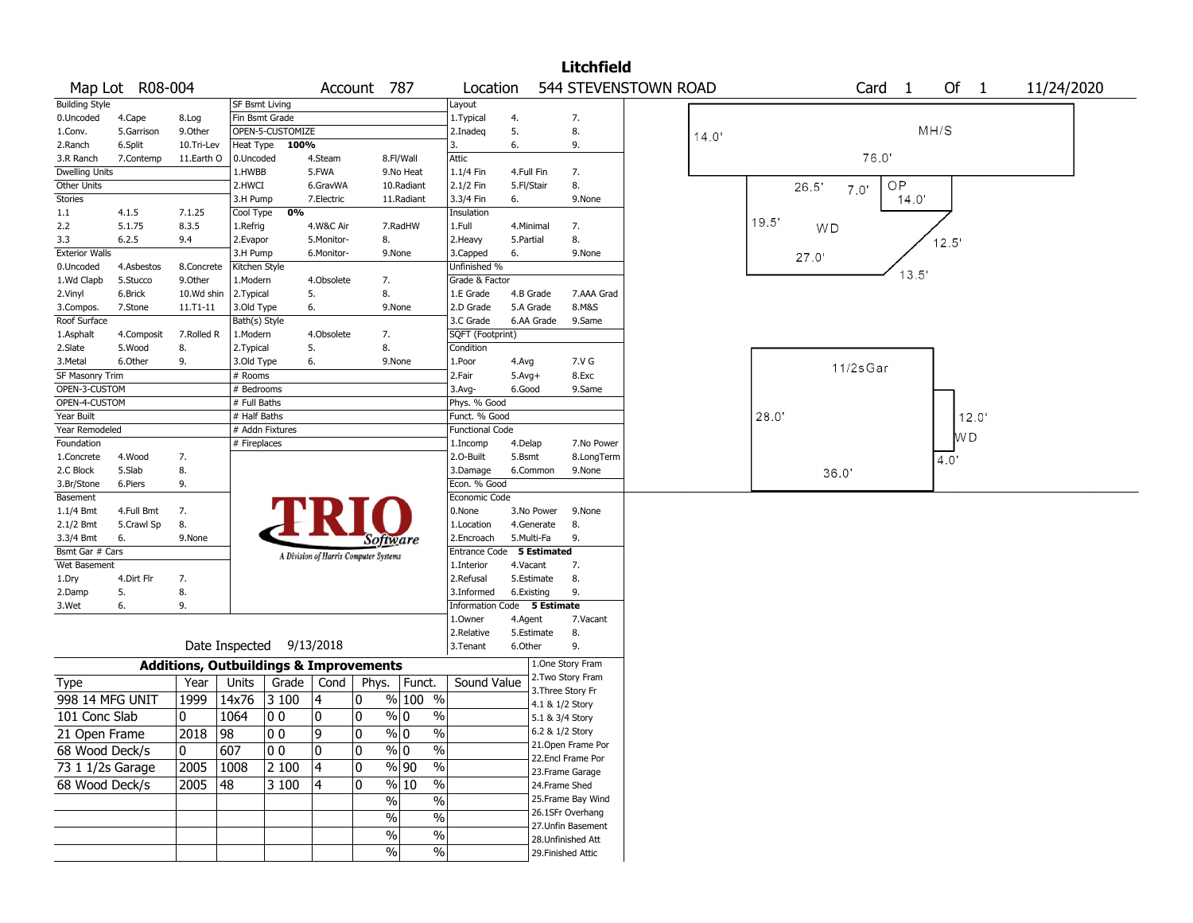|                       |                 |              |                       |                                                   |                                       |             |                                              |                             |              |                   | <b>Litchfield</b>  |                      |       |                                         |  |
|-----------------------|-----------------|--------------|-----------------------|---------------------------------------------------|---------------------------------------|-------------|----------------------------------------------|-----------------------------|--------------|-------------------|--------------------|----------------------|-------|-----------------------------------------|--|
|                       | Map Lot R08-004 |              |                       |                                                   |                                       | Account 787 |                                              | Location                    |              |                   |                    | 544 STEVENSTOWN ROAD |       | Of 1<br>Card <sub>1</sub><br>11/24/2020 |  |
| <b>Building Style</b> |                 |              | <b>SF Bsmt Living</b> |                                                   |                                       |             |                                              | Layout                      |              |                   |                    |                      |       |                                         |  |
| 0.Uncoded             | 4.Cape          | 8.Log        | Fin Bsmt Grade        |                                                   |                                       |             |                                              | 1.Typical                   | 4.           |                   | 7.                 |                      |       |                                         |  |
| 1.Conv.               | 5.Garrison      | 9.0ther      |                       | OPEN-5-CUSTOMIZE                                  |                                       |             |                                              | 2.Inadeg                    | 5.           |                   | 8.                 |                      | 14.0' | MH/S                                    |  |
| 2.Ranch               | 6.Split         | 10.Tri-Lev   | Heat Type             | 100%                                              |                                       |             |                                              | 3.                          | 6.           |                   | 9.                 |                      |       |                                         |  |
| 3.R Ranch             | 7.Contemp       | 11.Earth O   | 0.Uncoded             |                                                   | 4.Steam                               |             | 8.Fl/Wall                                    | Attic                       |              |                   |                    |                      |       | 76.0                                    |  |
| <b>Dwelling Units</b> |                 |              | 1.HWBB                |                                                   | 5.FWA                                 |             | 9.No Heat                                    | 1.1/4 Fin                   | 4.Full Fin   |                   | 7.                 |                      |       |                                         |  |
| Other Units           |                 |              | 2.HWCI                |                                                   | 6.GravWA                              |             | 10.Radiant                                   | 2.1/2 Fin                   | 5.Fl/Stair   |                   | 8.                 |                      |       | OP.<br>26.5'<br>7.0'                    |  |
| Stories               |                 |              | 3.H Pump              |                                                   | 7.Electric                            |             | 11.Radiant                                   | 3.3/4 Fin                   | 6.           |                   | 9.None             |                      |       | 14.0'                                   |  |
| 1.1                   | 4.1.5           | 7.1.25       | Cool Type             | 0%                                                |                                       |             |                                              | Insulation                  |              |                   |                    |                      |       |                                         |  |
| 2.2                   | 5.1.75          | 8.3.5        | 1.Refrig              |                                                   | 4.W&C Air                             |             | 7.RadHW                                      | 1.Full                      | 4.Minimal    |                   | 7.                 |                      |       | 19.5'<br>WD                             |  |
| 3.3                   | 6.2.5           | 9.4          | 2.Evapor              |                                                   | 5.Monitor-                            | 8.          |                                              | 2.Heavy                     | 5.Partial    |                   | 8.                 |                      |       | 12.5'                                   |  |
| <b>Exterior Walls</b> |                 |              | 3.H Pump              |                                                   | 6.Monitor-                            |             | 9.None                                       | 3.Capped                    | 6.           |                   | 9.None             |                      |       | 27.0'                                   |  |
| 0.Uncoded             | 4.Asbestos      | 8.Concrete   | Kitchen Style         |                                                   |                                       |             |                                              | Unfinished %                |              |                   |                    |                      |       |                                         |  |
| 1.Wd Clapb            | 5.Stucco        | 9.Other      | 1.Modern              |                                                   | 4.Obsolete                            | 7.          |                                              | Grade & Factor              |              |                   |                    |                      |       | 13.5'                                   |  |
| 2.Vinyl               | 6.Brick         | 10.Wd shin   | 2. Typical            |                                                   | 5.                                    | 8.          |                                              | 1.E Grade                   | 4.B Grade    |                   | 7.AAA Grad         |                      |       |                                         |  |
| 3.Compos.             | 7.Stone         | $11.71 - 11$ | 3.Old Type            |                                                   | 6.                                    |             | 9.None                                       | 2.D Grade                   | 5.A Grade    |                   | 8.M&S              |                      |       |                                         |  |
| Roof Surface          |                 |              | Bath(s) Style         |                                                   |                                       |             |                                              | 3.C Grade                   |              | 6.AA Grade        | 9.Same             |                      |       |                                         |  |
| 1.Asphalt             | 4.Composit      | 7.Rolled R   | 1.Modern              |                                                   | 4.Obsolete                            | 7.          |                                              | SQFT (Footprint)            |              |                   |                    |                      |       |                                         |  |
| 2.Slate               | 5.Wood          | 8.           | 2. Typical            |                                                   | 5.                                    | 8.          |                                              | Condition                   |              |                   |                    |                      |       |                                         |  |
| 3.Metal               | 6.Other         | 9.           | 3.Old Type            |                                                   | 6.                                    |             | 9.None                                       | 1.Poor                      | 4.Avg        |                   | 7.V G              |                      |       |                                         |  |
| SF Masonry Trim       |                 |              | # Rooms               |                                                   |                                       |             |                                              | 2.Fair                      | $5.$ Avg $+$ |                   | 8.Exc              |                      |       | 11/2sGar                                |  |
| OPEN-3-CUSTOM         |                 |              | # Bedrooms            |                                                   |                                       |             |                                              | 3.Avg-                      | 6.Good       |                   | 9.Same             |                      |       |                                         |  |
| OPEN-4-CUSTOM         |                 |              | # Full Baths          |                                                   |                                       |             |                                              | Phys. % Good                |              |                   |                    |                      |       |                                         |  |
| Year Built            |                 |              | # Half Baths          |                                                   |                                       |             |                                              | Funct. % Good               |              |                   |                    |                      |       | 28.0'<br>12.0'                          |  |
| Year Remodeled        |                 |              |                       | # Addn Fixtures                                   |                                       |             |                                              | <b>Functional Code</b>      |              |                   |                    |                      |       |                                         |  |
| Foundation            |                 |              | # Fireplaces          |                                                   |                                       |             |                                              | 1.Incomp                    | 4.Delap      |                   | 7.No Power         |                      |       | W D                                     |  |
| 1.Concrete            | 4.Wood          | 7.           |                       |                                                   |                                       |             |                                              | 2.0-Built                   | 5.Bsmt       |                   | 8.LongTerm         |                      |       | 4.0                                     |  |
| 2.C Block             | 5.Slab          | 8.           |                       |                                                   |                                       |             |                                              | 3.Damage                    | 6.Common     |                   | 9.None             |                      |       | 36.0'                                   |  |
| 3.Br/Stone            | 6.Piers         | 9.           |                       |                                                   |                                       |             |                                              | Econ. % Good                |              |                   |                    |                      |       |                                         |  |
| Basement              |                 |              |                       |                                                   |                                       |             |                                              | Economic Code               |              |                   |                    |                      |       |                                         |  |
| 1.1/4 Bmt             | 4.Full Bmt      | 7.           |                       |                                                   |                                       |             |                                              | 0.None                      |              | 3.No Power        | 9.None             |                      |       |                                         |  |
| 2.1/2 Bmt             | 5.Crawl Sp      | 8.           |                       |                                                   |                                       |             |                                              | 1.Location                  | 4.Generate   |                   | 8.                 |                      |       |                                         |  |
| 3.3/4 Bmt             | 6.              | 9.None       |                       |                                                   |                                       | Software    |                                              | 2.Encroach                  | 5.Multi-Fa   |                   | 9.                 |                      |       |                                         |  |
| Bsmt Gar # Cars       |                 |              |                       |                                                   |                                       |             |                                              | Entrance Code               |              | 5 Estimated       |                    |                      |       |                                         |  |
| Wet Basement          |                 |              |                       |                                                   | A Division of Harris Computer Systems |             |                                              | 1.Interior                  | 4.Vacant     |                   | 7.                 |                      |       |                                         |  |
| 1.Dry                 | 4.Dirt Flr      | 7.           |                       |                                                   |                                       |             |                                              | 2.Refusal                   | 5.Estimate   |                   | 8.                 |                      |       |                                         |  |
| 2.Damp                | 5.              | 8.           |                       |                                                   |                                       |             |                                              | 3.Informed                  | 6.Existing   |                   | 9.                 |                      |       |                                         |  |
| 3.Wet                 | 6.              | 9.           |                       |                                                   |                                       |             |                                              | Information Code 5 Estimate |              |                   |                    |                      |       |                                         |  |
|                       |                 |              |                       |                                                   |                                       |             |                                              | 1.0wner                     | 4.Agent      |                   | 7.Vacant           |                      |       |                                         |  |
|                       |                 |              |                       |                                                   |                                       |             |                                              | 2.Relative                  | 5.Estimate   |                   | 8.                 |                      |       |                                         |  |
|                       |                 |              | Date Inspected        |                                                   | 9/13/2018                             |             |                                              | 3. Tenant                   | 6.Other      |                   | 9.                 |                      |       |                                         |  |
|                       |                 |              |                       | <b>Additions, Outbuildings &amp; Improvements</b> |                                       |             |                                              |                             |              |                   | 1.One Story Fram   |                      |       |                                         |  |
| <b>Type</b>           |                 | Year         | Units                 | Grade                                             | Cond                                  | Phys.       | Funct.                                       | Sound Value                 |              |                   | 2. Two Story Fram  |                      |       |                                         |  |
|                       |                 | 1999         |                       |                                                   |                                       | 0           |                                              |                             |              | 3. Three Story Fr |                    |                      |       |                                         |  |
| 998 14 MFG UNIT       |                 |              | 14x76                 | 3 100                                             | 4                                     |             | % 100 %                                      |                             |              | 4.1 & 1/2 Story   |                    |                      |       |                                         |  |
| 101 Conc Slab         |                 | 10           | 1064                  | 10 O                                              | 0                                     | 0           | % 0<br>$\%$                                  |                             |              | 5.1 & 3/4 Story   |                    |                      |       |                                         |  |
| 21 Open Frame         |                 | 2018         | 98                    | 00                                                | 9                                     | 0           | $\sqrt[6]{0}$<br>$\%$                        |                             |              | 6.2 & 1/2 Story   |                    |                      |       |                                         |  |
| 68 Wood Deck/s        |                 | 10           | 607                   | 00                                                | 0                                     | 0           | $\%$ 0<br>$\%$                               |                             |              |                   | 21. Open Frame Por |                      |       |                                         |  |
|                       |                 |              |                       |                                                   |                                       |             |                                              |                             |              |                   | 22.Encl Frame Por  |                      |       |                                         |  |
| 73 1 1/2s Garage      |                 | 2005         | 1008                  | 2 100                                             | $\overline{4}$                        | 0           | $\sqrt{90}$<br>$\%$                          |                             |              |                   | 23. Frame Garage   |                      |       |                                         |  |
| 68 Wood Deck/s        |                 | 2005         | 48                    | $\sqrt{3}100$                                     | 4                                     | 0           | $\frac{9}{6}$ 10<br>$\overline{\frac{0}{6}}$ |                             |              | 24.Frame Shed     |                    |                      |       |                                         |  |
|                       |                 |              |                       |                                                   |                                       |             | $\sqrt{6}$<br>$\%$                           |                             |              |                   | 25. Frame Bay Wind |                      |       |                                         |  |
|                       |                 |              |                       |                                                   |                                       |             | $\%$<br>$\%$                                 |                             |              |                   | 26.1SFr Overhang   |                      |       |                                         |  |
|                       |                 |              |                       |                                                   |                                       |             |                                              |                             |              |                   | 27.Unfin Basement  |                      |       |                                         |  |
|                       |                 |              |                       |                                                   |                                       |             | $\%$<br>$\%$                                 |                             |              |                   | 28.Unfinished Att  |                      |       |                                         |  |
|                       |                 |              |                       |                                                   |                                       |             | $\sqrt{6}$<br>$\%$                           |                             |              |                   | 29. Finished Attic |                      |       |                                         |  |
|                       |                 |              |                       |                                                   |                                       |             |                                              |                             |              |                   |                    |                      |       |                                         |  |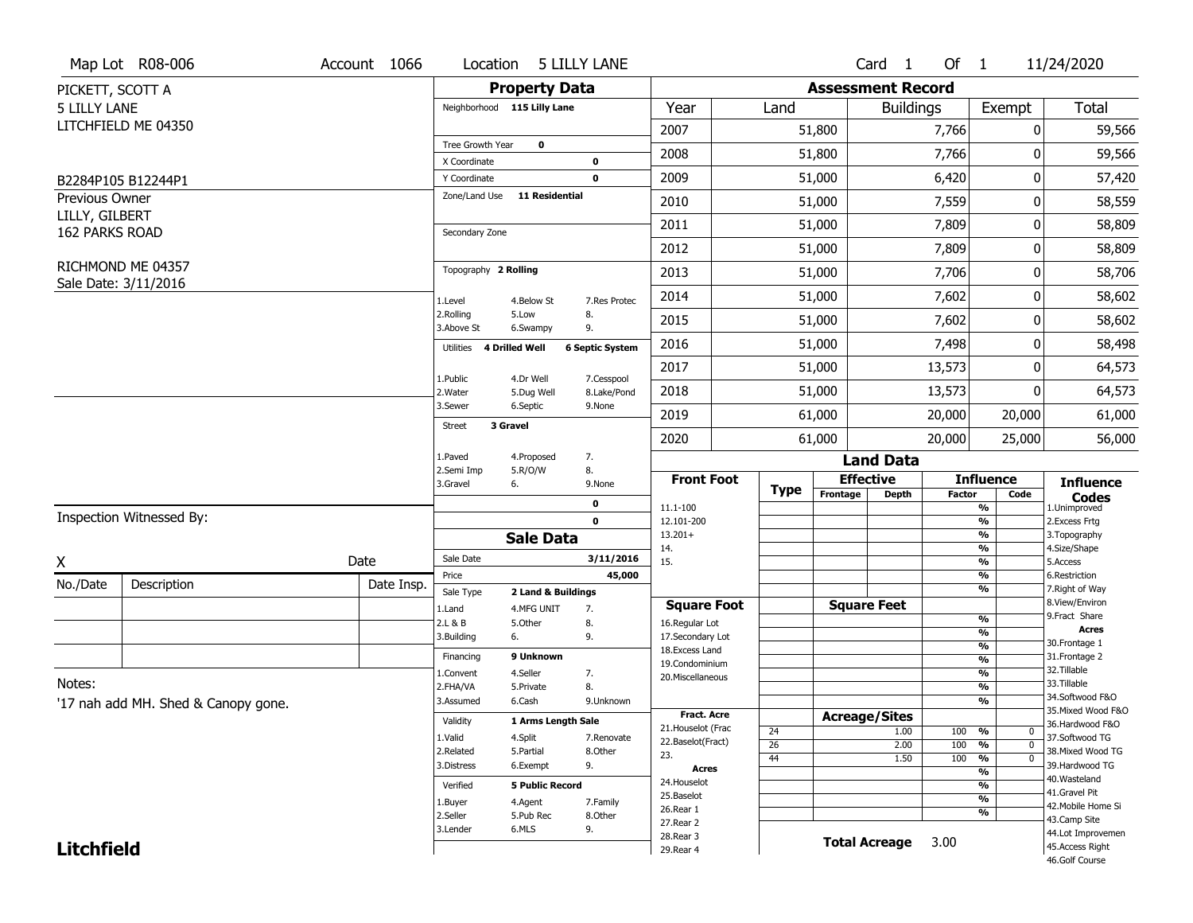|            | Location                |                                                                                                                                                                                               |                                                                                                                                                                                                                                                                                                                                              |                                                                                                                                                                                                                                                                                                      |                                                                                                    |                                                                                                                                                                                              |                                                                                                                                                                 |                                                                                                                              |                                                                                                                                             | 11/24/2020                                                                                                                                                                                                                                                                        |
|------------|-------------------------|-----------------------------------------------------------------------------------------------------------------------------------------------------------------------------------------------|----------------------------------------------------------------------------------------------------------------------------------------------------------------------------------------------------------------------------------------------------------------------------------------------------------------------------------------------|------------------------------------------------------------------------------------------------------------------------------------------------------------------------------------------------------------------------------------------------------------------------------------------------------|----------------------------------------------------------------------------------------------------|----------------------------------------------------------------------------------------------------------------------------------------------------------------------------------------------|-----------------------------------------------------------------------------------------------------------------------------------------------------------------|------------------------------------------------------------------------------------------------------------------------------|---------------------------------------------------------------------------------------------------------------------------------------------|-----------------------------------------------------------------------------------------------------------------------------------------------------------------------------------------------------------------------------------------------------------------------------------|
|            |                         |                                                                                                                                                                                               |                                                                                                                                                                                                                                                                                                                                              |                                                                                                                                                                                                                                                                                                      |                                                                                                    |                                                                                                                                                                                              |                                                                                                                                                                 |                                                                                                                              |                                                                                                                                             |                                                                                                                                                                                                                                                                                   |
|            |                         |                                                                                                                                                                                               |                                                                                                                                                                                                                                                                                                                                              | Year                                                                                                                                                                                                                                                                                                 |                                                                                                    |                                                                                                                                                                                              |                                                                                                                                                                 |                                                                                                                              | Exempt                                                                                                                                      | Total                                                                                                                                                                                                                                                                             |
|            |                         |                                                                                                                                                                                               |                                                                                                                                                                                                                                                                                                                                              | 2007                                                                                                                                                                                                                                                                                                 |                                                                                                    |                                                                                                                                                                                              |                                                                                                                                                                 |                                                                                                                              |                                                                                                                                             | 59,566                                                                                                                                                                                                                                                                            |
|            | Tree Growth Year        | 0                                                                                                                                                                                             |                                                                                                                                                                                                                                                                                                                                              |                                                                                                                                                                                                                                                                                                      |                                                                                                    |                                                                                                                                                                                              |                                                                                                                                                                 |                                                                                                                              |                                                                                                                                             | 59,566                                                                                                                                                                                                                                                                            |
|            |                         |                                                                                                                                                                                               |                                                                                                                                                                                                                                                                                                                                              |                                                                                                                                                                                                                                                                                                      |                                                                                                    |                                                                                                                                                                                              |                                                                                                                                                                 |                                                                                                                              |                                                                                                                                             | 57,420                                                                                                                                                                                                                                                                            |
|            | Zone/Land Use           |                                                                                                                                                                                               |                                                                                                                                                                                                                                                                                                                                              |                                                                                                                                                                                                                                                                                                      |                                                                                                    |                                                                                                                                                                                              |                                                                                                                                                                 |                                                                                                                              |                                                                                                                                             |                                                                                                                                                                                                                                                                                   |
|            |                         |                                                                                                                                                                                               |                                                                                                                                                                                                                                                                                                                                              |                                                                                                                                                                                                                                                                                                      |                                                                                                    |                                                                                                                                                                                              |                                                                                                                                                                 |                                                                                                                              |                                                                                                                                             | 58,559                                                                                                                                                                                                                                                                            |
|            | Secondary Zone          |                                                                                                                                                                                               |                                                                                                                                                                                                                                                                                                                                              |                                                                                                                                                                                                                                                                                                      |                                                                                                    |                                                                                                                                                                                              |                                                                                                                                                                 |                                                                                                                              |                                                                                                                                             | 58,809                                                                                                                                                                                                                                                                            |
|            |                         |                                                                                                                                                                                               |                                                                                                                                                                                                                                                                                                                                              | 2012                                                                                                                                                                                                                                                                                                 |                                                                                                    |                                                                                                                                                                                              |                                                                                                                                                                 |                                                                                                                              |                                                                                                                                             | 58,809                                                                                                                                                                                                                                                                            |
|            |                         |                                                                                                                                                                                               |                                                                                                                                                                                                                                                                                                                                              | 2013                                                                                                                                                                                                                                                                                                 |                                                                                                    |                                                                                                                                                                                              |                                                                                                                                                                 | 7,706                                                                                                                        |                                                                                                                                             | 58,706                                                                                                                                                                                                                                                                            |
|            | 1.Level                 |                                                                                                                                                                                               | 7.Res Protec                                                                                                                                                                                                                                                                                                                                 | 2014                                                                                                                                                                                                                                                                                                 |                                                                                                    |                                                                                                                                                                                              |                                                                                                                                                                 | 7,602                                                                                                                        |                                                                                                                                             | 58,602                                                                                                                                                                                                                                                                            |
|            | 2.Rolling<br>3.Above St |                                                                                                                                                                                               | 8.<br>9.                                                                                                                                                                                                                                                                                                                                     | 2015                                                                                                                                                                                                                                                                                                 |                                                                                                    |                                                                                                                                                                                              |                                                                                                                                                                 | 7,602                                                                                                                        |                                                                                                                                             | 58,602                                                                                                                                                                                                                                                                            |
|            | <b>Utilities</b>        |                                                                                                                                                                                               |                                                                                                                                                                                                                                                                                                                                              | 2016                                                                                                                                                                                                                                                                                                 |                                                                                                    |                                                                                                                                                                                              |                                                                                                                                                                 | 7,498                                                                                                                        |                                                                                                                                             | 58,498                                                                                                                                                                                                                                                                            |
|            |                         |                                                                                                                                                                                               |                                                                                                                                                                                                                                                                                                                                              | 2017                                                                                                                                                                                                                                                                                                 |                                                                                                    |                                                                                                                                                                                              |                                                                                                                                                                 | 13,573                                                                                                                       |                                                                                                                                             | 64,573                                                                                                                                                                                                                                                                            |
|            | 2. Water                |                                                                                                                                                                                               | 8.Lake/Pond                                                                                                                                                                                                                                                                                                                                  | 2018                                                                                                                                                                                                                                                                                                 |                                                                                                    |                                                                                                                                                                                              |                                                                                                                                                                 | 13,573                                                                                                                       |                                                                                                                                             | 64,573                                                                                                                                                                                                                                                                            |
|            |                         |                                                                                                                                                                                               |                                                                                                                                                                                                                                                                                                                                              | 2019                                                                                                                                                                                                                                                                                                 |                                                                                                    |                                                                                                                                                                                              |                                                                                                                                                                 | 20,000                                                                                                                       |                                                                                                                                             | 61,000                                                                                                                                                                                                                                                                            |
|            |                         |                                                                                                                                                                                               |                                                                                                                                                                                                                                                                                                                                              | 2020                                                                                                                                                                                                                                                                                                 |                                                                                                    |                                                                                                                                                                                              |                                                                                                                                                                 | 20,000                                                                                                                       |                                                                                                                                             | 56,000                                                                                                                                                                                                                                                                            |
|            | 1.Paved                 |                                                                                                                                                                                               | 7.                                                                                                                                                                                                                                                                                                                                           |                                                                                                                                                                                                                                                                                                      |                                                                                                    |                                                                                                                                                                                              |                                                                                                                                                                 |                                                                                                                              |                                                                                                                                             |                                                                                                                                                                                                                                                                                   |
|            | 3.Gravel<br>6.          |                                                                                                                                                                                               | 9.None                                                                                                                                                                                                                                                                                                                                       |                                                                                                                                                                                                                                                                                                      |                                                                                                    |                                                                                                                                                                                              |                                                                                                                                                                 |                                                                                                                              |                                                                                                                                             | <b>Influence</b>                                                                                                                                                                                                                                                                  |
|            |                         |                                                                                                                                                                                               | 0                                                                                                                                                                                                                                                                                                                                            |                                                                                                                                                                                                                                                                                                      |                                                                                                    |                                                                                                                                                                                              |                                                                                                                                                                 |                                                                                                                              |                                                                                                                                             | <b>Codes</b><br>1.Unimproved                                                                                                                                                                                                                                                      |
|            |                         |                                                                                                                                                                                               | $\mathbf{0}$                                                                                                                                                                                                                                                                                                                                 | 12.101-200                                                                                                                                                                                                                                                                                           |                                                                                                    |                                                                                                                                                                                              |                                                                                                                                                                 |                                                                                                                              | $\overline{\frac{9}{6}}$                                                                                                                    | 2. Excess Frtg                                                                                                                                                                                                                                                                    |
|            |                         |                                                                                                                                                                                               |                                                                                                                                                                                                                                                                                                                                              | 14.                                                                                                                                                                                                                                                                                                  |                                                                                                    |                                                                                                                                                                                              |                                                                                                                                                                 |                                                                                                                              | $\overline{\frac{9}{6}}$                                                                                                                    | 3. Topography<br>4.Size/Shape                                                                                                                                                                                                                                                     |
| Date       |                         |                                                                                                                                                                                               |                                                                                                                                                                                                                                                                                                                                              | 15.                                                                                                                                                                                                                                                                                                  |                                                                                                    |                                                                                                                                                                                              |                                                                                                                                                                 |                                                                                                                              | $\overline{\frac{9}{6}}$                                                                                                                    | 5.Access                                                                                                                                                                                                                                                                          |
| Date Insp. |                         |                                                                                                                                                                                               |                                                                                                                                                                                                                                                                                                                                              |                                                                                                                                                                                                                                                                                                      |                                                                                                    |                                                                                                                                                                                              |                                                                                                                                                                 |                                                                                                                              | $\overline{\frac{9}{6}}$                                                                                                                    | 6.Restriction<br>7. Right of Way                                                                                                                                                                                                                                                  |
|            | 1.Land                  |                                                                                                                                                                                               | 7.                                                                                                                                                                                                                                                                                                                                           |                                                                                                                                                                                                                                                                                                      |                                                                                                    |                                                                                                                                                                                              |                                                                                                                                                                 |                                                                                                                              |                                                                                                                                             | 8.View/Environ                                                                                                                                                                                                                                                                    |
|            | 2.L & B                 |                                                                                                                                                                                               | 8.                                                                                                                                                                                                                                                                                                                                           | 16.Regular Lot                                                                                                                                                                                                                                                                                       |                                                                                                    |                                                                                                                                                                                              |                                                                                                                                                                 |                                                                                                                              |                                                                                                                                             | 9.Fract Share<br><b>Acres</b>                                                                                                                                                                                                                                                     |
|            |                         |                                                                                                                                                                                               |                                                                                                                                                                                                                                                                                                                                              |                                                                                                                                                                                                                                                                                                      |                                                                                                    |                                                                                                                                                                                              |                                                                                                                                                                 |                                                                                                                              | %                                                                                                                                           | 30. Frontage 1                                                                                                                                                                                                                                                                    |
|            | Financing               |                                                                                                                                                                                               |                                                                                                                                                                                                                                                                                                                                              |                                                                                                                                                                                                                                                                                                      |                                                                                                    |                                                                                                                                                                                              |                                                                                                                                                                 |                                                                                                                              | %                                                                                                                                           | 31. Frontage 2                                                                                                                                                                                                                                                                    |
|            | 1.Convent               |                                                                                                                                                                                               | 7.                                                                                                                                                                                                                                                                                                                                           |                                                                                                                                                                                                                                                                                                      |                                                                                                    |                                                                                                                                                                                              |                                                                                                                                                                 |                                                                                                                              |                                                                                                                                             | 32.Tillable<br>33.Tillable                                                                                                                                                                                                                                                        |
|            |                         |                                                                                                                                                                                               |                                                                                                                                                                                                                                                                                                                                              |                                                                                                                                                                                                                                                                                                      |                                                                                                    |                                                                                                                                                                                              |                                                                                                                                                                 |                                                                                                                              |                                                                                                                                             | 34.Softwood F&O                                                                                                                                                                                                                                                                   |
|            |                         |                                                                                                                                                                                               |                                                                                                                                                                                                                                                                                                                                              |                                                                                                                                                                                                                                                                                                      |                                                                                                    |                                                                                                                                                                                              |                                                                                                                                                                 |                                                                                                                              |                                                                                                                                             | 35. Mixed Wood F&O                                                                                                                                                                                                                                                                |
|            | Validity                |                                                                                                                                                                                               |                                                                                                                                                                                                                                                                                                                                              |                                                                                                                                                                                                                                                                                                      |                                                                                                    |                                                                                                                                                                                              |                                                                                                                                                                 |                                                                                                                              |                                                                                                                                             | 36.Hardwood F&O                                                                                                                                                                                                                                                                   |
|            | 1.Valid                 |                                                                                                                                                                                               | 7.Renovate                                                                                                                                                                                                                                                                                                                                   |                                                                                                                                                                                                                                                                                                      |                                                                                                    |                                                                                                                                                                                              |                                                                                                                                                                 |                                                                                                                              |                                                                                                                                             | 37.Softwood TG                                                                                                                                                                                                                                                                    |
|            |                         |                                                                                                                                                                                               |                                                                                                                                                                                                                                                                                                                                              | 23.                                                                                                                                                                                                                                                                                                  | 44                                                                                                 |                                                                                                                                                                                              |                                                                                                                                                                 |                                                                                                                              | $\overline{0}$                                                                                                                              | 38. Mixed Wood TG                                                                                                                                                                                                                                                                 |
|            |                         |                                                                                                                                                                                               |                                                                                                                                                                                                                                                                                                                                              | Acres                                                                                                                                                                                                                                                                                                |                                                                                                    |                                                                                                                                                                                              |                                                                                                                                                                 |                                                                                                                              | $\overline{\frac{9}{6}}$                                                                                                                    | 39.Hardwood TG                                                                                                                                                                                                                                                                    |
|            | Verified                |                                                                                                                                                                                               |                                                                                                                                                                                                                                                                                                                                              | 24. Houselot                                                                                                                                                                                                                                                                                         |                                                                                                    |                                                                                                                                                                                              |                                                                                                                                                                 |                                                                                                                              | $\overline{\frac{9}{6}}$                                                                                                                    | 40. Wasteland<br>41.Gravel Pit                                                                                                                                                                                                                                                    |
|            | 1.Buyer                 |                                                                                                                                                                                               | 7.Family                                                                                                                                                                                                                                                                                                                                     |                                                                                                                                                                                                                                                                                                      |                                                                                                    |                                                                                                                                                                                              |                                                                                                                                                                 |                                                                                                                              | $\overline{\frac{9}{6}}$                                                                                                                    | 42. Mobile Home Si                                                                                                                                                                                                                                                                |
|            |                         |                                                                                                                                                                                               | 8.Other                                                                                                                                                                                                                                                                                                                                      |                                                                                                                                                                                                                                                                                                      |                                                                                                    |                                                                                                                                                                                              |                                                                                                                                                                 |                                                                                                                              |                                                                                                                                             | 43.Camp Site                                                                                                                                                                                                                                                                      |
|            |                         |                                                                                                                                                                                               |                                                                                                                                                                                                                                                                                                                                              |                                                                                                                                                                                                                                                                                                      |                                                                                                    |                                                                                                                                                                                              |                                                                                                                                                                 |                                                                                                                              |                                                                                                                                             |                                                                                                                                                                                                                                                                                   |
|            | 3.Lender                | 6.MLS                                                                                                                                                                                         | 9.                                                                                                                                                                                                                                                                                                                                           | 27. Rear 2<br>28. Rear 3                                                                                                                                                                                                                                                                             |                                                                                                    |                                                                                                                                                                                              | <b>Total Acreage</b>                                                                                                                                            | 3.00                                                                                                                         |                                                                                                                                             | 44.Lot Improvemen<br>45.Access Right                                                                                                                                                                                                                                              |
|            | Account 1066            | X Coordinate<br>Y Coordinate<br>1.Public<br>3.Sewer<br><b>Street</b><br>2.Semi Imp<br>Sale Date<br>Price<br>Sale Type<br>3.Building<br>6.<br>2.FHA/VA<br>3.Assumed<br>2.Related<br>3.Distress | Neighborhood 115 Lilly Lane<br>Topography 2 Rolling<br>4.Below St<br>5.Low<br>6.Swampy<br><b>4 Drilled Well</b><br>4.Dr Well<br>5.Dug Well<br>6.Septic<br>3 Gravel<br>4.Proposed<br>5.R/O/W<br>4.MFG UNIT<br>5.Other<br>9 Unknown<br>4.Seller<br>5.Private<br>6.Cash<br>4.Split<br>5.Partial<br>6.Exempt<br>4.Agent<br>2.Seller<br>5.Pub Rec | 5 LILLY LANE<br><b>Property Data</b><br>0<br>$\mathbf 0$<br><b>11 Residential</b><br><b>6 Septic System</b><br>7.Cesspool<br>9.None<br>8.<br><b>Sale Data</b><br>3/11/2016<br>45,000<br>2 Land & Buildings<br>9.<br>8.<br>9.Unknown<br>1 Arms Length Sale<br>8.Other<br>9.<br><b>5 Public Record</b> | 2008<br>2009<br>2010<br>2011<br>11.1-100<br>$13.201+$<br>18.Excess Land<br>25.Baselot<br>26.Rear 1 | <b>Front Foot</b><br><b>Square Foot</b><br>17.Secondary Lot<br>19.Condominium<br>20. Miscellaneous<br><b>Fract. Acre</b><br>21. Houselot (Frac<br>24<br>22.Baselot(Fract)<br>$\overline{26}$ | Land<br>51,800<br>51,800<br>51,000<br>51,000<br>51,000<br>51,000<br>51,000<br>51,000<br>51,000<br>51,000<br>51,000<br>51,000<br>61,000<br>61,000<br><b>Type</b> | Card 1<br><b>Effective</b><br>Frontage<br><b>Depth</b><br><b>Square Feet</b><br><b>Acreage/Sites</b><br>1.00<br>2.00<br>1.50 | <b>Assessment Record</b><br><b>Buildings</b><br>7,766<br>7,766<br>6,420<br>7,559<br>7,809<br>7,809<br><b>Land Data</b><br>100<br>100<br>100 | Of $1$<br>0<br>0<br>0<br>0<br>0<br>0<br>0<br>0<br>0<br>0<br>0<br>0<br>20,000<br>25,000<br><b>Influence</b><br><b>Factor</b><br>Code<br>%<br>$\overline{\frac{9}{6}}$<br>%<br>%<br>%<br>$\frac{9}{6}$<br>%<br>%<br>%<br>0<br>$\overline{0}$<br>$\frac{9}{6}$<br>$\frac{9}{6}$<br>% |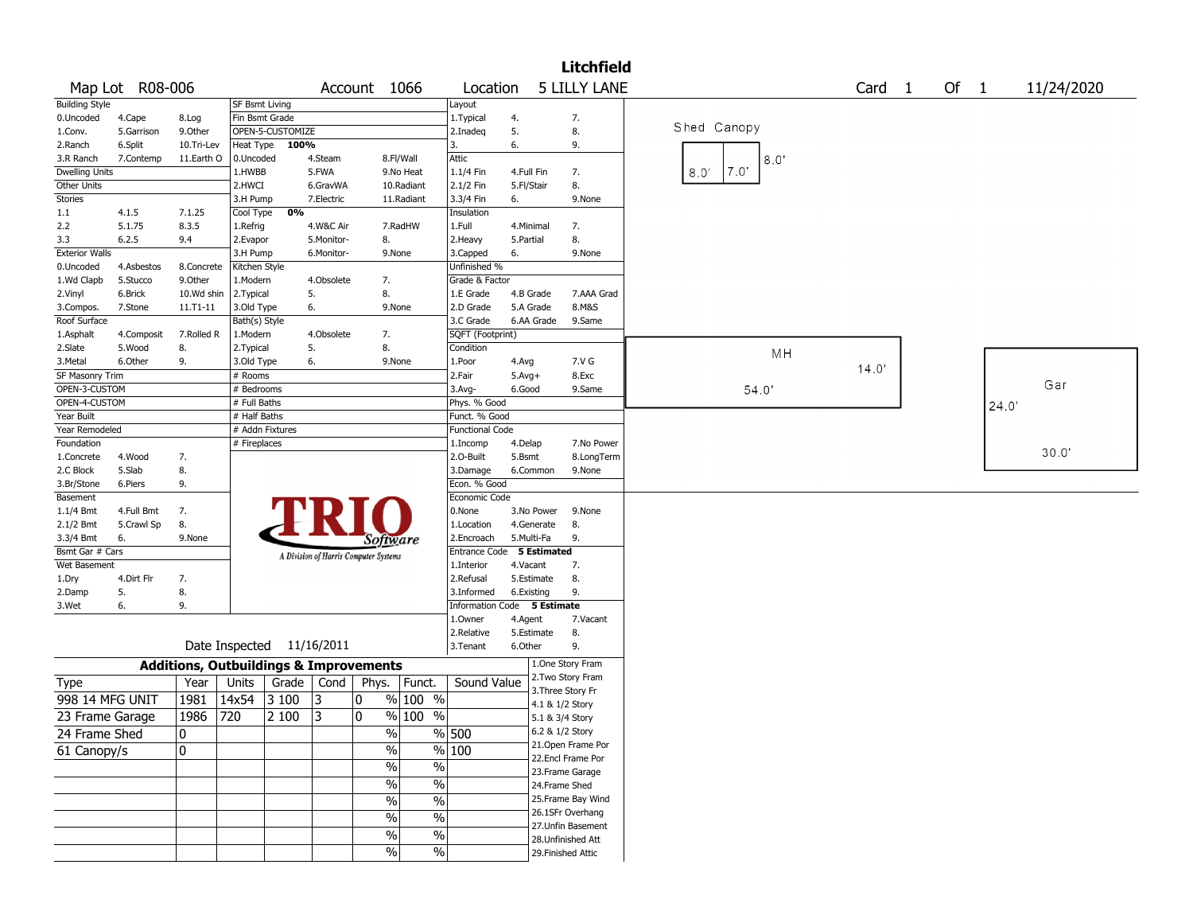|                       |                 |                                                   |                |                           |            |                                       |                   |                         |              |                    | <b>Litchfield</b>                    |                       |        |      |       |            |
|-----------------------|-----------------|---------------------------------------------------|----------------|---------------------------|------------|---------------------------------------|-------------------|-------------------------|--------------|--------------------|--------------------------------------|-----------------------|--------|------|-------|------------|
|                       | Map Lot R08-006 |                                                   |                |                           |            | Account 1066                          |                   | Location                |              |                    | <b>5 LILLY LANE</b>                  |                       | Card 1 | Of 1 |       | 11/24/2020 |
| <b>Building Style</b> |                 |                                                   | SF Bsmt Living |                           |            |                                       |                   | Layout                  |              |                    |                                      |                       |        |      |       |            |
| 0.Uncoded             | 4.Cape          | 8.Log                                             | Fin Bsmt Grade |                           |            |                                       |                   | 1.Typical               | 4.           |                    | 7.                                   |                       |        |      |       |            |
| 1.Conv.               | 5.Garrison      | 9.0ther                                           |                | OPEN-5-CUSTOMIZE          |            |                                       |                   | 2.Inadeq                | 5.           |                    | 8.                                   | Shed Canopy           |        |      |       |            |
| 2.Ranch               | 6.Split         | 10.Tri-Lev                                        | Heat Type      | 100%                      |            |                                       |                   | 3.                      | 6.           |                    | 9.                                   |                       |        |      |       |            |
| 3.R Ranch             | 7.Contemp       | 11.Earth O                                        | 0.Uncoded      |                           | 4.Steam    |                                       | 8.Fl/Wall         | Attic                   |              |                    |                                      | 8.0"                  |        |      |       |            |
| <b>Dwelling Units</b> |                 |                                                   | 1.HWBB         |                           | 5.FWA      |                                       | 9.No Heat         | 1.1/4 Fin               | 4.Full Fin   |                    | 7.                                   | $7.0^{\circ}$<br>8.0' |        |      |       |            |
| Other Units           |                 |                                                   | 2.HWCI         |                           | 6.GravWA   |                                       | 10.Radiant        | 2.1/2 Fin               | 5.Fl/Stair   |                    | 8.                                   |                       |        |      |       |            |
| <b>Stories</b>        |                 |                                                   | 3.H Pump       |                           | 7.Electric |                                       | 11.Radiant        | 3.3/4 Fin               | 6.           |                    | 9.None                               |                       |        |      |       |            |
| 1.1                   | 4.1.5           | 7.1.25                                            | Cool Type      | 0%                        |            |                                       |                   | Insulation              |              |                    |                                      |                       |        |      |       |            |
| 2.2                   | 5.1.75          | 8.3.5                                             | 1.Refrig       |                           | 4.W&C Air  |                                       | 7.RadHW           | 1.Full                  | 4.Minimal    |                    | 7.                                   |                       |        |      |       |            |
| 3.3                   | 6.2.5           | 9.4                                               | 2.Evapor       |                           | 5.Monitor- | 8.                                    |                   | 2. Heavy                | 5.Partial    |                    | 8.                                   |                       |        |      |       |            |
| <b>Exterior Walls</b> |                 |                                                   | 3.H Pump       |                           | 6.Monitor- | 9.None                                |                   | 3.Capped                | 6.           |                    | 9.None                               |                       |        |      |       |            |
| 0.Uncoded             | 4.Asbestos      | 8.Concrete                                        | Kitchen Style  |                           |            |                                       |                   | Unfinished %            |              |                    |                                      |                       |        |      |       |            |
| 1.Wd Clapb            | 5.Stucco        | 9.Other                                           | 1.Modern       |                           | 4.Obsolete | 7.                                    |                   | Grade & Factor          |              |                    |                                      |                       |        |      |       |            |
| 2.Vinyl               | 6.Brick         | 10.Wd shin                                        | 2. Typical     |                           | 5.         | 8.                                    |                   | 1.E Grade               | 4.B Grade    |                    | 7.AAA Grad                           |                       |        |      |       |            |
| 3.Compos.             | 7.Stone         | 11.T1-11                                          | 3.Old Type     |                           | 6.         | 9.None                                |                   | 2.D Grade               | 5.A Grade    |                    | 8.M&S                                |                       |        |      |       |            |
| Roof Surface          |                 |                                                   | Bath(s) Style  |                           |            |                                       |                   | 3.C Grade               |              | 6.AA Grade         | 9.Same                               |                       |        |      |       |            |
| 1.Asphalt             | 4.Composit      | 7.Rolled R                                        | 1.Modern       |                           | 4.Obsolete | 7.                                    |                   | SQFT (Footprint)        |              |                    |                                      |                       |        |      |       |            |
| 2.Slate               | 5.Wood          | 8.                                                | 2. Typical     |                           | 5.         | 8.                                    |                   | Condition               |              |                    |                                      | MH                    |        |      |       |            |
| 3. Metal              | 6.Other         | 9.                                                | 3.Old Type     |                           | 6.         | 9.None                                |                   | 1.Poor                  | 4.Avg        |                    | 7.V G                                |                       | 14.0'  |      |       |            |
| SF Masonry Trim       |                 |                                                   | # Rooms        |                           |            |                                       |                   | 2.Fair                  | $5.$ Avg $+$ |                    | 8.Exc                                |                       |        |      |       |            |
| OPEN-3-CUSTOM         |                 |                                                   | # Bedrooms     |                           |            |                                       |                   | 3.Avg-                  | 6.Good       |                    | 9.Same                               | 54.0'                 |        |      |       | Gar        |
| OPEN-4-CUSTOM         |                 |                                                   | # Full Baths   |                           |            |                                       |                   | Phys. % Good            |              |                    |                                      |                       |        |      | 24.0' |            |
| Year Built            |                 |                                                   | # Half Baths   |                           |            |                                       |                   | Funct. % Good           |              |                    |                                      |                       |        |      |       |            |
| Year Remodeled        |                 |                                                   |                | # Addn Fixtures           |            |                                       |                   | <b>Functional Code</b>  |              |                    |                                      |                       |        |      |       |            |
| Foundation            |                 |                                                   | # Fireplaces   |                           |            |                                       |                   | 1.Incomp                | 4.Delap      |                    | 7.No Power                           |                       |        |      |       |            |
| 1.Concrete            | 4.Wood          | 7.                                                |                |                           |            |                                       |                   | 2.0-Built               | 5.Bsmt       |                    | 8.LongTerm                           |                       |        |      |       | 30.0'      |
| 2.C Block             | 5.Slab          | 8.                                                |                |                           |            |                                       |                   | 3.Damage                | 6.Common     |                    | 9.None                               |                       |        |      |       |            |
| 3.Br/Stone            | 6.Piers         | 9.                                                |                |                           |            |                                       |                   | Econ. % Good            |              |                    |                                      |                       |        |      |       |            |
| Basement              |                 |                                                   |                |                           |            |                                       |                   | Economic Code           |              |                    |                                      |                       |        |      |       |            |
| $1.1/4$ Bmt           | 4.Full Bmt      | 7.                                                |                |                           |            |                                       |                   | 0.None                  |              | 3.No Power         | 9.None                               |                       |        |      |       |            |
| 2.1/2 Bmt             | 5.Crawl Sp      | 8.                                                |                |                           |            |                                       |                   | 1.Location              |              | 4.Generate         | 8.                                   |                       |        |      |       |            |
| 3.3/4 Bmt             | 6.              | 9.None                                            |                |                           |            | Software                              |                   | 2.Encroach              | 5.Multi-Fa   |                    | 9.                                   |                       |        |      |       |            |
| Bsmt Gar # Cars       |                 |                                                   |                |                           |            | A Division of Harris Computer Systems |                   | <b>Entrance Code</b>    |              | <b>5 Estimated</b> |                                      |                       |        |      |       |            |
| Wet Basement          |                 |                                                   |                |                           |            |                                       |                   | 1.Interior              | 4.Vacant     |                    | 7.                                   |                       |        |      |       |            |
| 1.Dry                 | 4.Dirt Flr      | 7.                                                |                |                           |            |                                       |                   | 2.Refusal               | 5.Estimate   |                    | 8.                                   |                       |        |      |       |            |
| 2.Damp                | 5.              | 8.                                                |                |                           |            |                                       |                   | 3.Informed              | 6.Existing   |                    | 9.                                   |                       |        |      |       |            |
| 3.Wet                 | 6.              | 9.                                                |                |                           |            |                                       |                   | <b>Information Code</b> |              | 5 Estimate         |                                      |                       |        |      |       |            |
|                       |                 |                                                   |                |                           |            |                                       |                   | 1.Owner                 | 4.Agent      |                    | 7.Vacant                             |                       |        |      |       |            |
|                       |                 |                                                   |                |                           |            |                                       |                   | 2.Relative              | 5.Estimate   |                    | 8.                                   |                       |        |      |       |            |
|                       |                 |                                                   |                | Date Inspected 11/16/2011 |            |                                       |                   | 3.Tenant                | 6.Other      |                    | 9.                                   |                       |        |      |       |            |
|                       |                 | <b>Additions, Outbuildings &amp; Improvements</b> |                |                           |            |                                       |                   |                         |              |                    | 1.One Story Fram                     |                       |        |      |       |            |
| Type                  |                 | Year                                              | Units          | Grade                     | Cond       | Phys.                                 | Funct.            | Sound Value             |              |                    | 2. Two Story Fram                    |                       |        |      |       |            |
| 998 14 MFG UNIT       |                 | 1981                                              | 14x54          | 3 100                     | 3          | 0                                     | $\sqrt{90}$ 100 % |                         |              |                    | 3. Three Story Fr<br>4.1 & 1/2 Story |                       |        |      |       |            |
| 23 Frame Garage       |                 | 1986                                              | 720            | 2 100                     | 3          | 0                                     | % 100 %           |                         |              |                    | 5.1 & 3/4 Story                      |                       |        |      |       |            |
|                       |                 | 10                                                |                |                           |            | %                                     |                   | $\frac{9}{6}$ 500       |              |                    | 6.2 & 1/2 Story                      |                       |        |      |       |            |
| 24 Frame Shed         |                 |                                                   |                |                           |            |                                       |                   |                         |              |                    | 21.Open Frame Por                    |                       |        |      |       |            |
| 61 Canopy/s           |                 | 0                                                 |                |                           |            | $\%$                                  |                   | $\frac{9}{6}$ 100       |              |                    | 22.Encl Frame Por                    |                       |        |      |       |            |
|                       |                 |                                                   |                |                           |            | $\frac{1}{2}$                         | $\%$              |                         |              |                    | 23.Frame Garage                      |                       |        |      |       |            |
|                       |                 |                                                   |                |                           |            | $\frac{1}{2}$                         | $\%$              |                         |              |                    | 24.Frame Shed                        |                       |        |      |       |            |
|                       |                 |                                                   |                |                           |            | $\frac{1}{2}$                         | $\%$              |                         |              |                    | 25.Frame Bay Wind                    |                       |        |      |       |            |
|                       |                 |                                                   |                |                           |            |                                       |                   |                         |              |                    | 26.1SFr Overhang                     |                       |        |      |       |            |
|                       |                 |                                                   |                |                           |            | $\%$                                  | $\%$              |                         |              |                    | 27.Unfin Basement                    |                       |        |      |       |            |
|                       |                 |                                                   |                |                           |            | $\%$                                  | $\%$              |                         |              |                    | 28. Unfinished Att                   |                       |        |      |       |            |
|                       |                 |                                                   |                |                           |            | $\%$                                  | $\%$              |                         |              |                    | 29. Finished Attic                   |                       |        |      |       |            |
|                       |                 |                                                   |                |                           |            |                                       |                   |                         |              |                    |                                      |                       |        |      |       |            |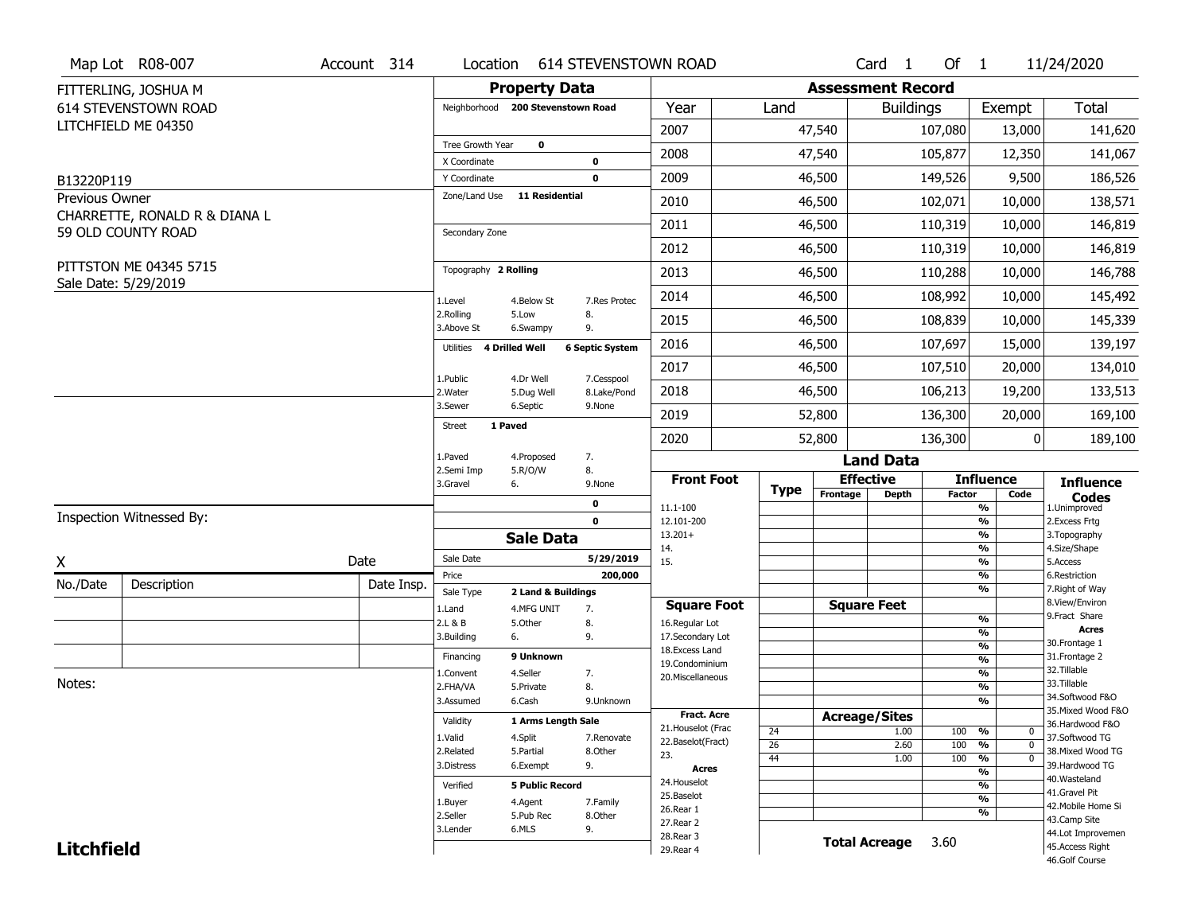|                                     | Map Lot R08-007                                | Account 314 | Location                     |                                   | <b>614 STEVENSTOWN ROAD</b> |                                         |                       |                          | Card 1               | Of $1$        |                                            | 11/24/2020                            |
|-------------------------------------|------------------------------------------------|-------------|------------------------------|-----------------------------------|-----------------------------|-----------------------------------------|-----------------------|--------------------------|----------------------|---------------|--------------------------------------------|---------------------------------------|
|                                     | FITTERLING, JOSHUA M                           |             |                              | <b>Property Data</b>              |                             |                                         |                       | <b>Assessment Record</b> |                      |               |                                            |                                       |
|                                     | 614 STEVENSTOWN ROAD                           |             |                              | Neighborhood 200 Stevenstown Road |                             | Year                                    | Land                  |                          | <b>Buildings</b>     |               | Exempt                                     | <b>Total</b>                          |
|                                     | LITCHFIELD ME 04350                            |             |                              |                                   |                             | 2007                                    |                       | 47,540                   |                      | 107,080       | 13,000                                     | 141,620                               |
|                                     |                                                |             | Tree Growth Year             | $\mathbf 0$                       |                             | 2008                                    |                       | 47,540                   |                      | 105,877       | 12,350                                     | 141,067                               |
|                                     |                                                |             | X Coordinate<br>Y Coordinate |                                   | 0<br>$\mathbf 0$            | 2009                                    |                       | 46,500                   |                      | 149,526       | 9,500                                      | 186,526                               |
| B13220P119<br><b>Previous Owner</b> |                                                |             | Zone/Land Use                | <b>11 Residential</b>             |                             |                                         |                       |                          |                      |               |                                            |                                       |
|                                     | CHARRETTE, RONALD R & DIANA L                  |             |                              |                                   |                             | 2010                                    |                       | 46,500                   |                      | 102,071       | 10,000                                     | 138,571                               |
|                                     | 59 OLD COUNTY ROAD                             |             | Secondary Zone               |                                   |                             | 2011                                    |                       | 46,500                   |                      | 110,319       | 10,000                                     | 146,819                               |
|                                     |                                                |             |                              |                                   |                             | 2012                                    |                       | 46,500                   |                      | 110,319       | 10,000                                     | 146,819                               |
|                                     | PITTSTON ME 04345 5715<br>Sale Date: 5/29/2019 |             | Topography 2 Rolling         |                                   |                             | 2013                                    |                       | 46,500                   |                      | 110,288       | 10,000                                     | 146,788                               |
|                                     |                                                |             | 1.Level                      | 4.Below St                        | 7.Res Protec                | 2014                                    |                       | 46,500                   |                      | 108,992       | 10,000                                     | 145,492                               |
|                                     |                                                |             | 2.Rolling<br>3.Above St      | 5.Low<br>6.Swampy                 | 8.<br>9.                    | 2015                                    |                       | 46,500                   |                      | 108,839       | 10,000                                     | 145,339                               |
|                                     |                                                |             | Utilities 4 Drilled Well     |                                   | <b>6 Septic System</b>      | 2016                                    |                       | 46,500                   |                      | 107,697       | 15,000                                     | 139,197                               |
|                                     |                                                |             | 1.Public                     | 4.Dr Well                         | 7.Cesspool                  | 2017                                    |                       | 46,500                   |                      | 107,510       | 20,000                                     | 134,010                               |
|                                     |                                                |             | 2. Water                     | 5.Dug Well                        | 8.Lake/Pond                 | 2018                                    |                       | 46,500                   |                      | 106,213       | 19,200                                     | 133,513                               |
|                                     |                                                |             | 3.Sewer                      | 6.Septic                          | 9.None                      | 2019                                    |                       | 52,800                   |                      | 136,300       | 20,000                                     | 169,100                               |
|                                     |                                                |             | 1 Paved<br><b>Street</b>     |                                   |                             | 2020                                    |                       | 52,800                   |                      | 136,300       | 0                                          | 189,100                               |
|                                     |                                                |             | 1.Paved                      | 4.Proposed                        | 7.                          |                                         |                       |                          | <b>Land Data</b>     |               |                                            |                                       |
|                                     |                                                |             | 2.Semi Imp<br>3.Gravel       | 5.R/O/W<br>6.                     | 8.<br>9.None                | <b>Front Foot</b>                       |                       |                          | <b>Effective</b>     |               | <b>Influence</b>                           | <b>Influence</b>                      |
|                                     |                                                |             |                              |                                   | 0                           | 11.1-100                                | <b>Type</b>           | Frontage                 | <b>Depth</b>         | <b>Factor</b> | Code<br>%                                  | <b>Codes</b><br>1.Unimproved          |
|                                     | Inspection Witnessed By:                       |             |                              |                                   | $\mathbf 0$                 | 12.101-200                              |                       |                          |                      |               | $\frac{9}{6}$                              | 2.Excess Frtg                         |
|                                     |                                                |             |                              | <b>Sale Data</b>                  |                             | $13.201+$<br>14.                        |                       |                          |                      |               | %<br>$\frac{9}{6}$                         | 3. Topography<br>4.Size/Shape         |
| X                                   |                                                | Date        | Sale Date                    |                                   | 5/29/2019                   | 15.                                     |                       |                          |                      |               | %                                          | 5.Access                              |
| No./Date                            | Description                                    | Date Insp.  | Price                        |                                   | 200,000                     |                                         |                       |                          |                      |               | $\frac{9}{6}$<br>%                         | 6.Restriction<br>7. Right of Way      |
|                                     |                                                |             | Sale Type<br>1.Land          | 2 Land & Buildings<br>4.MFG UNIT  | 7.                          | <b>Square Foot</b>                      |                       |                          | <b>Square Feet</b>   |               |                                            | 8.View/Environ                        |
|                                     |                                                |             | 2.L & B                      | 5.Other                           | 8.                          | 16.Regular Lot                          |                       |                          |                      |               | $\frac{9}{6}$                              | 9. Fract Share                        |
|                                     |                                                |             | 3.Building                   | 6.                                | 9.                          | 17.Secondary Lot                        |                       |                          |                      |               | %<br>$\frac{9}{6}$                         | <b>Acres</b><br>30. Frontage 1        |
|                                     |                                                |             | Financing                    | 9 Unknown                         |                             | 18. Excess Land<br>19.Condominium       |                       |                          |                      |               | $\frac{9}{6}$                              | 31. Frontage 2                        |
|                                     |                                                |             | 1.Convent                    | 4.Seller                          | 7.                          | 20.Miscellaneous                        |                       |                          |                      |               | $\frac{9}{6}$                              | 32. Tillable                          |
| Notes:                              |                                                |             | 2.FHA/VA                     | 5.Private                         | 8.                          |                                         |                       |                          |                      |               | $\frac{9}{6}$                              | 33.Tillable                           |
|                                     |                                                |             | 3.Assumed                    | 6.Cash                            | 9.Unknown                   |                                         |                       |                          |                      |               | %                                          | 34.Softwood F&O<br>35. Mixed Wood F&O |
|                                     |                                                |             | Validity                     | 1 Arms Length Sale                |                             | <b>Fract. Acre</b>                      |                       |                          | <b>Acreage/Sites</b> |               |                                            | 36.Hardwood F&O                       |
|                                     |                                                |             | 1.Valid                      | 4.Split                           | 7.Renovate                  | 21. Houselot (Frac<br>22.Baselot(Fract) | 24                    |                          | 1.00                 | 100           | %<br>0                                     | 37.Softwood TG                        |
|                                     |                                                |             | 2.Related                    | 5.Partial                         | 8.Other                     | 23.                                     | $\overline{26}$<br>44 |                          | 2.60<br>1.00         | 100<br>100    | $\overline{0}$<br>%<br>$\overline{0}$<br>% | 38. Mixed Wood TG                     |
|                                     |                                                |             | 3.Distress                   | 6.Exempt                          | 9.                          | <b>Acres</b>                            |                       |                          |                      |               | $\frac{9}{6}$                              | 39.Hardwood TG                        |
|                                     |                                                |             | Verified                     | <b>5 Public Record</b>            |                             | 24. Houselot                            |                       |                          |                      |               | %                                          | 40. Wasteland                         |
|                                     |                                                |             | 1.Buyer                      | 4.Agent                           | 7.Family                    | 25.Baselot                              |                       |                          |                      |               | $\frac{9}{6}$                              | 41.Gravel Pit                         |
|                                     |                                                |             | 2.Seller                     | 5.Pub Rec                         | 8.Other                     | 26.Rear 1                               |                       |                          |                      |               | %                                          | 42. Mobile Home Si<br>43.Camp Site    |
|                                     |                                                |             |                              |                                   |                             | 27.Rear 2                               |                       |                          |                      |               |                                            |                                       |
|                                     |                                                |             | 3.Lender                     | 6.MLS                             | 9.                          |                                         |                       |                          |                      |               |                                            |                                       |
| <b>Litchfield</b>                   |                                                |             |                              |                                   |                             | 28.Rear 3<br>29. Rear 4                 |                       |                          | <b>Total Acreage</b> | 3.60          |                                            | 44.Lot Improvemen<br>45.Access Right  |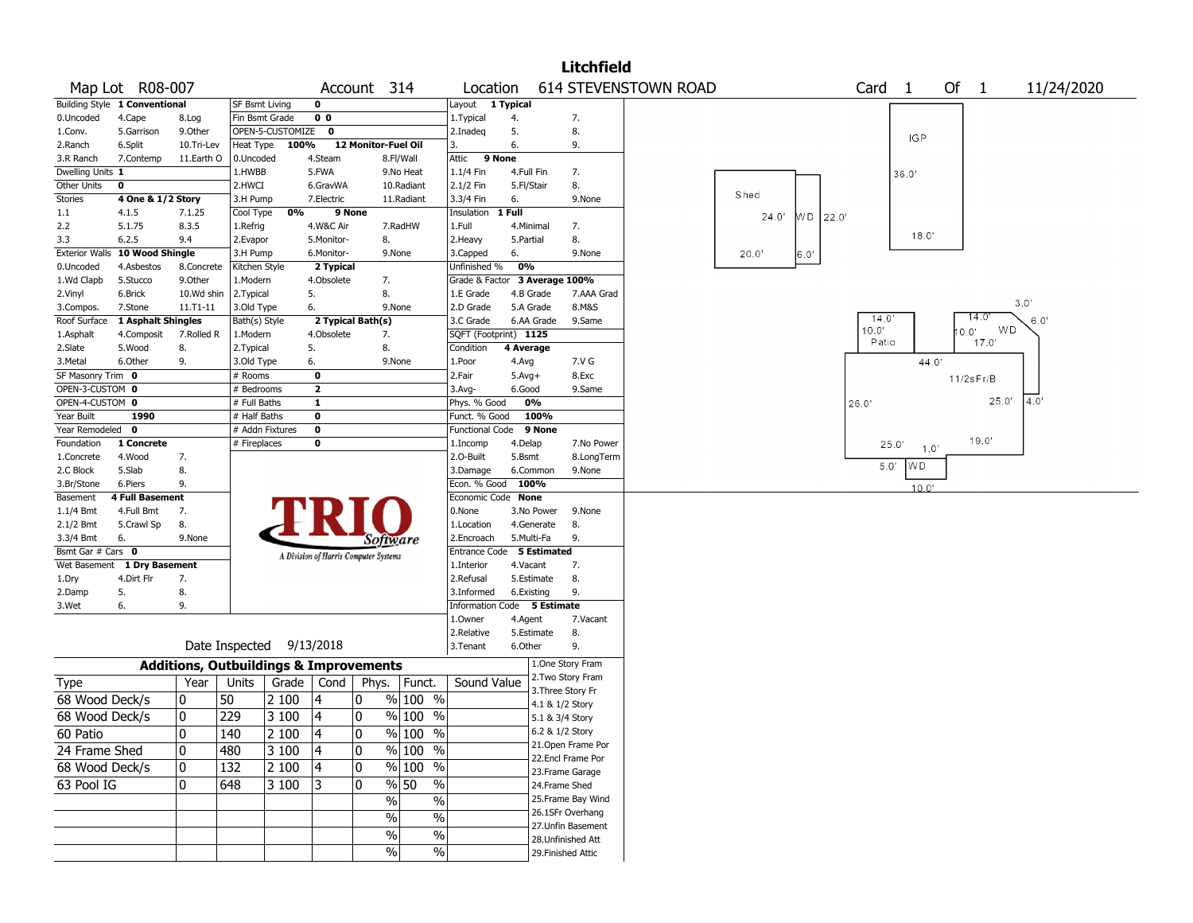|                                      |                                |                                                   |                       |                          |                         |                                       |                |                             |                    |            | <b>Litchfield</b>                      |                      |                   |       |                |        |              |            |
|--------------------------------------|--------------------------------|---------------------------------------------------|-----------------------|--------------------------|-------------------------|---------------------------------------|----------------|-----------------------------|--------------------|------------|----------------------------------------|----------------------|-------------------|-------|----------------|--------|--------------|------------|
|                                      | Map Lot R08-007                |                                                   |                       |                          |                         | Account 314                           |                | Location                    |                    |            |                                        | 614 STEVENSTOWN ROAD |                   | Card  | $\overline{1}$ | Of $1$ |              | 11/24/2020 |
|                                      | Building Style 1 Conventional  |                                                   | SF Bsmt Living        |                          | $\mathbf 0$             |                                       |                | Layout 1 Typical            |                    |            |                                        |                      |                   |       |                |        |              |            |
| 0.Uncoded                            | 4.Cape                         | 8.Log                                             | Fin Bsmt Grade        |                          | 0 <sub>0</sub>          |                                       |                | 1. Typical                  | 4.                 |            | 7.                                     |                      |                   |       |                |        |              |            |
| 1.Conv.                              | 5.Garrison                     | 9.0ther                                           |                       | OPEN-5-CUSTOMIZE         | 0                       |                                       |                | 2.Inadeg                    | 5.                 |            | 8.                                     |                      |                   |       | <b>IGP</b>     |        |              |            |
| 2.Ranch                              | 6.Split                        | 10.Tri-Lev                                        | Heat Type             | 100%                     |                         | 12 Monitor-Fuel Oil                   |                | 3.                          | 6.                 |            | 9.                                     |                      |                   |       |                |        |              |            |
| 3.R Ranch                            | 7.Contemp                      | 11.Earth O                                        | 0.Uncoded             |                          | 4.Steam                 |                                       | 8.Fl/Wall      | 9 None<br>Attic             |                    |            |                                        |                      |                   |       |                |        |              |            |
| Dwelling Units 1                     |                                |                                                   | 1.HWBB                |                          | 5.FWA                   |                                       | 9.No Heat      | 1.1/4 Fin                   | 4.Full Fin         |            | 7.                                     |                      |                   |       | 36.0'          |        |              |            |
| Other Units                          | 0                              |                                                   | 2.HWCI                |                          | 6.GravWA                |                                       | 10.Radiant     | 2.1/2 Fin                   | 5.Fl/Stair         |            | 8.                                     |                      | Shed              |       |                |        |              |            |
| <b>Stories</b>                       | 4 One & 1/2 Story              |                                                   | 3.H Pump              |                          | 7.Electric              |                                       | 11.Radiant     | 3.3/4 Fin                   | 6.                 |            | 9.None                                 |                      |                   |       |                |        |              |            |
| 1.1                                  | 4.1.5                          | 7.1.25                                            | Cool Type             | 0%                       | 9 None                  |                                       |                | Insulation                  | 1 Full             |            |                                        |                      | WD 22.0'<br>24.0' |       |                |        |              |            |
| 2.2                                  | 5.1.75                         | 8.3.5                                             | 1.Refrig              |                          | 4.W&C Air               |                                       | 7.RadHW        | 1.Full                      | 4.Minimal          |            | 7.                                     |                      |                   |       | 18.0'          |        |              |            |
| 3.3                                  | 6.2.5                          | 9.4                                               | 2.Evapor              |                          | 5.Monitor-              | 8.                                    |                | 2. Heavy                    | 5.Partial          |            | 8.                                     |                      |                   |       |                |        |              |            |
|                                      | Exterior Walls 10 Wood Shingle |                                                   | 3.H Pump              |                          | 6.Monitor-              |                                       | 9.None         | 3.Capped                    | 6.                 |            | 9.None                                 |                      | 20.0'<br>6.0'     |       |                |        |              |            |
| 0.Uncoded                            | 4.Asbestos                     | 8.Concrete                                        | Kitchen Style         |                          | 2 Typical               |                                       |                | Unfinished %                | 0%                 |            |                                        |                      |                   |       |                |        |              |            |
| 1.Wd Clapb                           | 5.Stucco                       | 9.Other                                           | 1.Modern              |                          | 4.Obsolete              | 7.                                    |                | Grade & Factor              |                    |            | 3 Average 100%                         |                      |                   |       |                |        |              |            |
| 2.Vinyl                              | 6.Brick                        | 10.Wd shin                                        | 2. Typical            |                          | 5.                      | 8.                                    |                | 1.E Grade                   | 4.B Grade          |            | 7.AAA Grad                             |                      |                   |       |                |        |              | 3.0'       |
| 3.Compos.                            | 7.Stone                        | $11. T1 - 11$                                     | 3.Old Type            |                          | 6.                      |                                       | 9.None         | 2.D Grade                   | 5.A Grade          |            | 8.M&S                                  |                      |                   | 14.0  |                |        | 14.0         |            |
| Roof Surface                         | 1 Asphalt Shingles             |                                                   | Bath(s) Style         |                          |                         | 2 Typical Bath(s)                     |                | 3.C Grade                   |                    | 6.AA Grade | 9.Same                                 |                      |                   | 10.0" |                | 0.0"   | WD.          | 6.0'       |
| 1.Asphalt                            | 4.Composit                     | 7.Rolled R                                        | 1.Modern              |                          | 4.Obsolete              | 7.                                    |                | SQFT (Footprint) 1125       |                    |            |                                        |                      |                   | Patio |                |        | 17.0'        |            |
| 2.Slate                              | 5.Wood                         | 8.                                                | 2. Typical            |                          | 5.                      | 8.                                    |                | Condition                   | 4 Average          |            | 7.V G                                  |                      |                   |       | 44.0'          |        |              |            |
| 3. Metal                             | 6.Other                        | 9.                                                | 3.Old Type            |                          | 6.<br>0                 |                                       | 9.None         | 1.Poor<br>2.Fair            | 4.Avg              |            | 8.Exc                                  |                      |                   |       |                |        |              |            |
| SF Masonry Trim 0<br>OPEN-3-CUSTOM 0 |                                |                                                   | # Rooms<br># Bedrooms |                          | $\overline{\mathbf{2}}$ |                                       |                | 3.Avg-                      | $5.Avg+$<br>6.Good |            | 9.Same                                 |                      |                   |       |                |        | $11/2s$ Fr/B |            |
| OPEN-4-CUSTOM 0                      |                                |                                                   | # Full Baths          |                          | $\overline{\mathbf{1}}$ |                                       |                | Phys. % Good                |                    | 0%         |                                        |                      |                   | 26.0' |                |        | 25.0'        | 4.0'       |
| Year Built                           | 1990                           |                                                   | # Half Baths          |                          | $\mathbf 0$             |                                       |                | Funct. % Good               |                    | 100%       |                                        |                      |                   |       |                |        |              |            |
| Year Remodeled 0                     |                                |                                                   |                       | # Addn Fixtures          | $\pmb{0}$               |                                       |                | <b>Functional Code</b>      |                    | 9 None     |                                        |                      |                   |       |                |        |              |            |
| Foundation                           | 1 Concrete                     |                                                   | # Fireplaces          |                          | $\pmb{0}$               |                                       |                | 1.Incomp                    | 4.Delap            |            | 7.No Power                             |                      |                   |       | 25.0'          |        | 19.0'        |            |
| 1.Concrete                           | 4.Wood                         | 7.                                                |                       |                          |                         |                                       |                | 2.0-Built                   | 5.Bsmt             |            | 8.LongTerm                             |                      |                   |       | 1.0'           |        |              |            |
| 2.C Block                            | 5.Slab                         | 8.                                                |                       |                          |                         |                                       |                | 3.Damage                    |                    | 6.Common   | 9.None                                 |                      |                   | 5.0'  | WD.            |        |              |            |
| 3.Br/Stone                           | 6.Piers                        | 9.                                                |                       |                          |                         |                                       |                | Econ. % Good 100%           |                    |            |                                        |                      |                   |       | 10.0"          |        |              |            |
| Basement                             | <b>4 Full Basement</b>         |                                                   |                       |                          |                         |                                       |                | Economic Code None          |                    |            |                                        |                      |                   |       |                |        |              |            |
| $1.1/4$ Bmt                          | 4.Full Bmt                     | 7.                                                |                       |                          |                         |                                       |                | 0.None                      |                    | 3.No Power | 9.None                                 |                      |                   |       |                |        |              |            |
| 2.1/2 Bmt                            | 5.Crawl Sp                     | 8.                                                |                       |                          |                         |                                       |                | 1.Location                  |                    | 4.Generate | 8.                                     |                      |                   |       |                |        |              |            |
| 3.3/4 Bmt                            | 6.                             | 9.None                                            |                       |                          |                         | Sottware                              |                | 2.Encroach                  | 5.Multi-Fa         |            | 9.                                     |                      |                   |       |                |        |              |            |
| Bsmt Gar # Cars 0                    |                                |                                                   |                       |                          |                         | A Division of Harris Computer Systems |                | Entrance Code 5 Estimated   |                    |            |                                        |                      |                   |       |                |        |              |            |
|                                      | Wet Basement 1 Dry Basement    |                                                   |                       |                          |                         |                                       |                | 1.Interior                  | 4.Vacant           |            | 7.                                     |                      |                   |       |                |        |              |            |
| 1.Dry                                | 4.Dirt Flr                     | 7.                                                |                       |                          |                         |                                       |                | 2.Refusal                   |                    | 5.Estimate | 8.                                     |                      |                   |       |                |        |              |            |
| 2.Damp                               | 5.                             | 8.                                                |                       |                          |                         |                                       |                | 3.Informed                  | 6.Existing         |            | 9.                                     |                      |                   |       |                |        |              |            |
| 3.Wet                                | 6.                             | 9.                                                |                       |                          |                         |                                       |                | Information Code 5 Estimate |                    |            |                                        |                      |                   |       |                |        |              |            |
|                                      |                                |                                                   |                       |                          |                         |                                       |                | 1.Owner                     | 4.Agent            |            | 7.Vacant                               |                      |                   |       |                |        |              |            |
|                                      |                                |                                                   |                       |                          |                         |                                       |                | 2.Relative                  |                    | 5.Estimate | 8.                                     |                      |                   |       |                |        |              |            |
|                                      |                                |                                                   |                       | Date Inspected 9/13/2018 |                         |                                       |                | 3.Tenant                    | 6.Other            |            | 9.                                     |                      |                   |       |                |        |              |            |
|                                      |                                | <b>Additions, Outbuildings &amp; Improvements</b> |                       |                          |                         |                                       |                |                             |                    |            | 1.One Story Fram                       |                      |                   |       |                |        |              |            |
| Type                                 |                                | Year                                              | Units                 | Grade   Cond             |                         |                                       | Phys.   Funct. | Sound Value                 |                    |            | 2. Two Story Fram<br>3. Three Story Fr |                      |                   |       |                |        |              |            |
| 68 Wood Deck/s                       |                                | 10                                                | 50                    | 2 100                    | 4                       | 0                                     | $%100$ %       |                             |                    |            | 4.1 & 1/2 Story                        |                      |                   |       |                |        |              |            |
| 68 Wood Deck/s                       |                                | 0                                                 | 229                   | 3 100                    | 4                       | 0                                     | $%100$ %       |                             |                    |            | 5.1 & 3/4 Story                        |                      |                   |       |                |        |              |            |
|                                      |                                | l N                                               |                       |                          |                         | $\Omega$                              |                |                             |                    |            | 6.2 & 1/2 Story                        |                      |                   |       |                |        |              |            |
| 60 Patio                             |                                |                                                   | 140                   | $ 2\;100\rangle$         | $\overline{\mathbf{4}}$ |                                       | % 100 %        |                             |                    |            | 21. Open Frame Por                     |                      |                   |       |                |        |              |            |
| 24 Frame Shed                        |                                | 10                                                | 480                   | 3 100                    | 4                       | 0                                     | % 100 %        |                             |                    |            | 22.Encl Frame Por                      |                      |                   |       |                |        |              |            |
| 68 Wood Deck/s                       |                                | 0                                                 | 132                   | 2 100                    | 4                       | 0                                     | $%100$ %       |                             |                    |            | 23. Frame Garage                       |                      |                   |       |                |        |              |            |
| 63 Pool IG                           |                                | 0                                                 | 648                   | 3 100                    | 13                      | 0                                     | % 50<br>$\%$   |                             |                    |            | 24.Frame Shed                          |                      |                   |       |                |        |              |            |
|                                      |                                |                                                   |                       |                          |                         | $\%$                                  | $\%$           |                             |                    |            | 25. Frame Bay Wind                     |                      |                   |       |                |        |              |            |
|                                      |                                |                                                   |                       |                          |                         |                                       |                |                             |                    |            | 26.1SFr Overhang                       |                      |                   |       |                |        |              |            |
|                                      |                                |                                                   |                       |                          |                         | $\sqrt{6}$                            | $\frac{1}{2}$  |                             |                    |            | 27.Unfin Basement                      |                      |                   |       |                |        |              |            |
|                                      |                                |                                                   |                       |                          |                         | $\%$                                  | $\%$           |                             |                    |            | 28. Unfinished Att                     |                      |                   |       |                |        |              |            |
|                                      |                                |                                                   |                       |                          |                         | $\%$                                  | $\%$           |                             |                    |            | 29. Finished Attic                     |                      |                   |       |                |        |              |            |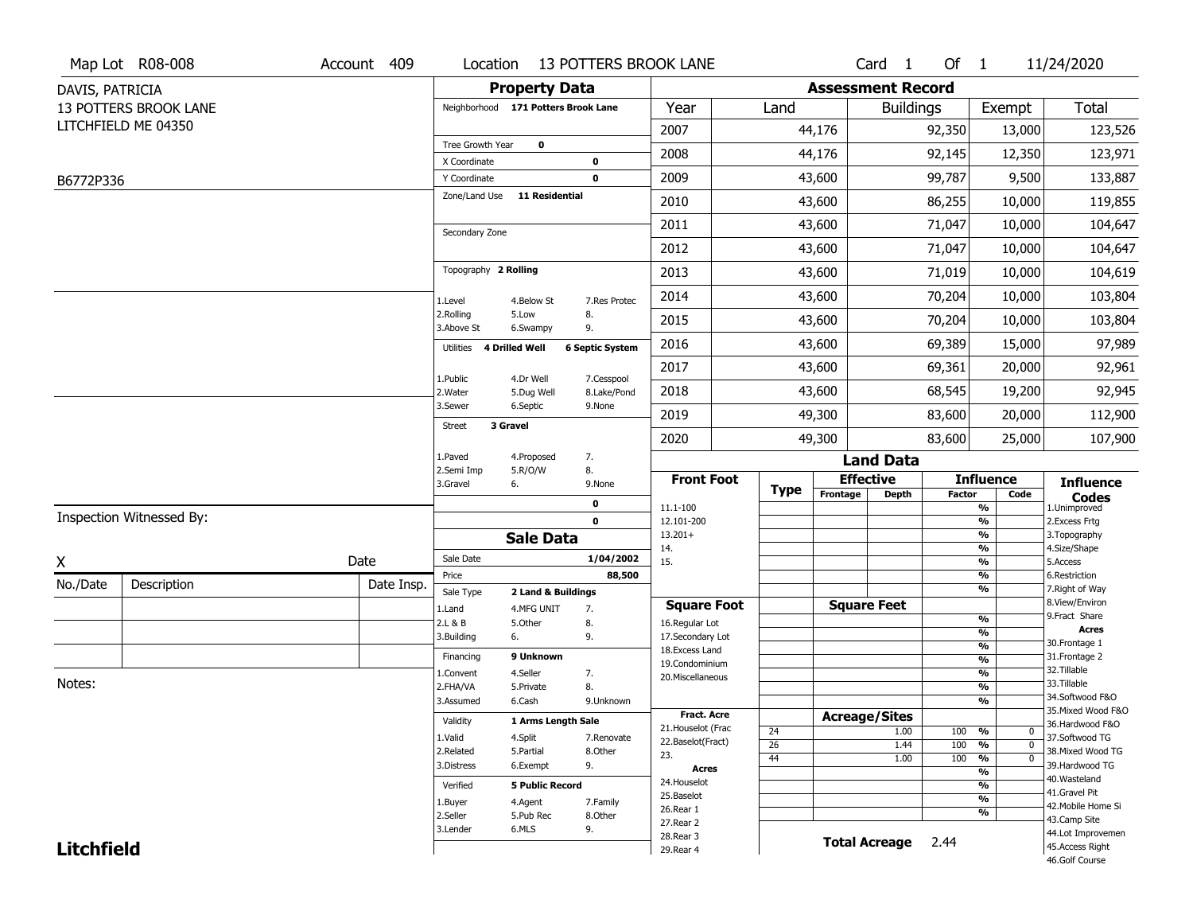|                   | Map Lot R08-008          | Account 409 |                                     |                         | Location 13 POTTERS BROOK LANE |                                      |                 |                          | Card <sub>1</sub>    | Of 1          |                                | 11/24/2020                          |
|-------------------|--------------------------|-------------|-------------------------------------|-------------------------|--------------------------------|--------------------------------------|-----------------|--------------------------|----------------------|---------------|--------------------------------|-------------------------------------|
| DAVIS, PATRICIA   |                          |             |                                     | <b>Property Data</b>    |                                |                                      |                 | <b>Assessment Record</b> |                      |               |                                |                                     |
|                   | 13 POTTERS BROOK LANE    |             | Neighborhood 171 Potters Brook Lane |                         |                                | Year                                 | Land            |                          | <b>Buildings</b>     |               | Exempt                         | Total                               |
|                   | LITCHFIELD ME 04350      |             |                                     |                         |                                | 2007                                 |                 | 44,176                   |                      | 92,350        | 13,000                         | 123,526                             |
|                   |                          |             | Tree Growth Year                    | $\mathbf 0$             |                                | 2008                                 |                 | 44,176                   |                      | 92,145        | 12,350                         | 123,971                             |
| B6772P336         |                          |             | X Coordinate<br>Y Coordinate        |                         | $\mathbf 0$<br>$\mathbf 0$     | 2009                                 |                 | 43,600                   |                      | 99,787        | 9,500                          | 133,887                             |
|                   |                          |             | Zone/Land Use                       | 11 Residential          |                                | 2010                                 |                 | 43,600                   |                      | 86,255        | 10,000                         | 119,855                             |
|                   |                          |             |                                     |                         |                                |                                      |                 |                          |                      |               |                                |                                     |
|                   |                          |             | Secondary Zone                      |                         |                                | 2011                                 |                 | 43,600                   |                      | 71,047        | 10,000                         | 104,647                             |
|                   |                          |             |                                     |                         |                                | 2012                                 |                 | 43,600                   |                      | 71,047        | 10,000                         | 104,647                             |
|                   |                          |             | Topography 2 Rolling                |                         |                                | 2013                                 |                 | 43,600                   |                      | 71,019        | 10,000                         | 104,619                             |
|                   |                          |             | 1.Level                             | 4.Below St              | 7.Res Protec                   | 2014                                 |                 | 43,600                   |                      | 70,204        | 10,000                         | 103,804                             |
|                   |                          |             | 2.Rolling<br>3.Above St             | 5.Low<br>6.Swampy       | 8.<br>9.                       | 2015                                 |                 | 43,600                   |                      | 70,204        | 10,000                         | 103,804                             |
|                   |                          |             | Utilities 4 Drilled Well            |                         | <b>6 Septic System</b>         | 2016                                 |                 | 43,600                   |                      | 69,389        | 15,000                         | 97,989                              |
|                   |                          |             |                                     |                         |                                | 2017                                 |                 | 43,600                   |                      | 69,361        | 20,000                         | 92,961                              |
|                   |                          |             | 1.Public<br>2. Water                | 4.Dr Well<br>5.Dug Well | 7.Cesspool<br>8.Lake/Pond      | 2018                                 |                 | 43,600                   |                      | 68,545        | 19,200                         | 92,945                              |
|                   |                          |             | 3.Sewer                             | 6.Septic                | 9.None                         | 2019                                 |                 | 49,300                   |                      | 83,600        | 20,000                         | 112,900                             |
|                   |                          |             | 3 Gravel<br><b>Street</b>           |                         |                                | 2020                                 |                 | 49,300                   |                      | 83,600        | 25,000                         | 107,900                             |
|                   |                          |             | 1.Paved                             | 4.Proposed              | 7.                             |                                      |                 |                          | <b>Land Data</b>     |               |                                |                                     |
|                   |                          |             | 2.Semi Imp<br>3.Gravel<br>6.        | 5.R/O/W                 | 8.<br>9.None                   | <b>Front Foot</b>                    |                 | <b>Effective</b>         |                      |               | <b>Influence</b>               | <b>Influence</b>                    |
|                   |                          |             |                                     |                         | $\mathbf 0$                    | 11.1-100                             | <b>Type</b>     | Frontage                 | <b>Depth</b>         | <b>Factor</b> | Code<br>$\frac{9}{6}$          | <b>Codes</b><br>1.Unimproved        |
|                   | Inspection Witnessed By: |             |                                     |                         | $\mathbf 0$                    | 12.101-200                           |                 |                          |                      |               | $\frac{9}{6}$                  | 2.Excess Frtg                       |
|                   |                          |             |                                     | <b>Sale Data</b>        |                                | $13.201+$                            |                 |                          |                      |               | $\frac{9}{6}$                  | 3. Topography                       |
| χ                 |                          | Date        | Sale Date                           |                         | 1/04/2002                      | 14.<br>15.                           |                 |                          |                      |               | $\frac{9}{6}$<br>$\frac{9}{6}$ | 4.Size/Shape<br>5.Access            |
| No./Date          | Description              | Date Insp.  | Price                               |                         | 88,500                         |                                      |                 |                          |                      |               | %                              | 6.Restriction                       |
|                   |                          |             | Sale Type                           | 2 Land & Buildings      |                                |                                      |                 |                          |                      |               | $\frac{9}{6}$                  | 7. Right of Way<br>8.View/Environ   |
|                   |                          |             | 1.Land<br>2.L & B                   | 4.MFG UNIT<br>5.Other   | 7.<br>8.                       | <b>Square Foot</b><br>16.Regular Lot |                 | <b>Square Feet</b>       |                      |               | %                              | 9. Fract Share                      |
|                   |                          |             | 3.Building                          | 6.                      | 9.                             | 17.Secondary Lot                     |                 |                          |                      |               | %                              | <b>Acres</b>                        |
|                   |                          |             |                                     | 9 Unknown               |                                | 18.Excess Land                       |                 |                          |                      |               | %                              | 30. Frontage 1                      |
|                   |                          |             | Financing                           |                         |                                | 19.Condominium                       |                 |                          |                      |               | %                              | 31. Frontage 2<br>32. Tillable      |
| Notes:            |                          |             | 1.Convent<br>2.FHA/VA               | 4.Seller<br>5.Private   | 7.<br>8.                       | 20.Miscellaneous                     |                 |                          |                      |               | %<br>%                         | 33.Tillable                         |
|                   |                          |             | 3.Assumed                           | 6.Cash                  | 9.Unknown                      |                                      |                 |                          |                      |               | %                              | 34.Softwood F&O                     |
|                   |                          |             |                                     |                         |                                | Fract. Acre                          |                 | <b>Acreage/Sites</b>     |                      |               |                                | 35. Mixed Wood F&O                  |
|                   |                          |             | Validity                            | 1 Arms Length Sale      |                                | 21. Houselot (Frac                   | 24              |                          | 1.00                 | 100           | %<br>0                         | 36.Hardwood F&O                     |
|                   |                          |             | 1.Valid                             | 4.Split                 | 7.Renovate                     | 22.Baselot(Fract)                    | $\overline{26}$ |                          | 1.44                 | 100           | %<br>$\mathbf{0}$              | 37.Softwood TG                      |
|                   |                          |             | 2.Related<br>3.Distress             | 5.Partial<br>6.Exempt   | 8.Other<br>9.                  | 23.                                  | 44              |                          | 1.00                 | 100           | %<br>$\mathbf{0}$              | 38. Mixed Wood TG<br>39.Hardwood TG |
|                   |                          |             |                                     |                         |                                | Acres                                |                 |                          |                      |               | $\frac{9}{6}$                  | 40.Wasteland                        |
|                   |                          |             | Verified                            | <b>5 Public Record</b>  |                                | 24. Houselot<br>25.Baselot           |                 |                          |                      |               | $\frac{9}{6}$                  | 41.Gravel Pit                       |
|                   |                          |             | 1.Buyer                             | 4.Agent                 | 7.Family                       | 26.Rear 1                            |                 |                          |                      |               | $\frac{9}{6}$<br>$\frac{9}{6}$ | 42. Mobile Home Si                  |
|                   |                          |             | 2.Seller                            | 5.Pub Rec               | 8.Other                        | 27. Rear 2                           |                 |                          |                      |               |                                | 43.Camp Site                        |
|                   |                          |             | 3.Lender                            | 6.MLS                   | 9.                             | 28. Rear 3                           |                 |                          | <b>Total Acreage</b> | 2.44          |                                | 44.Lot Improvemen                   |
| <b>Litchfield</b> |                          |             |                                     |                         |                                | 29. Rear 4                           |                 |                          |                      |               |                                | 45.Access Right                     |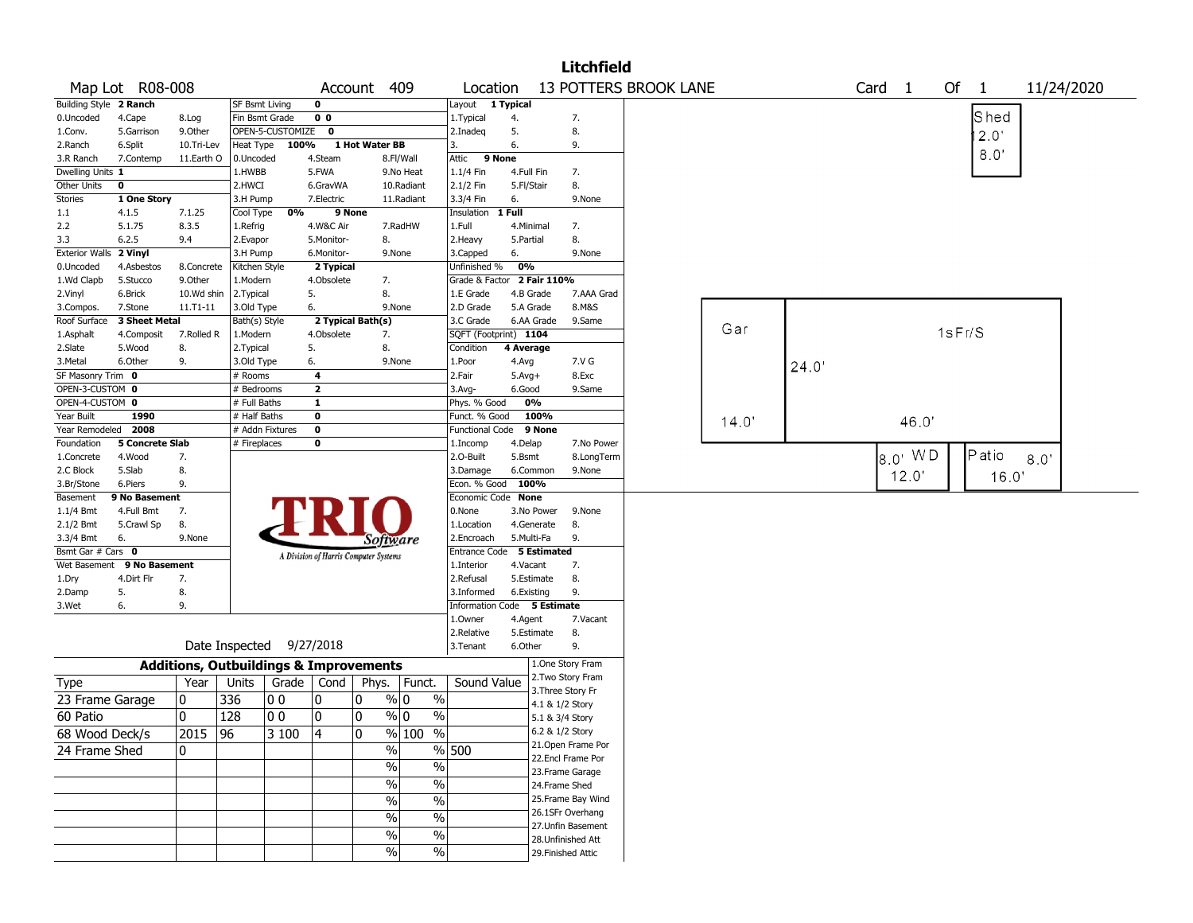|                        |                        |               |                                                   |                    |                                       |                |                             |                             |              |            | <b>Litchfield</b>                       |                       |       |       |                         |        |           |            |  |
|------------------------|------------------------|---------------|---------------------------------------------------|--------------------|---------------------------------------|----------------|-----------------------------|-----------------------------|--------------|------------|-----------------------------------------|-----------------------|-------|-------|-------------------------|--------|-----------|------------|--|
|                        | Map Lot R08-008        |               |                                                   |                    |                                       | Account 409    |                             | Location                    |              |            |                                         | 13 POTTERS BROOK LANE |       |       | Card 1                  |        | Of $1$    | 11/24/2020 |  |
| Building Style 2 Ranch |                        |               | <b>SF Bsmt Living</b>                             |                    | 0                                     |                |                             | Layout 1 Typical            |              |            |                                         |                       |       |       |                         |        |           |            |  |
| 0.Uncoded              | 4.Cape                 | 8.Log         | Fin Bsmt Grade                                    |                    | 0 <sub>0</sub>                        |                |                             | 1. Typical                  | 4.           |            | 7.                                      |                       |       |       |                         |        | Shed      |            |  |
| 1.Conv.                | 5.Garrison             | 9.Other       |                                                   | OPEN-5-CUSTOMIZE 0 |                                       |                |                             | 2.Inadeg                    | 5.           |            | 8.                                      |                       |       |       |                         |        | 2.0'      |            |  |
| 2.Ranch                | 6.Split                | 10.Tri-Lev    |                                                   | Heat Type 100%     |                                       | 1 Hot Water BB |                             | 3.                          | 6.           |            | 9.                                      |                       |       |       |                         |        |           |            |  |
| 3.R Ranch              | 7.Contemp              | 11.Earth O    | 0.Uncoded                                         |                    | 4.Steam                               |                | 8.Fl/Wall                   | 9 None<br>Attic             |              |            |                                         |                       |       |       |                         |        | 8.0'      |            |  |
| Dwelling Units 1       |                        |               | 1.HWBB                                            |                    | 5.FWA                                 |                | 9.No Heat                   | 1.1/4 Fin                   | 4.Full Fin   |            | 7.                                      |                       |       |       |                         |        |           |            |  |
| Other Units            | $\mathbf 0$            |               | 2.HWCI                                            |                    | 6.GravWA                              |                | 10.Radiant                  | 2.1/2 Fin                   | 5.Fl/Stair   |            | 8.                                      |                       |       |       |                         |        |           |            |  |
| <b>Stories</b>         | 1 One Story            |               | 3.H Pump                                          |                    | 7.Electric                            |                | 11.Radiant                  | 3.3/4 Fin                   | 6.           |            | 9.None                                  |                       |       |       |                         |        |           |            |  |
| 1.1                    | 4.1.5                  | 7.1.25        | Cool Type                                         | 0%                 | 9 None                                |                |                             | Insulation                  | 1 Full       |            |                                         |                       |       |       |                         |        |           |            |  |
| 2.2                    | 5.1.75                 | 8.3.5         | 1.Refrig                                          |                    | 4.W&C Air                             |                | 7.RadHW                     | 1.Full                      | 4.Minimal    |            | 7.                                      |                       |       |       |                         |        |           |            |  |
| 3.3                    | 6.2.5                  | 9.4           | 2.Evapor                                          |                    | 5.Monitor-                            | 8.             |                             | 2.Heavy                     | 5.Partial    |            | 8.                                      |                       |       |       |                         |        |           |            |  |
| <b>Exterior Walls</b>  | 2 Vinyl                |               | 3.H Pump                                          |                    | 6.Monitor-                            |                | 9.None                      | 3.Capped                    | 6.           |            | 9.None                                  |                       |       |       |                         |        |           |            |  |
| 0.Uncoded              | 4.Asbestos             | 8.Concrete    | Kitchen Style                                     |                    | 2 Typical                             |                |                             | Unfinished %                | 0%           |            |                                         |                       |       |       |                         |        |           |            |  |
| 1.Wd Clapb             | 5.Stucco               | 9.0ther       | 1.Modern                                          |                    | 4.Obsolete                            | 7.             |                             | Grade & Factor 2 Fair 110%  |              |            |                                         |                       |       |       |                         |        |           |            |  |
| 2.Vinyl                | 6.Brick                | 10.Wd shin    | 2.Typical                                         |                    | 5.                                    | 8.             |                             | 1.E Grade                   |              | 4.B Grade  | 7.AAA Grad                              |                       |       |       |                         |        |           |            |  |
| 3.Compos.              | 7.Stone                | 11.T1-11      | 3.Old Type                                        |                    | 6.                                    |                | 9.None                      | 2.D Grade                   |              | 5.A Grade  | 8.M&S                                   |                       |       |       |                         |        |           |            |  |
| Roof Surface           | 3 Sheet Metal          |               | Bath(s) Style                                     |                    | 2 Typical Bath(s)                     |                |                             | 3.C Grade                   |              | 6.AA Grade | 9.Same                                  |                       | Gar   |       |                         |        |           |            |  |
| 1.Asphalt              | 4.Composit             | 7.Rolled R    | 1.Modern                                          |                    | 4.Obsolete                            | 7.             |                             | SQFT (Footprint) 1104       |              |            |                                         |                       |       |       |                         | 1sFr/S |           |            |  |
| 2.Slate                | 5.Wood                 | 8.            | 2. Typical                                        |                    | 5.                                    | 8.             |                             | Condition                   | 4 Average    |            |                                         |                       |       |       |                         |        |           |            |  |
| 3.Metal                | 6.Other                | 9.            | 3.Old Type                                        |                    | 6.                                    |                | 9.None                      | 1.Poor                      | 4.Avg        |            | 7.V G                                   |                       |       | 24.0' |                         |        |           |            |  |
| SF Masonry Trim 0      |                        |               | # Rooms                                           |                    | 4                                     |                |                             | 2.Fair                      | $5.$ Avg $+$ |            | 8.Exc                                   |                       |       |       |                         |        |           |            |  |
| OPEN-3-CUSTOM 0        |                        |               | # Bedrooms                                        |                    | $\mathbf{2}$                          |                |                             | 3.Avg-                      | 6.Good       |            | 9.Same                                  |                       |       |       |                         |        |           |            |  |
| OPEN-4-CUSTOM 0        |                        |               | # Full Baths                                      |                    | $\mathbf{1}$                          |                |                             | Phys. % Good                |              | 0%         |                                         |                       |       |       |                         |        |           |            |  |
| Year Built             | 1990                   |               | # Half Baths                                      |                    | 0                                     |                |                             | Funct. % Good               |              | 100%       |                                         |                       | 14.0' |       | 46.0                    |        |           |            |  |
| Year Remodeled         | 2008                   |               |                                                   | # Addn Fixtures    | 0                                     |                |                             | <b>Functional Code</b>      |              | 9 None     |                                         |                       |       |       |                         |        |           |            |  |
| Foundation             | <b>5 Concrete Slab</b> |               | # Fireplaces                                      |                    | 0                                     |                |                             | 1.Incomp                    | 4.Delap      |            | 7.No Power                              |                       |       |       |                         |        |           |            |  |
| 1.Concrete             | 4.Wood                 | 7.            |                                                   |                    |                                       |                |                             | 2.O-Built                   | 5.Bsmt       |            | 8.LongTerm                              |                       |       |       | $ 8.0 \cdot \text{WD} $ |        | $P$ at io | 8.0'       |  |
| 2.C Block              | 5.Slab                 | 8.            |                                                   |                    |                                       |                |                             | 3.Damage                    |              | 6.Common   | 9.None                                  |                       |       |       | 12.0'                   |        | 16.0'     |            |  |
| 3.Br/Stone             | 6.Piers                | 9.            |                                                   |                    |                                       |                |                             | Econ. % Good                | 100%         |            |                                         |                       |       |       |                         |        |           |            |  |
| Basement               | 9 No Basement          |               |                                                   |                    |                                       |                |                             | Economic Code None          |              |            |                                         |                       |       |       |                         |        |           |            |  |
| 1.1/4 Bmt              | 4.Full Bmt             | 7.            |                                                   |                    |                                       |                |                             | 0.None                      |              | 3.No Power | 9.None                                  |                       |       |       |                         |        |           |            |  |
| 2.1/2 Bmt              | 5.Crawl Sp             | 8.            |                                                   |                    |                                       |                |                             | 1.Location                  |              | 4.Generate | 8.                                      |                       |       |       |                         |        |           |            |  |
| 3.3/4 Bmt              | 6.                     | 9.None        |                                                   |                    |                                       |                | Software                    | 2.Encroach                  | 5.Multi-Fa   |            | 9.                                      |                       |       |       |                         |        |           |            |  |
| Bsmt Gar # Cars 0      |                        |               |                                                   |                    | A Division of Harris Computer Systems |                |                             | Entrance Code 5 Estimated   |              |            |                                         |                       |       |       |                         |        |           |            |  |
| Wet Basement           | 9 No Basement          |               |                                                   |                    |                                       |                |                             | 1.Interior                  | 4.Vacant     |            | 7.                                      |                       |       |       |                         |        |           |            |  |
| 1.Dry                  | 4.Dirt Flr             | 7.            |                                                   |                    |                                       |                |                             | 2.Refusal                   |              | 5.Estimate | 8.                                      |                       |       |       |                         |        |           |            |  |
| 2.Damp                 | 5.                     | 8.            |                                                   |                    |                                       |                |                             | 3.Informed                  | 6.Existing   |            | 9.                                      |                       |       |       |                         |        |           |            |  |
| 3.Wet                  | 6.                     | 9.            |                                                   |                    |                                       |                |                             | Information Code 5 Estimate |              |            |                                         |                       |       |       |                         |        |           |            |  |
|                        |                        |               |                                                   |                    |                                       |                |                             | 1.0wner                     | 4.Agent      |            | 7.Vacant                                |                       |       |       |                         |        |           |            |  |
|                        |                        |               |                                                   |                    |                                       |                |                             | 2.Relative                  |              | 5.Estimate | 8.                                      |                       |       |       |                         |        |           |            |  |
|                        |                        |               | Date Inspected 9/27/2018                          |                    |                                       |                |                             | 3.Tenant                    | 6.Other      |            | 9.                                      |                       |       |       |                         |        |           |            |  |
|                        |                        |               | <b>Additions, Outbuildings &amp; Improvements</b> |                    |                                       |                |                             |                             |              |            | 1.One Story Fram                        |                       |       |       |                         |        |           |            |  |
| Type                   |                        | Year          | Units                                             | Grade   Cond       |                                       |                | Phys.   Funct.              | Sound Value                 |              |            | 2. Two Story Fram                       |                       |       |       |                         |        |           |            |  |
| 23 Frame Garage        |                        | 10            | 336                                               | O O                | 10                                    | 0              | % 0<br>$\%$                 |                             |              |            | 3. Three Story Fr                       |                       |       |       |                         |        |           |            |  |
| 60 Patio               |                        | 10            | 128                                               | 10 O               | 0                                     | 0              | $\%$ 0<br>$\%$              |                             |              |            | 4.1 & 1/2 Story                         |                       |       |       |                         |        |           |            |  |
|                        |                        |               |                                                   |                    |                                       |                |                             |                             |              |            | 5.1 & 3/4 Story                         |                       |       |       |                         |        |           |            |  |
| 68 Wood Deck/s         |                        | $\sqrt{2015}$ | $\overline{96}$                                   | $ 3100\rangle$     | $\overline{4}$                        | 0              | % 100<br>$\frac{9}{6}$      |                             |              |            | 6.2 & 1/2 Story                         |                       |       |       |                         |        |           |            |  |
| 24 Frame Shed          |                        | 10.           |                                                   |                    |                                       |                | $\frac{0}{0}$               | % 500                       |              |            | 21. Open Frame Por<br>22.Encl Frame Por |                       |       |       |                         |        |           |            |  |
|                        |                        |               |                                                   |                    |                                       |                | $\sqrt{20}$<br>$\%$         |                             |              |            |                                         |                       |       |       |                         |        |           |            |  |
|                        |                        |               |                                                   |                    |                                       |                | $\sqrt{20}$<br>$\%$         |                             |              |            | 23. Frame Garage<br>24.Frame Shed       |                       |       |       |                         |        |           |            |  |
|                        |                        |               |                                                   |                    |                                       |                |                             |                             |              |            |                                         |                       |       |       |                         |        |           |            |  |
|                        |                        |               |                                                   |                    |                                       |                | $\sqrt{6}$<br>$\frac{1}{2}$ |                             |              |            | 25. Frame Bay Wind                      |                       |       |       |                         |        |           |            |  |
|                        |                        |               |                                                   |                    |                                       |                | $\sqrt{20}$<br>$\%$         |                             |              |            | 26.1SFr Overhang                        |                       |       |       |                         |        |           |            |  |
|                        |                        |               |                                                   |                    |                                       |                | $\frac{1}{2}$<br>%          |                             |              |            | 27.Unfin Basement                       |                       |       |       |                         |        |           |            |  |
|                        |                        |               |                                                   |                    |                                       |                | %<br>$\%$                   |                             |              |            | 28. Unfinished Att                      |                       |       |       |                         |        |           |            |  |
|                        |                        |               |                                                   |                    |                                       |                |                             |                             |              |            | 29. Finished Attic                      |                       |       |       |                         |        |           |            |  |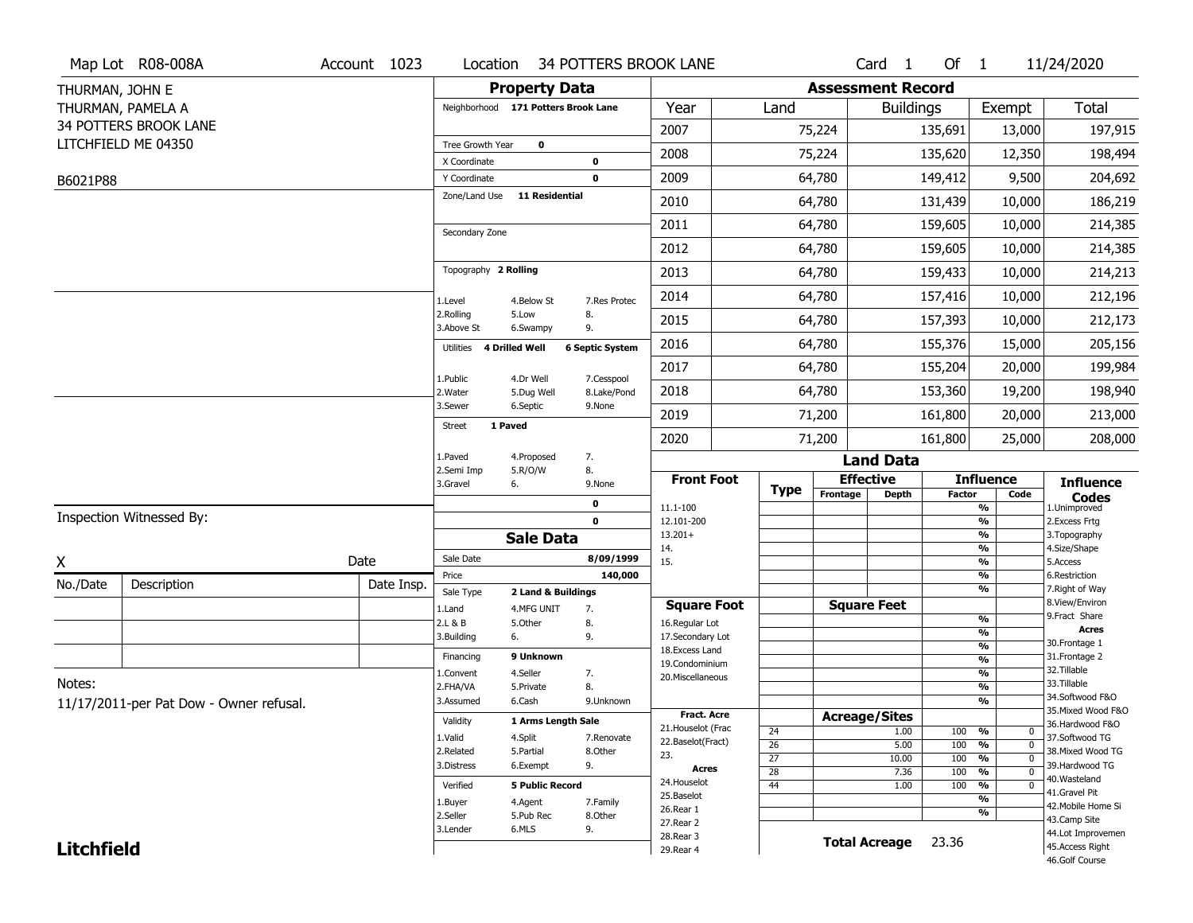|                   | Map Lot R08-008A                        | Account 1023 | Location                            |                                  | 34 POTTERS BROOK LANE  |                                          |                 |                          | Card <sub>1</sub>    | Of $1$        |                                        | 11/24/2020                        |
|-------------------|-----------------------------------------|--------------|-------------------------------------|----------------------------------|------------------------|------------------------------------------|-----------------|--------------------------|----------------------|---------------|----------------------------------------|-----------------------------------|
| THURMAN, JOHN E   |                                         |              |                                     | <b>Property Data</b>             |                        |                                          |                 | <b>Assessment Record</b> |                      |               |                                        |                                   |
|                   | THURMAN, PAMELA A                       |              | Neighborhood 171 Potters Brook Lane |                                  |                        | Year                                     | Land            |                          | <b>Buildings</b>     |               | Exempt                                 | Total                             |
|                   | 34 POTTERS BROOK LANE                   |              |                                     |                                  |                        | 2007                                     |                 | 75,224                   |                      | 135,691       | 13,000                                 | 197,915                           |
|                   | LITCHFIELD ME 04350                     |              | Tree Growth Year                    | $\mathbf 0$                      |                        | 2008                                     |                 | 75,224                   |                      | 135,620       | 12,350                                 | 198,494                           |
|                   |                                         |              | X Coordinate                        |                                  | $\pmb{0}$              |                                          |                 |                          |                      |               |                                        |                                   |
| B6021P88          |                                         |              | Y Coordinate<br>Zone/Land Use       | <b>11 Residential</b>            | $\mathbf 0$            | 2009                                     |                 | 64,780                   |                      | 149,412       | 9,500                                  | 204,692                           |
|                   |                                         |              |                                     |                                  |                        | 2010                                     |                 | 64,780                   |                      | 131,439       | 10,000                                 | 186,219                           |
|                   |                                         |              | Secondary Zone                      |                                  |                        | 2011                                     |                 | 64,780                   |                      | 159,605       | 10,000                                 | 214,385                           |
|                   |                                         |              |                                     |                                  |                        | 2012                                     |                 | 64,780                   |                      | 159,605       | 10,000                                 | 214,385                           |
|                   |                                         |              | Topography 2 Rolling                |                                  |                        | 2013                                     |                 | 64,780                   |                      | 159,433       | 10,000                                 | 214,213                           |
|                   |                                         |              | 1.Level                             | 4.Below St                       | 7.Res Protec           | 2014                                     |                 | 64,780                   |                      | 157,416       | 10,000                                 | 212,196                           |
|                   |                                         |              | 2.Rolling<br>3.Above St             | 5.Low<br>6.Swampy                | 8.<br>9.               | 2015                                     |                 | 64,780                   |                      | 157,393       | 10,000                                 | 212,173                           |
|                   |                                         |              | Utilities 4 Drilled Well            |                                  | <b>6 Septic System</b> | 2016                                     |                 | 64,780                   |                      | 155,376       | 15,000                                 | 205,156                           |
|                   |                                         |              | 1.Public                            | 4.Dr Well                        | 7.Cesspool             | 2017                                     |                 | 64,780                   |                      | 155,204       | 20,000                                 | 199,984                           |
|                   |                                         |              | 2. Water                            | 5.Dug Well                       | 8.Lake/Pond            | 2018                                     |                 | 64,780                   |                      | 153,360       | 19,200                                 | 198,940                           |
|                   |                                         |              | 3.Sewer<br>1 Paved                  | 6.Septic                         | 9.None                 | 2019                                     |                 | 71,200                   |                      | 161,800       | 20,000                                 | 213,000                           |
|                   |                                         |              | <b>Street</b>                       |                                  |                        | 2020                                     |                 | 71,200                   |                      | 161,800       | 25,000                                 | 208,000                           |
|                   |                                         |              | 1.Paved                             | 4.Proposed                       | 7.                     |                                          |                 |                          | <b>Land Data</b>     |               |                                        |                                   |
|                   |                                         |              | 2.Semi Imp<br>3.Gravel              | 5.R/O/W<br>6.                    | 8.<br>9.None           | <b>Front Foot</b>                        | <b>Type</b>     |                          | <b>Effective</b>     |               | <b>Influence</b>                       | <b>Influence</b>                  |
|                   |                                         |              |                                     |                                  | 0                      | 11.1-100                                 |                 | Frontage                 | <b>Depth</b>         | <b>Factor</b> | Code<br>%                              | <b>Codes</b><br>1.Unimproved      |
|                   | Inspection Witnessed By:                |              |                                     |                                  | $\mathbf 0$            | 12.101-200                               |                 |                          |                      |               | %                                      | 2. Excess Frtg                    |
|                   |                                         |              |                                     | <b>Sale Data</b>                 |                        | $13.201+$<br>14.                         |                 |                          |                      |               | %<br>%                                 | 3. Topography<br>4.Size/Shape     |
| χ                 |                                         | Date         | Sale Date                           |                                  | 8/09/1999              | 15.                                      |                 |                          |                      |               | %                                      | 5.Access                          |
| No./Date          | Description                             | Date Insp.   | Price                               |                                  | 140,000                |                                          |                 |                          |                      |               | %<br>%                                 | 6.Restriction<br>7. Right of Way  |
|                   |                                         |              | Sale Type<br>1.Land                 | 2 Land & Buildings<br>4.MFG UNIT | 7.                     | <b>Square Foot</b>                       |                 |                          | <b>Square Feet</b>   |               |                                        | 8.View/Environ                    |
|                   |                                         |              | 2.L & B                             | 5.Other                          | 8.                     | 16.Regular Lot                           |                 |                          |                      |               | %                                      | 9.Fract Share                     |
|                   |                                         |              | 3.Building                          | 6.                               | 9.                     | 17.Secondary Lot                         |                 |                          |                      |               | %<br>$\frac{9}{6}$                     | <b>Acres</b><br>30.Frontage 1     |
|                   |                                         |              | Financing                           | 9 Unknown                        |                        | 18. Excess Land<br>19.Condominium        |                 |                          |                      |               | $\frac{9}{6}$                          | 31. Frontage 2                    |
|                   |                                         |              | 1.Convent                           | 4.Seller                         | 7.                     | 20.Miscellaneous                         |                 |                          |                      |               | $\frac{9}{6}$                          | 32.Tillable                       |
| Notes:            |                                         |              | 2.FHA/VA                            | 5.Private                        | 8.                     |                                          |                 |                          |                      |               | $\frac{9}{6}$                          | 33.Tillable<br>34.Softwood F&O    |
|                   | 11/17/2011-per Pat Dow - Owner refusal. |              | 3.Assumed                           | 6.Cash                           | 9.Unknown              |                                          |                 |                          |                      |               | $\overline{\frac{9}{6}}$               | 35. Mixed Wood F&O                |
|                   |                                         |              | Validity                            | 1 Arms Length Sale               |                        | <b>Fract. Acre</b><br>21. Houselot (Frac |                 | <b>Acreage/Sites</b>     |                      |               |                                        | 36.Hardwood F&O                   |
|                   |                                         |              | 1.Valid                             | 4.Split                          | 7.Renovate             | 22.Baselot(Fract)                        | 24<br>26        |                          | 1.00<br>5.00         | 100<br>100    | %<br>0<br>$\frac{9}{6}$<br>$\mathbf 0$ | 37.Softwood TG                    |
|                   |                                         |              | 2.Related                           | 5.Partial                        | 8.Other                | 23.                                      | 27              |                          | 10.00                | 100           | $\frac{9}{6}$<br>$\mathbf 0$           | 38. Mixed Wood TG                 |
|                   |                                         |              | 3.Distress                          | 6.Exempt                         | 9.                     | <b>Acres</b>                             | $\overline{28}$ |                          | 7.36                 | 100           | $\frac{9}{6}$<br>0                     | 39.Hardwood TG                    |
|                   |                                         |              | Verified                            | <b>5 Public Record</b>           |                        | 24. Houselot                             | 44              |                          | 1.00                 | 100           | %<br>0                                 | 40. Wasteland<br>41.Gravel Pit    |
|                   |                                         |              | 1.Buyer                             | 4.Agent                          | 7.Family               | 25.Baselot                               |                 |                          |                      |               | %                                      | 42. Mobile Home Si                |
|                   |                                         |              | 2.Seller                            | 5.Pub Rec                        | 8.Other                | 26.Rear 1                                |                 |                          |                      |               | %                                      | 43.Camp Site                      |
|                   |                                         |              |                                     |                                  |                        |                                          |                 |                          |                      |               |                                        |                                   |
|                   |                                         |              | 3.Lender                            | 6.MLS                            | 9.                     | 27.Rear 2<br>28. Rear 3                  |                 |                          |                      |               |                                        | 44.Lot Improvemen                 |
| <b>Litchfield</b> |                                         |              |                                     |                                  |                        | 29. Rear 4                               |                 |                          | <b>Total Acreage</b> | 23.36         |                                        | 45.Access Right<br>46.Golf Course |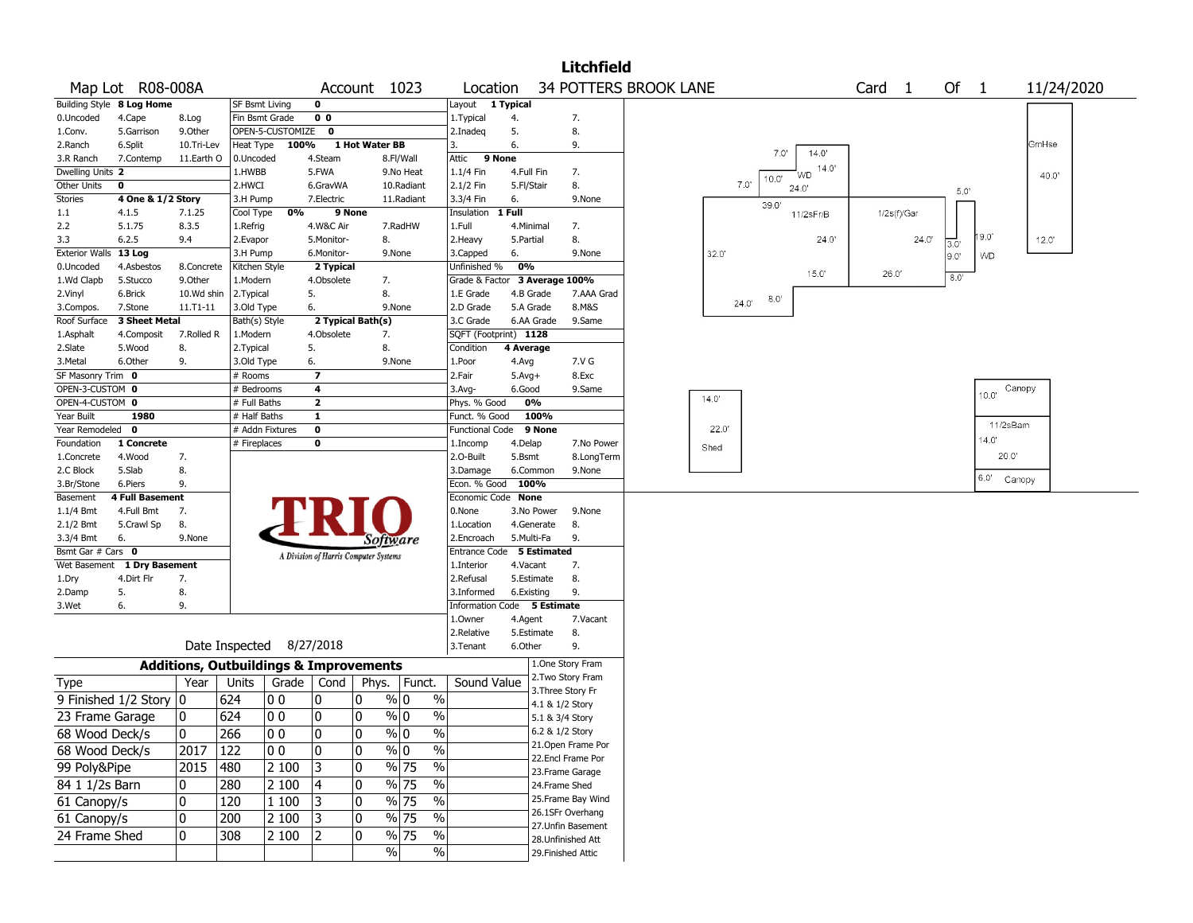|                       |                           |               |                       |                                                   |                                       |                |                                   |                               |            |                 | <b>Litchfield</b>                    |                              |       |                      |        |             |                  |                |            |
|-----------------------|---------------------------|---------------|-----------------------|---------------------------------------------------|---------------------------------------|----------------|-----------------------------------|-------------------------------|------------|-----------------|--------------------------------------|------------------------------|-------|----------------------|--------|-------------|------------------|----------------|------------|
|                       | Map Lot R08-008A          |               |                       |                                                   |                                       | Account 1023   |                                   | Location                      |            |                 |                                      | <b>34 POTTERS BROOK LANE</b> |       |                      | Card 1 |             | Of               | $\overline{1}$ | 11/24/2020 |
|                       | Building Style 8 Log Home |               | <b>SF Bsmt Living</b> |                                                   | 0                                     |                |                                   | Layout 1 Typical              |            |                 |                                      |                              |       |                      |        |             |                  |                |            |
| 0.Uncoded             | 4.Cape                    | 8.Log         |                       | Fin Bsmt Grade                                    | 0 <sub>0</sub>                        |                |                                   | 1. Typical                    | 4.         |                 | 7.                                   |                              |       |                      |        |             |                  |                |            |
| 1.Conv.               | 5.Garrison                | 9.Other       |                       | OPEN-5-CUSTOMIZE 0                                |                                       |                |                                   | 2.Inadeq                      | 5.         |                 | 8.                                   |                              |       |                      |        |             |                  |                |            |
| 2.Ranch               | 6.Split                   | 10.Tri-Lev    | Heat Type             | 100%                                              |                                       | 1 Hot Water BB |                                   | 3.                            | 6.         |                 | 9.                                   |                              |       | 14.0'<br>7.0'        |        |             |                  |                | GmHse      |
| 3.R Ranch             | 7.Contemp                 | 11.Earth O    | 0.Uncoded             |                                                   | 4.Steam                               |                | 8.Fl/Wall                         | 9 None<br>Attic               |            |                 |                                      |                              |       |                      |        |             |                  |                |            |
| Dwelling Units 2      |                           |               | 1.HWBB                |                                                   | 5.FWA                                 |                | 9.No Heat                         | 1.1/4 Fin                     | 4.Full Fin |                 | 7.                                   |                              |       | 14.0'<br>WD<br>10.0' |        |             |                  |                | 40.0"      |
| Other Units           | $\mathbf 0$               |               | 2.HWCI                |                                                   | 6.GravWA                              |                | 10.Radiant                        | 2.1/2 Fin                     | 5.Fl/Stair |                 | 8.                                   |                              | 7.0   | 24.0                 |        |             | 5.0'             |                |            |
| <b>Stories</b>        | 4 One & 1/2 Story         |               | 3.H Pump              |                                                   | 7.Electric                            |                | 11.Radiant                        | 3.3/4 Fin                     | 6.         |                 | 9.None                               |                              |       | 39.0'                |        |             |                  |                |            |
| $1.1\,$               | 4.1.5                     | 7.1.25        | Cool Type             | 0%                                                | 9 None                                |                |                                   | Insulation                    | 1 Full     |                 |                                      |                              |       | 11/2sFr/B            |        | 1/2s(f)/Gar |                  |                |            |
| 2.2                   | 5.1.75                    | 8.3.5         | 1.Refrig              |                                                   | 4.W&C Air                             |                | 7.RadHW                           | 1.Full                        |            | 4.Minimal       | 7.                                   |                              |       |                      |        |             |                  |                |            |
| 3.3                   | 6.2.5                     | 9.4           | 2.Evapor              |                                                   | 5.Monitor-                            | 8.             |                                   | 2. Heavy                      | 5.Partial  |                 | 8.                                   |                              |       | 24.0'                |        | 24.0'       | $\overline{3.0}$ | 19.0'          | 12.0'      |
| Exterior Walls 13 Log |                           |               | 3.H Pump              |                                                   | 6.Monitor-                            |                | 9.None                            | 3.Capped                      | 6.         |                 | 9.None                               |                              | 32.0  |                      |        |             | 9.0              | <b>WD</b>      |            |
| 0.Uncoded             | 4.Asbestos                | 8.Concrete    | Kitchen Style         |                                                   | 2 Typical                             |                |                                   | Unfinished %                  | 0%         |                 |                                      |                              |       | 15.0"                | 26.0'  |             |                  |                |            |
| 1.Wd Clapb            | 5.Stucco                  | 9.Other       | 1.Modern              |                                                   | 4.Obsolete                            | 7.             |                                   | Grade & Factor 3 Average 100% |            |                 |                                      |                              |       |                      |        |             | 8.0              |                |            |
| 2.Vinyl               | 6.Brick                   | 10.Wd shin    | 2.Typical             |                                                   | 5.                                    | 8.             |                                   | 1.E Grade                     |            | 4.B Grade       | 7.AAA Grad                           |                              | 24.0' | 8.0                  |        |             |                  |                |            |
| 3.Compos.             | 7.Stone                   | $11. T1 - 11$ | 3.Old Type            |                                                   | 6.                                    |                | 9.None                            | 2.D Grade                     |            | 5.A Grade       | 8.M&S                                |                              |       |                      |        |             |                  |                |            |
| Roof Surface          | 3 Sheet Metal             |               | Bath(s) Style         |                                                   | 2 Typical Bath(s)                     |                |                                   | 3.C Grade                     |            | 6.AA Grade      | 9.Same                               |                              |       |                      |        |             |                  |                |            |
| 1.Asphalt             | 4.Composit                | 7.Rolled R    | 1.Modern              |                                                   | 4.Obsolete                            | 7.             |                                   | SQFT (Footprint) 1128         |            |                 |                                      |                              |       |                      |        |             |                  |                |            |
| 2.Slate               | 5.Wood                    | 8.            | 2. Typical            |                                                   | 5.                                    | 8.             |                                   | Condition                     | 4 Average  |                 |                                      |                              |       |                      |        |             |                  |                |            |
| 3.Metal               | 6.Other                   | 9.            | 3.Old Type            |                                                   | 6.                                    |                | 9.None                            | 1.Poor                        | 4.Avg      |                 | 7.V G                                |                              |       |                      |        |             |                  |                |            |
| SF Masonry Trim 0     |                           |               | # Rooms               |                                                   | 7                                     |                |                                   | 2.Fair                        | $5.Avg+$   |                 | 8.Exc                                |                              |       |                      |        |             |                  |                |            |
| OPEN-3-CUSTOM 0       |                           |               | # Bedrooms            |                                                   | 4                                     |                |                                   | 3.Avg-                        | 6.Good     |                 | 9.Same                               |                              | 14.0' |                      |        |             |                  | 10.0"          | Canopy     |
| OPEN-4-CUSTOM 0       |                           |               | # Full Baths          |                                                   | $\overline{\mathbf{2}}$               |                |                                   | Phys. % Good                  |            | 0%              |                                      |                              |       |                      |        |             |                  |                |            |
| Year Built            | 1980                      |               | # Half Baths          |                                                   | $\mathbf{1}$                          |                |                                   | Funct. % Good                 |            | 100%            |                                      |                              |       |                      |        |             |                  | 11/2sBam       |            |
| Year Remodeled 0      |                           |               |                       | # Addn Fixtures                                   | 0                                     |                |                                   | Functional Code 9 None        |            |                 |                                      |                              | 22.0' |                      |        |             |                  |                |            |
| Foundation            | 1 Concrete                |               | # Fireplaces          |                                                   | 0                                     |                |                                   | 1.Incomp                      | 4.Delap    |                 | 7.No Power                           |                              | Shed  |                      |        |             |                  | 14.0'          |            |
| 1.Concrete            | 4.Wood                    | 7.            |                       |                                                   |                                       |                |                                   | 2.0-Built                     | 5.Bsmt     |                 | 8.LongTerm                           |                              |       |                      |        |             |                  | 20.0''         |            |
| 2.C Block             | 5.Slab                    | 8.            |                       |                                                   |                                       |                |                                   | 3.Damage                      |            | 6.Common        | 9.None                               |                              |       |                      |        |             |                  | 6.0' Canopy    |            |
| 3.Br/Stone            | 6.Piers                   | 9.            |                       |                                                   |                                       |                |                                   | Econ. % Good                  |            | 100%            |                                      |                              |       |                      |        |             |                  |                |            |
| Basement              | <b>4 Full Basement</b>    |               |                       |                                                   |                                       |                |                                   | Economic Code None            |            |                 |                                      |                              |       |                      |        |             |                  |                |            |
| $1.1/4$ Bmt           | 4.Full Bmt                | 7.            |                       |                                                   |                                       |                |                                   | 0.None                        |            | 3.No Power      | 9.None                               |                              |       |                      |        |             |                  |                |            |
| 2.1/2 Bmt             | 5.Crawl Sp                | 8.            |                       |                                                   |                                       |                |                                   | 1.Location                    |            | 4.Generate      | 8.                                   |                              |       |                      |        |             |                  |                |            |
| 3.3/4 Bmt             | 6.                        | 9.None        |                       |                                                   |                                       | Software       |                                   | 2.Encroach                    |            | 5.Multi-Fa      | 9.                                   |                              |       |                      |        |             |                  |                |            |
| Bsmt Gar # Cars 0     |                           |               |                       |                                                   | A Division of Harris Computer Systems |                |                                   | Entrance Code 5 Estimated     |            |                 |                                      |                              |       |                      |        |             |                  |                |            |
| Wet Basement          | 1 Dry Basement            |               |                       |                                                   |                                       |                |                                   | 1.Interior                    | 4.Vacant   |                 | 7.                                   |                              |       |                      |        |             |                  |                |            |
| 1.Dry                 | 4.Dirt Flr                | 7.            |                       |                                                   |                                       |                |                                   | 2.Refusal                     |            | 5.Estimate      | 8.                                   |                              |       |                      |        |             |                  |                |            |
| 2.Damp                | 5.                        | 8.            |                       |                                                   |                                       |                |                                   | 3.Informed                    |            | 6.Existing      | 9.                                   |                              |       |                      |        |             |                  |                |            |
| 3.Wet                 | 6.                        | 9.            |                       |                                                   |                                       |                |                                   | Information Code 5 Estimate   |            |                 |                                      |                              |       |                      |        |             |                  |                |            |
|                       |                           |               |                       |                                                   |                                       |                |                                   | 1.Owner                       | 4.Agent    |                 | 7.Vacant                             |                              |       |                      |        |             |                  |                |            |
|                       |                           |               |                       |                                                   |                                       |                |                                   | 2.Relative                    |            | 5.Estimate      | 8.                                   |                              |       |                      |        |             |                  |                |            |
|                       |                           |               |                       | Date Inspected 8/27/2018                          |                                       |                |                                   | 3.Tenant                      | 6.Other    |                 | 9.                                   |                              |       |                      |        |             |                  |                |            |
|                       |                           |               |                       | <b>Additions, Outbuildings &amp; Improvements</b> |                                       |                |                                   |                               |            |                 | 1.One Story Fram                     |                              |       |                      |        |             |                  |                |            |
| <b>Type</b>           |                           | Year          | Units                 | Grade                                             | Cond                                  |                | Phys. Funct.                      | Sound Value                   |            |                 | 2. Two Story Fram                    |                              |       |                      |        |             |                  |                |            |
|                       | 9 Finished 1/2 Story 0    |               | 624                   | 00                                                | 0                                     | 10             | $\%$<br>% 0                       |                               |            |                 | 3. Three Story Fr                    |                              |       |                      |        |             |                  |                |            |
|                       |                           |               |                       |                                                   |                                       |                |                                   |                               |            | 4.1 & 1/2 Story |                                      |                              |       |                      |        |             |                  |                |            |
| 23 Frame Garage       |                           | 10            | 624                   | 00                                                | 0                                     | 10             | $\frac{9}{0}$ 0<br>$\frac{0}{0}$  |                               |            | 5.1 & 3/4 Story |                                      |                              |       |                      |        |             |                  |                |            |
| 68 Wood Deck/s        |                           | 0             | 266                   | $ 00\rangle$                                      | 0                                     | 0              | $\%$ 0<br>0/2<br>7 U              |                               |            | 6.2 & 1/2 Story |                                      |                              |       |                      |        |             |                  |                |            |
| 68 Wood Deck/s        |                           | 2017          | 122                   | 00                                                | 0                                     | 10             | $\sqrt[6]{0}$<br>$\frac{1}{2}$    |                               |            |                 | 21.Open Frame Por                    |                              |       |                      |        |             |                  |                |            |
| 99 Poly&Pipe          |                           | 2015          | 480                   | 2 100                                             | 3                                     | 10             | % 75<br>$\%$                      |                               |            |                 | 22.Encl Frame Por<br>23.Frame Garage |                              |       |                      |        |             |                  |                |            |
| 84 1 1/2s Barn        |                           | 0             | 280                   | 2 100                                             | 4                                     | 10             | $\frac{9}{6}$ 75<br>$\%$          |                               |            | 24.Frame Shed   |                                      |                              |       |                      |        |             |                  |                |            |
| 61 Canopy/s           |                           | 0             | 120                   | 1 100                                             | 3                                     | 10             | $\%$<br>% 75                      |                               |            |                 | 25. Frame Bay Wind                   |                              |       |                      |        |             |                  |                |            |
|                       |                           |               |                       |                                                   |                                       |                |                                   |                               |            |                 | 26.1SFr Overhang                     |                              |       |                      |        |             |                  |                |            |
| 61 Canopy/s           |                           | 0             | 200                   | 2 100                                             | 3                                     | 0              | $\sqrt{2}$<br>% 75                |                               |            |                 | 27.Unfin Basement                    |                              |       |                      |        |             |                  |                |            |
| 24 Frame Shed         |                           | 0             | 308                   | 2 100                                             | 2                                     | 0              | $\frac{0}{6}$<br>$\frac{9}{6}$ 75 |                               |            |                 | 28. Unfinished Att                   |                              |       |                      |        |             |                  |                |            |
|                       |                           |               |                       |                                                   |                                       |                | $\frac{1}{2}$<br>$\sqrt{6}$       |                               |            |                 | 29. Finished Attic                   |                              |       |                      |        |             |                  |                |            |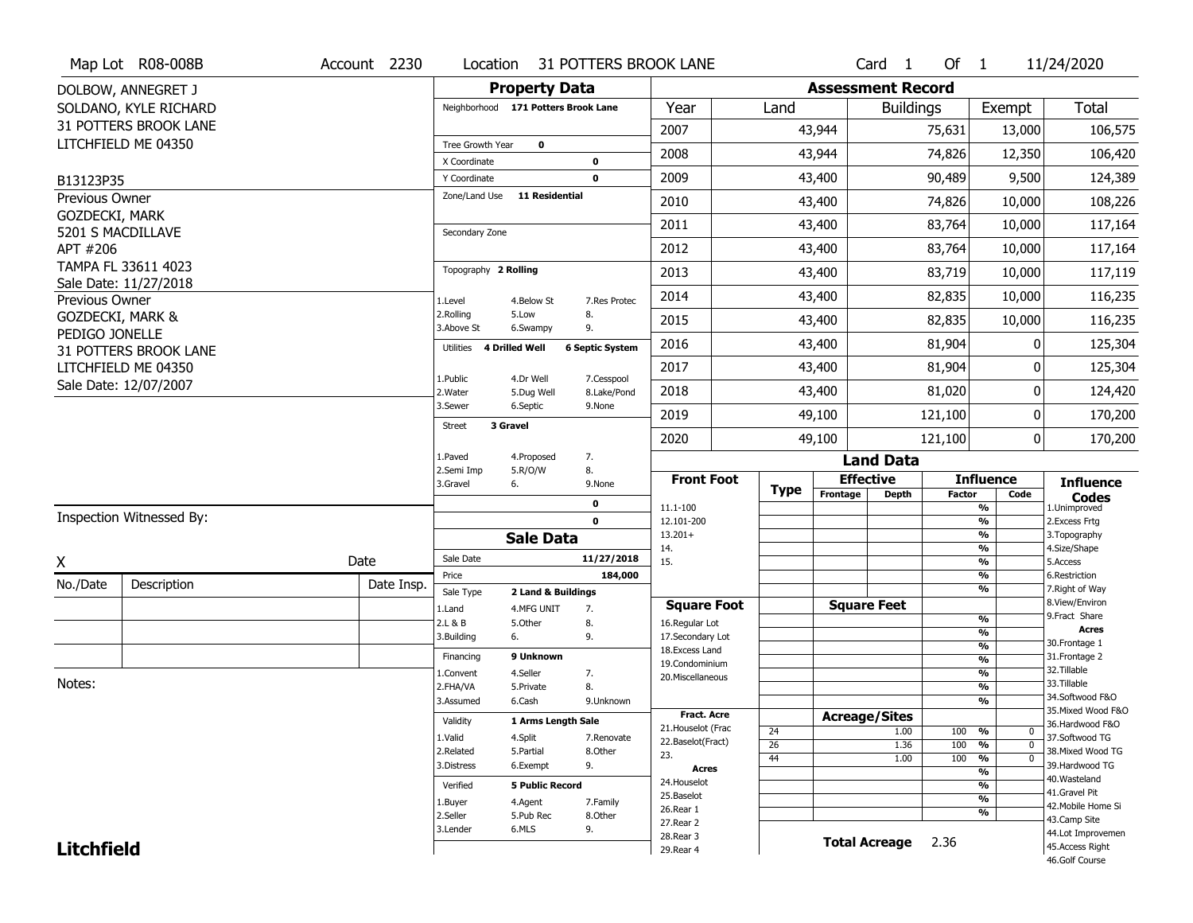|                   | Map Lot R08-008B         | Account 2230 | Location                            |                         |                           | 31 POTTERS BROOK LANE                   |                       |                          | Card <sub>1</sub>  | Of $1$        |                                                | 11/24/2020                           |
|-------------------|--------------------------|--------------|-------------------------------------|-------------------------|---------------------------|-----------------------------------------|-----------------------|--------------------------|--------------------|---------------|------------------------------------------------|--------------------------------------|
|                   | DOLBOW, ANNEGRET J       |              |                                     | <b>Property Data</b>    |                           |                                         |                       | <b>Assessment Record</b> |                    |               |                                                |                                      |
|                   | SOLDANO, KYLE RICHARD    |              | Neighborhood 171 Potters Brook Lane |                         |                           | Year                                    | Land                  |                          | <b>Buildings</b>   |               | Exempt                                         | <b>Total</b>                         |
|                   | 31 POTTERS BROOK LANE    |              |                                     |                         |                           | 2007                                    |                       | 43,944                   |                    | 75,631        | 13,000                                         | 106,575                              |
|                   | LITCHFIELD ME 04350      |              | Tree Growth Year                    | $\mathbf 0$             |                           | 2008                                    |                       | 43,944                   |                    | 74,826        | 12,350                                         | 106,420                              |
| B13123P35         |                          |              | X Coordinate<br>Y Coordinate        |                         | 0<br>$\mathbf 0$          | 2009                                    |                       | 43,400                   |                    | 90,489        | 9,500                                          | 124,389                              |
| Previous Owner    |                          |              | Zone/Land Use                       | <b>11 Residential</b>   |                           | 2010                                    |                       | 43,400                   |                    | 74,826        | 10,000                                         | 108,226                              |
| GOZDECKI, MARK    |                          |              |                                     |                         |                           | 2011                                    |                       | 43,400                   |                    | 83,764        | 10,000                                         | 117,164                              |
|                   | 5201 S MACDILLAVE        |              | Secondary Zone                      |                         |                           |                                         |                       |                          |                    |               |                                                |                                      |
| APT #206          | TAMPA FL 33611 4023      |              |                                     |                         |                           | 2012                                    |                       | 43,400                   |                    | 83,764        | 10,000                                         | 117,164                              |
|                   | Sale Date: 11/27/2018    |              | Topography 2 Rolling                |                         |                           | 2013                                    |                       | 43,400                   |                    | 83,719        | 10,000                                         | 117,119                              |
| Previous Owner    |                          |              | 1.Level                             | 4.Below St              | 7.Res Protec              | 2014                                    |                       | 43,400                   |                    | 82,835        | 10,000                                         | 116,235                              |
|                   | GOZDECKI, MARK &         |              | 2.Rolling<br>3.Above St             | 5.Low<br>6.Swampy       | 8.<br>9.                  | 2015                                    |                       | 43,400                   |                    | 82,835        | 10,000                                         | 116,235                              |
| PEDIGO JONELLE    | 31 POTTERS BROOK LANE    |              | 4 Drilled Well<br>Utilities         |                         | <b>6 Septic System</b>    | 2016                                    |                       | 43,400                   |                    | 81,904        | 0                                              | 125,304                              |
|                   | LITCHFIELD ME 04350      |              |                                     |                         |                           | 2017                                    |                       | 43,400                   |                    | 81,904        | 0                                              | 125,304                              |
|                   | Sale Date: 12/07/2007    |              | 1.Public<br>2. Water                | 4.Dr Well<br>5.Dug Well | 7.Cesspool<br>8.Lake/Pond | 2018                                    |                       | 43,400                   |                    | 81,020        | 0                                              | 124,420                              |
|                   |                          |              | 3.Sewer                             | 6.Septic                | 9.None                    | 2019                                    |                       | 49,100                   |                    | 121,100       | 0                                              | 170,200                              |
|                   |                          |              | 3 Gravel<br><b>Street</b>           |                         |                           | 2020                                    |                       | 49,100                   |                    | 121,100       | 0                                              | 170,200                              |
|                   |                          |              | 1.Paved                             | 4.Proposed              | 7.                        |                                         |                       |                          | <b>Land Data</b>   |               |                                                |                                      |
|                   |                          |              | 2.Semi Imp<br>3.Gravel              | 5.R/O/W<br>6.           | 8.<br>9.None              | <b>Front Foot</b>                       |                       | <b>Effective</b>         |                    |               | <b>Influence</b>                               | <b>Influence</b>                     |
|                   |                          |              |                                     |                         | $\mathbf 0$               | 11.1-100                                | <b>Type</b>           | Frontage                 | <b>Depth</b>       | <b>Factor</b> | Code<br>$\frac{9}{6}$                          | <b>Codes</b><br>1.Unimproved         |
|                   | Inspection Witnessed By: |              |                                     |                         | $\mathbf 0$               | 12.101-200                              |                       |                          |                    |               | $\frac{9}{6}$                                  | 2. Excess Frtg                       |
|                   |                          |              |                                     | <b>Sale Data</b>        |                           | $13.201+$<br>14.                        |                       |                          |                    |               | $\frac{9}{6}$<br>$\frac{9}{6}$                 | 3. Topography<br>4.Size/Shape        |
| X                 |                          | Date         | Sale Date                           |                         | 11/27/2018                | 15.                                     |                       |                          |                    |               | $\frac{9}{6}$                                  | 5.Access                             |
| No./Date          | Description              | Date Insp.   | Price<br>Sale Type                  | 2 Land & Buildings      | 184,000                   |                                         |                       |                          |                    |               | $\frac{9}{6}$<br>$\frac{9}{6}$                 | 6.Restriction<br>7. Right of Way     |
|                   |                          |              | 1.Land                              | 4.MFG UNIT              | 7.                        | <b>Square Foot</b>                      |                       | <b>Square Feet</b>       |                    |               |                                                | 8.View/Environ                       |
|                   |                          |              | 2.L & B                             | 5.Other                 | 8.                        | 16.Regular Lot                          |                       |                          |                    |               | %                                              | 9.Fract Share<br><b>Acres</b>        |
|                   |                          |              | 3.Building                          | 6.                      | 9.                        | 17.Secondary Lot<br>18. Excess Land     |                       |                          |                    |               | %<br>%                                         | 30. Frontage 1                       |
|                   |                          |              | Financing                           | 9 Unknown               |                           | 19.Condominium                          |                       |                          |                    |               | $\frac{9}{6}$                                  | 31. Frontage 2                       |
|                   |                          |              | 1.Convent                           | 4.Seller                | 7.                        | 20.Miscellaneous                        |                       |                          |                    |               | %                                              | 32. Tillable                         |
| Notes:            |                          |              | 2.FHA/VA                            | 5.Private               | 8.                        |                                         |                       |                          |                    |               | %                                              | 33.Tillable<br>34.Softwood F&O       |
|                   |                          |              | 3.Assumed                           | 6.Cash                  | 9.Unknown                 | <b>Fract, Acre</b>                      |                       |                          |                    |               | %                                              | 35. Mixed Wood F&O                   |
|                   |                          |              |                                     |                         |                           |                                         |                       |                          |                    |               |                                                |                                      |
|                   |                          |              | Validity                            | 1 Arms Length Sale      |                           |                                         |                       | <b>Acreage/Sites</b>     |                    |               |                                                | 36.Hardwood F&O                      |
|                   |                          |              | 1.Valid                             | 4.Split                 | 7.Renovate                | 21. Houselot (Frac<br>22.Baselot(Fract) | 24                    |                          | 1.00               | 100           | %<br>0                                         | 37.Softwood TG                       |
|                   |                          |              | 2.Related                           | 5.Partial               | 8.Other                   | 23.                                     | $\overline{26}$<br>44 |                          | 1.36<br>1.00       | 100<br>100    | $\frac{9}{6}$<br>$\mathbf{0}$<br>$\frac{9}{6}$ | 38. Mixed Wood TG                    |
|                   |                          |              | 3.Distress                          | 6.Exempt                | 9.                        | <b>Acres</b>                            |                       |                          |                    |               | $\frac{9}{6}$                                  | 39.Hardwood TG                       |
|                   |                          |              | Verified                            | <b>5 Public Record</b>  |                           | 24. Houselot                            |                       |                          |                    |               | $\overline{\frac{9}{6}}$                       | 40. Wasteland                        |
|                   |                          |              | 1.Buyer                             | 4.Agent                 | 7.Family                  | 25.Baselot                              |                       |                          |                    |               | $\frac{9}{6}$                                  | 41.Gravel Pit<br>42. Mobile Home Si  |
|                   |                          |              | 2.Seller                            | 5.Pub Rec               | 8.Other                   | 26.Rear 1                               |                       |                          |                    |               | $\overline{\frac{9}{6}}$                       | 43.Camp Site                         |
| <b>Litchfield</b> |                          |              | 3.Lender                            | 6.MLS                   | 9.                        | 27.Rear 2<br>28.Rear 3                  |                       |                          | Total Acreage 2.36 |               |                                                | 44.Lot Improvemen<br>45.Access Right |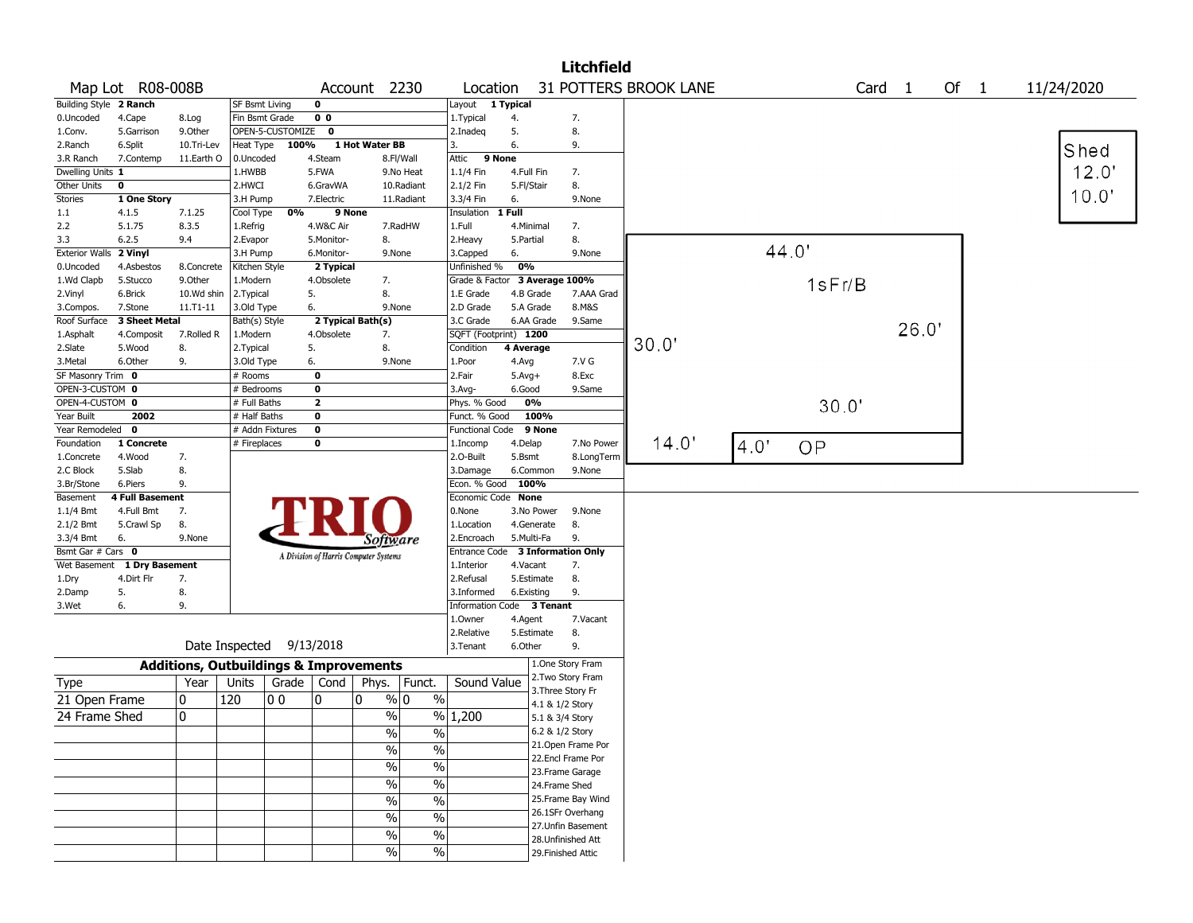|                        |                             |                                                   |                          |                  |                         |                                       |                          |                               | <b>Litchfield</b>         |                       |      |        |        |        |            |
|------------------------|-----------------------------|---------------------------------------------------|--------------------------|------------------|-------------------------|---------------------------------------|--------------------------|-------------------------------|---------------------------|-----------------------|------|--------|--------|--------|------------|
|                        | Map Lot R08-008B            |                                                   |                          |                  |                         | Account 2230                          |                          | Location                      |                           | 31 POTTERS BROOK LANE |      |        | Card 1 | Of $1$ | 11/24/2020 |
| Building Style 2 Ranch |                             |                                                   | SF Bsmt Living           |                  | $\mathbf 0$             |                                       | Layout                   | 1 Typical                     |                           |                       |      |        |        |        |            |
| 0.Uncoded              | 4.Cape                      | 8.Log                                             | Fin Bsmt Grade           |                  | 0 <sub>0</sub>          |                                       | 1.Typical                | 4.                            | 7.                        |                       |      |        |        |        |            |
| 1.Conv.                | 5.Garrison                  | 9.0ther                                           |                          | OPEN-5-CUSTOMIZE | $\mathbf{0}$            |                                       | 2.Inadeg                 | 5.                            | 8.                        |                       |      |        |        |        |            |
| 2.Ranch                | 6.Split                     | 10.Tri-Lev                                        | Heat Type                | 100%             |                         | 1 Hot Water BB                        | 3.                       | 6.                            | 9.                        |                       |      |        |        |        | Shed       |
| 3.R Ranch              | 7.Contemp                   | 11.Earth O                                        | 0.Uncoded                |                  | 4.Steam                 | 8.Fl/Wall                             | Attic                    | 9 None                        |                           |                       |      |        |        |        |            |
| Dwelling Units 1       |                             |                                                   | 1.HWBB                   |                  | 5.FWA                   | 9.No Heat                             | 1.1/4 Fin                | 4.Full Fin                    | 7.                        |                       |      |        |        |        | 12.0'      |
| Other Units            | 0                           |                                                   | 2.HWCI                   |                  | 6.GravWA                | 10.Radiant                            | 2.1/2 Fin                | 5.Fl/Stair                    | 8.                        |                       |      |        |        |        |            |
| <b>Stories</b>         | 1 One Story                 |                                                   | 3.H Pump                 |                  | 7.Electric              | 11.Radiant                            | 3.3/4 Fin                | 6.                            | 9.None                    |                       |      |        |        |        | 10.0'      |
| $1.1\,$                | 4.1.5                       | 7.1.25                                            | Cool Type                | 0%               | 9 None                  |                                       | Insulation               | 1 Full                        |                           |                       |      |        |        |        |            |
| 2.2                    | 5.1.75                      | 8.3.5                                             | 1.Refrig                 |                  | 4.W&C Air               | 7.RadHW                               | 1.Full                   | 4.Minimal                     | 7.                        |                       |      |        |        |        |            |
| 3.3                    | 6.2.5                       | 9.4                                               | 2.Evapor                 |                  | 5.Monitor-              | 8.                                    | 2. Heavy                 | 5.Partial                     | 8.                        |                       |      |        |        |        |            |
| Exterior Walls 2 Vinyl |                             |                                                   | 3.H Pump                 |                  | 6.Monitor-              | 9.None                                | 3.Capped                 | 6.                            | 9.None                    |                       |      | 44.0'  |        |        |            |
| 0.Uncoded              | 4.Asbestos                  | 8.Concrete                                        | Kitchen Style            |                  | 2 Typical               |                                       | Unfinished %             | 0%                            |                           |                       |      |        |        |        |            |
| 1.Wd Clapb             | 5.Stucco                    | 9.0ther                                           | 1.Modern                 |                  | 4.Obsolete              | 7.                                    |                          | Grade & Factor 3 Average 100% |                           |                       |      | 1sFr/B |        |        |            |
| 2.Vinyl                | 6.Brick                     | 10.Wd shin                                        | 2.Typical                | 5.               |                         | 8.                                    | 1.E Grade                | 4.B Grade                     | 7.AAA Grad                |                       |      |        |        |        |            |
| 3.Compos.              | 7.Stone                     | 11.T1-11                                          | 3.Old Type               | 6.               |                         | 9.None                                | 2.D Grade                | 5.A Grade                     | 8.M&S                     |                       |      |        |        |        |            |
| Roof Surface           | 3 Sheet Metal               |                                                   | Bath(s) Style            |                  | 2 Typical Bath(s)       |                                       | 3.C Grade                | 6.AA Grade                    | 9.Same                    |                       |      |        |        |        |            |
| 1.Asphalt              | 4.Composit                  | 7.Rolled R                                        | 1.Modern                 |                  | 4.Obsolete              | 7.                                    |                          | SQFT (Footprint) 1200         |                           |                       |      |        | 26.0'  |        |            |
| 2.Slate                | 5.Wood                      | 8.                                                | 2.Typical                | 5.               |                         | 8.                                    | Condition                | 4 Average                     |                           | 30.0'                 |      |        |        |        |            |
| 3. Metal               | 6.Other                     | 9.                                                | 3.Old Type               | 6.               |                         | 9.None                                | 1.Poor                   | 4.Avg                         | 7.V G                     |                       |      |        |        |        |            |
| SF Masonry Trim 0      |                             |                                                   | # Rooms                  |                  | $\mathbf 0$             |                                       | 2.Fair                   | $5.Avg+$                      | 8.Exc                     |                       |      |        |        |        |            |
| OPEN-3-CUSTOM 0        |                             |                                                   | # Bedrooms               |                  | $\mathbf 0$             |                                       | $3.$ Avg-                | 6.Good                        | 9.Same                    |                       |      |        |        |        |            |
| OPEN-4-CUSTOM 0        |                             |                                                   | # Full Baths             |                  | $\overline{\mathbf{2}}$ |                                       | Phys. % Good             | 0%                            |                           |                       |      | 30.0'  |        |        |            |
| Year Built             | 2002                        |                                                   | # Half Baths             |                  | $\mathbf 0$             |                                       | Funct. % Good            | 100%                          |                           |                       |      |        |        |        |            |
| Year Remodeled 0       |                             |                                                   | # Addn Fixtures          |                  | $\mathbf 0$             |                                       | <b>Functional Code</b>   | 9 None                        |                           |                       |      |        |        |        |            |
| Foundation             | 1 Concrete                  |                                                   | # Fireplaces             |                  | $\mathbf 0$             |                                       | 1.Incomp                 | 4.Delap                       | 7.No Power                | 14.0'                 | 4.0' | OP     |        |        |            |
| 1.Concrete             | 4.Wood                      | 7.                                                |                          |                  |                         |                                       | 2.O-Built                | 5.Bsmt                        | 8.LongTerm                |                       |      |        |        |        |            |
| 2.C Block              | 5.Slab                      | 8.                                                |                          |                  |                         |                                       | 3.Damage                 | 6.Common                      | 9.None                    |                       |      |        |        |        |            |
| 3.Br/Stone             | 6.Piers                     | 9.                                                |                          |                  |                         |                                       | Econ. % Good             | 100%                          |                           |                       |      |        |        |        |            |
| Basement               | <b>4 Full Basement</b>      |                                                   |                          |                  |                         |                                       |                          | Economic Code None            |                           |                       |      |        |        |        |            |
| 1.1/4 Bmt              | 4.Full Bmt                  | 7.                                                |                          |                  |                         |                                       | 0.None                   | 3.No Power                    | 9.None                    |                       |      |        |        |        |            |
| $2.1/2$ Bmt            | 5.Crawl Sp                  | 8.                                                |                          |                  |                         |                                       | 1.Location               | 4.Generate                    | 8.                        |                       |      |        |        |        |            |
| 3.3/4 Bmt              | 6.                          | 9.None                                            |                          |                  |                         | Software                              | 2.Encroach               | 5.Multi-Fa                    | 9.                        |                       |      |        |        |        |            |
| Bsmt Gar # Cars 0      |                             |                                                   |                          |                  |                         | A Division of Harris Computer Systems | Entrance Code            |                               | <b>3 Information Only</b> |                       |      |        |        |        |            |
|                        | Wet Basement 1 Dry Basement |                                                   |                          |                  |                         |                                       | 1.Interior               | 4.Vacant                      | 7.                        |                       |      |        |        |        |            |
| 1.Dry                  | 4.Dirt Flr                  | 7.                                                |                          |                  |                         |                                       | 2.Refusal                | 5.Estimate                    | 8.                        |                       |      |        |        |        |            |
| 2.Damp                 | 5.                          | 8.                                                |                          |                  |                         |                                       | 3.Informed               | 6.Existing                    | 9.                        |                       |      |        |        |        |            |
| 3.Wet                  | 6.                          | 9.                                                |                          |                  |                         |                                       |                          | Information Code 3 Tenant     |                           |                       |      |        |        |        |            |
|                        |                             |                                                   |                          |                  |                         |                                       | 1.Owner                  | 4.Agent                       | 7.Vacant                  |                       |      |        |        |        |            |
|                        |                             |                                                   |                          |                  |                         |                                       | 2.Relative               | 5.Estimate                    | 8.                        |                       |      |        |        |        |            |
|                        |                             |                                                   | Date Inspected 9/13/2018 |                  |                         |                                       | 3.Tenant                 | 6.Other                       | 9.                        |                       |      |        |        |        |            |
|                        |                             | <b>Additions, Outbuildings &amp; Improvements</b> |                          |                  |                         |                                       |                          |                               | 1.One Story Fram          |                       |      |        |        |        |            |
| Type                   |                             | Year                                              | Units                    |                  |                         | Grade   Cond   Phys.   Funct.         | Sound Value              |                               | 2. Two Story Fram         |                       |      |        |        |        |            |
| 21 Open Frame          |                             | 0                                                 | 120                      | 00               | 0                       | 0<br>% 0                              | %                        |                               | 3. Three Story Fr         |                       |      |        |        |        |            |
|                        |                             |                                                   |                          |                  |                         |                                       |                          |                               | 4.1 & 1/2 Story           |                       |      |        |        |        |            |
| 24 Frame Shed          |                             | 0                                                 |                          |                  |                         | $\%$                                  | % 1,200                  |                               | 5.1 & 3/4 Story           |                       |      |        |        |        |            |
|                        |                             |                                                   |                          |                  |                         | $\%$                                  | $\sqrt{6}$               |                               | 6.2 & 1/2 Story           |                       |      |        |        |        |            |
|                        |                             |                                                   |                          |                  |                         | $\frac{9}{6}$                         | $\%$                     |                               | 21. Open Frame Por        |                       |      |        |        |        |            |
|                        |                             |                                                   |                          |                  |                         | $\%$                                  | $\%$                     |                               | 22.Encl Frame Por         |                       |      |        |        |        |            |
|                        |                             |                                                   |                          |                  |                         |                                       |                          |                               | 23.Frame Garage           |                       |      |        |        |        |            |
|                        |                             |                                                   |                          |                  |                         | $\sqrt{6}$                            | $\frac{1}{2}$            |                               | 24.Frame Shed             |                       |      |        |        |        |            |
|                        |                             |                                                   |                          |                  |                         | $\%$                                  | $\overline{\frac{0}{6}}$ |                               | 25.Frame Bay Wind         |                       |      |        |        |        |            |
|                        |                             |                                                   |                          |                  |                         | $\frac{9}{6}$                         | $\overline{\frac{0}{6}}$ |                               | 26.1SFr Overhang          |                       |      |        |        |        |            |
|                        |                             |                                                   |                          |                  |                         | %                                     | $\%$                     |                               | 27.Unfin Basement         |                       |      |        |        |        |            |
|                        |                             |                                                   |                          |                  |                         |                                       |                          |                               | 28.Unfinished Att         |                       |      |        |        |        |            |
|                        |                             |                                                   |                          |                  |                         | $\sqrt{6}$                            | $\%$                     |                               | 29. Finished Attic        |                       |      |        |        |        |            |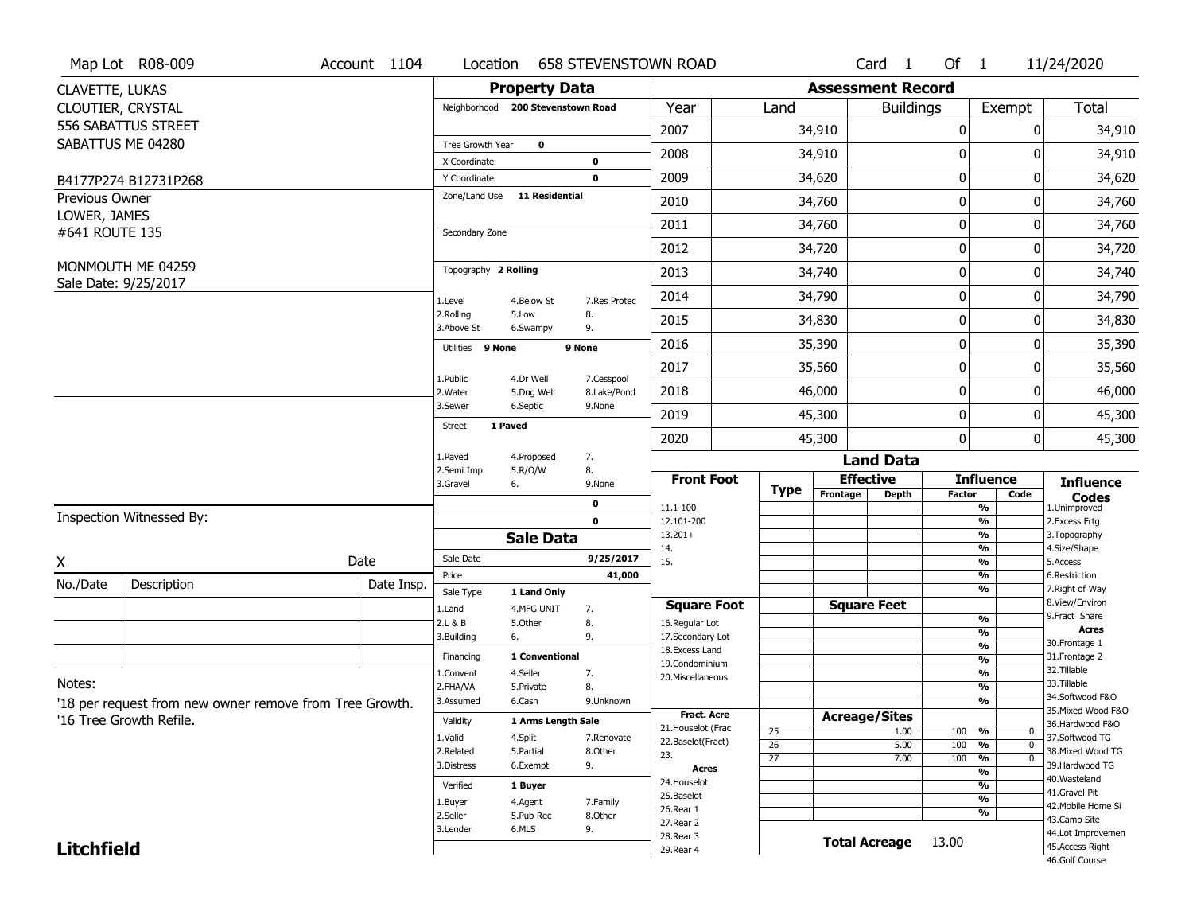|                   | Map Lot R08-009                                         | Account 1104 | Location                      |                                   | <b>658 STEVENSTOWN ROAD</b> |                                    |                 |                          | Card 1               | Of $1$           |                          | 11/24/2020                           |
|-------------------|---------------------------------------------------------|--------------|-------------------------------|-----------------------------------|-----------------------------|------------------------------------|-----------------|--------------------------|----------------------|------------------|--------------------------|--------------------------------------|
| CLAVETTE, LUKAS   |                                                         |              |                               | <b>Property Data</b>              |                             |                                    |                 | <b>Assessment Record</b> |                      |                  |                          |                                      |
|                   | CLOUTIER, CRYSTAL                                       |              |                               | Neighborhood 200 Stevenstown Road |                             | Year                               | Land            |                          | <b>Buildings</b>     |                  | Exempt                   | <b>Total</b>                         |
|                   | 556 SABATTUS STREET                                     |              |                               |                                   |                             | 2007                               |                 | 34,910                   |                      | 0                | 0                        | 34,910                               |
|                   | SABATTUS ME 04280                                       |              | Tree Growth Year              | $\mathbf{o}$                      |                             | 2008                               |                 | 34,910                   |                      | 0                | 0                        | 34,910                               |
|                   |                                                         |              | X Coordinate                  |                                   | 0<br>$\mathbf 0$            | 2009                               |                 | 34,620                   |                      | 0                | 0                        | 34,620                               |
| Previous Owner    | B4177P274 B12731P268                                    |              | Y Coordinate<br>Zone/Land Use | 11 Residential                    |                             |                                    |                 |                          |                      |                  |                          |                                      |
| LOWER, JAMES      |                                                         |              |                               |                                   |                             | 2010                               |                 | 34,760                   |                      | 0                | 0                        | 34,760                               |
| #641 ROUTE 135    |                                                         |              | Secondary Zone                |                                   |                             | 2011                               |                 | 34,760                   |                      | $\mathbf 0$      | 0                        | 34,760                               |
|                   |                                                         |              |                               |                                   |                             | 2012                               |                 | 34,720                   |                      | $\mathbf 0$      | 0                        | 34,720                               |
|                   | MONMOUTH ME 04259<br>Sale Date: 9/25/2017               |              | Topography 2 Rolling          |                                   |                             | 2013                               |                 | 34,740                   |                      | $\mathbf 0$      | 0                        | 34,740                               |
|                   |                                                         |              | 1.Level                       | 4.Below St                        | 7.Res Protec                | 2014                               |                 | 34,790                   |                      | $\mathbf 0$      | 0                        | 34,790                               |
|                   |                                                         |              | 2.Rolling<br>3.Above St       | 5.Low<br>6.Swampy                 | 8.<br>9.                    | 2015                               |                 | 34,830                   |                      | 0                | 0                        | 34,830                               |
|                   |                                                         |              | Utilities 9 None              |                                   | 9 None                      | 2016                               |                 | 35,390                   |                      | 0                | 0                        | 35,390                               |
|                   |                                                         |              |                               |                                   |                             | 2017                               |                 | 35,560                   |                      | $\boldsymbol{0}$ | 0                        | 35,560                               |
|                   |                                                         |              | 1.Public<br>2. Water          | 4.Dr Well<br>5.Dug Well           | 7.Cesspool<br>8.Lake/Pond   | 2018                               |                 | 46,000                   |                      | 0                | 0                        | 46,000                               |
|                   |                                                         |              | 3.Sewer                       | 6.Septic                          | 9.None                      | 2019                               |                 | 45,300                   |                      | $\mathbf 0$      | 0                        | 45,300                               |
|                   |                                                         |              | <b>Street</b>                 | 1 Paved                           |                             | 2020                               |                 | 45,300                   |                      | $\mathbf 0$      | 0                        | 45,300                               |
|                   |                                                         |              | 1.Paved                       | 4.Proposed                        | 7.                          |                                    |                 |                          | <b>Land Data</b>     |                  |                          |                                      |
|                   |                                                         |              | 2.Semi Imp<br>3.Gravel        | 5.R/O/W<br>6.                     | 8.<br>9.None                | <b>Front Foot</b>                  | <b>Type</b>     |                          | <b>Effective</b>     |                  | <b>Influence</b>         | <b>Influence</b>                     |
|                   |                                                         |              |                               |                                   | 0                           | 11.1-100                           |                 | Frontage                 | <b>Depth</b>         | <b>Factor</b>    | Code<br>%                | <b>Codes</b><br>1.Unimproved         |
|                   | Inspection Witnessed By:                                |              |                               |                                   | $\mathbf 0$                 | 12.101-200                         |                 |                          |                      |                  | %                        | 2.Excess Frtg                        |
|                   |                                                         |              |                               | <b>Sale Data</b>                  |                             | $13.201+$<br>14.                   |                 |                          |                      |                  | %<br>%                   | 3. Topography<br>4.Size/Shape        |
| X                 |                                                         | Date         | Sale Date                     |                                   | 9/25/2017                   | 15.                                |                 |                          |                      |                  | %                        | 5.Access                             |
| No./Date          | Description                                             | Date Insp.   | Price<br>Sale Type            | 1 Land Only                       | 41,000                      |                                    |                 |                          |                      |                  | $\frac{9}{6}$<br>%       | 6.Restriction<br>7. Right of Way     |
|                   |                                                         |              | 1.Land                        | 4.MFG UNIT                        | 7.                          | <b>Square Foot</b>                 |                 |                          | <b>Square Feet</b>   |                  |                          | 8.View/Environ                       |
|                   |                                                         |              | 2.L & B                       | 5.Other                           | 8.                          | 16.Regular Lot                     |                 |                          |                      |                  | $\frac{9}{6}$<br>%       | 9. Fract Share<br><b>Acres</b>       |
|                   |                                                         |              | 3.Building                    | 6.                                | 9.                          | 17.Secondary Lot<br>18.Excess Land |                 |                          |                      |                  | $\frac{9}{6}$            | 30. Frontage 1                       |
|                   |                                                         |              | Financing                     | 1 Conventional                    |                             | 19.Condominium                     |                 |                          |                      |                  | $\overline{\frac{9}{6}}$ | 31. Frontage 2                       |
| Notes:            |                                                         |              | 1.Convent                     | 4.Seller                          | 7.                          | 20.Miscellaneous                   |                 |                          |                      |                  | $\frac{9}{6}$            | 32. Tillable<br>33.Tillable          |
|                   |                                                         |              | 2.FHA/VA<br>3.Assumed         | 5.Private<br>6.Cash               | 8.<br>9.Unknown             |                                    |                 |                          |                      |                  | $\frac{9}{6}$<br>%       | 34.Softwood F&O                      |
|                   | '18 per request from new owner remove from Tree Growth. |              |                               |                                   |                             | <b>Fract. Acre</b>                 |                 | <b>Acreage/Sites</b>     |                      |                  |                          | 35. Mixed Wood F&O                   |
|                   | '16 Tree Growth Refile.                                 |              | Validity                      | 1 Arms Length Sale                |                             | 21. Houselot (Frac                 | 25              |                          | 1.00                 | 100              | %<br>0                   | 36.Hardwood F&O                      |
|                   |                                                         |              | 1.Valid                       | 4.Split                           | 7.Renovate                  | 22.Baselot(Fract)                  | $\overline{26}$ |                          | 5.00                 | 100              | $\overline{0}$<br>%      | 37.Softwood TG<br>38. Mixed Wood TG  |
|                   |                                                         |              | 2.Related<br>3.Distress       | 5.Partial<br>6.Exempt             | 8.Other<br>9.               | 23.                                | $\overline{27}$ |                          | 7.00                 | 100              | $\overline{0}$<br>%      | 39.Hardwood TG                       |
|                   |                                                         |              |                               |                                   |                             | <b>Acres</b><br>24. Houselot       |                 |                          |                      |                  | $\frac{9}{6}$            | 40. Wasteland                        |
|                   |                                                         |              | Verified                      | 1 Buyer                           |                             | 25.Baselot                         |                 |                          |                      |                  | %<br>%                   | 41.Gravel Pit                        |
|                   |                                                         |              | 1.Buyer                       | 4.Agent                           | 7.Family                    |                                    |                 |                          |                      |                  |                          | 42. Mobile Home Si                   |
|                   |                                                         |              |                               |                                   |                             | 26.Rear 1                          |                 |                          |                      |                  |                          |                                      |
|                   |                                                         |              | 2.Seller                      | 5.Pub Rec                         | 8.0ther                     | 27.Rear 2                          |                 |                          |                      |                  | %                        | 43.Camp Site                         |
| <b>Litchfield</b> |                                                         |              | 3.Lender                      | 6.MLS                             | 9.                          | 28. Rear 3<br>29. Rear 4           |                 |                          | <b>Total Acreage</b> | 13.00            |                          | 44.Lot Improvemen<br>45.Access Right |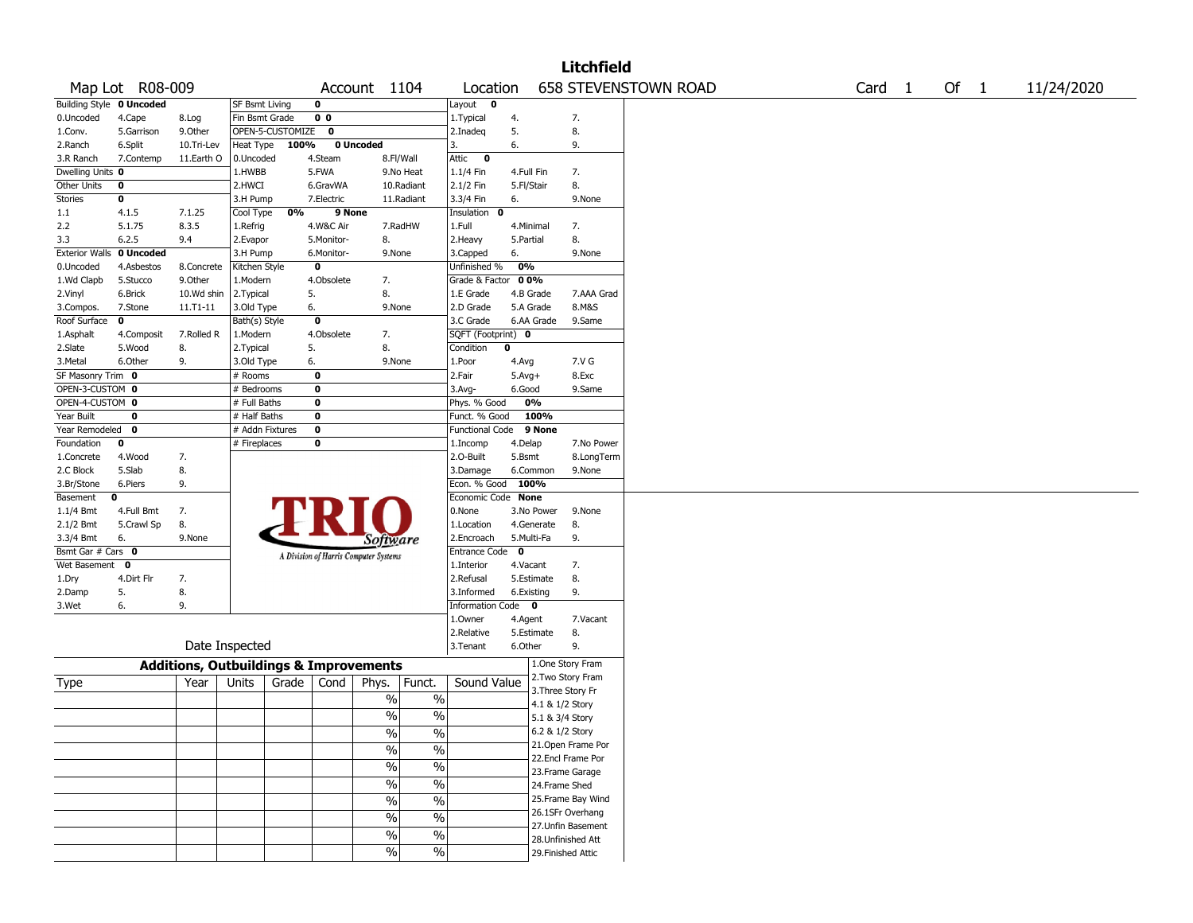|                          |                 |                                                   |                       |                  |                |                                       |                          |                        |            |                 | <b>Litchfield</b>  |                             |                   |        |            |
|--------------------------|-----------------|---------------------------------------------------|-----------------------|------------------|----------------|---------------------------------------|--------------------------|------------------------|------------|-----------------|--------------------|-----------------------------|-------------------|--------|------------|
|                          | Map Lot R08-009 |                                                   |                       |                  |                | Account 1104                          |                          | Location               |            |                 |                    | <b>658 STEVENSTOWN ROAD</b> | Card <sub>1</sub> | Of $1$ | 11/24/2020 |
| Building Style 0 Uncoded |                 |                                                   | <b>SF Bsmt Living</b> |                  | 0              |                                       |                          | Layout 0               |            |                 |                    |                             |                   |        |            |
| 0.Uncoded                | 4.Cape          | 8.Log                                             | Fin Bsmt Grade        |                  | 0 <sub>0</sub> |                                       |                          | 1.Typical              | 4.         |                 | 7.                 |                             |                   |        |            |
| 1.Conv.                  | 5.Garrison      | 9.0ther                                           |                       | OPEN-5-CUSTOMIZE | $\mathbf 0$    |                                       |                          | 2.Inadeq               | 5.         |                 | 8.                 |                             |                   |        |            |
| 2.Ranch                  | 6.Split         | 10.Tri-Lev                                        | Heat Type             | 100%             |                | 0 Uncoded                             |                          | 3.                     | 6.         |                 | 9.                 |                             |                   |        |            |
| 3.R Ranch                | 7.Contemp       | 11.Earth O                                        | 0.Uncoded             |                  | 4.Steam        | 8.Fl/Wall                             |                          | $\bullet$<br>Attic     |            |                 |                    |                             |                   |        |            |
| Dwelling Units 0         |                 |                                                   | 1.HWBB                |                  | 5.FWA          |                                       | 9.No Heat                | 1.1/4 Fin              | 4.Full Fin |                 | 7.                 |                             |                   |        |            |
| Other Units              | 0               |                                                   | 2.HWCI                |                  | 6.GravWA       |                                       | 10.Radiant               | 2.1/2 Fin              | 5.Fl/Stair |                 | 8.                 |                             |                   |        |            |
| <b>Stories</b>           | 0               |                                                   | 3.H Pump              |                  | 7.Electric     |                                       | 11.Radiant               | 3.3/4 Fin              | 6.         |                 | 9.None             |                             |                   |        |            |
| 1.1                      | 4.1.5           | 7.1.25                                            | Cool Type             | 0%               | 9 None         |                                       |                          | Insulation 0           |            |                 |                    |                             |                   |        |            |
| 2.2                      | 5.1.75          | 8.3.5                                             | 1.Refrig              |                  | 4.W&C Air      |                                       | 7.RadHW                  | 1.Full                 |            | 4.Minimal       | 7.                 |                             |                   |        |            |
| 3.3                      | 6.2.5           | 9.4                                               | 2.Evapor              |                  | 5.Monitor-     | 8.                                    |                          | 2. Heavy               | 5.Partial  |                 | 8.                 |                             |                   |        |            |
| <b>Exterior Walls</b>    | 0 Uncoded       |                                                   | 3.H Pump              |                  | 6.Monitor-     | 9.None                                |                          | 3.Capped               | 6.         |                 | 9.None             |                             |                   |        |            |
| 0.Uncoded                | 4.Asbestos      | 8.Concrete                                        | Kitchen Style         |                  | $\bf{0}$       |                                       |                          | Unfinished %           | 0%         |                 |                    |                             |                   |        |            |
| 1.Wd Clapb               | 5.Stucco        | 9.0ther                                           | 1.Modern              |                  | 4.Obsolete     | 7.                                    |                          | Grade & Factor         | 00%        |                 |                    |                             |                   |        |            |
| 2.Vinyl                  | 6.Brick         | 10.Wd shin                                        | 2.Typical             |                  | 5.             | 8.                                    |                          | 1.E Grade              |            | 4.B Grade       | 7.AAA Grad         |                             |                   |        |            |
| 3.Compos.                | 7.Stone         | 11.T1-11                                          | 3.Old Type            |                  | 6.             | 9.None                                |                          | 2.D Grade              |            | 5.A Grade       | 8.M&S              |                             |                   |        |            |
| Roof Surface             | 0               |                                                   | Bath(s) Style         |                  | $\mathbf 0$    |                                       |                          | 3.C Grade              |            | 6.AA Grade      | 9.Same             |                             |                   |        |            |
| 1.Asphalt                | 4.Composit      | 7.Rolled R                                        | 1.Modern              |                  | 4.Obsolete     | 7.                                    |                          | SQFT (Footprint) 0     |            |                 |                    |                             |                   |        |            |
| 2.Slate                  | 5.Wood          | 8.                                                | 2.Typical             |                  | 5.             | 8.                                    |                          | Condition              | 0          |                 |                    |                             |                   |        |            |
| 3. Metal                 | 6.Other         | 9.                                                | 3.Old Type            |                  | 6.             | 9.None                                |                          | 1.Poor                 | 4.Avg      |                 | 7.V G              |                             |                   |        |            |
| SF Masonry Trim 0        |                 |                                                   | # Rooms               |                  | 0              |                                       |                          | 2.Fair                 | $5.Avg+$   |                 | 8.Exc              |                             |                   |        |            |
| OPEN-3-CUSTOM 0          |                 |                                                   | # Bedrooms            |                  | 0              |                                       |                          | 3.Avg-                 | 6.Good     |                 | 9.Same             |                             |                   |        |            |
| OPEN-4-CUSTOM 0          |                 |                                                   | # Full Baths          |                  | 0              |                                       |                          | Phys. % Good           |            | 0%              |                    |                             |                   |        |            |
| Year Built               | $\mathbf 0$     |                                                   | # Half Baths          |                  | 0              |                                       |                          | Funct. % Good          |            | 100%            |                    |                             |                   |        |            |
| Year Remodeled           | 0               |                                                   | # Addn Fixtures       |                  | $\bf{0}$       |                                       |                          | <b>Functional Code</b> |            | 9 None          |                    |                             |                   |        |            |
| Foundation               | 0               |                                                   | # Fireplaces          |                  | 0              |                                       |                          | 1.Incomp               | 4.Delap    |                 | 7.No Power         |                             |                   |        |            |
| 1.Concrete               | 4.Wood          | 7.                                                |                       |                  |                |                                       |                          | 2.O-Built              | 5.Bsmt     |                 | 8.LongTerm         |                             |                   |        |            |
| 2.C Block                | 5.Slab          | 8.                                                |                       |                  |                |                                       |                          | 3.Damage               |            | 6.Common        | 9.None             |                             |                   |        |            |
| 3.Br/Stone               | 6.Piers         | 9.                                                |                       |                  |                |                                       |                          | Econ. % Good           |            | 100%            |                    |                             |                   |        |            |
| Basement                 | 0               |                                                   |                       |                  |                |                                       |                          | Economic Code None     |            |                 |                    |                             |                   |        |            |
| 1.1/4 Bmt                | 4.Full Bmt      | 7.                                                |                       |                  |                |                                       |                          | 0.None                 |            | 3.No Power      | 9.None             |                             |                   |        |            |
| 2.1/2 Bmt                | 5.Crawl Sp      | 8.                                                |                       |                  |                |                                       |                          | 1.Location             |            | 4.Generate      | 8.                 |                             |                   |        |            |
| 3.3/4 Bmt                | 6.              | 9.None                                            |                       |                  |                | Software                              |                          | 2.Encroach             |            | 5.Multi-Fa      | 9.                 |                             |                   |        |            |
| Bsmt Gar # Cars 0        |                 |                                                   |                       |                  |                |                                       |                          | Entrance Code 0        |            |                 |                    |                             |                   |        |            |
| Wet Basement             | $\mathbf 0$     |                                                   |                       |                  |                | A Division of Harris Computer Systems |                          | 1.Interior             | 4.Vacant   |                 | 7.                 |                             |                   |        |            |
| 1.Dry                    | 4.Dirt Flr      | 7.                                                |                       |                  |                |                                       |                          | 2.Refusal              |            | 5.Estimate      | 8.                 |                             |                   |        |            |
| 2.Damp                   | 5.              | 8.                                                |                       |                  |                |                                       |                          | 3.Informed             |            | 6.Existing      | 9.                 |                             |                   |        |            |
| 3.Wet                    | 6.              | 9.                                                |                       |                  |                |                                       |                          | Information Code 0     |            |                 |                    |                             |                   |        |            |
|                          |                 |                                                   |                       |                  |                |                                       |                          | 1.Owner                | 4.Agent    |                 | 7.Vacant           |                             |                   |        |            |
|                          |                 |                                                   |                       |                  |                |                                       |                          | 2.Relative             |            | 5.Estimate      | 8.                 |                             |                   |        |            |
|                          |                 |                                                   | Date Inspected        |                  |                |                                       |                          | 3.Tenant               | 6.Other    |                 | 9.                 |                             |                   |        |            |
|                          |                 |                                                   |                       |                  |                |                                       |                          |                        |            |                 |                    |                             |                   |        |            |
|                          |                 | <b>Additions, Outbuildings &amp; Improvements</b> |                       |                  |                |                                       |                          |                        |            |                 | 1.One Story Fram   |                             |                   |        |            |
| Type                     |                 | Year                                              | Units                 | Grade            | Cond           | Phys.                                 | Funct.                   | Sound Value            |            |                 | 2. Two Story Fram  |                             |                   |        |            |
|                          |                 |                                                   |                       |                  |                | $\%$                                  | $\%$                     |                        |            |                 | 3. Three Story Fr  |                             |                   |        |            |
|                          |                 |                                                   |                       |                  |                |                                       |                          |                        |            | 4.1 & 1/2 Story |                    |                             |                   |        |            |
|                          |                 |                                                   |                       |                  |                | $\%$                                  | $\%$                     |                        |            | 5.1 & 3/4 Story |                    |                             |                   |        |            |
|                          |                 |                                                   |                       |                  |                | $\%$                                  | $\%$                     |                        |            | 6.2 & 1/2 Story |                    |                             |                   |        |            |
|                          |                 |                                                   |                       |                  |                | $\frac{1}{2}$                         | $\frac{0}{0}$            |                        |            |                 | 21. Open Frame Por |                             |                   |        |            |
|                          |                 |                                                   |                       |                  |                | $\sqrt{6}$                            | $\%$                     |                        |            |                 | 22.Encl Frame Por  |                             |                   |        |            |
|                          |                 |                                                   |                       |                  |                |                                       |                          |                        |            |                 | 23. Frame Garage   |                             |                   |        |            |
|                          |                 |                                                   |                       |                  |                | $\sqrt{6}$                            | $\frac{0}{6}$            |                        |            | 24.Frame Shed   |                    |                             |                   |        |            |
|                          |                 |                                                   |                       |                  |                | $\frac{1}{2}$                         | $\overline{\frac{0}{6}}$ |                        |            |                 | 25. Frame Bay Wind |                             |                   |        |            |
|                          |                 |                                                   |                       |                  |                | $\sqrt{6}$                            | $\%$                     |                        |            |                 | 26.1SFr Overhang   |                             |                   |        |            |
|                          |                 |                                                   |                       |                  |                |                                       |                          |                        |            |                 | 27.Unfin Basement  |                             |                   |        |            |
|                          |                 |                                                   |                       |                  |                | $\%$                                  | $\%$                     |                        |            |                 | 28.Unfinished Att  |                             |                   |        |            |
|                          |                 |                                                   |                       |                  |                | $\sqrt{6}$                            | $\%$                     |                        |            |                 | 29. Finished Attic |                             |                   |        |            |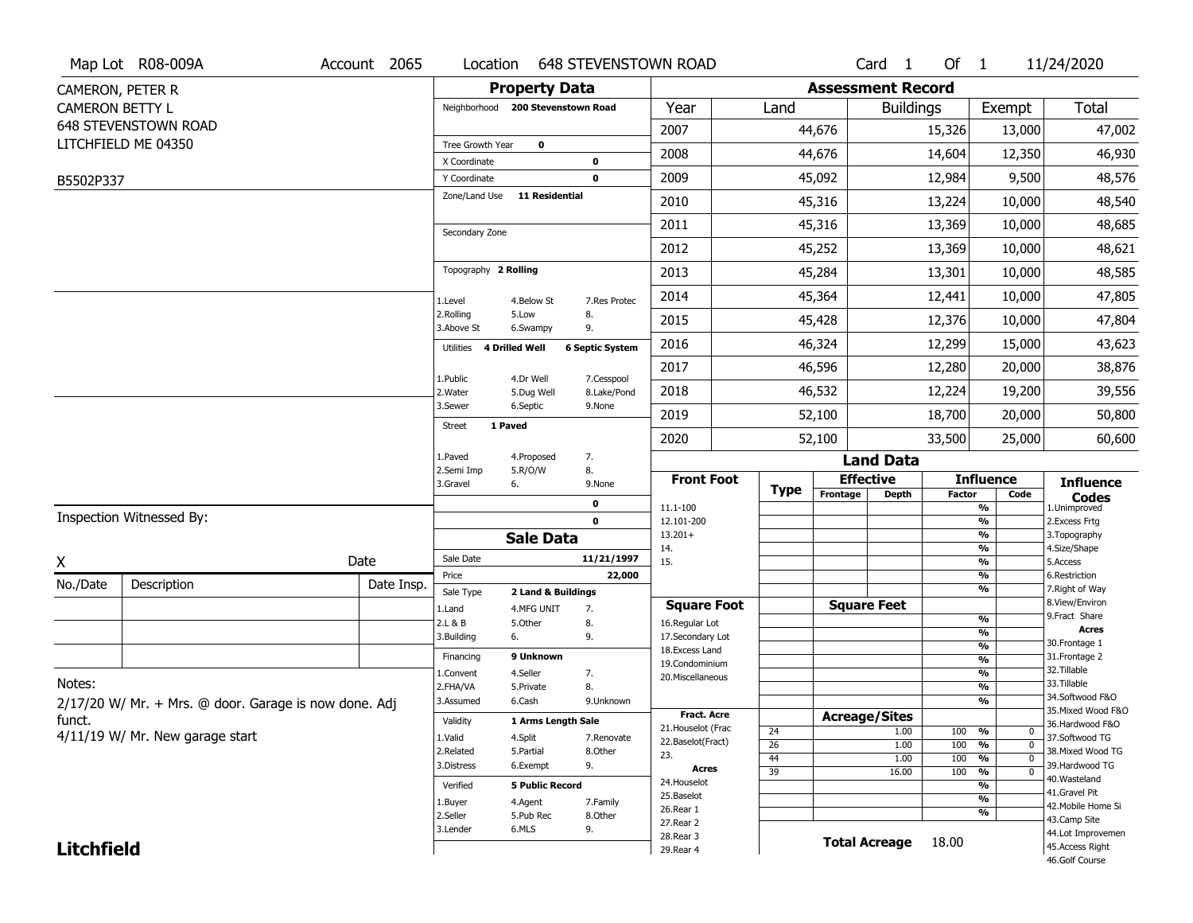|                        | Map Lot R08-009A                                      | Account 2065 |                               | Location                          | <b>648 STEVENSTOWN ROAD</b> |                                  |                       |                          | Card <sub>1</sub>    | Of $1$        |                                           | 11/24/2020                        |
|------------------------|-------------------------------------------------------|--------------|-------------------------------|-----------------------------------|-----------------------------|----------------------------------|-----------------------|--------------------------|----------------------|---------------|-------------------------------------------|-----------------------------------|
|                        | CAMERON, PETER R                                      |              |                               | <b>Property Data</b>              |                             |                                  |                       | <b>Assessment Record</b> |                      |               |                                           |                                   |
| <b>CAMERON BETTY L</b> |                                                       |              |                               | Neighborhood 200 Stevenstown Road |                             | Year                             | Land                  |                          | <b>Buildings</b>     |               | Exempt                                    | Total                             |
|                        | 648 STEVENSTOWN ROAD                                  |              |                               |                                   |                             | 2007                             |                       | 44,676                   |                      | 15,326        | 13,000                                    | 47,002                            |
|                        | LITCHFIELD ME 04350                                   |              | Tree Growth Year              | $\mathbf 0$                       |                             | 2008                             |                       | 44,676                   |                      | 14,604        | 12,350                                    | 46,930                            |
|                        |                                                       |              | X Coordinate                  |                                   | 0<br>0                      | 2009                             |                       |                          |                      |               | 9,500                                     | 48,576                            |
| B5502P337              |                                                       |              | Y Coordinate<br>Zone/Land Use | <b>11 Residential</b>             |                             |                                  |                       | 45,092                   |                      | 12,984        |                                           |                                   |
|                        |                                                       |              |                               |                                   |                             | 2010                             |                       | 45,316                   |                      | 13,224        | 10,000                                    | 48,540                            |
|                        |                                                       |              | Secondary Zone                |                                   |                             | 2011                             |                       | 45,316                   |                      | 13,369        | 10,000                                    | 48,685                            |
|                        |                                                       |              |                               |                                   |                             | 2012                             |                       | 45,252                   |                      | 13,369        | 10,000                                    | 48,621                            |
|                        |                                                       |              | Topography 2 Rolling          |                                   |                             | 2013                             |                       | 45,284                   |                      | 13,301        | 10,000                                    | 48,585                            |
|                        |                                                       |              | 1.Level                       | 4.Below St                        | 7.Res Protec                | 2014                             |                       | 45,364                   |                      | 12,441        | 10,000                                    | 47,805                            |
|                        |                                                       |              | 2.Rolling<br>3.Above St       | 5.Low<br>6.Swampy                 | 8.<br>9.                    | 2015                             |                       | 45,428                   |                      | 12,376        | 10,000                                    | 47,804                            |
|                        |                                                       |              | Utilities                     | 4 Drilled Well                    | <b>6 Septic System</b>      | 2016                             |                       | 46,324                   |                      | 12,299        | 15,000                                    | 43,623                            |
|                        |                                                       |              |                               |                                   |                             | 2017                             |                       | 46,596                   |                      | 12,280        | 20,000                                    | 38,876                            |
|                        |                                                       |              | 1.Public<br>2. Water          | 4.Dr Well<br>5.Dug Well           | 7.Cesspool<br>8.Lake/Pond   | 2018                             |                       | 46,532                   |                      | 12,224        | 19,200                                    | 39,556                            |
|                        |                                                       |              | 3.Sewer                       | 6.Septic                          | 9.None                      | 2019                             |                       | 52,100                   |                      | 18,700        | 20,000                                    | 50,800                            |
|                        |                                                       |              | <b>Street</b>                 | 1 Paved                           |                             | 2020                             |                       | 52,100                   |                      | 33,500        | 25,000                                    | 60,600                            |
|                        |                                                       |              | 1.Paved                       | 4.Proposed                        | 7.                          |                                  |                       |                          | <b>Land Data</b>     |               |                                           |                                   |
|                        |                                                       |              | 2.Semi Imp<br>3.Gravel        | 5.R/O/W<br>6.                     | 8.<br>9.None                | <b>Front Foot</b>                | <b>Type</b>           |                          | <b>Effective</b>     |               | <b>Influence</b>                          | <b>Influence</b>                  |
|                        |                                                       |              |                               |                                   | 0                           | 11.1-100                         |                       | Frontage                 | <b>Depth</b>         | <b>Factor</b> | Code<br>$\overline{\frac{9}{6}}$          | <b>Codes</b><br>1.Unimproved      |
|                        | Inspection Witnessed By:                              |              |                               |                                   | 0                           | 12.101-200                       |                       |                          |                      |               | $\overline{\frac{9}{6}}$                  | 2.Excess Frtg                     |
|                        |                                                       |              |                               | <b>Sale Data</b>                  |                             | $13.201+$<br>14.                 |                       |                          |                      |               | $\frac{9}{6}$<br>$\overline{\frac{9}{6}}$ | 3. Topography<br>4.Size/Shape     |
| $\underline{x}$        |                                                       | Date         | Sale Date                     |                                   | 11/21/1997                  | 15.                              |                       |                          |                      |               | $\frac{9}{6}$                             | 5.Access                          |
| No./Date               | Description                                           | Date Insp.   | Price<br>Sale Type            | 2 Land & Buildings                | 22,000                      |                                  |                       |                          |                      |               | %<br>$\frac{9}{6}$                        | 6.Restriction<br>7. Right of Way  |
|                        |                                                       |              | 1.Land                        | 4.MFG UNIT                        | 7.                          | <b>Square Foot</b>               |                       |                          | <b>Square Feet</b>   |               |                                           | 8.View/Environ                    |
|                        |                                                       |              | 2.L & B                       | 5.Other                           | 8.                          | 16.Regular Lot                   |                       |                          |                      |               | %                                         | 9. Fract Share<br><b>Acres</b>    |
|                        |                                                       |              | 3.Building                    | 6.                                | 9.                          | 17.Secondary Lot                 |                       |                          |                      |               | %<br>%                                    | 30. Frontage 1                    |
|                        |                                                       |              | Financing                     | 9 Unknown                         |                             | 18.Excess Land<br>19.Condominium |                       |                          |                      |               | %                                         | 31. Frontage 2                    |
|                        |                                                       |              | 1.Convent                     | 4.Seller                          | 7.                          | 20.Miscellaneous                 |                       |                          |                      |               | %                                         | 32. Tillable                      |
| Notes:                 |                                                       |              | 2.FHA/VA                      | 5.Private                         | 8.                          |                                  |                       |                          |                      |               | %                                         | 33.Tillable<br>34.Softwood F&O    |
|                        | 2/17/20 W/ Mr. + Mrs. @ door. Garage is now done. Adj |              | 3.Assumed                     | 6.Cash                            | 9.Unknown                   | <b>Fract. Acre</b>               |                       |                          |                      |               | %                                         | 35. Mixed Wood F&O                |
| funct.                 |                                                       |              | Validity                      | 1 Arms Length Sale                |                             | 21. Houselot (Frac               |                       | <b>Acreage/Sites</b>     |                      |               |                                           | 36.Hardwood F&O                   |
|                        | 4/11/19 W/ Mr. New garage start                       |              | 1.Valid                       | 4.Split                           | 7.Renovate                  | 22.Baselot(Fract)                | 24<br>$\overline{26}$ |                          | 1.00<br>1.00         | 100<br>100    | %<br>0<br>$\frac{9}{6}$<br>$\mathbf{0}$   | 37.Softwood TG                    |
|                        |                                                       |              | 2.Related                     | 5.Partial                         | 8.Other                     | 23.                              | 44                    |                          | 1.00                 | 100           | $\frac{9}{6}$<br>$\Omega$                 | 38. Mixed Wood TG                 |
|                        |                                                       |              | 3.Distress                    | 6.Exempt                          | 9.                          | Acres                            | 39                    |                          | 16.00                | 100           | $\frac{9}{6}$<br>$\mathbf 0$              | 39.Hardwood TG                    |
|                        |                                                       |              | Verified                      | <b>5 Public Record</b>            |                             | 24. Houselot                     |                       |                          |                      |               | %                                         | 40. Wasteland<br>41.Gravel Pit    |
|                        |                                                       |              | 1.Buyer                       | 4.Agent                           | 7.Family                    | 25.Baselot                       |                       |                          |                      |               | $\overline{\frac{9}{6}}$                  | 42. Mobile Home Si                |
|                        |                                                       |              | 2.Seller                      | 5.Pub Rec                         | 8.Other                     | 26.Rear 1<br>27. Rear 2          |                       |                          |                      |               | $\frac{9}{6}$                             | 43.Camp Site                      |
|                        |                                                       |              | 3.Lender                      | 6.MLS                             | 9.                          | 28. Rear 3                       |                       |                          |                      |               |                                           | 44.Lot Improvemen                 |
| <b>Litchfield</b>      |                                                       |              |                               |                                   |                             | 29. Rear 4                       |                       |                          | <b>Total Acreage</b> | 18.00         |                                           | 45.Access Right<br>46.Golf Course |
|                        |                                                       |              |                               |                                   |                             |                                  |                       |                          |                      |               |                                           |                                   |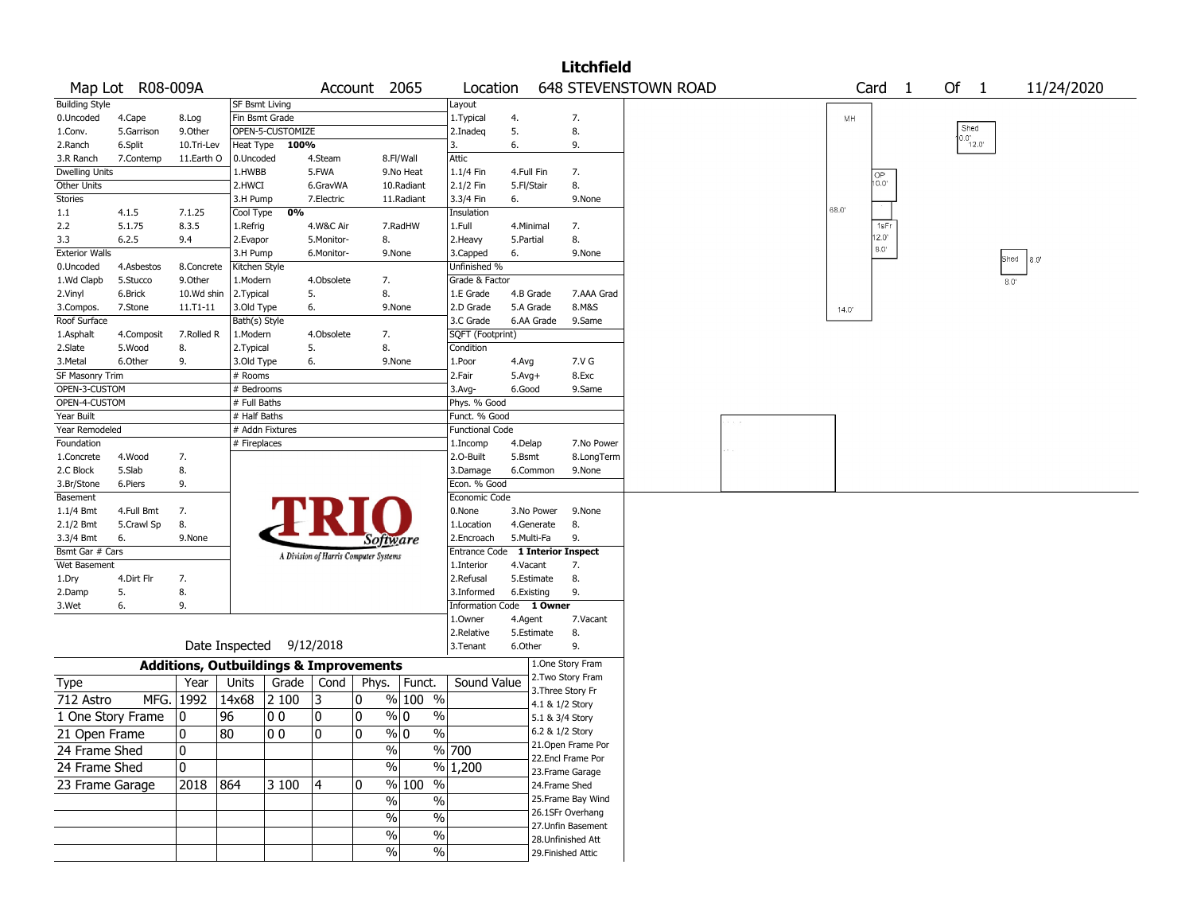|                       |                   |            |                       |                                                   |                |                                       |                                 |                                  |            |                 | <b>Litchfield</b>  |                             |  |       |                   |                  |      |      |            |  |
|-----------------------|-------------------|------------|-----------------------|---------------------------------------------------|----------------|---------------------------------------|---------------------------------|----------------------------------|------------|-----------------|--------------------|-----------------------------|--|-------|-------------------|------------------|------|------|------------|--|
|                       | Map Lot R08-009A  |            |                       |                                                   |                | Account 2065                          |                                 | Location                         |            |                 |                    | <b>648 STEVENSTOWN ROAD</b> |  |       | Card <sub>1</sub> | Of 1             |      |      | 11/24/2020 |  |
| <b>Building Style</b> |                   |            | <b>SF Bsmt Living</b> |                                                   |                |                                       |                                 | Layout                           |            |                 |                    |                             |  |       |                   |                  |      |      |            |  |
| 0.Uncoded             | 4.Cape            | 8.Log      | Fin Bsmt Grade        |                                                   |                |                                       |                                 | 1. Typical                       | 4.         |                 | 7.                 |                             |  | MH    |                   |                  |      |      |            |  |
| 1.Conv.               | 5.Garrison        | 9.0ther    |                       | OPEN-5-CUSTOMIZE                                  |                |                                       |                                 | 2.Inadeq                         | 5.         |                 | 8.                 |                             |  |       |                   | Shed             |      |      |            |  |
| 2.Ranch               | 6.Split           | 10.Tri-Lev |                       | Heat Type 100%                                    |                |                                       |                                 | 3.                               | 6.         |                 | 9.                 |                             |  |       |                   | $0.0^{1}_{12.0}$ |      |      |            |  |
| 3.R Ranch             | 7.Contemp         | 11.Earth O | 0.Uncoded             |                                                   | 4.Steam        |                                       | 8.Fl/Wall                       | <b>Attic</b>                     |            |                 |                    |                             |  |       |                   |                  |      |      |            |  |
| <b>Dwelling Units</b> |                   |            | 1.HWBB                |                                                   | 5.FWA          |                                       | 9.No Heat                       | 1.1/4 Fin                        | 4.Full Fin |                 | 7.                 |                             |  |       | OP                |                  |      |      |            |  |
| Other Units           |                   |            | 2.HWCI                |                                                   | 6.GravWA       |                                       | 10.Radiant                      | 2.1/2 Fin                        | 5.Fl/Stair |                 | 8.                 |                             |  |       | 10.0"             |                  |      |      |            |  |
| <b>Stories</b>        |                   |            | 3.H Pump              |                                                   | 7.Electric     |                                       | 11.Radiant                      | 3.3/4 Fin                        | 6.         |                 | 9.None             |                             |  |       |                   |                  |      |      |            |  |
| 1.1                   | 4.1.5             | 7.1.25     | Cool Type             | 0%                                                |                |                                       |                                 | Insulation                       |            |                 |                    |                             |  | 68.0  |                   |                  |      |      |            |  |
| 2.2                   | 5.1.75            | 8.3.5      | 1.Refrig              |                                                   | 4.W&C Air      |                                       | 7.RadHW                         | 1.Full                           | 4.Minimal  |                 | 7.                 |                             |  |       | 1sFr              |                  |      |      |            |  |
| 3.3                   | 6.2.5             | 9.4        | 2.Evapor              |                                                   | 5.Monitor-     | 8.                                    |                                 | 2.Heavy                          | 5.Partial  |                 | 8.                 |                             |  |       | $12.0^{\circ}$    |                  |      |      |            |  |
| <b>Exterior Walls</b> |                   |            | 3.H Pump              |                                                   | 6.Monitor-     |                                       | 9.None                          | 3.Capped                         | 6.         |                 | 9.None             |                             |  |       | $8.0^\circ$       |                  |      |      |            |  |
| 0.Uncoded             | 4.Asbestos        | 8.Concrete | Kitchen Style         |                                                   |                |                                       |                                 | Unfinished %                     |            |                 |                    |                             |  |       |                   |                  | Shed | 8.0" |            |  |
| 1.Wd Clapb            | 5.Stucco          | 9.0ther    | 1.Modern              |                                                   | 4.Obsolete     | 7.                                    |                                 | Grade & Factor                   |            |                 |                    |                             |  |       |                   |                  | 8.0' |      |            |  |
| 2.Vinyl               | 6.Brick           | 10.Wd shin | 2.Typical             |                                                   | 5.             | 8.                                    |                                 | 1.E Grade                        | 4.B Grade  |                 | 7.AAA Grad         |                             |  |       |                   |                  |      |      |            |  |
| 3.Compos.             | 7.Stone           | 11.T1-11   | 3.Old Type            |                                                   | 6.             |                                       | 9.None                          | 2.D Grade                        | 5.A Grade  |                 | 8.M&S              |                             |  | 14.0' |                   |                  |      |      |            |  |
| Roof Surface          |                   |            | Bath(s) Style         |                                                   |                |                                       |                                 | 3.C Grade                        | 6.AA Grade |                 | 9.Same             |                             |  |       |                   |                  |      |      |            |  |
| 1.Asphalt             | 4.Composit        | 7.Rolled R | 1.Modern              |                                                   | 4.Obsolete     | 7.                                    |                                 | SQFT (Footprint)                 |            |                 |                    |                             |  |       |                   |                  |      |      |            |  |
| 2.Slate               | 5.Wood            | 8.         | 2.Typical             |                                                   | 5.             | 8.                                    |                                 | Condition                        |            |                 |                    |                             |  |       |                   |                  |      |      |            |  |
| 3.Metal               | 6.Other           | 9.         | 3.Old Type            |                                                   | 6.             |                                       | 9.None                          | 1.Poor                           | 4.Avg      |                 | 7.V G              |                             |  |       |                   |                  |      |      |            |  |
| SF Masonry Trim       |                   |            | # Rooms               |                                                   |                |                                       |                                 | 2.Fair                           | $5.Avg+$   |                 | 8.Exc              |                             |  |       |                   |                  |      |      |            |  |
| OPEN-3-CUSTOM         |                   |            | # Bedrooms            |                                                   |                |                                       |                                 | 3.Avg-                           | 6.Good     |                 | 9.Same             |                             |  |       |                   |                  |      |      |            |  |
| OPEN-4-CUSTOM         |                   |            | # Full Baths          |                                                   |                |                                       |                                 | Phys. % Good                     |            |                 |                    |                             |  |       |                   |                  |      |      |            |  |
| Year Built            |                   |            | # Half Baths          |                                                   |                |                                       |                                 | Funct. % Good                    |            |                 |                    |                             |  |       |                   |                  |      |      |            |  |
| Year Remodeled        |                   |            |                       | # Addn Fixtures                                   |                |                                       |                                 | <b>Functional Code</b>           |            |                 |                    |                             |  |       |                   |                  |      |      |            |  |
| Foundation            |                   |            | # Fireplaces          |                                                   |                |                                       |                                 | 1.Incomp                         | 4.Delap    |                 | 7.No Power         |                             |  |       |                   |                  |      |      |            |  |
| 1.Concrete            | 4.Wood            | 7.         |                       |                                                   |                |                                       |                                 | 2.O-Built                        | 5.Bsmt     |                 | 8.LongTerm         |                             |  |       |                   |                  |      |      |            |  |
| 2.C Block             | 5.Slab            | 8.         |                       |                                                   |                |                                       |                                 | 3.Damage                         | 6.Common   |                 | 9.None             |                             |  |       |                   |                  |      |      |            |  |
| 3.Br/Stone            | 6.Piers           | 9.         |                       |                                                   |                |                                       |                                 | Econ. % Good                     |            |                 |                    |                             |  |       |                   |                  |      |      |            |  |
| Basement              |                   |            |                       |                                                   |                |                                       |                                 | Economic Code                    |            |                 |                    |                             |  |       |                   |                  |      |      |            |  |
| 1.1/4 Bmt             | 4.Full Bmt        | 7.         |                       |                                                   |                |                                       |                                 | 0.None                           | 3.No Power |                 | 9.None             |                             |  |       |                   |                  |      |      |            |  |
| 2.1/2 Bmt             | 5.Crawl Sp        | 8.         |                       |                                                   |                |                                       |                                 | 1.Location                       | 4.Generate |                 | 8.                 |                             |  |       |                   |                  |      |      |            |  |
| 3.3/4 Bmt             | 6.                | 9.None     |                       |                                                   |                | Software                              |                                 | 2.Encroach                       | 5.Multi-Fa |                 | 9.                 |                             |  |       |                   |                  |      |      |            |  |
| Bsmt Gar # Cars       |                   |            |                       |                                                   |                |                                       |                                 | Entrance Code 1 Interior Inspect |            |                 |                    |                             |  |       |                   |                  |      |      |            |  |
| Wet Basement          |                   |            |                       |                                                   |                | A Division of Harris Computer Systems |                                 | 1.Interior                       | 4.Vacant   |                 | 7.                 |                             |  |       |                   |                  |      |      |            |  |
| 1.Dry                 | 4.Dirt Flr        | 7.         |                       |                                                   |                |                                       |                                 | 2.Refusal                        | 5.Estimate |                 | 8.                 |                             |  |       |                   |                  |      |      |            |  |
| 2.Damp                | 5.                | 8.         |                       |                                                   |                |                                       |                                 | 3.Informed                       | 6.Existing |                 | 9.                 |                             |  |       |                   |                  |      |      |            |  |
| 3.Wet                 | 6.                | 9.         |                       |                                                   |                |                                       |                                 | Information Code 1 Owner         |            |                 |                    |                             |  |       |                   |                  |      |      |            |  |
|                       |                   |            |                       |                                                   |                |                                       |                                 | 1.Owner                          | 4.Agent    |                 | 7.Vacant           |                             |  |       |                   |                  |      |      |            |  |
|                       |                   |            |                       |                                                   |                |                                       |                                 | 2.Relative                       | 5.Estimate |                 | 8.                 |                             |  |       |                   |                  |      |      |            |  |
|                       |                   |            |                       | Date Inspected 9/12/2018                          |                |                                       |                                 | 3. Tenant                        | 6.Other    |                 | 9.                 |                             |  |       |                   |                  |      |      |            |  |
|                       |                   |            |                       |                                                   |                |                                       |                                 |                                  |            |                 | 1.One Story Fram   |                             |  |       |                   |                  |      |      |            |  |
|                       |                   |            |                       | <b>Additions, Outbuildings &amp; Improvements</b> |                |                                       |                                 |                                  |            |                 | 2. Two Story Fram  |                             |  |       |                   |                  |      |      |            |  |
| Type                  |                   | Year       | Units                 | Grade                                             | Cond           | Phys.                                 | Funct.                          | Sound Value                      |            |                 | 3. Three Story Fr  |                             |  |       |                   |                  |      |      |            |  |
| 712 Astro             |                   | MFG. 1992  | 14x68                 | 2 100                                             | 13             | 0                                     | $\frac{9}{6}$ 100 $\frac{1}{6}$ |                                  |            | 4.1 & 1/2 Story |                    |                             |  |       |                   |                  |      |      |            |  |
|                       | 1 One Story Frame | 10         | 96                    | O O                                               | 0              | 0                                     | $\frac{9}{0}$ 0<br>$\%$         |                                  |            | 5.1 & 3/4 Story |                    |                             |  |       |                   |                  |      |      |            |  |
| 21 Open Frame         |                   | 0          | 80                    | $ 00\rangle$                                      | $\overline{0}$ | 0                                     | $\sqrt[9]{0}$<br>$\frac{9}{6}$  |                                  |            | 6.2 & 1/2 Story |                    |                             |  |       |                   |                  |      |      |            |  |
|                       |                   |            |                       |                                                   |                |                                       |                                 |                                  |            |                 | 21.Open Frame Por  |                             |  |       |                   |                  |      |      |            |  |
| 24 Frame Shed         |                   | 0          |                       |                                                   |                | $\sqrt{6}$                            |                                 | $\frac{9}{6}$ 700                |            |                 | 22.Encl Frame Por  |                             |  |       |                   |                  |      |      |            |  |
| 24 Frame Shed         |                   | 0          |                       |                                                   |                | $\sqrt{6}$                            |                                 | $\frac{9}{6}$ 1,200              |            |                 | 23. Frame Garage   |                             |  |       |                   |                  |      |      |            |  |
| 23 Frame Garage       |                   | 2018 864   |                       | 3 100                                             | 4              | 0                                     | % 100<br>$\%$                   |                                  |            | 24.Frame Shed   |                    |                             |  |       |                   |                  |      |      |            |  |
|                       |                   |            |                       |                                                   |                | $\%$                                  |                                 |                                  |            |                 | 25. Frame Bay Wind |                             |  |       |                   |                  |      |      |            |  |
|                       |                   |            |                       |                                                   |                |                                       | $\%$                            |                                  |            |                 | 26.1SFr Overhang   |                             |  |       |                   |                  |      |      |            |  |
|                       |                   |            |                       |                                                   |                | $\sqrt{6}$                            | $\%$                            |                                  |            |                 | 27.Unfin Basement  |                             |  |       |                   |                  |      |      |            |  |
|                       |                   |            |                       |                                                   |                | $\%$                                  | $\%$                            |                                  |            |                 | 28. Unfinished Att |                             |  |       |                   |                  |      |      |            |  |
|                       |                   |            |                       |                                                   |                | $\frac{9}{6}$                         | $\%$                            |                                  |            |                 | 29. Finished Attic |                             |  |       |                   |                  |      |      |            |  |
|                       |                   |            |                       |                                                   |                |                                       |                                 |                                  |            |                 |                    |                             |  |       |                   |                  |      |      |            |  |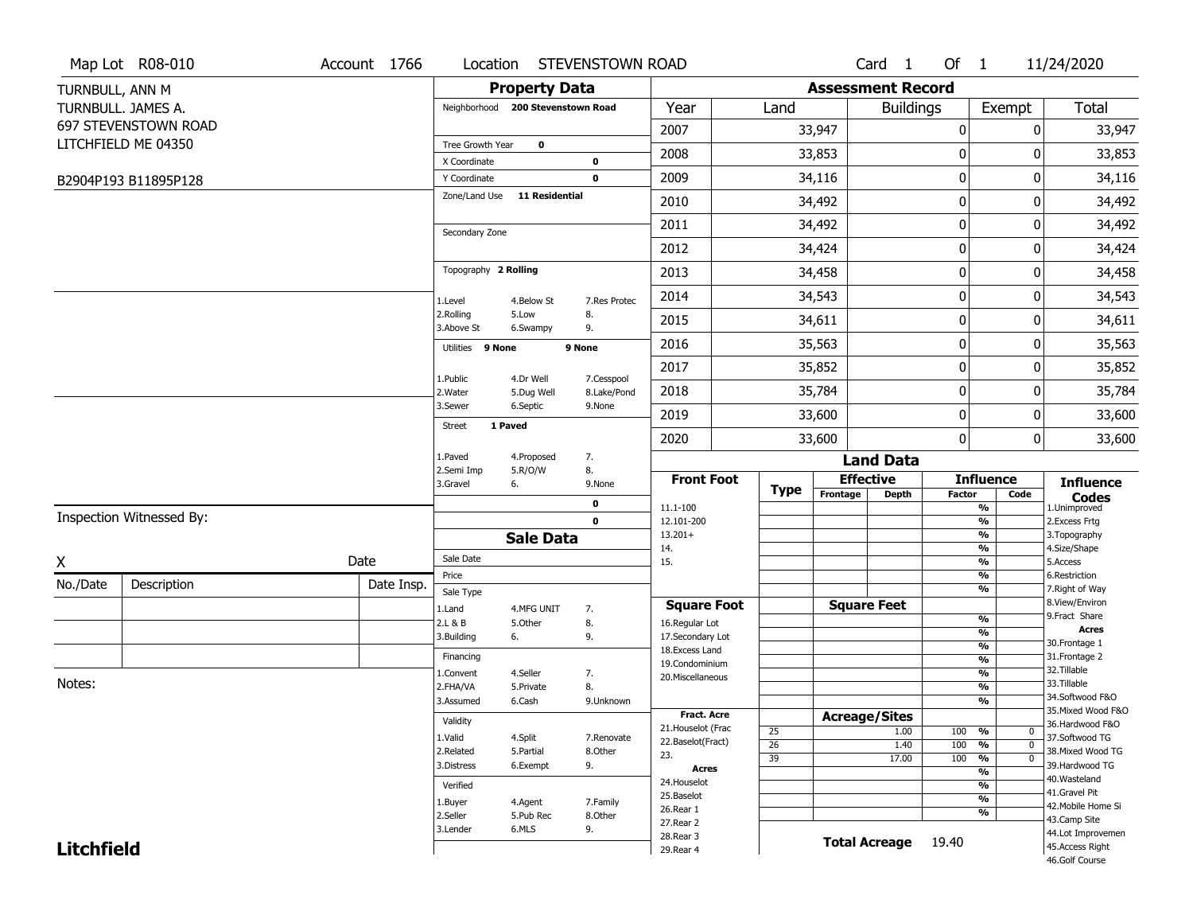|                   | Map Lot R08-010          | Account 1766 | Location                |                                   | <b>STEVENSTOWN ROAD</b>   |                                         |                       |                          | Card <sub>1</sub>    | Of $1$      |                                        | 11/24/2020                            |
|-------------------|--------------------------|--------------|-------------------------|-----------------------------------|---------------------------|-----------------------------------------|-----------------------|--------------------------|----------------------|-------------|----------------------------------------|---------------------------------------|
| TURNBULL, ANN M   |                          |              |                         | <b>Property Data</b>              |                           |                                         |                       | <b>Assessment Record</b> |                      |             |                                        |                                       |
|                   | TURNBULL. JAMES A.       |              |                         | Neighborhood 200 Stevenstown Road |                           | Year                                    | Land                  |                          | <b>Buildings</b>     |             | Exempt                                 | Total                                 |
|                   | 697 STEVENSTOWN ROAD     |              |                         |                                   |                           | 2007                                    |                       | 33,947                   |                      | 0           | 0                                      | 33,947                                |
|                   | LITCHFIELD ME 04350      |              | Tree Growth Year        | $\mathbf 0$                       |                           |                                         |                       |                          |                      |             |                                        |                                       |
|                   |                          |              | X Coordinate            |                                   | $\mathbf 0$               | 2008                                    |                       | 33,853                   |                      | 0           | 0                                      | 33,853                                |
|                   | B2904P193 B11895P128     |              | Y Coordinate            |                                   | $\mathbf 0$               | 2009                                    |                       | 34,116                   |                      | $\pmb{0}$   | 0                                      | 34,116                                |
|                   |                          |              | Zone/Land Use           | <b>11 Residential</b>             |                           | 2010                                    |                       | 34,492                   |                      | 0           | 0                                      | 34,492                                |
|                   |                          |              | Secondary Zone          |                                   |                           | 2011                                    |                       | 34,492                   |                      | $\mathbf 0$ | 0                                      | 34,492                                |
|                   |                          |              |                         |                                   |                           | 2012                                    |                       | 34,424                   |                      | 0           | 0                                      | 34,424                                |
|                   |                          |              | Topography 2 Rolling    |                                   |                           | 2013                                    |                       | 34,458                   |                      | $\mathbf 0$ | 0                                      | 34,458                                |
|                   |                          |              | 1.Level                 | 4.Below St                        | 7.Res Protec              | 2014                                    |                       | 34,543                   |                      | 0           | 0                                      | 34,543                                |
|                   |                          |              | 2.Rolling<br>3.Above St | 5.Low<br>6.Swampy                 | 8.<br>9.                  | 2015                                    |                       | 34,611                   |                      | 0           | 0                                      | 34,611                                |
|                   |                          |              | Utilities 9 None        |                                   | 9 None                    | 2016                                    |                       | 35,563                   |                      | $\pmb{0}$   | 0                                      | 35,563                                |
|                   |                          |              |                         |                                   |                           | 2017                                    |                       | 35,852                   |                      | $\pmb{0}$   | 0                                      | 35,852                                |
|                   |                          |              | 1.Public<br>2. Water    | 4.Dr Well<br>5.Dug Well           | 7.Cesspool<br>8.Lake/Pond | 2018                                    |                       | 35,784                   |                      | 0           | 0                                      | 35,784                                |
|                   |                          |              | 3.Sewer                 | 6.Septic                          | 9.None                    | 2019                                    |                       | 33,600                   |                      | $\mathbf 0$ | 0                                      | 33,600                                |
|                   |                          |              | <b>Street</b>           | 1 Paved                           |                           | 2020                                    |                       | 33,600                   |                      | 0           | 0                                      | 33,600                                |
|                   |                          |              | 1.Paved                 | 4.Proposed                        | 7.                        |                                         |                       |                          | <b>Land Data</b>     |             |                                        |                                       |
|                   |                          |              | 2.Semi Imp<br>3.Gravel  | 5.R/O/W<br>6.                     | 8.<br>9.None              | <b>Front Foot</b>                       |                       | <b>Effective</b>         |                      |             | <b>Influence</b>                       | <b>Influence</b>                      |
|                   |                          |              |                         |                                   | 0                         | 11.1-100                                | <b>Type</b>           | Frontage                 | <b>Depth</b>         | Factor      | Code<br>%                              | <b>Codes</b><br>1.Unimproved          |
|                   | Inspection Witnessed By: |              |                         |                                   | $\mathbf 0$               | 12.101-200                              |                       |                          |                      |             | $\frac{9}{6}$                          | 2. Excess Frtg                        |
|                   |                          |              |                         | <b>Sale Data</b>                  |                           | $13.201+$                               |                       |                          |                      |             | %                                      | 3. Topography                         |
| X                 |                          | Date         | Sale Date               |                                   |                           | 14.<br>15.                              |                       |                          |                      |             | %<br>%                                 | 4.Size/Shape<br>5.Access              |
| No./Date          | Description              | Date Insp.   | Price                   |                                   |                           |                                         |                       |                          |                      |             | %                                      | 6.Restriction                         |
|                   |                          |              | Sale Type               |                                   |                           |                                         |                       | <b>Square Feet</b>       |                      |             | %                                      | 7. Right of Way<br>8.View/Environ     |
|                   |                          |              | 1.Land<br>2.L & B       | 4.MFG UNIT<br>5.Other             | 7.<br>8.                  | <b>Square Foot</b><br>16.Regular Lot    |                       |                          |                      |             | $\frac{9}{6}$                          | 9.Fract Share                         |
|                   |                          |              | 3.Building              | 6.                                | 9.                        | 17.Secondary Lot                        |                       |                          |                      |             | $\frac{9}{6}$                          | <b>Acres</b>                          |
|                   |                          |              | Financing               |                                   |                           | 18. Excess Land                         |                       |                          |                      |             | $\frac{9}{6}$<br>$\frac{9}{6}$         | 30. Frontage 1<br>31. Frontage 2      |
|                   |                          |              | 1.Convent               | 4.Seller                          | 7.                        | 19.Condominium                          |                       |                          |                      |             | $\frac{9}{6}$                          | 32.Tillable                           |
| Notes:            |                          |              | 2.FHA/VA                | 5.Private                         | 8.                        | 20.Miscellaneous                        |                       |                          |                      |             | $\frac{9}{6}$                          | 33.Tillable                           |
|                   |                          |              | 3.Assumed               | 6.Cash                            | 9.Unknown                 |                                         |                       |                          |                      |             | $\frac{9}{6}$                          | 34.Softwood F&O                       |
|                   |                          |              | Validity                |                                   |                           | <b>Fract. Acre</b>                      |                       | <b>Acreage/Sites</b>     |                      |             |                                        | 35. Mixed Wood F&O<br>36.Hardwood F&O |
|                   |                          |              | 1.Valid                 | 4.Split                           | 7.Renovate                | 21. Houselot (Frac<br>22.Baselot(Fract) | 25                    |                          | 1.00                 | 100         | %<br>0                                 | 37.Softwood TG                        |
|                   |                          |              | 2.Related               | 5.Partial                         | 8.Other                   | 23.                                     | $\overline{26}$<br>39 |                          | 1.40<br>17.00        | 100<br>100  | $\frac{9}{6}$<br>$\mathbf 0$<br>%<br>0 | 38. Mixed Wood TG                     |
|                   |                          |              | 3.Distress              | 6.Exempt                          | 9.                        | <b>Acres</b>                            |                       |                          |                      |             | $\frac{9}{6}$                          | 39.Hardwood TG                        |
|                   |                          |              | Verified                |                                   |                           | 24. Houselot                            |                       |                          |                      |             | $\frac{9}{6}$                          | 40. Wasteland<br>41.Gravel Pit        |
|                   |                          |              | 1.Buyer                 | 4.Agent                           | 7.Family                  | 25.Baselot                              |                       |                          |                      |             | $\frac{9}{6}$                          | 42. Mobile Home Si                    |
|                   |                          |              | 2.Seller                | 5.Pub Rec                         | 8.Other                   | 26.Rear 1<br>27.Rear 2                  |                       |                          |                      |             | %                                      | 43.Camp Site                          |
|                   |                          |              | 3.Lender                | 6.MLS                             | 9.                        | 28. Rear 3                              |                       |                          |                      |             |                                        | 44.Lot Improvemen                     |
| <b>Litchfield</b> |                          |              |                         |                                   |                           |                                         |                       |                          | <b>Total Acreage</b> | 19.40       |                                        |                                       |
|                   |                          |              |                         |                                   |                           | 29. Rear 4                              |                       |                          |                      |             |                                        | 45.Access Right<br>46.Golf Course     |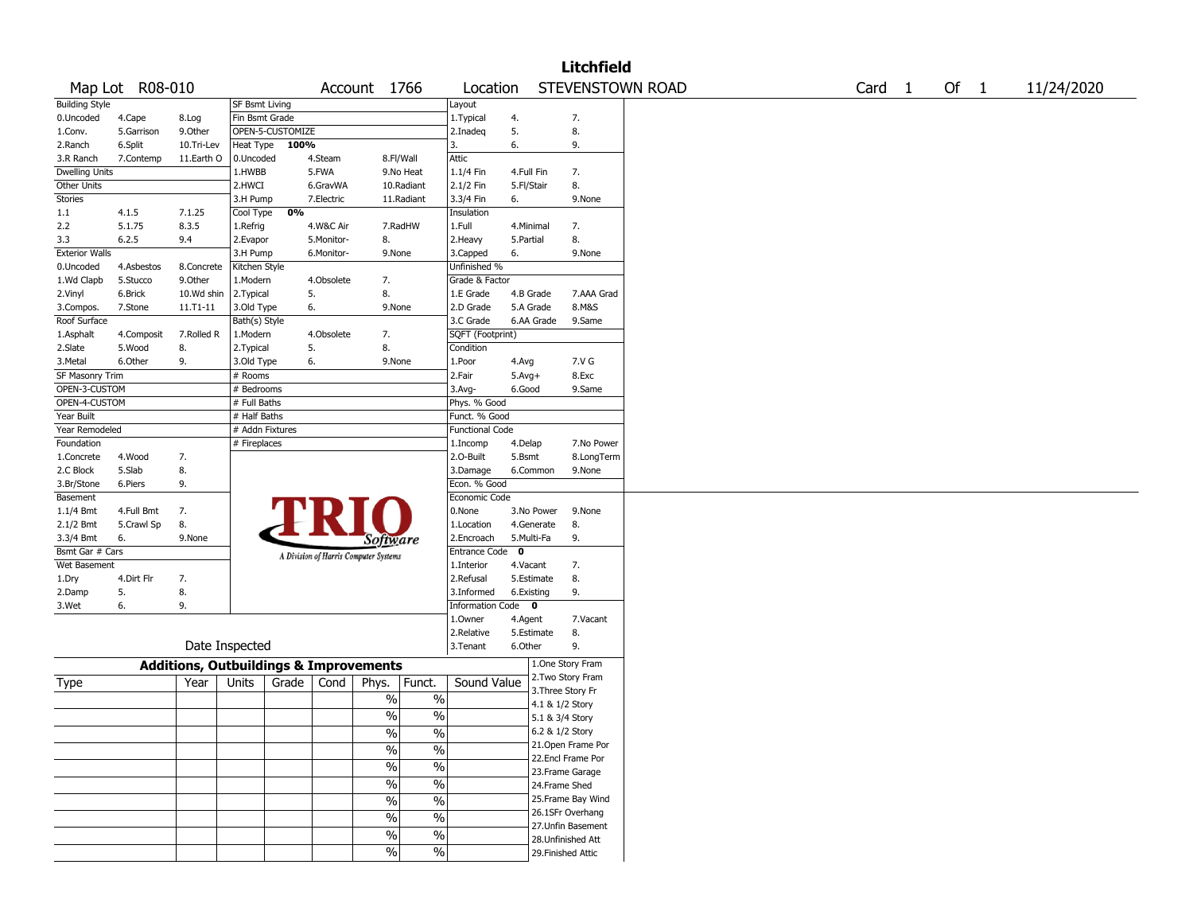|                       |                 |                                                   |                       |                  |            |                                       |                          |                               |             |                 | <b>Litchfield</b>  |                  |                   |        |            |
|-----------------------|-----------------|---------------------------------------------------|-----------------------|------------------|------------|---------------------------------------|--------------------------|-------------------------------|-------------|-----------------|--------------------|------------------|-------------------|--------|------------|
|                       | Map Lot R08-010 |                                                   |                       |                  |            | Account 1766                          |                          | Location                      |             |                 |                    | STEVENSTOWN ROAD | Card <sub>1</sub> | Of $1$ | 11/24/2020 |
| <b>Building Style</b> |                 |                                                   | <b>SF Bsmt Living</b> |                  |            |                                       |                          | Layout                        |             |                 |                    |                  |                   |        |            |
| 0.Uncoded             | 4.Cape          | 8.Log                                             | Fin Bsmt Grade        |                  |            |                                       |                          | 1. Typical                    | 4.          |                 | 7.                 |                  |                   |        |            |
| 1.Conv.               | 5.Garrison      | 9.Other                                           |                       | OPEN-5-CUSTOMIZE |            |                                       |                          | 2.Inadeq                      | 5.          |                 | 8.                 |                  |                   |        |            |
| 2.Ranch               | 6.Split         | 10.Tri-Lev                                        | Heat Type             | 100%             |            |                                       |                          | 3.                            | 6.          |                 | 9.                 |                  |                   |        |            |
| 3.R Ranch             | 7.Contemp       | 11.Earth O                                        | 0.Uncoded             |                  | 4.Steam    | 8.Fl/Wall                             |                          | Attic                         |             |                 |                    |                  |                   |        |            |
| Dwelling Units        |                 |                                                   | 1.HWBB                |                  | 5.FWA      |                                       | 9.No Heat                | 1.1/4 Fin                     | 4.Full Fin  |                 | 7.                 |                  |                   |        |            |
| Other Units           |                 |                                                   | 2.HWCI                |                  | 6.GravWA   |                                       | 10.Radiant               | 2.1/2 Fin                     | 5.Fl/Stair  |                 | 8.                 |                  |                   |        |            |
| Stories               |                 |                                                   | 3.H Pump              |                  | 7.Electric |                                       | 11.Radiant               | 3.3/4 Fin                     | 6.          |                 | 9.None             |                  |                   |        |            |
| 1.1                   | 4.1.5           | 7.1.25                                            | Cool Type             | 0%               |            |                                       |                          | Insulation                    |             |                 |                    |                  |                   |        |            |
| 2.2                   | 5.1.75          | 8.3.5                                             | 1.Refrig              |                  | 4.W&C Air  |                                       | 7.RadHW                  | 1.Full                        | 4.Minimal   |                 | 7.                 |                  |                   |        |            |
| 3.3                   | 6.2.5           | 9.4                                               | 2.Evapor              |                  | 5.Monitor- | 8.                                    |                          | 2. Heavy                      | 5.Partial   |                 | 8.                 |                  |                   |        |            |
| <b>Exterior Walls</b> |                 |                                                   | 3.H Pump              |                  | 6.Monitor- | 9.None                                |                          | 3.Capped                      | 6.          |                 | 9.None             |                  |                   |        |            |
| 0.Uncoded             | 4.Asbestos      | 8.Concrete                                        | Kitchen Style         |                  |            |                                       |                          | Unfinished %                  |             |                 |                    |                  |                   |        |            |
| 1.Wd Clapb            | 5.Stucco        | 9.0ther                                           | 1.Modern              |                  | 4.Obsolete | 7.                                    |                          | Grade & Factor                |             |                 |                    |                  |                   |        |            |
| 2.Vinyl               | 6.Brick         | 10.Wd shin                                        | 2.Typical             |                  | 5.         | 8.                                    |                          | 1.E Grade                     | 4.B Grade   |                 | 7.AAA Grad         |                  |                   |        |            |
| 3.Compos.             | 7.Stone         | 11.T1-11                                          | 3.Old Type            |                  | 6.         | 9.None                                |                          | 2.D Grade                     | 5.A Grade   |                 | 8.M&S              |                  |                   |        |            |
| Roof Surface          |                 |                                                   | Bath(s) Style         |                  |            |                                       |                          | 3.C Grade                     | 6.AA Grade  |                 | 9.Same             |                  |                   |        |            |
| 1.Asphalt             | 4.Composit      | 7.Rolled R                                        | 1.Modern              |                  | 4.Obsolete | 7.                                    |                          | SQFT (Footprint)              |             |                 |                    |                  |                   |        |            |
| 2.Slate               | 5.Wood          | 8.                                                | 2. Typical            |                  | 5.         | 8.                                    |                          | Condition                     |             |                 |                    |                  |                   |        |            |
| 3.Metal               | 6.Other         | 9.                                                | 3.Old Type            |                  | 6.         | 9.None                                |                          | 1.Poor                        | 4.Avg       |                 | 7.V G              |                  |                   |        |            |
| SF Masonry Trim       |                 |                                                   | # Rooms               |                  |            |                                       |                          | 2.Fair                        | $5.Avg+$    |                 | 8.Exc              |                  |                   |        |            |
| OPEN-3-CUSTOM         |                 |                                                   | # Bedrooms            |                  |            |                                       |                          | 3.Avg-                        | 6.Good      |                 | 9.Same             |                  |                   |        |            |
| OPEN-4-CUSTOM         |                 |                                                   | # Full Baths          |                  |            |                                       |                          | Phys. % Good                  |             |                 |                    |                  |                   |        |            |
| Year Built            |                 |                                                   | # Half Baths          |                  |            |                                       |                          | Funct. % Good                 |             |                 |                    |                  |                   |        |            |
| Year Remodeled        |                 |                                                   | # Addn Fixtures       |                  |            |                                       |                          | <b>Functional Code</b>        |             |                 |                    |                  |                   |        |            |
| Foundation            |                 |                                                   | # Fireplaces          |                  |            |                                       |                          | 1.Incomp                      | 4.Delap     |                 | 7.No Power         |                  |                   |        |            |
| 1.Concrete            | 4.Wood          | 7.                                                |                       |                  |            |                                       |                          | 2.0-Built                     | 5.Bsmt      |                 | 8.LongTerm         |                  |                   |        |            |
| 2.C Block             | 5.Slab          | 8.                                                |                       |                  |            |                                       |                          | 3.Damage                      | 6.Common    |                 | 9.None             |                  |                   |        |            |
| 3.Br/Stone            | 6.Piers         | 9.                                                |                       |                  |            |                                       |                          | Econ. % Good                  |             |                 |                    |                  |                   |        |            |
| Basement              |                 |                                                   |                       |                  |            |                                       |                          | Economic Code                 |             |                 |                    |                  |                   |        |            |
| 1.1/4 Bmt             | 4.Full Bmt      | 7.                                                |                       |                  | FR         |                                       |                          | 0.None                        | 3.No Power  |                 | 9.None             |                  |                   |        |            |
| 2.1/2 Bmt             | 5.Crawl Sp      | 8.                                                |                       |                  |            |                                       |                          | 1.Location                    | 4.Generate  |                 | 8.                 |                  |                   |        |            |
| 3.3/4 Bmt             | 6.              | 9.None                                            |                       |                  |            | Software                              |                          | 2.Encroach                    | 5.Multi-Fa  |                 | 9.                 |                  |                   |        |            |
| Bsmt Gar # Cars       |                 |                                                   |                       |                  |            | A Division of Harris Computer Systems |                          | <b>Entrance Code</b>          | $\mathbf 0$ |                 |                    |                  |                   |        |            |
| Wet Basement          |                 |                                                   |                       |                  |            |                                       |                          | 1.Interior                    | 4.Vacant    |                 | 7.                 |                  |                   |        |            |
| 1.Dry                 | 4.Dirt Flr      | 7.                                                |                       |                  |            |                                       |                          | 2.Refusal                     | 5.Estimate  |                 | 8.                 |                  |                   |        |            |
| 2.Damp                | 5.              | 8.                                                |                       |                  |            |                                       |                          | 3.Informed                    | 6.Existing  |                 | 9.                 |                  |                   |        |            |
| 3.Wet                 | 6.              | 9.                                                |                       |                  |            |                                       |                          | Information Code <sup>O</sup> |             |                 |                    |                  |                   |        |            |
|                       |                 |                                                   |                       |                  |            |                                       |                          | 1.Owner                       | 4.Agent     |                 | 7.Vacant           |                  |                   |        |            |
|                       |                 |                                                   |                       |                  |            |                                       |                          | 2.Relative                    | 5.Estimate  |                 | 8.                 |                  |                   |        |            |
|                       |                 |                                                   | Date Inspected        |                  |            |                                       |                          | 3.Tenant                      | 6.Other     |                 | 9.                 |                  |                   |        |            |
|                       |                 | <b>Additions, Outbuildings &amp; Improvements</b> |                       |                  |            |                                       |                          |                               |             |                 | 1.One Story Fram   |                  |                   |        |            |
|                       |                 |                                                   |                       |                  |            |                                       |                          |                               |             |                 | 2. Two Story Fram  |                  |                   |        |            |
| Type                  |                 | Year                                              | Units                 | Grade            | Cond       | Phys.                                 | Funct.                   | Sound Value                   |             |                 | 3. Three Story Fr  |                  |                   |        |            |
|                       |                 |                                                   |                       |                  |            | $\%$                                  | $\%$                     |                               |             | 4.1 & 1/2 Story |                    |                  |                   |        |            |
|                       |                 |                                                   |                       |                  |            | $\%$                                  | $\%$                     |                               |             | 5.1 & 3/4 Story |                    |                  |                   |        |            |
|                       |                 |                                                   |                       |                  |            | $\%$                                  | $\%$                     |                               |             | 6.2 & 1/2 Story |                    |                  |                   |        |            |
|                       |                 |                                                   |                       |                  |            |                                       |                          |                               |             |                 | 21. Open Frame Por |                  |                   |        |            |
|                       |                 |                                                   |                       |                  |            | $\frac{1}{2}$                         | $\frac{0}{0}$            |                               |             |                 | 22.Encl Frame Por  |                  |                   |        |            |
|                       |                 |                                                   |                       |                  |            | $\frac{9}{6}$                         | $\overline{\frac{0}{0}}$ |                               |             |                 | 23. Frame Garage   |                  |                   |        |            |
|                       |                 |                                                   |                       |                  |            | $\frac{9}{6}$                         | $\overline{\frac{0}{0}}$ |                               |             | 24.Frame Shed   |                    |                  |                   |        |            |
|                       |                 |                                                   |                       |                  |            | $\sqrt{6}$                            | $\overline{\frac{0}{0}}$ |                               |             |                 | 25. Frame Bay Wind |                  |                   |        |            |
|                       |                 |                                                   |                       |                  |            |                                       |                          |                               |             |                 | 26.1SFr Overhang   |                  |                   |        |            |
|                       |                 |                                                   |                       |                  |            | $\frac{9}{6}$                         | $\overline{\frac{0}{0}}$ |                               |             |                 | 27. Unfin Basement |                  |                   |        |            |
|                       |                 |                                                   |                       |                  |            | $\sqrt{6}$                            | $\overline{\frac{0}{0}}$ |                               |             |                 | 28. Unfinished Att |                  |                   |        |            |
|                       |                 |                                                   |                       |                  |            | $\sqrt{6}$                            | $\overline{\frac{0}{6}}$ |                               |             |                 | 29. Finished Attic |                  |                   |        |            |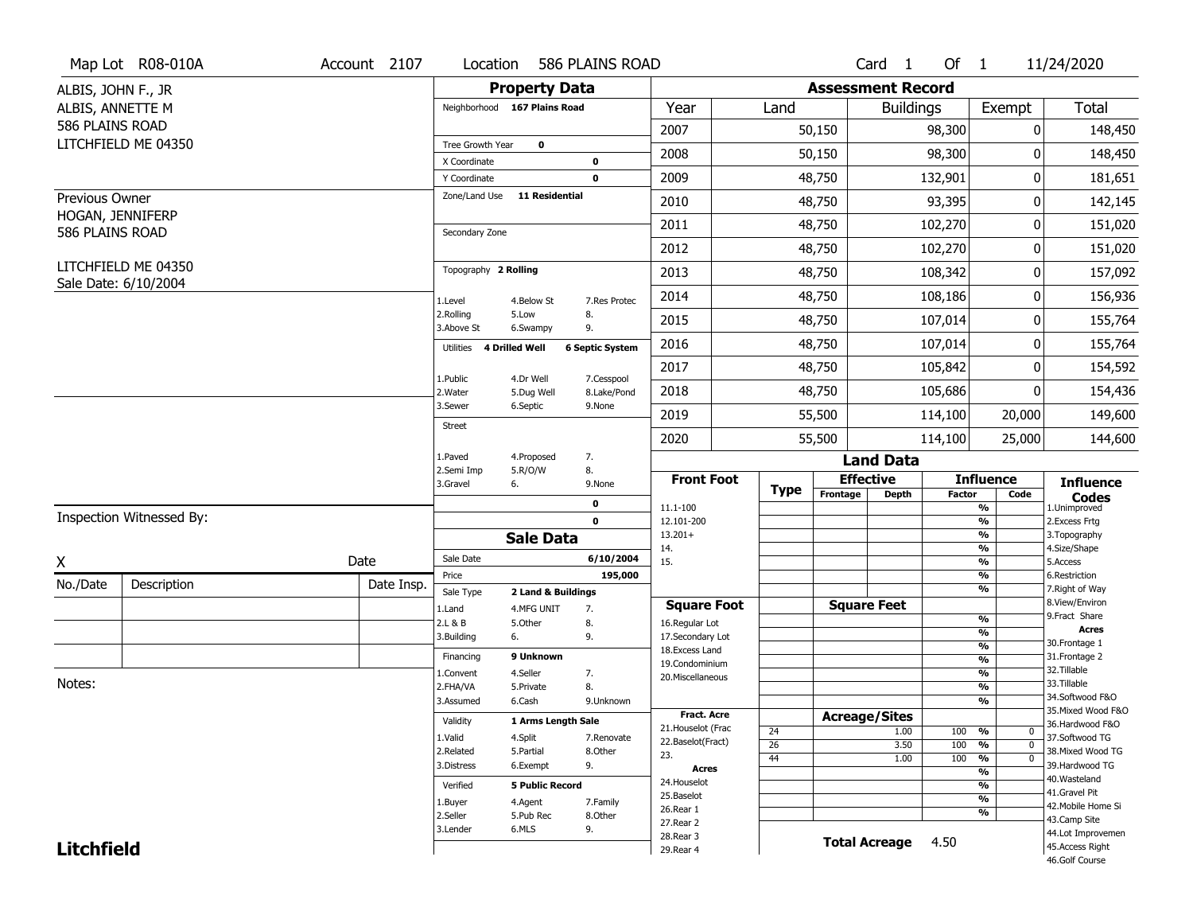|                                           | Map Lot R08-010A                            | Account 2107 | Location                      |                                  | 586 PLAINS ROAD        |                                   |             |                          | Card <sub>1</sub> | Of 1          |                                        | 11/24/2020                          |
|-------------------------------------------|---------------------------------------------|--------------|-------------------------------|----------------------------------|------------------------|-----------------------------------|-------------|--------------------------|-------------------|---------------|----------------------------------------|-------------------------------------|
| ALBIS, JOHN F., JR                        |                                             |              |                               | <b>Property Data</b>             |                        |                                   |             | <b>Assessment Record</b> |                   |               |                                        |                                     |
| ALBIS, ANNETTE M                          |                                             |              | Neighborhood 167 Plains Road  |                                  |                        | Year                              | Land        |                          | <b>Buildings</b>  |               | Exempt                                 | <b>Total</b>                        |
| 586 PLAINS ROAD                           |                                             |              |                               |                                  |                        | 2007                              |             | 50,150                   |                   | 98,300        | 0                                      | 148,450                             |
|                                           | LITCHFIELD ME 04350                         |              | Tree Growth Year              | $\mathbf 0$                      |                        | 2008                              |             | 50,150                   |                   | 98,300        | 0                                      | 148,450                             |
|                                           |                                             |              | X Coordinate                  |                                  | $\bf{0}$               |                                   |             |                          |                   |               |                                        |                                     |
|                                           |                                             |              | Y Coordinate<br>Zone/Land Use | 11 Residential                   | $\mathbf 0$            | 2009                              |             | 48,750                   |                   | 132,901       | 0                                      | 181,651                             |
| <b>Previous Owner</b><br>HOGAN, JENNIFERP |                                             |              |                               |                                  |                        | 2010                              |             | 48,750                   |                   | 93,395        | 0                                      | 142,145                             |
| 586 PLAINS ROAD                           |                                             |              | Secondary Zone                |                                  |                        | 2011                              |             | 48,750                   |                   | 102,270       | 0                                      | 151,020                             |
|                                           |                                             |              |                               |                                  |                        | 2012                              |             | 48,750                   |                   | 102,270       | 0                                      | 151,020                             |
|                                           | LITCHFIELD ME 04350<br>Sale Date: 6/10/2004 |              | Topography 2 Rolling          |                                  |                        | 2013                              |             | 48,750                   |                   | 108,342       | 0                                      | 157,092                             |
|                                           |                                             |              | 1.Level                       | 4.Below St                       | 7.Res Protec           | 2014                              |             | 48,750                   |                   | 108,186       | 0                                      | 156,936                             |
|                                           |                                             |              | 2.Rolling<br>3.Above St       | 5.Low<br>6.Swampy                | 8.<br>9.               | 2015                              |             | 48,750                   |                   | 107,014       | 0                                      | 155,764                             |
|                                           |                                             |              | 4 Drilled Well<br>Utilities   |                                  | <b>6 Septic System</b> | 2016                              |             | 48,750                   |                   | 107,014       | 0                                      | 155,764                             |
|                                           |                                             |              | 1.Public                      | 4.Dr Well                        | 7.Cesspool             | 2017                              |             | 48,750                   |                   | 105,842       | 0                                      | 154,592                             |
|                                           |                                             |              | 2. Water                      | 5.Dug Well                       | 8.Lake/Pond            | 2018                              |             | 48,750                   |                   | 105,686       | 0                                      | 154,436                             |
|                                           |                                             |              | 3.Sewer                       | 6.Septic                         | 9.None                 | 2019                              |             | 55,500                   |                   | 114,100       | 20,000                                 | 149,600                             |
|                                           |                                             |              | <b>Street</b>                 |                                  |                        | 2020                              |             | 55,500                   |                   | 114,100       | 25,000                                 | 144,600                             |
|                                           |                                             |              | 1.Paved<br>2.Semi Imp         | 4.Proposed<br>5.R/O/W            | 7.<br>8.               |                                   |             |                          | <b>Land Data</b>  |               |                                        |                                     |
|                                           |                                             |              | 3.Gravel                      | 6.                               | 9.None                 | <b>Front Foot</b>                 | <b>Type</b> | <b>Effective</b>         |                   |               | <b>Influence</b>                       | <b>Influence</b>                    |
|                                           |                                             |              |                               |                                  | 0                      | 11.1-100                          |             | Frontage                 | <b>Depth</b>      | <b>Factor</b> | Code<br>%                              | <b>Codes</b><br>1.Unimproved        |
|                                           | Inspection Witnessed By:                    |              |                               |                                  | $\mathbf 0$            | 12.101-200                        |             |                          |                   |               | $\frac{9}{6}$                          | 2.Excess Frtg                       |
|                                           |                                             |              |                               | <b>Sale Data</b>                 |                        | $13.201+$<br>14.                  |             |                          |                   |               | %<br>%                                 | 3. Topography<br>4.Size/Shape       |
| χ                                         |                                             | Date         | Sale Date                     |                                  | 6/10/2004              | 15.                               |             |                          |                   |               | $\frac{9}{6}$                          | 5.Access                            |
| No./Date                                  | Description                                 | Date Insp.   | Price                         |                                  | 195,000                |                                   |             |                          |                   |               | %<br>%                                 | 6.Restriction<br>7. Right of Way    |
|                                           |                                             |              | Sale Type<br>1.Land           | 2 Land & Buildings<br>4.MFG UNIT | 7.                     | <b>Square Foot</b>                |             | <b>Square Feet</b>       |                   |               |                                        | 8.View/Environ                      |
|                                           |                                             |              | 2.L & B                       | 5.Other                          | 8.                     | 16.Regular Lot                    |             |                          |                   |               | $\frac{9}{6}$                          | 9.Fract Share                       |
|                                           |                                             |              | 3.Building                    | 6.                               | 9.                     | 17.Secondary Lot                  |             |                          |                   |               | $\frac{9}{6}$<br>$\frac{9}{6}$         | <b>Acres</b><br>30.Frontage 1       |
|                                           |                                             |              | Financing                     | 9 Unknown                        |                        | 18.Excess Land<br>19.Condominium  |             |                          |                   |               | $\frac{9}{6}$                          | 31. Frontage 2                      |
|                                           |                                             |              | 1.Convent                     | 4.Seller                         | 7.                     | 20.Miscellaneous                  |             |                          |                   |               | $\frac{9}{6}$                          | 32. Tillable                        |
| Notes:                                    |                                             |              | 2.FHA/VA                      | 5.Private                        | 8.                     |                                   |             |                          |                   |               | $\frac{9}{6}$                          | 33.Tillable<br>34.Softwood F&O      |
|                                           |                                             |              | 3.Assumed                     | 6.Cash                           | 9.Unknown              |                                   |             |                          |                   |               | %                                      | 35. Mixed Wood F&O                  |
|                                           |                                             |              | Validity                      | 1 Arms Length Sale               |                        | Fract. Acre<br>21. Houselot (Frac |             | <b>Acreage/Sites</b>     |                   |               |                                        | 36.Hardwood F&O                     |
|                                           |                                             |              | 1.Valid                       | 4.Split                          | 7.Renovate             | 22.Baselot(Fract)                 | 24          |                          | 1.00              | 100           | %<br>0<br>$\frac{9}{6}$<br>$\mathbf 0$ | 37.Softwood TG                      |
|                                           |                                             |              | 2.Related                     | 5.Partial                        | 8.Other                | 23.                               | 26<br>44    |                          | 3.50<br>1.00      | 100<br>100    | %<br>$\mathbf 0$                       | 38. Mixed Wood TG                   |
|                                           |                                             |              | 3.Distress                    | 6.Exempt                         | 9.                     | <b>Acres</b>                      |             |                          |                   |               | $\frac{9}{6}$                          | 39.Hardwood TG                      |
|                                           |                                             |              | Verified                      | <b>5 Public Record</b>           |                        | 24. Houselot                      |             |                          |                   |               | $\frac{9}{6}$                          | 40. Wasteland                       |
|                                           |                                             |              | 1.Buyer                       | 4.Agent                          | 7.Family               | 25.Baselot                        |             |                          |                   |               | $\frac{9}{6}$                          | 41.Gravel Pit<br>42. Mobile Home Si |
|                                           |                                             |              | 2.Seller                      | 5.Pub Rec                        | 8.Other                | 26.Rear 1                         |             |                          |                   |               | %                                      | 43.Camp Site                        |
|                                           |                                             |              | 3.Lender                      | 6.MLS                            | 9.                     | 27.Rear 2                         |             |                          |                   |               |                                        | 44.Lot Improvemen                   |
|                                           |                                             |              |                               |                                  |                        |                                   |             |                          |                   |               |                                        |                                     |
| <b>Litchfield</b>                         |                                             |              |                               |                                  |                        | 28. Rear 3<br>29. Rear 4          |             | <b>Total Acreage</b>     |                   | 4.50          |                                        | 45.Access Right<br>46.Golf Course   |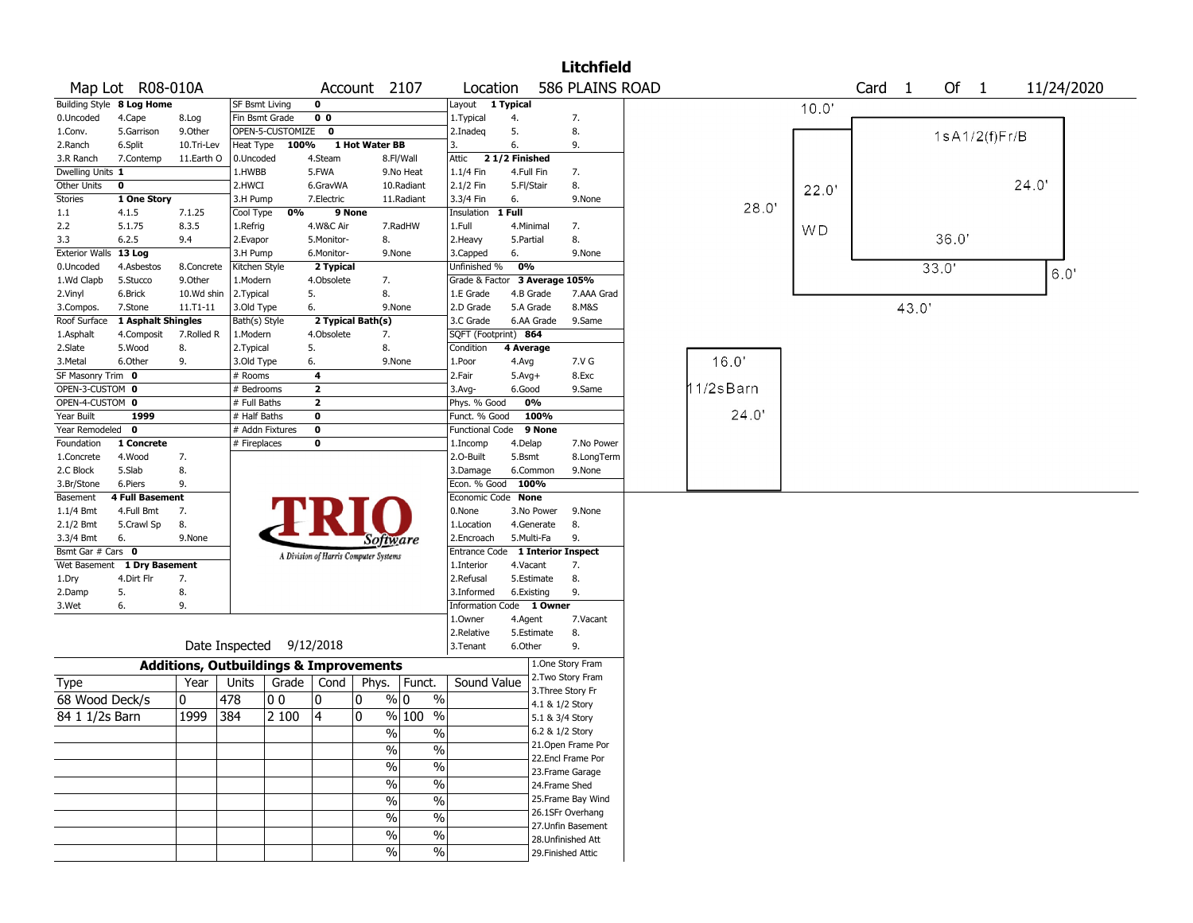|                       |                             |              |                                                   |       |                                       |                |                       |                               |               |            | <b>Litchfield</b>                    |          |           |      |                |       |               |            |  |
|-----------------------|-----------------------------|--------------|---------------------------------------------------|-------|---------------------------------------|----------------|-----------------------|-------------------------------|---------------|------------|--------------------------------------|----------|-----------|------|----------------|-------|---------------|------------|--|
|                       | Map Lot R08-010A            |              |                                                   |       |                                       |                | Account 2107          | Location                      |               |            | 586 PLAINS ROAD                      |          |           | Card | $\overline{1}$ | Of 1  |               | 11/24/2020 |  |
|                       | Building Style 8 Log Home   |              | <b>SF Bsmt Living</b>                             |       | $\mathbf 0$                           |                |                       | Layout 1 Typical              |               |            |                                      |          | 10.0'     |      |                |       |               |            |  |
| 0.Uncoded             | 4.Cape                      | 8.Log        | Fin Bsmt Grade                                    |       | 0 <sub>0</sub>                        |                |                       | 1.Typical                     | 4.            |            | 7.                                   |          |           |      |                |       |               |            |  |
| 1.Conv.               | 5.Garrison                  | 9.Other      | OPEN-5-CUSTOMIZE                                  |       | $\mathbf{o}$                          |                |                       | 2.Inadeq                      | 5.            |            | 8.                                   |          |           |      |                |       | 1sA1/2(f)Fr/B |            |  |
| 2.Ranch               | 6.Split                     | 10.Tri-Lev   | Heat Type                                         | 100%  |                                       | 1 Hot Water BB |                       | 3.                            | 6.            |            | 9.                                   |          |           |      |                |       |               |            |  |
| 3.R Ranch             | 7.Contemp                   | 11.Earth O   | 0.Uncoded                                         |       | 4.Steam                               |                | 8.Fl/Wall             | Attic                         | 21/2 Finished |            |                                      |          |           |      |                |       |               |            |  |
| Dwelling Units 1      |                             |              | 1.HWBB                                            |       | 5.FWA                                 |                | 9.No Heat             | 1.1/4 Fin                     | 4.Full Fin    |            | 7.                                   |          |           |      |                |       |               |            |  |
| Other Units           | $\mathbf 0$                 |              | 2.HWCI                                            |       | 6.GravWA                              |                | 10.Radiant            | 2.1/2 Fin                     | 5.Fl/Stair    |            | 8.                                   |          | 22.0'     |      |                |       |               | 24.0'      |  |
| <b>Stories</b>        | 1 One Story                 |              | 3.H Pump                                          |       | 7.Electric                            |                | 11.Radiant            | 3.3/4 Fin                     | 6.            |            | 9.None                               |          |           |      |                |       |               |            |  |
| 1.1                   | 4.1.5                       | 7.1.25       | Cool Type                                         | 0%    | 9 None                                |                |                       | Insulation                    | 1 Full        |            |                                      | 28.0     |           |      |                |       |               |            |  |
| 2.2                   | 5.1.75                      | 8.3.5        | 1.Refrig                                          |       | 4.W&C Air                             |                | 7.RadHW               | 1.Full                        | 4.Minimal     |            | 7.                                   |          | <b>WD</b> |      |                |       |               |            |  |
| 3.3                   | 6.2.5                       | 9.4          | 2.Evapor                                          |       | 5.Monitor-                            |                | 8.                    | 2. Heavy                      | 5.Partial     |            | 8.                                   |          |           |      |                | 36.0  |               |            |  |
| <b>Exterior Walls</b> | 13 Log                      |              | 3.H Pump                                          |       | 6.Monitor-                            |                | 9.None                | 3.Capped                      | 6.            |            | 9.None                               |          |           |      |                |       |               |            |  |
| 0.Uncoded             | 4.Asbestos                  | 8.Concrete   | Kitchen Style                                     |       | 2 Typical                             |                |                       | Unfinished %                  | 0%            |            |                                      |          |           |      |                | 33.0' |               | 6.0'       |  |
| 1.Wd Clapb            | 5.Stucco                    | 9.Other      | 1.Modern                                          |       | 4.Obsolete                            |                | 7.                    | Grade & Factor 3 Average 105% |               |            |                                      |          |           |      |                |       |               |            |  |
| 2.Vinyl               | 6.Brick                     | 10.Wd shin   | 2.Typical                                         |       | 5.                                    |                | 8.                    | 1.E Grade                     | 4.B Grade     |            | 7.AAA Grad                           |          |           |      |                |       |               |            |  |
| 3.Compos.             | 7.Stone                     | $11.71 - 11$ | 3.Old Type                                        |       | 6.                                    |                | 9.None                | 2.D Grade                     | 5.A Grade     |            | 8.M&S                                |          |           |      | 43.0'          |       |               |            |  |
| Roof Surface          | 1 Asphalt Shingles          |              | Bath(s) Style                                     |       | 2 Typical Bath(s)                     |                |                       | 3.C Grade                     |               | 6.AA Grade | 9.Same                               |          |           |      |                |       |               |            |  |
| 1.Asphalt             | 4.Composit                  | 7.Rolled R   | 1.Modern                                          |       | 4.Obsolete                            |                | 7.                    | SQFT (Footprint) 864          |               |            |                                      |          |           |      |                |       |               |            |  |
| 2.Slate               | 5.Wood                      | 8.           | 2. Typical                                        |       | 5.                                    |                | 8.                    | Condition                     | 4 Average     |            |                                      |          |           |      |                |       |               |            |  |
| 3.Metal               | 6.Other                     | 9.           | 3.Old Type                                        |       | 6.                                    |                | 9.None                | 1.Poor                        | 4.Avg         |            | 7.V G                                | 16.0     |           |      |                |       |               |            |  |
| SF Masonry Trim 0     |                             |              | # Rooms                                           |       | 4                                     |                |                       | 2.Fair                        | $5.Avg+$      |            | 8.Exc                                |          |           |      |                |       |               |            |  |
| OPEN-3-CUSTOM 0       |                             |              | # Bedrooms                                        |       | $\overline{2}$                        |                |                       | 3.Avg-                        | 6.Good        |            | 9.Same                               | 1/2sBarn |           |      |                |       |               |            |  |
| OPEN-4-CUSTOM 0       |                             |              | # Full Baths                                      |       | $\overline{\mathbf{2}}$               |                |                       | Phys. % Good                  |               | 0%         |                                      |          |           |      |                |       |               |            |  |
| Year Built            | 1999                        |              | # Half Baths                                      |       | $\mathbf 0$                           |                |                       | Funct. % Good                 |               | 100%       |                                      | 24.0'    |           |      |                |       |               |            |  |
| Year Remodeled 0      |                             |              | # Addn Fixtures                                   |       | $\pmb{0}$                             |                |                       | <b>Functional Code</b>        |               | 9 None     |                                      |          |           |      |                |       |               |            |  |
| Foundation            | 1 Concrete                  |              | # Fireplaces                                      |       | 0                                     |                |                       | 1.Incomp                      | 4.Delap       |            | 7.No Power                           |          |           |      |                |       |               |            |  |
| 1.Concrete            | 4.Wood                      | 7.           |                                                   |       |                                       |                |                       | 2.O-Built                     | 5.Bsmt        |            | 8.LongTerm                           |          |           |      |                |       |               |            |  |
| 2.C Block             | 5.Slab                      | 8.           |                                                   |       |                                       |                |                       | 3.Damage                      | 6.Common      |            | 9.None                               |          |           |      |                |       |               |            |  |
| 3.Br/Stone            | 6.Piers                     | 9.           |                                                   |       |                                       |                |                       | Econ. % Good                  | 100%          |            |                                      |          |           |      |                |       |               |            |  |
| Basement              | <b>4 Full Basement</b>      |              |                                                   |       |                                       |                |                       | Economic Code None            |               |            |                                      |          |           |      |                |       |               |            |  |
| 1.1/4 Bmt             | 4.Full Bmt                  | 7.           |                                                   |       |                                       |                |                       | 0.None                        |               | 3.No Power | 9.None                               |          |           |      |                |       |               |            |  |
| 2.1/2 Bmt             | 5.Crawl Sp                  | 8.           |                                                   |       |                                       |                |                       | 1.Location                    |               | 4.Generate | 8.                                   |          |           |      |                |       |               |            |  |
| 3.3/4 Bmt             | 6.                          | 9.None       |                                                   |       |                                       |                | Software              | 2.Encroach                    | 5.Multi-Fa    |            | 9.                                   |          |           |      |                |       |               |            |  |
| Bsmt Gar # Cars 0     |                             |              |                                                   |       |                                       |                |                       | <b>Entrance Code</b>          |               |            | <b>1 Interior Inspect</b>            |          |           |      |                |       |               |            |  |
|                       | Wet Basement 1 Dry Basement |              |                                                   |       | A Division of Harris Computer Systems |                |                       | 1.Interior                    | 4.Vacant      |            | 7.                                   |          |           |      |                |       |               |            |  |
| 1.Dry                 | 4.Dirt Flr                  | 7.           |                                                   |       |                                       |                |                       | 2.Refusal                     |               | 5.Estimate | 8.                                   |          |           |      |                |       |               |            |  |
| 2.Damp                | 5.                          | 8.           |                                                   |       |                                       |                |                       | 3.Informed                    | 6.Existing    |            | 9.                                   |          |           |      |                |       |               |            |  |
| 3.Wet                 | 6.                          | 9.           |                                                   |       |                                       |                |                       | Information Code 1 Owner      |               |            |                                      |          |           |      |                |       |               |            |  |
|                       |                             |              |                                                   |       |                                       |                |                       | 1.Owner                       | 4.Agent       |            | 7.Vacant                             |          |           |      |                |       |               |            |  |
|                       |                             |              |                                                   |       |                                       |                |                       | 2.Relative                    |               | 5.Estimate | 8.                                   |          |           |      |                |       |               |            |  |
|                       |                             |              | Date Inspected 9/12/2018                          |       |                                       |                |                       | 3. Tenant                     | 6.Other       |            | 9.                                   |          |           |      |                |       |               |            |  |
|                       |                             |              | <b>Additions, Outbuildings &amp; Improvements</b> |       |                                       |                |                       |                               |               |            | 1.One Story Fram                     |          |           |      |                |       |               |            |  |
| Type                  |                             | Year         | Units                                             | Grade | Cond                                  | Phys.          | Funct.                | Sound Value                   |               |            | 2. Two Story Fram                    |          |           |      |                |       |               |            |  |
| 68 Wood Deck/s        |                             | 0            | 478                                               | 00    | 0                                     | 0              | $\%$ 0<br>$\%$        |                               |               |            | 3. Three Story Fr<br>4.1 & 1/2 Story |          |           |      |                |       |               |            |  |
| 84 1 1/2s Barn        |                             | 1999         | 384                                               | 2 100 | $\overline{4}$                        | 0              | % 100 %               |                               |               |            | 5.1 & 3/4 Story                      |          |           |      |                |       |               |            |  |
|                       |                             |              |                                                   |       |                                       |                | $\frac{0}{0}$         |                               |               |            | 6.2 & 1/2 Story                      |          |           |      |                |       |               |            |  |
|                       |                             |              |                                                   |       |                                       |                | $\%$                  |                               |               |            | 21. Open Frame Por                   |          |           |      |                |       |               |            |  |
|                       |                             |              |                                                   |       |                                       |                | $\%$<br>$\%$          |                               |               |            | 22.Encl Frame Por                    |          |           |      |                |       |               |            |  |
|                       |                             |              |                                                   |       |                                       |                | $\%$<br>$\%$          |                               |               |            |                                      |          |           |      |                |       |               |            |  |
|                       |                             |              |                                                   |       |                                       |                | $\%$<br>$\%$          |                               |               |            | 23. Frame Garage                     |          |           |      |                |       |               |            |  |
|                       |                             |              |                                                   |       |                                       |                |                       |                               |               |            | 24.Frame Shed                        |          |           |      |                |       |               |            |  |
|                       |                             |              |                                                   |       |                                       |                | $\%$<br>$\frac{0}{0}$ |                               |               |            | 25. Frame Bay Wind                   |          |           |      |                |       |               |            |  |
|                       |                             |              |                                                   |       |                                       |                | $\%$<br>$\%$          |                               |               |            | 26.1SFr Overhang                     |          |           |      |                |       |               |            |  |
|                       |                             |              |                                                   |       |                                       |                | $\%$<br>$\%$          |                               |               |            | 27. Unfin Basement                   |          |           |      |                |       |               |            |  |
|                       |                             |              |                                                   |       |                                       |                |                       |                               |               |            | 28. Unfinished Att                   |          |           |      |                |       |               |            |  |
|                       |                             |              |                                                   |       |                                       |                | $\%$<br>$\%$          |                               |               |            | 29. Finished Attic                   |          |           |      |                |       |               |            |  |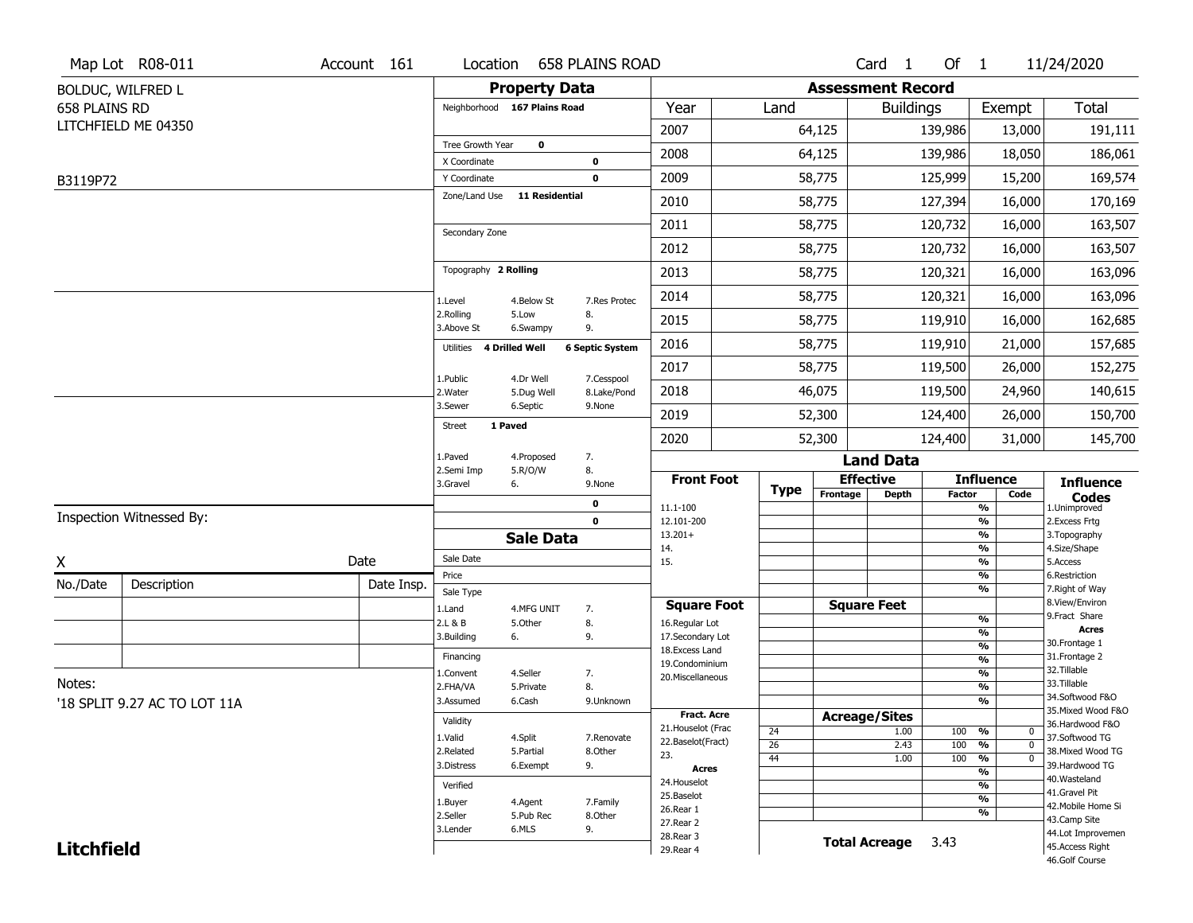|                   | Map Lot R08-011              | Account 161 | Location                     |                         | <b>658 PLAINS ROAD</b>    |                                   |                       |                          | Card <sub>1</sub>    | Of $1$        |                               | 11/24/2020                        |
|-------------------|------------------------------|-------------|------------------------------|-------------------------|---------------------------|-----------------------------------|-----------------------|--------------------------|----------------------|---------------|-------------------------------|-----------------------------------|
|                   | BOLDUC, WILFRED L            |             |                              | <b>Property Data</b>    |                           |                                   |                       | <b>Assessment Record</b> |                      |               |                               |                                   |
| 658 PLAINS RD     |                              |             | Neighborhood 167 Plains Road |                         |                           | Year                              | Land                  |                          | <b>Buildings</b>     |               | Exempt                        | <b>Total</b>                      |
|                   | LITCHFIELD ME 04350          |             |                              |                         |                           | 2007                              |                       | 64,125                   |                      | 139,986       | 13,000                        | 191,111                           |
|                   |                              |             | Tree Growth Year             | $\mathbf 0$             |                           | 2008                              |                       | 64,125                   |                      | 139,986       | 18,050                        | 186,061                           |
|                   |                              |             | X Coordinate<br>Y Coordinate |                         | 0<br>0                    | 2009                              |                       | 58,775                   |                      | 125,999       | 15,200                        | 169,574                           |
| B3119P72          |                              |             | Zone/Land Use                | <b>11 Residential</b>   |                           | 2010                              |                       | 58,775                   |                      | 127,394       | 16,000                        | 170,169                           |
|                   |                              |             |                              |                         |                           |                                   |                       |                          |                      |               |                               |                                   |
|                   |                              |             | Secondary Zone               |                         |                           | 2011                              |                       | 58,775                   |                      | 120,732       | 16,000                        | 163,507                           |
|                   |                              |             |                              |                         |                           | 2012                              |                       | 58,775                   |                      | 120,732       | 16,000                        | 163,507                           |
|                   |                              |             | Topography 2 Rolling         |                         |                           | 2013                              |                       | 58,775                   |                      | 120,321       | 16,000                        | 163,096                           |
|                   |                              |             | 1.Level                      | 4.Below St              | 7.Res Protec              | 2014                              |                       | 58,775                   |                      | 120,321       | 16,000                        | 163,096                           |
|                   |                              |             | 2.Rolling<br>3.Above St      | 5.Low<br>6.Swampy       | 8.<br>9.                  | 2015                              |                       | 58,775                   |                      | 119,910       | 16,000                        | 162,685                           |
|                   |                              |             | Utilities 4 Drilled Well     |                         | <b>6 Septic System</b>    | 2016                              |                       | 58,775                   |                      | 119,910       | 21,000                        | 157,685                           |
|                   |                              |             |                              |                         |                           | 2017                              |                       | 58,775                   |                      | 119,500       | 26,000                        | 152,275                           |
|                   |                              |             | 1.Public<br>2. Water         | 4.Dr Well<br>5.Dug Well | 7.Cesspool<br>8.Lake/Pond | 2018                              |                       | 46,075                   |                      | 119,500       | 24,960                        | 140,615                           |
|                   |                              |             | 3.Sewer                      | 6.Septic                | 9.None                    | 2019                              |                       | 52,300                   |                      | 124,400       | 26,000                        | 150,700                           |
|                   |                              |             | <b>Street</b>                | 1 Paved                 |                           | 2020                              |                       | 52,300                   |                      | 124,400       | 31,000                        | 145,700                           |
|                   |                              |             | 1.Paved                      | 4.Proposed              | 7.                        |                                   |                       |                          | <b>Land Data</b>     |               |                               |                                   |
|                   |                              |             | 2.Semi Imp<br>3.Gravel       | 5.R/O/W<br>6.           | 8.<br>9.None              | <b>Front Foot</b>                 |                       |                          | <b>Effective</b>     |               | <b>Influence</b>              | <b>Influence</b>                  |
|                   |                              |             |                              |                         | 0                         | 11.1-100                          | <b>Type</b>           | Frontage                 | Depth                | <b>Factor</b> | Code<br>%                     | <b>Codes</b><br>1.Unimproved      |
|                   | Inspection Witnessed By:     |             |                              |                         | $\mathbf 0$               | 12.101-200                        |                       |                          |                      |               | $\frac{9}{6}$                 | 2.Excess Frtg                     |
|                   |                              |             |                              | <b>Sale Data</b>        |                           | $13.201+$<br>14.                  |                       |                          |                      |               | %<br>%                        | 3. Topography<br>4.Size/Shape     |
| X                 |                              | Date        | Sale Date                    |                         |                           | 15.                               |                       |                          |                      |               | %                             | 5.Access                          |
| No./Date          | Description                  | Date Insp.  | Price                        |                         |                           |                                   |                       |                          |                      |               | %<br>%                        | 6.Restriction<br>7. Right of Way  |
|                   |                              |             | Sale Type<br>1.Land          | 4.MFG UNIT              | 7.                        | <b>Square Foot</b>                |                       |                          | <b>Square Feet</b>   |               |                               | 8.View/Environ                    |
|                   |                              |             | 2.L & B                      | 5.Other                 | 8.                        | 16.Regular Lot                    |                       |                          |                      |               | $\frac{9}{6}$                 | 9.Fract Share<br><b>Acres</b>     |
|                   |                              |             | 3.Building                   | 6.                      | 9.                        | 17.Secondary Lot                  |                       |                          |                      |               | %<br>$\frac{9}{6}$            | 30. Frontage 1                    |
|                   |                              |             | Financing                    |                         |                           | 18. Excess Land<br>19.Condominium |                       |                          |                      |               | $\overline{\frac{9}{6}}$      | 31. Frontage 2                    |
|                   |                              |             | 1.Convent                    | 4.Seller                | 7.                        | 20.Miscellaneous                  |                       |                          |                      |               | $\frac{9}{6}$                 | 32.Tillable                       |
| Notes:            |                              |             | 2.FHA/VA                     | 5.Private               | 8.                        |                                   |                       |                          |                      |               | $\overline{\frac{9}{6}}$      | 33.Tillable<br>34.Softwood F&O    |
|                   | '18 SPLIT 9.27 AC TO LOT 11A |             | 3.Assumed                    | 6.Cash                  | 9.Unknown                 | <b>Fract. Acre</b>                |                       |                          |                      |               | %                             | 35. Mixed Wood F&O                |
|                   |                              |             | Validity                     |                         |                           | 21. Houselot (Frac                |                       |                          | <b>Acreage/Sites</b> |               |                               | 36.Hardwood F&O                   |
|                   |                              |             | 1.Valid                      | 4.Split                 | 7.Renovate                | 22.Baselot(Fract)                 | 24<br>$\overline{26}$ |                          | 1.00<br>2.43         | 100<br>100    | %<br>0<br>$\overline{0}$<br>% | 37.Softwood TG                    |
|                   |                              |             | 2.Related                    | 5.Partial               | 8.Other                   | 23.                               | 44                    |                          | 1.00                 | 100           | $\overline{0}$<br>%           | 38. Mixed Wood TG                 |
|                   |                              |             | 3.Distress                   | 6.Exempt                | 9.                        | <b>Acres</b>                      |                       |                          |                      |               | $\overline{\frac{9}{6}}$      | 39.Hardwood TG<br>40. Wasteland   |
|                   |                              |             | Verified                     |                         |                           | 24. Houselot                      |                       |                          |                      |               | %                             | 41.Gravel Pit                     |
|                   |                              |             | 1.Buyer                      | 4.Agent                 | 7.Family                  | 25.Baselot<br>26.Rear 1           |                       |                          |                      |               | $\frac{9}{6}$                 | 42. Mobile Home Si                |
|                   |                              |             | 2.Seller                     | 5.Pub Rec               | 8.Other                   | 27.Rear 2                         |                       |                          |                      |               | %                             | 43.Camp Site                      |
|                   |                              |             | 3.Lender                     | 6.MLS                   | 9.                        | 28.Rear 3                         |                       |                          | <b>Total Acreage</b> | 3.43          |                               | 44.Lot Improvemen                 |
| <b>Litchfield</b> |                              |             |                              |                         |                           | 29. Rear 4                        |                       |                          |                      |               |                               | 45.Access Right<br>46.Golf Course |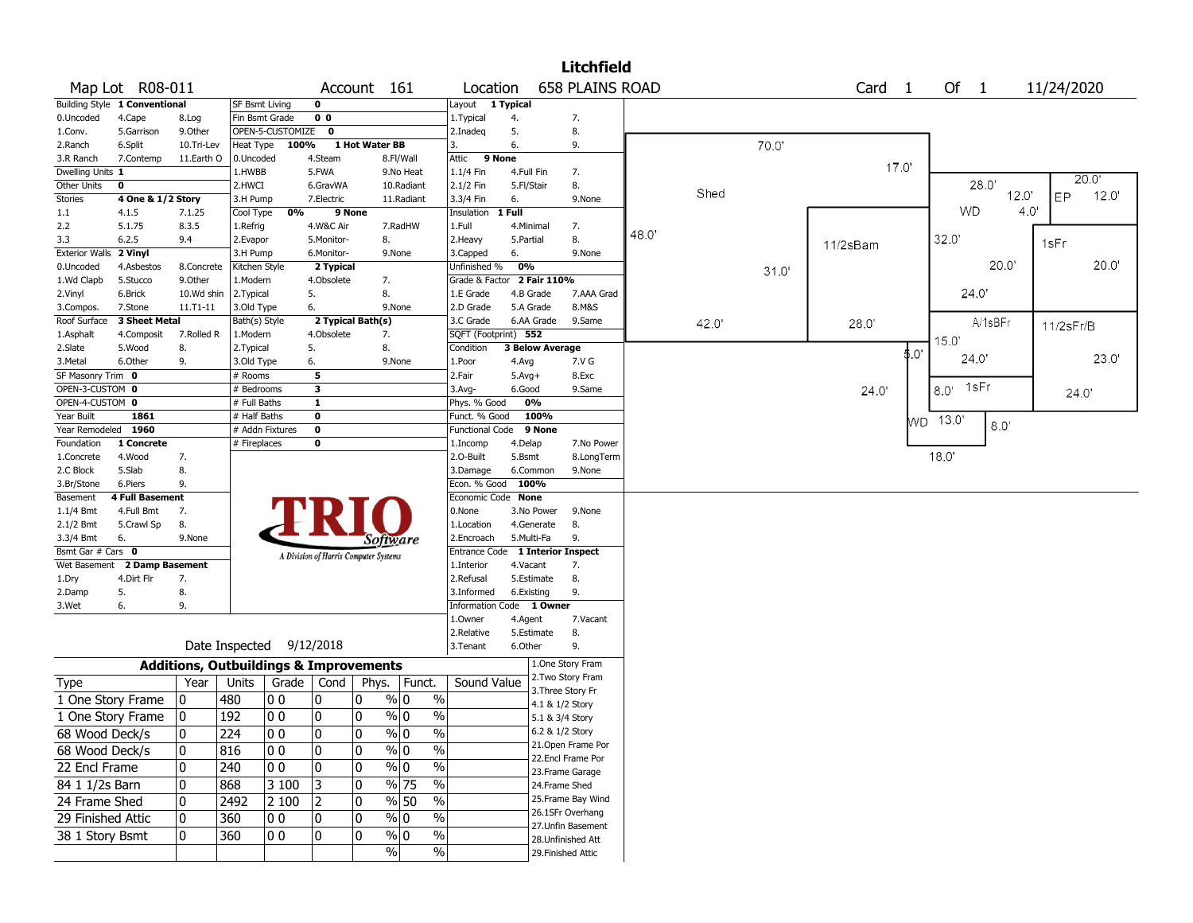|                       |                                      |                                                   |                       |                          |                                       |                |               |            |                          |            |                        | <b>Litchfield</b>                       |       |       |       |                   |       |                |                  |       |
|-----------------------|--------------------------------------|---------------------------------------------------|-----------------------|--------------------------|---------------------------------------|----------------|---------------|------------|--------------------------|------------|------------------------|-----------------------------------------|-------|-------|-------|-------------------|-------|----------------|------------------|-------|
|                       | Map Lot R08-011                      |                                                   |                       |                          |                                       | Account 161    |               |            | Location                 |            |                        | <b>658 PLAINS ROAD</b>                  |       |       |       | Card <sub>1</sub> |       | Of 1           | 11/24/2020       |       |
|                       | <b>Building Style 1 Conventional</b> |                                                   | <b>SF Bsmt Living</b> |                          | $\mathbf 0$                           |                |               |            | Layout                   | 1 Typical  |                        |                                         |       |       |       |                   |       |                |                  |       |
| 0.Uncoded             | 4.Cape                               | 8.Log                                             | Fin Bsmt Grade        |                          | 0 <sub>0</sub>                        |                |               |            | 1. Typical               | 4.         |                        | 7.                                      |       |       |       |                   |       |                |                  |       |
| 1.Conv.               | 5.Garrison                           | 9.0ther                                           |                       | OPEN-5-CUSTOMIZE         | $\mathbf 0$                           |                |               |            | 2.Inadeg                 | 5.         |                        | 8.                                      |       |       |       |                   |       |                |                  |       |
| 2.Ranch               | 6.Split                              | 10.Tri-Lev                                        | Heat Type             | 100%                     |                                       | 1 Hot Water BB |               |            | 3.                       | 6.         |                        | 9.                                      |       |       | 70.0  |                   |       |                |                  |       |
| 3.R Ranch             | 7.Contemp                            | 11.Earth O                                        | 0.Uncoded             |                          | 4.Steam                               |                | 8.Fl/Wall     |            | Attic<br>9 None          |            |                        |                                         |       |       |       |                   |       |                |                  |       |
| Dwelling Units 1      |                                      |                                                   | 1.HWBB                |                          | 5.FWA                                 |                | 9.No Heat     |            | 1.1/4 Fin                | 4.Full Fin |                        | 7.                                      |       |       |       | 17.0'             |       |                |                  |       |
| Other Units           | 0                                    |                                                   | 2.HWCI                |                          | 6.GravWA                              |                | 10.Radiant    |            | 2.1/2 Fin                | 5.Fl/Stair |                        | 8.                                      |       |       |       |                   |       | 28.0'          |                  | 20.0  |
| <b>Stories</b>        | 4 One & 1/2 Story                    |                                                   | 3.H Pump              |                          | 7.Electric                            |                | 11.Radiant    |            | 3.3/4 Fin                | 6.         |                        | 9.None                                  |       | Shed  |       |                   |       | 12.0'          | ЕP               | 12.0' |
| 1.1                   | 4.1.5                                | 7.1.25                                            | Cool Type             | 0%                       |                                       | 9 None         |               |            | Insulation               | 1 Full     |                        |                                         |       |       |       |                   |       | WD             | 4.0 <sup>1</sup> |       |
| 2.2                   | 5.1.75                               | 8.3.5                                             | 1.Refrig              |                          | 4.W&C Air                             |                | 7.RadHW       |            | 1.Full                   | 4.Minimal  |                        | 7.                                      |       |       |       |                   |       |                |                  |       |
| 3.3                   | 6.2.5                                | 9.4                                               | 2.Evapor              |                          | 5.Monitor-                            | 8.             |               |            | 2. Heavy                 | 5.Partial  |                        | 8.                                      | 48.0' |       |       | 11/2sBam          |       | 32.0'          | 1sFr             |       |
| <b>Exterior Walls</b> | 2 Vinyl                              |                                                   | 3.H Pump              |                          | 6.Monitor-                            |                | 9.None        |            | 3.Capped                 | 6.         |                        | 9.None                                  |       |       |       |                   |       |                |                  |       |
| 0.Uncoded             | 4.Asbestos                           | 8.Concrete                                        | Kitchen Style         |                          | 2 Typical                             |                |               |            | Unfinished %             | 0%         |                        |                                         |       |       | 31.0' |                   |       | 20.0"          |                  | 20.0' |
| 1.Wd Clapb            | 5.Stucco                             | 9.0ther                                           | 1.Modern              |                          | 4.Obsolete                            |                | 7.            |            | Grade & Factor           |            | 2 Fair 110%            |                                         |       |       |       |                   |       |                |                  |       |
| 2.Vinyl               | 6.Brick                              | 10.Wd shin                                        | 2. Typical            |                          | 5.                                    | 8.             |               |            | 1.E Grade                |            | 4.B Grade              | 7.AAA Grad                              |       |       |       |                   |       | 24.0           |                  |       |
| 3.Compos.             | 7.Stone                              | $11.71 - 11$                                      | 3.Old Type            |                          | 6.                                    |                | 9.None        |            | 2.D Grade                | 5.A Grade  |                        | 8.M&S                                   |       |       |       |                   |       |                |                  |       |
| Roof Surface          | 3 Sheet Metal                        |                                                   | Bath(s) Style         |                          | 2 Typical Bath(s)                     |                |               |            | 3.C Grade                |            | 6.AA Grade             | 9.Same                                  |       | 42.0' |       | 28.0'             |       | A/1sBFr        | 11/2sFr/B        |       |
| 1.Asphalt             | 4.Composit                           | 7.Rolled R                                        | 1.Modern              |                          | 4.Obsolete                            | 7.             |               |            | SQFT (Footprint) 552     |            |                        |                                         |       |       |       |                   |       | 15.0'          |                  |       |
| 2.Slate               | 5.Wood                               | 8.                                                | 2. Typical            |                          | 5.                                    | 8.             |               |            | Condition                |            | <b>3 Below Average</b> |                                         |       |       |       |                   | \$.Օ' |                |                  |       |
| 3.Metal               | 6.Other                              | 9.                                                | 3.Old Type            |                          | 6.                                    |                | 9.None        |            | 1.Poor                   | 4.Avg      |                        | 7.V G                                   |       |       |       |                   |       | 24.0           |                  | 23.0' |
| SF Masonry Trim 0     |                                      |                                                   | # Rooms               |                          | 5                                     |                |               |            | 2.Fair                   | $5.Avg+$   |                        | 8.Exc                                   |       |       |       |                   |       |                |                  |       |
| OPEN-3-CUSTOM 0       |                                      |                                                   | # Bedrooms            |                          | 3                                     |                |               |            | $3.$ Avg-                | 6.Good     |                        | 9.Same                                  |       |       |       | 24.0'             |       | 1sFr<br>8.0'   |                  | 24.0' |
| OPEN-4-CUSTOM 0       |                                      |                                                   | # Full Baths          |                          | $\mathbf{1}$                          |                |               |            | Phys. % Good             |            | 0%                     |                                         |       |       |       |                   |       |                |                  |       |
| Year Built            | 1861                                 |                                                   | # Half Baths          |                          | $\overline{\mathbf{0}}$               |                |               |            | Funct. % Good            |            | 100%                   |                                         |       |       |       |                   |       | WD 13.0<br>8.0 |                  |       |
| Year Remodeled 1960   |                                      |                                                   | # Addn Fixtures       |                          | 0                                     |                |               |            | Functional Code          |            | 9 None                 |                                         |       |       |       |                   |       |                |                  |       |
| Foundation            | 1 Concrete                           |                                                   | # Fireplaces          |                          | 0                                     |                |               |            | 1.Incomp                 | 4.Delap    |                        | 7.No Power                              |       |       |       |                   |       |                |                  |       |
| 1.Concrete            | 4.Wood                               | 7.                                                |                       |                          |                                       |                |               |            | 2.O-Built                | 5.Bsmt     |                        | 8.LongTerm                              |       |       |       |                   |       | 18.0'          |                  |       |
| 2.C Block             | 5.Slab                               | 8.                                                |                       |                          |                                       |                |               |            | 3.Damage                 |            | 6.Common               | 9.None                                  |       |       |       |                   |       |                |                  |       |
| 3.Br/Stone            | 6.Piers                              | 9.                                                |                       |                          |                                       |                |               |            | Econ. % Good 100%        |            |                        |                                         |       |       |       |                   |       |                |                  |       |
| Basement              | <b>4 Full Basement</b>               |                                                   |                       |                          |                                       |                |               |            | Economic Code None       |            |                        |                                         |       |       |       |                   |       |                |                  |       |
| $1.1/4$ Bmt           | 4.Full Bmt                           | 7.                                                |                       |                          |                                       |                |               |            | 0.None                   |            | 3.No Power             | 9.None                                  |       |       |       |                   |       |                |                  |       |
| 2.1/2 Bmt             | 5.Crawl Sp                           | 8.                                                |                       |                          |                                       |                |               |            | 1.Location               |            | 4.Generate             | 8.                                      |       |       |       |                   |       |                |                  |       |
| 3.3/4 Bmt             | 6.                                   | 9.None                                            |                       |                          |                                       |                | Software      |            | 2.Encroach               | 5.Multi-Fa |                        | 9.                                      |       |       |       |                   |       |                |                  |       |
| Bsmt Gar # Cars 0     |                                      |                                                   |                       |                          | A Division of Harris Computer Systems |                |               |            | Entrance Code            |            |                        | 1 Interior Inspect                      |       |       |       |                   |       |                |                  |       |
| Wet Basement          | 2 Damp Basement                      |                                                   |                       |                          |                                       |                |               |            | 1.Interior<br>2.Refusal  | 4.Vacant   |                        | 7.                                      |       |       |       |                   |       |                |                  |       |
| 1.Dry                 | 4.Dirt Flr<br>5.                     | 7.<br>8.                                          |                       |                          |                                       |                |               |            | 3.Informed               | 6.Existing | 5.Estimate             | 8.<br>9.                                |       |       |       |                   |       |                |                  |       |
| 2.Damp<br>3.Wet       | 6.                                   | 9.                                                |                       |                          |                                       |                |               |            | Information Code 1 Owner |            |                        |                                         |       |       |       |                   |       |                |                  |       |
|                       |                                      |                                                   |                       |                          |                                       |                |               |            | 1.0wner                  | 4.Agent    |                        | 7.Vacant                                |       |       |       |                   |       |                |                  |       |
|                       |                                      |                                                   |                       |                          |                                       |                |               |            | 2.Relative               |            | 5.Estimate             | 8.                                      |       |       |       |                   |       |                |                  |       |
|                       |                                      |                                                   |                       | Date Inspected 9/12/2018 |                                       |                |               |            | 3.Tenant                 | 6.Other    |                        | 9.                                      |       |       |       |                   |       |                |                  |       |
|                       |                                      |                                                   |                       |                          |                                       |                |               |            |                          |            |                        |                                         |       |       |       |                   |       |                |                  |       |
|                       |                                      | <b>Additions, Outbuildings &amp; Improvements</b> |                       |                          |                                       |                |               |            |                          |            |                        | 1.One Story Fram                        |       |       |       |                   |       |                |                  |       |
| Type                  |                                      | Year                                              | Units                 | Grade                    | Cond                                  | Phys.          |               | Funct.     | Sound Value              |            |                        | 2. Two Story Fram                       |       |       |       |                   |       |                |                  |       |
|                       | 1 One Story Frame                    | 0                                                 | 480                   | 0 <sub>0</sub>           | 10                                    | $\mathbf{0}$   | % 0           | $\%$       |                          |            |                        | 3. Three Story Fr                       |       |       |       |                   |       |                |                  |       |
|                       | 1 One Story Frame                    | 0                                                 | 192                   | 0 <sub>0</sub>           | 0                                     | 0              | $\%$ 0        | $\%$       |                          |            |                        | 4.1 & 1/2 Story                         |       |       |       |                   |       |                |                  |       |
|                       |                                      |                                                   |                       |                          |                                       |                |               |            |                          |            |                        | 5.1 & 3/4 Story                         |       |       |       |                   |       |                |                  |       |
| 68 Wood Deck/s        |                                      | 0                                                 | 224                   | 100                      | 10                                    | 10             | % 0           | %          |                          |            |                        | 6.2 & 1/2 Story                         |       |       |       |                   |       |                |                  |       |
| 68 Wood Deck/s        |                                      | $\mathbf 0$                                       | 816                   | 00                       | 0                                     | 10             | $\sqrt{96}$ 0 | $\sqrt{6}$ |                          |            |                        | 21. Open Frame Por<br>22.Encl Frame Por |       |       |       |                   |       |                |                  |       |
| 22 Encl Frame         |                                      | 0                                                 | 240                   | 10 O                     | 0                                     | 0              | $\sqrt[6]{0}$ | $\%$       |                          |            |                        | 23. Frame Garage                        |       |       |       |                   |       |                |                  |       |
| 84 1 1/2s Barn        |                                      | 0                                                 | 868                   | 3 100                    | 3                                     | 10             | % 75          | $\sqrt{6}$ |                          |            |                        | 24.Frame Shed                           |       |       |       |                   |       |                |                  |       |
|                       |                                      |                                                   |                       |                          |                                       |                |               |            |                          |            |                        | 25. Frame Bay Wind                      |       |       |       |                   |       |                |                  |       |
| 24 Frame Shed         |                                      | $\mathbf 0$                                       | 2492                  | 2 100                    | 2                                     | 10             | % 50          | $\%$       |                          |            |                        |                                         |       |       |       |                   |       |                |                  |       |
| 29 Finished Attic     |                                      | 0                                                 | 360                   | 00                       | 10                                    | 10             | $\%$ 0        | $\%$       |                          |            |                        | 26.1SFr Overhang<br>27. Unfin Basement  |       |       |       |                   |       |                |                  |       |
| 38 1 Story Bsmt       |                                      | 0                                                 | 360                   | 10 O                     | 10                                    | 0              | $\%$ 0        | $\%$       |                          |            |                        | 28. Unfinished Att                      |       |       |       |                   |       |                |                  |       |
|                       |                                      |                                                   |                       |                          |                                       |                | $\frac{9}{6}$ | %          |                          |            |                        | 29. Finished Attic                      |       |       |       |                   |       |                |                  |       |
|                       |                                      |                                                   |                       |                          |                                       |                |               |            |                          |            |                        |                                         |       |       |       |                   |       |                |                  |       |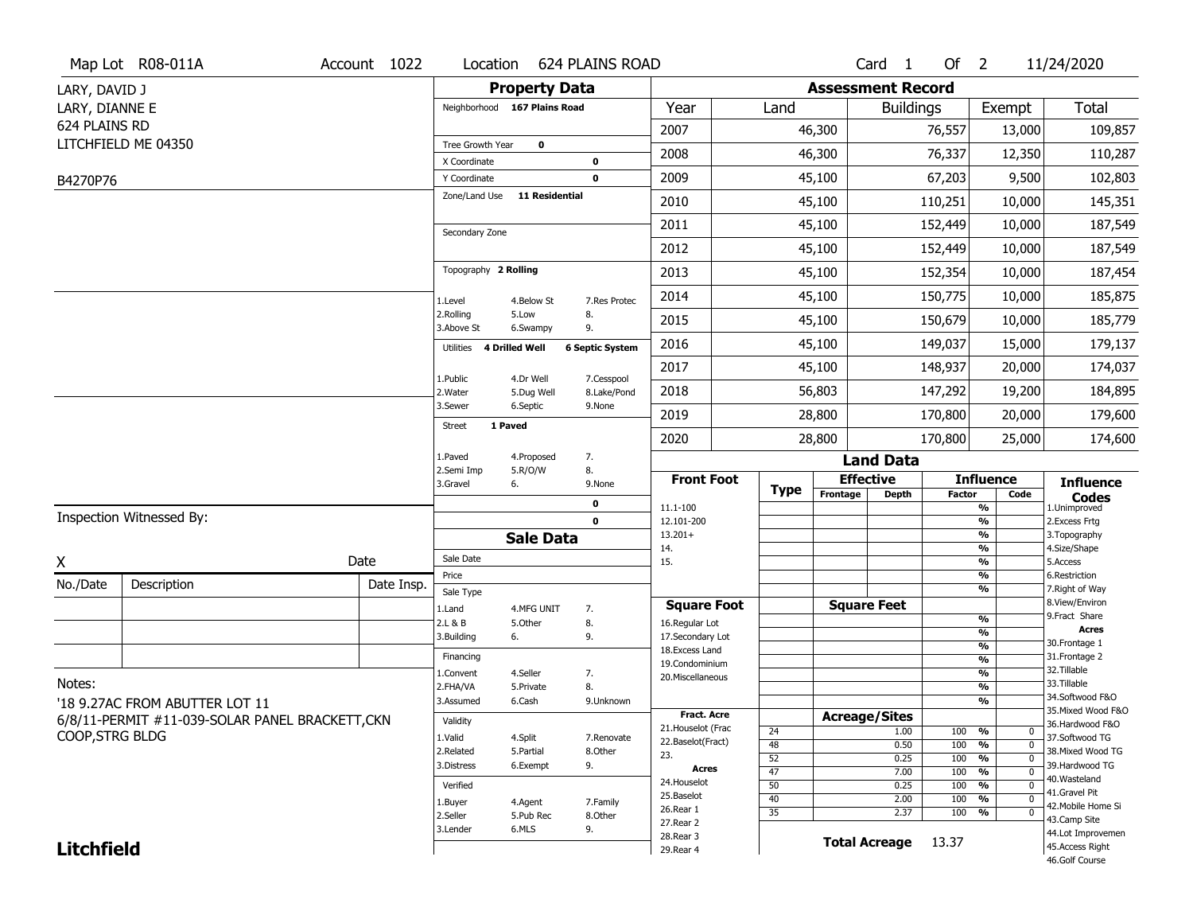|                   | Map Lot R08-011A                                | Account 1022 | Location                |                              | 624 PLAINS ROAD        |                                      |                 |          | Card <sub>1</sub>        | Of $2$        |                                                     | 11/24/2020                            |
|-------------------|-------------------------------------------------|--------------|-------------------------|------------------------------|------------------------|--------------------------------------|-----------------|----------|--------------------------|---------------|-----------------------------------------------------|---------------------------------------|
| LARY, DAVID J     |                                                 |              |                         | <b>Property Data</b>         |                        |                                      |                 |          | <b>Assessment Record</b> |               |                                                     |                                       |
| LARY, DIANNE E    |                                                 |              |                         | Neighborhood 167 Plains Road |                        | Year                                 | Land            |          | <b>Buildings</b>         |               | Exempt                                              | <b>Total</b>                          |
| 624 PLAINS RD     |                                                 |              |                         |                              |                        | 2007                                 |                 | 46,300   |                          | 76,557        | 13,000                                              | 109,857                               |
|                   | LITCHFIELD ME 04350                             |              | Tree Growth Year        | $\mathbf 0$                  |                        |                                      |                 |          |                          |               |                                                     |                                       |
|                   |                                                 |              | X Coordinate            |                              | $\mathbf 0$            | 2008                                 |                 | 46,300   |                          | 76,337        | 12,350                                              | 110,287                               |
| B4270P76          |                                                 |              | Y Coordinate            |                              | $\mathbf 0$            | 2009                                 |                 | 45,100   |                          | 67,203        | 9,500                                               | 102,803                               |
|                   |                                                 |              | Zone/Land Use           | <b>11 Residential</b>        |                        | 2010                                 |                 | 45,100   |                          | 110,251       | 10,000                                              | 145,351                               |
|                   |                                                 |              | Secondary Zone          |                              |                        | 2011                                 |                 | 45,100   |                          | 152,449       | 10,000                                              | 187,549                               |
|                   |                                                 |              |                         |                              |                        | 2012                                 |                 | 45,100   |                          | 152,449       | 10,000                                              | 187,549                               |
|                   |                                                 |              | Topography 2 Rolling    |                              |                        | 2013                                 |                 | 45,100   |                          | 152,354       | 10,000                                              | 187,454                               |
|                   |                                                 |              | 1.Level                 | 4.Below St                   | 7.Res Protec           | 2014                                 |                 | 45,100   |                          | 150,775       | 10,000                                              | 185,875                               |
|                   |                                                 |              | 2.Rolling<br>3.Above St | 5.Low<br>6.Swampy            | 8.<br>9.               | 2015                                 |                 | 45,100   |                          | 150,679       | 10,000                                              | 185,779                               |
|                   |                                                 |              | Utilities               | 4 Drilled Well               | <b>6 Septic System</b> | 2016                                 |                 | 45,100   |                          | 149,037       | 15,000                                              | 179,137                               |
|                   |                                                 |              |                         | 4.Dr Well                    | 7.Cesspool             | 2017                                 |                 | 45,100   |                          | 148,937       | 20,000                                              | 174,037                               |
|                   |                                                 |              | 1.Public<br>2. Water    | 5.Dug Well                   | 8.Lake/Pond            | 2018                                 |                 | 56,803   |                          | 147,292       | 19,200                                              | 184,895                               |
|                   |                                                 |              | 3.Sewer                 | 6.Septic                     | 9.None                 | 2019                                 |                 | 28,800   |                          | 170,800       | 20,000                                              | 179,600                               |
|                   |                                                 |              | <b>Street</b>           | 1 Paved                      |                        | 2020                                 |                 | 28,800   |                          | 170,800       | 25,000                                              | 174,600                               |
|                   |                                                 |              | 1.Paved                 | 4.Proposed                   | 7.                     |                                      |                 |          | <b>Land Data</b>         |               |                                                     |                                       |
|                   |                                                 |              | 2.Semi Imp<br>3.Gravel  | 5.R/O/W<br>6.                | 8.<br>9.None           | <b>Front Foot</b>                    |                 |          | <b>Effective</b>         |               | <b>Influence</b>                                    | <b>Influence</b>                      |
|                   |                                                 |              |                         |                              |                        |                                      | <b>Type</b>     | Frontage | Depth                    | <b>Factor</b> | Code                                                | <b>Codes</b>                          |
|                   |                                                 |              |                         |                              | 0                      |                                      |                 |          |                          |               |                                                     |                                       |
|                   | Inspection Witnessed By:                        |              |                         |                              | $\mathbf 0$            | 11.1-100<br>12.101-200               |                 |          |                          |               | %<br>$\frac{9}{6}$                                  | 1.Unimproved<br>2. Excess Frtg        |
|                   |                                                 |              |                         | <b>Sale Data</b>             |                        | $13.201+$                            |                 |          |                          |               | %                                                   | 3. Topography                         |
|                   |                                                 | Date         | Sale Date               |                              |                        | 14.<br>15.                           |                 |          |                          |               | %<br>%                                              | 4.Size/Shape<br>5.Access              |
| Χ                 |                                                 |              | Price                   |                              |                        |                                      |                 |          |                          |               | %                                                   | 6.Restriction                         |
| No./Date          | Description                                     | Date Insp.   | Sale Type               |                              |                        |                                      |                 |          |                          |               | %                                                   | 7. Right of Way<br>8.View/Environ     |
|                   |                                                 |              | 1.Land<br>2.L & B       | 4.MFG UNIT<br>5.Other        | 7.                     | <b>Square Foot</b><br>16.Regular Lot |                 |          | <b>Square Feet</b>       |               | $\frac{9}{6}$                                       | 9.Fract Share                         |
|                   |                                                 |              | 3.Building              | 6.                           | 8.<br>9.               | 17.Secondary Lot                     |                 |          |                          |               | %                                                   | <b>Acres</b>                          |
|                   |                                                 |              | Financing               |                              |                        | 18.Excess Land                       |                 |          |                          |               | $\frac{9}{6}$                                       | 30. Frontage 1<br>31. Frontage 2      |
|                   |                                                 |              | 1.Convent               | 4.Seller                     | 7.                     | 19.Condominium                       |                 |          |                          |               | $\overline{\frac{9}{6}}$<br>$\frac{9}{6}$           | 32.Tillable                           |
| Notes:            |                                                 |              | 2.FHA/VA                | 5.Private                    | 8.                     | 20.Miscellaneous                     |                 |          |                          |               | $\overline{\frac{9}{6}}$                            | 33.Tillable                           |
|                   | '18 9.27AC FROM ABUTTER LOT 11                  |              | 3.Assumed               | 6.Cash                       | 9.Unknown              |                                      |                 |          |                          |               | %                                                   | 34.Softwood F&O                       |
|                   | 6/8/11-PERMIT #11-039-SOLAR PANEL BRACKETT, CKN |              | Validity                |                              |                        | <b>Fract. Acre</b>                   |                 |          | <b>Acreage/Sites</b>     |               |                                                     | 35. Mixed Wood F&O<br>36.Hardwood F&O |
| COOP, STRG BLDG   |                                                 |              | 1.Valid                 | 4.Split                      | 7.Renovate             | 21. Houselot (Frac                   | 24              |          | 1.00                     | 100           | %<br>0                                              | 37.Softwood TG                        |
|                   |                                                 |              | 2.Related               | 5.Partial                    | 8.Other                | 22.Baselot(Fract)<br>23.             | 48              |          | 0.50                     | 100           | $\overline{0}$<br>$\frac{9}{6}$                     | 38. Mixed Wood TG                     |
|                   |                                                 |              | 3.Distress              | 6.Exempt                     | 9.                     | <b>Acres</b>                         | 52<br>47        |          | 0.25<br>7.00             | 100<br>100    | $\overline{0}$<br>%<br>$\frac{9}{6}$<br>$\mathbf 0$ | 39.Hardwood TG                        |
|                   |                                                 |              | Verified                |                              |                        | 24. Houselot                         | 50              |          | 0.25                     | 100           | %<br>$\mathbf 0$                                    | 40. Wasteland                         |
|                   |                                                 |              | 1.Buyer                 | 4.Agent                      | 7.Family               | 25.Baselot                           | 40              |          | 2.00                     | 100           | $\frac{9}{6}$<br>$\mathbf 0$                        | 41.Gravel Pit<br>42. Mobile Home Si   |
|                   |                                                 |              | 2.Seller                | 5.Pub Rec                    | 8.Other                | 26.Rear 1<br>27.Rear 2               | $\overline{35}$ |          | 2.37                     | 100           | $\frac{9}{6}$<br>$\mathbf 0$                        | 43.Camp Site                          |
| <b>Litchfield</b> |                                                 |              | 3.Lender                | 6.MLS                        | 9.                     | 28. Rear 3<br>29. Rear 4             |                 |          | <b>Total Acreage</b>     | 13.37         |                                                     | 44.Lot Improvemen<br>45.Access Right  |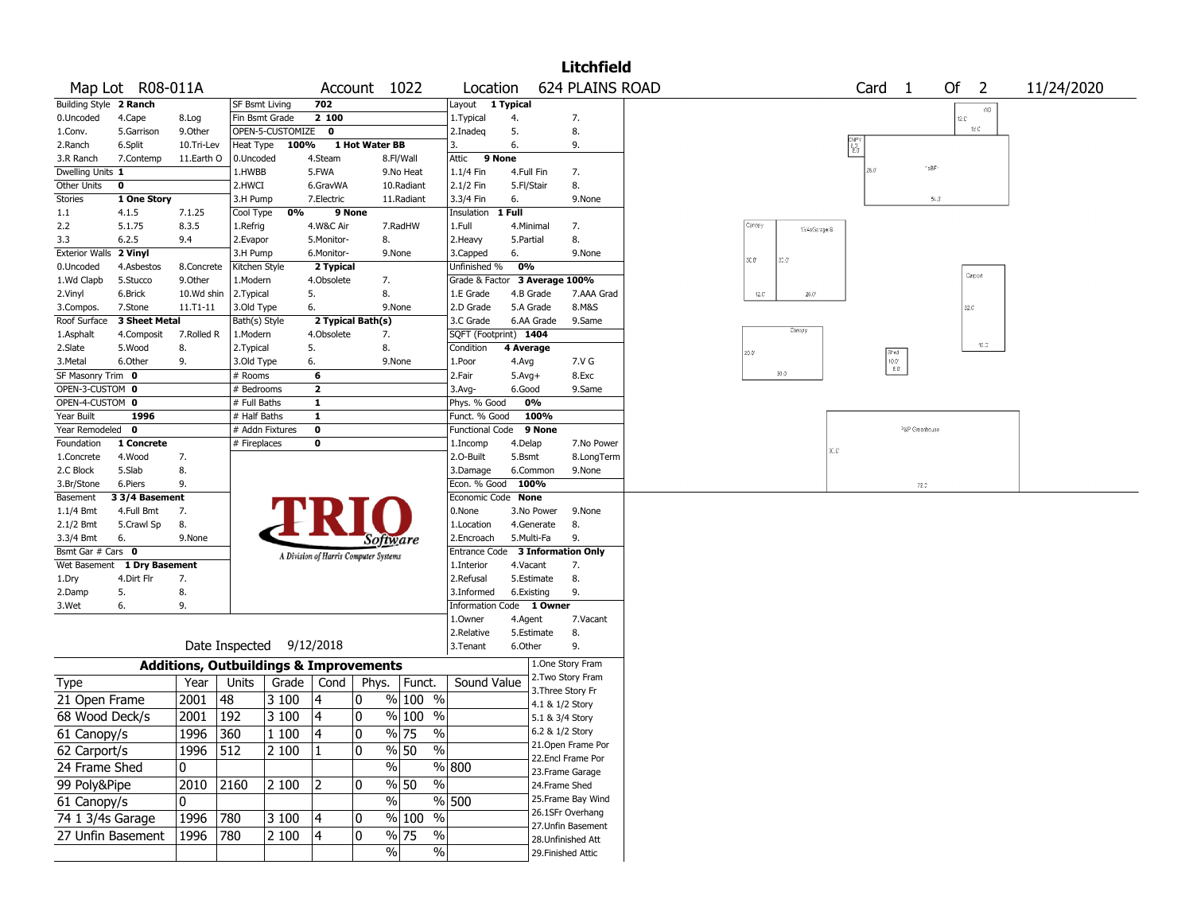|                                      |                             |                                                   |                       |                          |                 |                                       |                                    |                                  |                    |                                    | <b>Litchfield</b>  |                                                                               |
|--------------------------------------|-----------------------------|---------------------------------------------------|-----------------------|--------------------------|-----------------|---------------------------------------|------------------------------------|----------------------------------|--------------------|------------------------------------|--------------------|-------------------------------------------------------------------------------|
|                                      | Map Lot R08-011A            |                                                   |                       |                          |                 | Account 1022                          |                                    | Location                         |                    |                                    | 624 PLAINS ROAD    | Card <sub>1</sub><br>Of $2$<br>11/24/2020                                     |
| Building Style 2 Ranch               |                             |                                                   | <b>SF Bsmt Living</b> |                          | 702             |                                       |                                    | Layout                           | 1 Typical          |                                    |                    | WD.                                                                           |
| 0.Uncoded                            | 4.Cape                      | 8.Log                                             |                       | Fin Bsmt Grade           | 2 100           |                                       |                                    | 1. Typical                       | 4.                 |                                    | 7.                 | 12.C                                                                          |
| 1.Conv.                              | 5.Garrison                  | 9.0ther                                           |                       | OPEN-5-CUSTOMIZE 0       |                 |                                       |                                    | 2.Inadeq                         | 5.                 |                                    | 8.                 | 16 C                                                                          |
| 2.Ranch                              | 6.Split                     | 10.Tri-Lev                                        | Heat Type             | 100%                     |                 | 1 Hot Water BB                        |                                    | 3.                               | 6.                 |                                    | 9.                 | CNPY<br>ชิง<br>ชิง                                                            |
| 3.R Ranch                            | 7.Contemp                   | 11.Earth O                                        | 0.Uncoded             |                          | 4.Steam         |                                       | 8.Fl/Wall                          | Attic<br>9 None                  |                    |                                    |                    |                                                                               |
| Dwelling Units 1                     |                             |                                                   | 1.HWBB                |                          | 5.FWA           |                                       | 9.No Heat                          | 1.1/4 Fin                        | 4.Full Fin         |                                    | 7.                 | 'sBF<br>26.0                                                                  |
| Other Units                          | 0                           |                                                   | 2.HWCI                |                          | 6.GravWA        |                                       | 10.Radiant                         | 2.1/2 Fin                        | 5.Fl/Stair         |                                    | 8.                 |                                                                               |
| Stories                              | 1 One Story                 |                                                   | 3.H Pump              |                          | 7.Electric      |                                       | 11.Radiant                         | 3.3/4 Fin                        | 6.                 |                                    | 9.None             | $54.3$                                                                        |
| 1.1                                  | 4.1.5                       | 7.1.25                                            | Cool Type             | 0%                       |                 | 9 None                                |                                    | Insulation                       | 1 Full             |                                    |                    |                                                                               |
| 2.2                                  | 5.1.75                      | 8.3.5                                             | 1.Refrig              |                          | 4.W&C Air       |                                       | 7.RadHW                            | 1.Full                           | 4.Minimal          |                                    | 7.                 | Caropy<br>13/4sGarage/B                                                       |
| 3.3                                  | 6.2.5                       | 9.4                                               | 2.Evapor              |                          | 5.Monitor-      | 8.                                    |                                    | 2.Heavy                          | 5.Partial          |                                    | 8.                 |                                                                               |
| Exterior Walls 2 Vinyl               |                             |                                                   | 3.H Pump              |                          | 6.Monitor-      | 9.None                                |                                    | 3.Capped                         | 6.                 |                                    | 9.None             | 30.0<br>30.Q°                                                                 |
| 0.Uncoded                            | 4.Asbestos                  | 8.Concrete                                        | Kitchen Style         |                          | 2 Typical       |                                       |                                    | Unfinished %                     | 0%                 |                                    |                    | Carport                                                                       |
| 1.Wd Clapb                           | 5.Stucco                    | 9.0ther                                           | 1.Modern              |                          | 4.Obsolete      | 7.                                    |                                    | Grade & Factor 3 Average 100%    |                    |                                    |                    |                                                                               |
| 2.Vinyl                              | 6.Brick                     | 10.Wd shin                                        | 2.Typical             |                          | 5.              | 8.                                    |                                    | 1.E Grade                        | 4.B Grade          |                                    | 7.AAA Grad         | $12.0^{\circ}$<br>$26.0^\circ$                                                |
| 3.Compos.                            | 7.Stone                     | $11. T1 - 11$                                     | 3.Old Type            |                          | 6.              | 9.None                                |                                    | 2.D Grade                        | 5.A Grade          |                                    | 8.M&S              | 32.0                                                                          |
| Roof Surface                         | 3 Sheet Metal               |                                                   | Bath(s) Style         |                          |                 | 2 Typical Bath(s)                     |                                    | 3.C Grade                        |                    | 6.AA Grade                         | 9.Same             | Canapy                                                                        |
| 1.Asphalt                            | 4.Composit                  | 7.Rolled R                                        | 1.Modern              |                          | 4.Obsolete      | 7.                                    |                                    | SQFT (Footprint) 1404            |                    |                                    |                    | $18.5^\circ$                                                                  |
| 2.Slate                              | 5.Wood                      | 8.                                                | 2.Typical             |                          | 5.              | 8.                                    |                                    | Condition                        | 4 Average          |                                    |                    | $\begin{array}{c} \mathrm{Sred} \\ 10.0 \\ 8.0 \end{array}$<br>$20.0^{\circ}$ |
| 3.Metal                              | 6.Other                     | 9.                                                | 3.Old Type            |                          | 6.<br>6         | 9.None                                |                                    | 1.Poor                           | 4.Avg              |                                    | 7.V G<br>8.Exc     | 30.0                                                                          |
| SF Masonry Trim 0<br>OPEN-3-CUSTOM 0 |                             |                                                   | # Rooms<br># Bedrooms |                          | 2               |                                       |                                    | 2.Fair                           | $5.Avg+$<br>6.Good |                                    | 9.Same             |                                                                               |
| OPEN-4-CUSTOM 0                      |                             |                                                   | # Full Baths          |                          | 1               |                                       |                                    | 3.Avg-<br>Phys. % Good           | 0%                 |                                    |                    |                                                                               |
| Year Built                           | 1996                        |                                                   | # Half Baths          |                          | 1               |                                       |                                    | Funct. % Good                    |                    | 100%                               |                    |                                                                               |
| Year Remodeled 0                     |                             |                                                   |                       | # Addn Fixtures          | 0               |                                       |                                    | Functional Code                  |                    | 9 None                             |                    | P&P Greenhouse                                                                |
| Foundation                           | 1 Concrete                  |                                                   | # Fireplaces          |                          | 0               |                                       |                                    | 1.Incomp                         | 4.Delap            |                                    | 7.No Power         |                                                                               |
| 1.Concrete                           | 4.Wood                      | 7.                                                |                       |                          |                 |                                       |                                    | 2.O-Built                        | 5.Bsmt             |                                    | 8.LongTerm         | $30.0^{\circ}$                                                                |
| 2.C Block                            | 5.Slab                      | 8.                                                |                       |                          |                 |                                       |                                    | 3.Damage                         | 6.Common           |                                    | 9.None             |                                                                               |
| 3.Br/Stone                           | 6.Piers                     | 9.                                                |                       |                          |                 |                                       |                                    | Econ. % Good                     | 100%               |                                    |                    | 72.3                                                                          |
| Basement                             | 3 3/4 Basement              |                                                   |                       |                          |                 |                                       |                                    | Economic Code None               |                    |                                    |                    |                                                                               |
| $1.1/4$ Bmt                          | 4.Full Bmt                  | 7.                                                |                       |                          |                 |                                       |                                    | 0.None                           |                    | 3.No Power                         | 9.None             |                                                                               |
| 2.1/2 Bmt                            | 5.Crawl Sp                  | 8.                                                |                       |                          |                 |                                       |                                    | 1.Location                       | 4.Generate         |                                    | 8.                 |                                                                               |
| 3.3/4 Bmt                            | 6.                          | 9.None                                            |                       |                          |                 | Software                              |                                    | 2.Encroach                       | 5.Multi-Fa         |                                    | 9.                 |                                                                               |
| Bsmt Gar # Cars 0                    |                             |                                                   |                       |                          |                 | A Division of Harris Computer Systems |                                    | Entrance Code 3 Information Only |                    |                                    |                    |                                                                               |
|                                      | Wet Basement 1 Dry Basement |                                                   |                       |                          |                 |                                       |                                    | 1.Interior                       | 4.Vacant           |                                    | 7.                 |                                                                               |
| 1.Dry                                | 4.Dirt Flr                  | 7.                                                |                       |                          |                 |                                       |                                    | 2.Refusal                        | 5.Estimate         |                                    | 8.                 |                                                                               |
| 2.Damp                               | 5.                          | 8.                                                |                       |                          |                 |                                       |                                    | 3.Informed                       | 6.Existing         |                                    | 9.                 |                                                                               |
| 3.Wet                                | 6.                          | 9.                                                |                       |                          |                 |                                       |                                    | Information Code 1 Owner         |                    |                                    |                    |                                                                               |
|                                      |                             |                                                   |                       |                          |                 |                                       |                                    | 1.0wner                          | 4.Agent            |                                    | 7.Vacant           |                                                                               |
|                                      |                             |                                                   |                       |                          |                 |                                       |                                    | 2.Relative                       | 5.Estimate         |                                    | 8.                 |                                                                               |
|                                      |                             |                                                   |                       | Date Inspected 9/12/2018 |                 |                                       |                                    | 3.Tenant                         | 6.Other            |                                    | 9.                 |                                                                               |
|                                      |                             | <b>Additions, Outbuildings &amp; Improvements</b> |                       |                          |                 |                                       |                                    |                                  |                    |                                    | 1.One Story Fram   |                                                                               |
| Type                                 |                             | Year                                              | Units                 | Grade                    | Cond            | Phys.                                 | Funct.                             | Sound Value                      |                    |                                    | 2. Two Story Fram  |                                                                               |
| 21 Open Frame                        |                             | 2001                                              | 48                    | 3 100                    | 4               | 10                                    | % 100 %                            |                                  |                    | 3. Three Story Fr                  |                    |                                                                               |
| 68 Wood Deck/s                       |                             | 2001   192                                        |                       | 3 100                    | 4               | 0                                     | % 100 %                            |                                  |                    | 4.1 & 1/2 Story                    |                    |                                                                               |
|                                      |                             |                                                   |                       |                          |                 |                                       |                                    |                                  |                    | 5.1 & 3/4 Story<br>6.2 & 1/2 Story |                    |                                                                               |
| 61 Canopy/s                          |                             | 1996 360                                          |                       | $1100$ 4                 |                 | 0                                     | $\frac{9}{6}$ 75 %                 |                                  |                    |                                    | 21. Open Frame Por |                                                                               |
| 62 Carport/s                         |                             | 1996 512                                          |                       | 2 100                    |                 | 0                                     | % 50<br>$\frac{9}{6}$              |                                  |                    |                                    | 22.Encl Frame Por  |                                                                               |
| 24 Frame Shed                        |                             | 0                                                 |                       |                          |                 | $\sqrt{6}$                            |                                    | % 800                            |                    | 23. Frame Garage                   |                    |                                                                               |
| 99 Poly&Pipe                         |                             | 2010 2160                                         |                       | 2 100                    | 2               | 0                                     | $\sqrt{6}$<br>% 50                 |                                  |                    | 24.Frame Shed                      |                    |                                                                               |
| 61 Canopy/s                          |                             | 0                                                 |                       |                          |                 | $\%$                                  |                                    | $\frac{9}{6}$ 500                |                    |                                    | 25. Frame Bay Wind |                                                                               |
| 74 1 3/4s Garage                     |                             |                                                   |                       |                          |                 |                                       | % 100 %                            |                                  |                    |                                    | 26.1SFr Overhang   |                                                                               |
|                                      |                             | 1996 780                                          |                       | 3 100                    | 4               | 10                                    |                                    |                                  |                    |                                    | 27.Unfin Basement  |                                                                               |
| 27 Unfin Basement                    |                             | 1996 780                                          |                       | $\sqrt{2100}$            | $\vert 4 \vert$ | 10                                    | $\frac{9}{6}$ 75<br>$\sqrt[6]{\ }$ |                                  |                    | 28.Unfinished Att                  |                    |                                                                               |
|                                      |                             |                                                   |                       |                          |                 | $\frac{1}{2}$                         | $\frac{9}{6}$                      |                                  |                    | 29. Finished Attic                 |                    |                                                                               |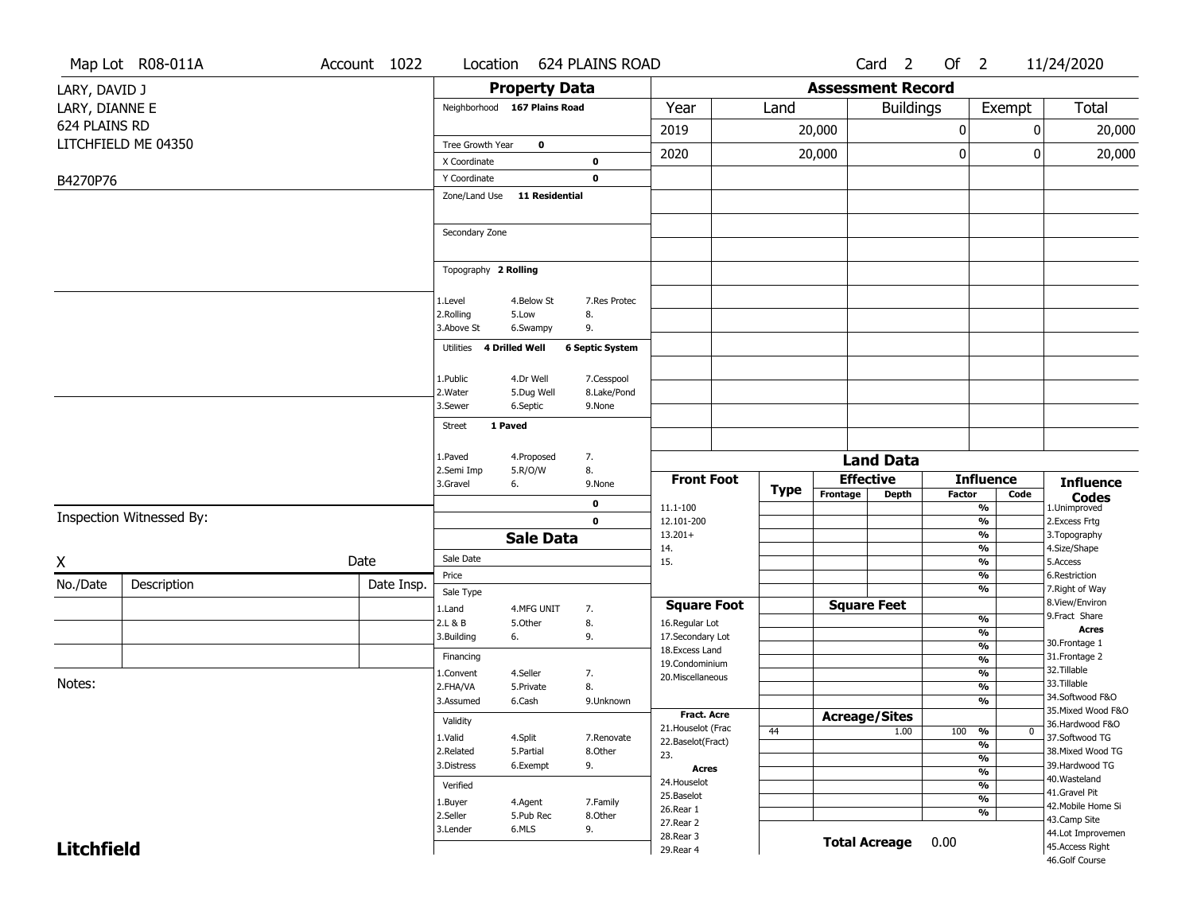|                   | Map Lot R08-011A         | Account 1022 | Location                |                              | <b>624 PLAINS ROAD</b> |                                    |             |                          | Card <sub>2</sub>                | Of $2$        |                                           | 11/24/2020                            |
|-------------------|--------------------------|--------------|-------------------------|------------------------------|------------------------|------------------------------------|-------------|--------------------------|----------------------------------|---------------|-------------------------------------------|---------------------------------------|
| LARY, DAVID J     |                          |              |                         | <b>Property Data</b>         |                        |                                    |             | <b>Assessment Record</b> |                                  |               |                                           |                                       |
| LARY, DIANNE E    |                          |              |                         | Neighborhood 167 Plains Road |                        | Year                               | Land        |                          | <b>Buildings</b>                 |               | Exempt                                    | Total                                 |
| 624 PLAINS RD     |                          |              |                         |                              |                        |                                    |             |                          |                                  |               |                                           |                                       |
|                   | LITCHFIELD ME 04350      |              | Tree Growth Year        | $\mathbf 0$                  |                        | 2019                               |             | 20,000                   |                                  | 0             |                                           | 20,000<br>0                           |
|                   |                          |              | X Coordinate            |                              | $\mathbf 0$            | 2020                               |             | 20,000                   |                                  | 0             |                                           | 20,000<br>0                           |
| B4270P76          |                          |              | Y Coordinate            |                              | $\mathbf 0$            |                                    |             |                          |                                  |               |                                           |                                       |
|                   |                          |              | Zone/Land Use           | <b>11 Residential</b>        |                        |                                    |             |                          |                                  |               |                                           |                                       |
|                   |                          |              |                         |                              |                        |                                    |             |                          |                                  |               |                                           |                                       |
|                   |                          |              | Secondary Zone          |                              |                        |                                    |             |                          |                                  |               |                                           |                                       |
|                   |                          |              |                         |                              |                        |                                    |             |                          |                                  |               |                                           |                                       |
|                   |                          |              | Topography 2 Rolling    |                              |                        |                                    |             |                          |                                  |               |                                           |                                       |
|                   |                          |              |                         |                              |                        |                                    |             |                          |                                  |               |                                           |                                       |
|                   |                          |              | 1.Level                 | 4.Below St                   | 7.Res Protec           |                                    |             |                          |                                  |               |                                           |                                       |
|                   |                          |              | 2.Rolling<br>3.Above St | 5.Low<br>6.Swampy            | 8.<br>9.               |                                    |             |                          |                                  |               |                                           |                                       |
|                   |                          |              | Utilities               | 4 Drilled Well               | <b>6 Septic System</b> |                                    |             |                          |                                  |               |                                           |                                       |
|                   |                          |              |                         |                              |                        |                                    |             |                          |                                  |               |                                           |                                       |
|                   |                          |              | 1.Public                | 4.Dr Well                    | 7.Cesspool             |                                    |             |                          |                                  |               |                                           |                                       |
|                   |                          |              | 2. Water                | 5.Dug Well                   | 8.Lake/Pond            |                                    |             |                          |                                  |               |                                           |                                       |
|                   |                          |              | 3.Sewer                 | 6.Septic                     | 9.None                 |                                    |             |                          |                                  |               |                                           |                                       |
|                   |                          |              | <b>Street</b>           | 1 Paved                      |                        |                                    |             |                          |                                  |               |                                           |                                       |
|                   |                          |              | 1.Paved                 | 4.Proposed                   | 7.                     |                                    |             |                          |                                  |               |                                           |                                       |
|                   |                          |              | 2.Semi Imp              | 5.R/O/W                      | 8.                     |                                    |             |                          | <b>Land Data</b>                 |               |                                           |                                       |
|                   |                          |              | 3.Gravel                | 6.                           | 9.None                 | <b>Front Foot</b>                  | <b>Type</b> | Frontage                 | <b>Effective</b><br><b>Depth</b> | <b>Factor</b> | <b>Influence</b><br>Code                  | <b>Influence</b>                      |
|                   |                          |              |                         |                              | 0                      | 11.1-100                           |             |                          |                                  |               | %                                         | <b>Codes</b><br>1.Unimproved          |
|                   | Inspection Witnessed By: |              |                         |                              | $\mathbf 0$            | 12.101-200                         |             |                          |                                  |               | $\frac{9}{6}$                             | 2.Excess Frtg                         |
|                   |                          |              |                         | <b>Sale Data</b>             |                        | $13.201+$<br>14.                   |             |                          |                                  |               | %<br>%                                    | 3.Topography<br>4.Size/Shape          |
| X                 |                          | Date         | Sale Date               |                              |                        | 15.                                |             |                          |                                  |               | %                                         | 5.Access                              |
| No./Date          | Description              | Date Insp.   | Price                   |                              |                        |                                    |             |                          |                                  |               | %                                         | 6.Restriction                         |
|                   |                          |              | Sale Type               |                              |                        |                                    |             |                          |                                  |               | %                                         | 7. Right of Way<br>8.View/Environ     |
|                   |                          |              | 1.Land                  | 4.MFG UNIT                   | 7.                     | <b>Square Foot</b>                 |             |                          | <b>Square Feet</b>               |               | $\frac{9}{6}$                             | 9.Fract Share                         |
|                   |                          |              | 2.L & B<br>3.Building   | 5.Other<br>6.                | 8.<br>9.               | 16.Regular Lot<br>17.Secondary Lot |             |                          |                                  |               | %                                         | <b>Acres</b>                          |
|                   |                          |              | Financing               |                              |                        | 18.Excess Land                     |             |                          |                                  |               | $\overline{\frac{9}{6}}$                  | 30.Frontage 1<br>31. Frontage 2       |
|                   |                          |              | 1.Convent               | 4.Seller                     | 7.                     | 19.Condominium                     |             |                          |                                  |               | $\frac{9}{6}$<br>$\overline{\frac{9}{6}}$ | 32.Tillable                           |
| Notes:            |                          |              | 2.FHA/VA                | 5.Private                    | 8.                     | 20.Miscellaneous                   |             |                          |                                  |               | $\overline{\frac{9}{6}}$                  | 33.Tillable                           |
|                   |                          |              | 3.Assumed               | 6.Cash                       | 9.Unknown              |                                    |             |                          |                                  |               | $\overline{\frac{9}{6}}$                  | 34.Softwood F&O<br>35. Mixed Wood F&O |
|                   |                          |              | Validity                |                              |                        | Fract. Acre<br>21. Houselot (Frac  |             |                          | <b>Acreage/Sites</b>             |               |                                           | 36.Hardwood F&O                       |
|                   |                          |              | 1.Valid                 | 4.Split                      | 7.Renovate             | 22.Baselot(Fract)                  | 44          |                          | 1.00                             | 100           | %<br>$\bf{0}$<br>%                        | 37.Softwood TG                        |
|                   |                          |              | 2.Related               | 5.Partial                    | 8.Other                | 23.                                |             |                          |                                  |               | $\frac{9}{6}$                             | 38. Mixed Wood TG                     |
|                   |                          |              | 3.Distress              | 6.Exempt                     | 9.                     | <b>Acres</b>                       |             |                          |                                  |               | $\frac{9}{6}$                             | 39.Hardwood TG<br>40. Wasteland       |
|                   |                          |              | Verified                |                              |                        | 24. Houselot<br>25.Baselot         |             |                          |                                  |               | $\frac{9}{6}$<br>$\frac{9}{6}$            | 41.Gravel Pit                         |
|                   |                          |              | 1.Buyer<br>2.Seller     | 4.Agent                      | 7.Family               | 26.Rear 1                          |             |                          |                                  |               | %                                         | 42. Mobile Home Si                    |
|                   |                          |              | 3.Lender                | 5.Pub Rec<br>6.MLS           | 8.Other<br>9.          | 27.Rear 2                          |             |                          |                                  |               |                                           | 43.Camp Site<br>44.Lot Improvemen     |
| <b>Litchfield</b> |                          |              |                         |                              |                        | 28. Rear 3<br>29. Rear 4           |             |                          | <b>Total Acreage</b>             | 0.00          |                                           | 45.Access Right                       |
|                   |                          |              |                         |                              |                        |                                    |             |                          |                                  |               |                                           | 46.Golf Course                        |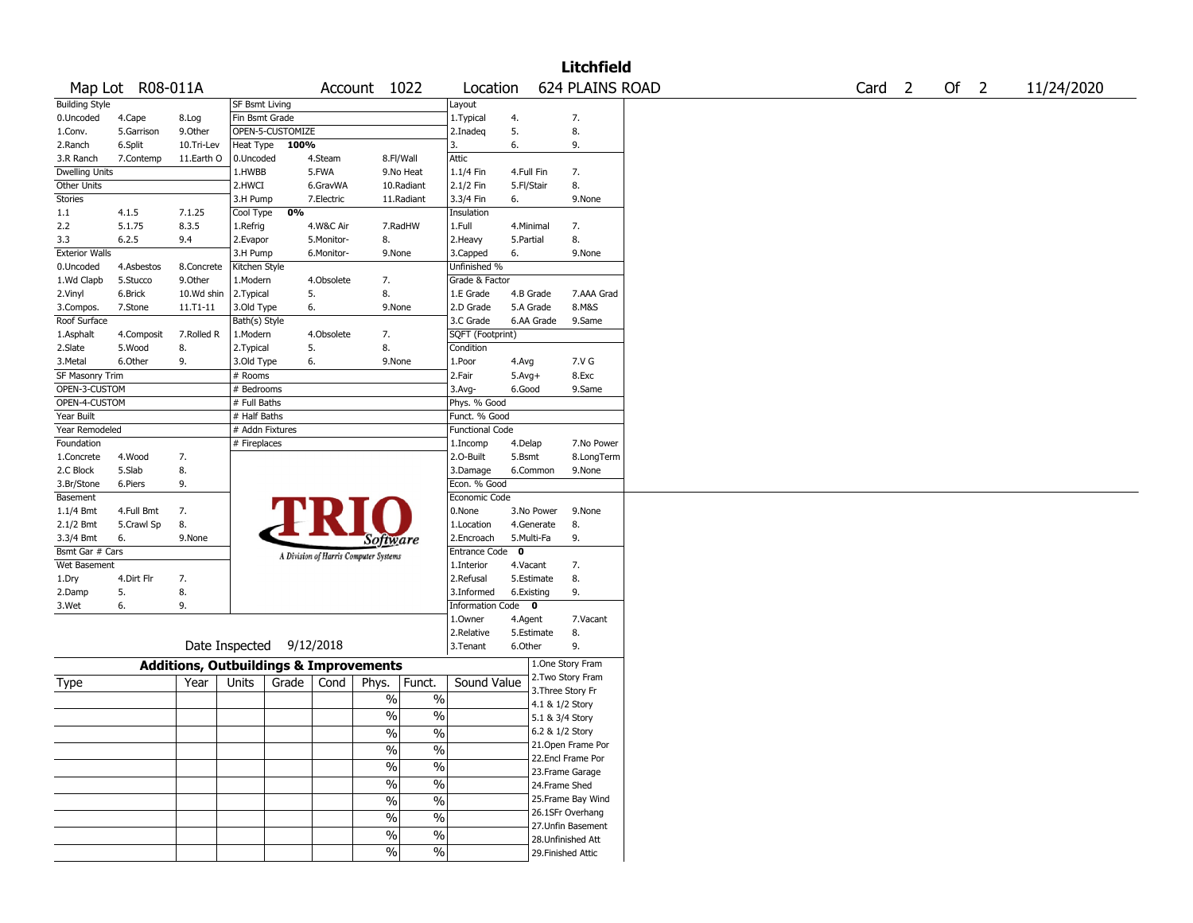|                       |                  |                                                   |                       |                          |            |                                       |                          |                        |              |                 | <b>Litchfield</b>  |                   |      |            |
|-----------------------|------------------|---------------------------------------------------|-----------------------|--------------------------|------------|---------------------------------------|--------------------------|------------------------|--------------|-----------------|--------------------|-------------------|------|------------|
|                       | Map Lot R08-011A |                                                   |                       |                          |            | Account 1022                          |                          | Location               |              |                 | 624 PLAINS ROAD    | Card <sub>2</sub> | Of 2 | 11/24/2020 |
| <b>Building Style</b> |                  |                                                   | <b>SF Bsmt Living</b> |                          |            |                                       |                          | Layout                 |              |                 |                    |                   |      |            |
| 0.Uncoded             | 4.Cape           | 8.Log                                             | Fin Bsmt Grade        |                          |            |                                       |                          | 1.Typical              | 4.           |                 | 7.                 |                   |      |            |
| 1.Conv.               | 5.Garrison       | 9.0ther                                           |                       | OPEN-5-CUSTOMIZE         |            |                                       |                          | 2.Inadeq               | 5.           |                 | 8.                 |                   |      |            |
| 2.Ranch               | 6.Split          | 10.Tri-Lev                                        | Heat Type             | 100%                     |            |                                       |                          | 3.                     | 6.           |                 | 9.                 |                   |      |            |
| 3.R Ranch             | 7.Contemp        | 11.Earth O                                        | 0.Uncoded             |                          | 4.Steam    | 8.Fl/Wall                             |                          | <b>Attic</b>           |              |                 |                    |                   |      |            |
| <b>Dwelling Units</b> |                  |                                                   | 1.HWBB                |                          | 5.FWA      |                                       | 9.No Heat                | 1.1/4 Fin              | 4.Full Fin   |                 | 7.                 |                   |      |            |
| Other Units           |                  |                                                   | 2.HWCI                |                          | 6.GravWA   |                                       | 10.Radiant               | 2.1/2 Fin              | 5.Fl/Stair   |                 | 8.                 |                   |      |            |
| Stories               |                  |                                                   | 3.H Pump              |                          | 7.Electric |                                       | 11.Radiant               | 3.3/4 Fin              | 6.           |                 | 9.None             |                   |      |            |
| 1.1                   | 4.1.5            | 7.1.25                                            | Cool Type             | 0%                       |            |                                       |                          | Insulation             |              |                 |                    |                   |      |            |
| 2.2                   | 5.1.75           | 8.3.5                                             | 1.Refrig              |                          | 4.W&C Air  |                                       | 7.RadHW                  | 1.Full                 |              | 4.Minimal       | 7.                 |                   |      |            |
| 3.3                   | 6.2.5            | 9.4                                               | 2.Evapor              |                          | 5.Monitor- | 8.                                    |                          | 2. Heavy               | 5.Partial    |                 | 8.                 |                   |      |            |
| <b>Exterior Walls</b> |                  |                                                   | 3.H Pump              |                          | 6.Monitor- | 9.None                                |                          | 3.Capped               | 6.           |                 | 9.None             |                   |      |            |
| 0.Uncoded             | 4.Asbestos       | 8.Concrete                                        | Kitchen Style         |                          |            |                                       |                          | Unfinished %           |              |                 |                    |                   |      |            |
| 1.Wd Clapb            | 5.Stucco         | 9.0ther                                           | 1.Modern              |                          | 4.Obsolete | 7.                                    |                          | Grade & Factor         |              |                 |                    |                   |      |            |
| 2.Vinyl               | 6.Brick          | 10.Wd shin                                        | 2.Typical             |                          | 5.         | 8.                                    |                          | 1.E Grade              |              | 4.B Grade       | 7.AAA Grad         |                   |      |            |
| 3.Compos.             | 7.Stone          | 11.T1-11                                          | 3.Old Type            |                          | 6.         | 9.None                                |                          | 2.D Grade              |              | 5.A Grade       | 8.M&S              |                   |      |            |
| Roof Surface          |                  |                                                   | Bath(s) Style         |                          |            |                                       |                          | 3.C Grade              |              | 6.AA Grade      | 9.Same             |                   |      |            |
| 1.Asphalt             | 4.Composit       | 7.Rolled R                                        | 1.Modern              |                          | 4.Obsolete | 7.                                    |                          | SQFT (Footprint)       |              |                 |                    |                   |      |            |
| 2.Slate               | 5.Wood           | 8.                                                | 2. Typical            |                          | 5.         | 8.                                    |                          | Condition              |              |                 |                    |                   |      |            |
| 3.Metal               | 6.Other          | 9.                                                | 3.Old Type            | 6.                       |            | 9.None                                |                          | 1.Poor                 | 4.Avg        |                 | 7.V G              |                   |      |            |
| SF Masonry Trim       |                  |                                                   | # Rooms               |                          |            |                                       |                          | 2.Fair                 | $5.Avg+$     |                 | 8.Exc              |                   |      |            |
| OPEN-3-CUSTOM         |                  |                                                   | # Bedrooms            |                          |            |                                       |                          | $3.$ Avg-              | 6.Good       |                 | 9.Same             |                   |      |            |
| OPEN-4-CUSTOM         |                  |                                                   | # Full Baths          |                          |            |                                       |                          |                        |              |                 |                    |                   |      |            |
|                       |                  |                                                   |                       |                          |            |                                       |                          | Phys. % Good           |              |                 |                    |                   |      |            |
| Year Built            |                  |                                                   | # Half Baths          |                          |            |                                       |                          | Funct. % Good          |              |                 |                    |                   |      |            |
| Year Remodeled        |                  |                                                   | # Addn Fixtures       |                          |            |                                       |                          | <b>Functional Code</b> |              |                 |                    |                   |      |            |
| Foundation            |                  |                                                   | # Fireplaces          |                          |            |                                       |                          | 1.Incomp               | 4.Delap      |                 | 7.No Power         |                   |      |            |
| 1.Concrete            | 4.Wood           | 7.                                                |                       |                          |            |                                       |                          | 2.0-Built              | 5.Bsmt       |                 | 8.LongTerm         |                   |      |            |
| 2.C Block             | 5.Slab           | 8.                                                |                       |                          |            |                                       |                          | 3.Damage               |              | 6.Common        | 9.None             |                   |      |            |
| 3.Br/Stone            | 6.Piers          | 9.                                                |                       |                          |            |                                       |                          | Econ. % Good           |              |                 |                    |                   |      |            |
| Basement              |                  |                                                   |                       |                          |            |                                       |                          | Economic Code          |              |                 |                    |                   |      |            |
| 1.1/4 Bmt             | 4.Full Bmt       | 7.                                                |                       |                          |            |                                       |                          | 0.None                 |              | 3.No Power      | 9.None             |                   |      |            |
| 2.1/2 Bmt             | 5.Crawl Sp       | 8.                                                |                       |                          |            |                                       |                          | 1.Location             |              | 4.Generate      | 8.                 |                   |      |            |
| 3.3/4 Bmt             | 6.               | 9.None                                            |                       |                          |            | <i>Software</i>                       |                          | 2.Encroach             |              | 5.Multi-Fa      | 9.                 |                   |      |            |
| Bsmt Gar # Cars       |                  |                                                   |                       |                          |            | A Division of Harris Computer Systems |                          | Entrance Code          | $\mathbf{o}$ |                 |                    |                   |      |            |
| Wet Basement          |                  |                                                   |                       |                          |            |                                       |                          | 1.Interior             | 4.Vacant     |                 | 7.                 |                   |      |            |
| 1.Dry                 | 4.Dirt Flr       | 7.                                                |                       |                          |            |                                       |                          | 2.Refusal              |              | 5.Estimate      | 8.                 |                   |      |            |
| 2.Damp                | 5.               | 8.                                                |                       |                          |            |                                       |                          | 3.Informed             |              | 6.Existing      | 9.                 |                   |      |            |
| 3.Wet                 | 6.               | 9.                                                |                       |                          |            |                                       |                          | Information Code 0     |              |                 |                    |                   |      |            |
|                       |                  |                                                   |                       |                          |            |                                       |                          | 1.Owner                | 4.Agent      |                 | 7.Vacant           |                   |      |            |
|                       |                  |                                                   |                       |                          |            |                                       |                          | 2.Relative             |              | 5.Estimate      | 8.                 |                   |      |            |
|                       |                  |                                                   |                       | Date Inspected 9/12/2018 |            |                                       |                          | 3. Tenant              | 6.Other      |                 | 9.                 |                   |      |            |
|                       |                  |                                                   |                       |                          |            |                                       |                          |                        |              |                 |                    |                   |      |            |
|                       |                  | <b>Additions, Outbuildings &amp; Improvements</b> |                       |                          |            |                                       |                          |                        |              |                 | 1.One Story Fram   |                   |      |            |
| Type                  |                  | Year                                              | Units                 | Grade                    | Cond       | Phys.                                 | Funct.                   | Sound Value            |              |                 | 2. Two Story Fram  |                   |      |            |
|                       |                  |                                                   |                       |                          |            | %                                     | $\%$                     |                        |              |                 | 3. Three Story Fr  |                   |      |            |
|                       |                  |                                                   |                       |                          |            |                                       |                          |                        |              |                 | 4.1 & 1/2 Story    |                   |      |            |
|                       |                  |                                                   |                       |                          |            | $\sqrt{6}$                            | $\%$                     |                        |              | 5.1 & 3/4 Story |                    |                   |      |            |
|                       |                  |                                                   |                       |                          |            | %                                     | %                        |                        |              |                 | 6.2 & 1/2 Story    |                   |      |            |
|                       |                  |                                                   |                       |                          |            | $\frac{1}{2}$                         | $\overline{\frac{0}{0}}$ |                        |              |                 | 21. Open Frame Por |                   |      |            |
|                       |                  |                                                   |                       |                          |            |                                       |                          |                        |              |                 | 22.Encl Frame Por  |                   |      |            |
|                       |                  |                                                   |                       |                          |            | $\%$                                  | $\overline{\frac{0}{6}}$ |                        |              |                 | 23. Frame Garage   |                   |      |            |
|                       |                  |                                                   |                       |                          |            | $\sqrt{6}$                            | $\overline{\frac{0}{0}}$ |                        |              |                 | 24.Frame Shed      |                   |      |            |
|                       |                  |                                                   |                       |                          |            | $\sqrt{6}$                            | $\overline{\frac{0}{0}}$ |                        |              |                 | 25. Frame Bay Wind |                   |      |            |
|                       |                  |                                                   |                       |                          |            |                                       |                          |                        |              |                 | 26.1SFr Overhang   |                   |      |            |
|                       |                  |                                                   |                       |                          |            | $\frac{0}{0}$                         | $\overline{\frac{0}{0}}$ |                        |              |                 | 27. Unfin Basement |                   |      |            |
|                       |                  |                                                   |                       |                          |            | $\%$                                  | $\%$                     |                        |              |                 | 28. Unfinished Att |                   |      |            |
|                       |                  |                                                   |                       |                          |            | $\frac{1}{2}$                         | $\sqrt{6}$               |                        |              |                 | 29. Finished Attic |                   |      |            |
|                       |                  |                                                   |                       |                          |            |                                       |                          |                        |              |                 |                    |                   |      |            |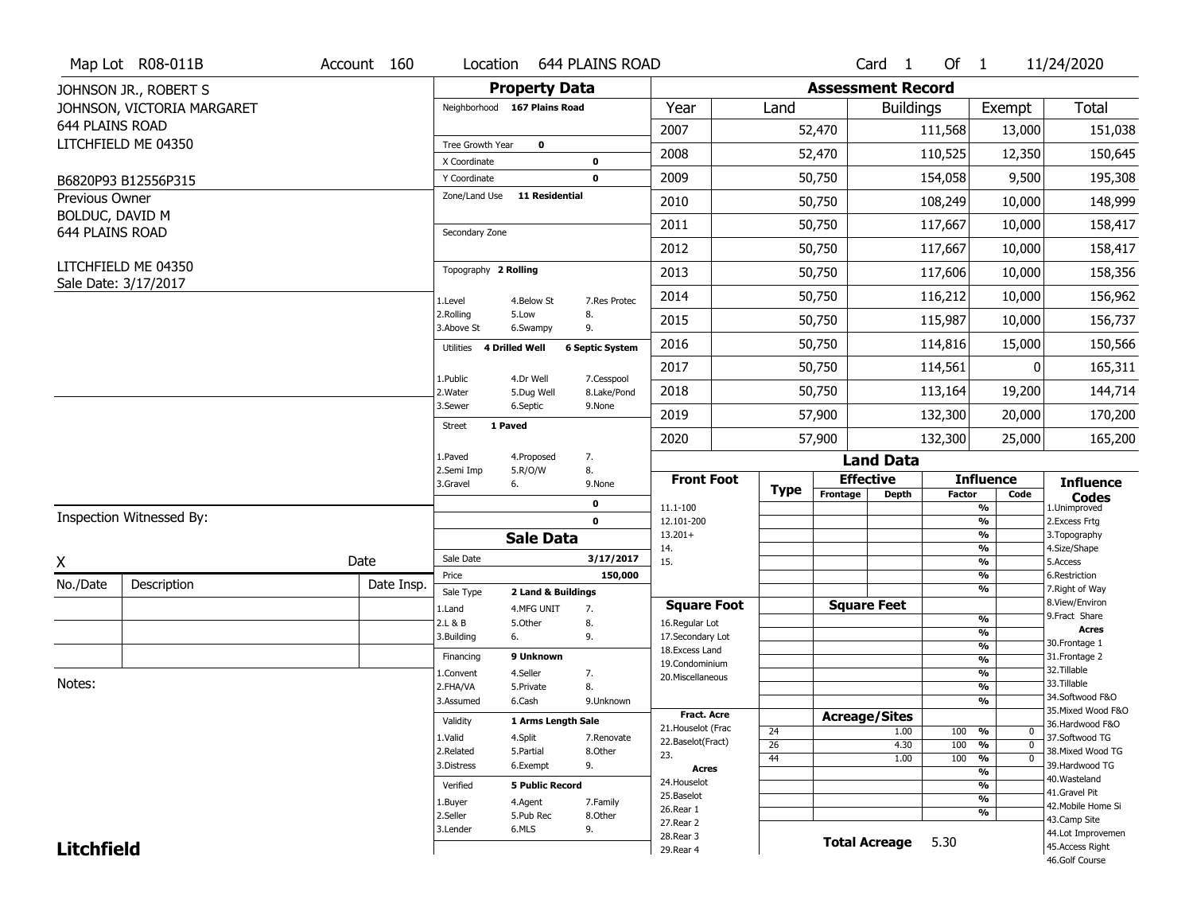|                                          | Map Lot R08-011B           | Account 160 | Location                      | 644 PLAINS ROAD                        |                           |                                    |                 |             |                          | Card <sub>1</sub> | Of $1$        |                                | 11/24/2020                            |
|------------------------------------------|----------------------------|-------------|-------------------------------|----------------------------------------|---------------------------|------------------------------------|-----------------|-------------|--------------------------|-------------------|---------------|--------------------------------|---------------------------------------|
|                                          | JOHNSON JR., ROBERT S      |             |                               | <b>Property Data</b>                   |                           |                                    |                 |             | <b>Assessment Record</b> |                   |               |                                |                                       |
|                                          | JOHNSON, VICTORIA MARGARET |             | Neighborhood 167 Plains Road  |                                        |                           | Year                               |                 | Land        |                          | <b>Buildings</b>  |               | Exempt                         | Total                                 |
| 644 PLAINS ROAD                          |                            |             |                               |                                        |                           | 2007                               |                 |             | 52,470                   |                   | 111,568       | 13,000                         | 151,038                               |
|                                          | LITCHFIELD ME 04350        |             | Tree Growth Year              | $\mathbf 0$                            |                           | 2008                               |                 |             | 52,470                   |                   | 110,525       | 12,350                         | 150,645                               |
|                                          |                            |             | X Coordinate                  | $\pmb{0}$                              |                           |                                    |                 |             |                          |                   |               |                                |                                       |
|                                          | B6820P93 B12556P315        |             | Y Coordinate<br>Zone/Land Use | $\mathbf 0$<br><b>11 Residential</b>   |                           | 2009                               |                 |             | 50,750                   |                   | 154,058       | 9,500                          | 195,308                               |
| <b>Previous Owner</b><br>BOLDUC, DAVID M |                            |             |                               |                                        |                           | 2010                               |                 |             | 50,750                   |                   | 108,249       | 10,000                         | 148,999                               |
| 644 PLAINS ROAD                          |                            |             | Secondary Zone                |                                        |                           | 2011                               |                 |             | 50,750                   |                   | 117,667       | 10,000                         | 158,417                               |
|                                          |                            |             |                               |                                        |                           | 2012                               |                 |             | 50,750                   |                   | 117,667       | 10,000                         | 158,417                               |
|                                          | LITCHFIELD ME 04350        |             | Topography 2 Rolling          |                                        |                           | 2013                               |                 |             | 50,750                   |                   | 117,606       | 10,000                         | 158,356                               |
|                                          | Sale Date: 3/17/2017       |             | 1.Level                       | 4.Below St                             | 7.Res Protec              | 2014                               |                 |             | 50,750                   |                   | 116,212       | 10,000                         | 156,962                               |
|                                          |                            |             | 2.Rolling<br>3.Above St       | 5.Low<br>8.<br>9.<br>6.Swampy          |                           | 2015                               |                 |             | 50,750                   |                   | 115,987       | 10,000                         | 156,737                               |
|                                          |                            |             | Utilities 4 Drilled Well      |                                        | <b>6 Septic System</b>    | 2016                               |                 |             | 50,750                   |                   | 114,816       | 15,000                         | 150,566                               |
|                                          |                            |             | 1.Public                      |                                        |                           | 2017                               |                 |             | 50,750                   |                   | 114,561       | 0                              | 165,311                               |
|                                          |                            |             | 2. Water                      | 4.Dr Well<br>5.Dug Well                | 7.Cesspool<br>8.Lake/Pond | 2018                               |                 |             | 50,750                   |                   | 113,164       | 19,200                         | 144,714                               |
|                                          |                            |             | 3.Sewer                       | 6.Septic<br>9.None                     |                           | 2019                               |                 |             | 57,900                   |                   | 132,300       | 20,000                         | 170,200                               |
|                                          |                            |             | 1 Paved<br><b>Street</b>      |                                        |                           | 2020                               |                 |             | 57,900                   |                   | 132,300       | 25,000                         | 165,200                               |
|                                          |                            |             | 1.Paved                       | 7.<br>4.Proposed                       |                           |                                    |                 |             |                          | <b>Land Data</b>  |               |                                |                                       |
|                                          |                            |             | 2.Semi Imp<br>3.Gravel<br>6.  | 5.R/O/W<br>8.<br>9.None                |                           | <b>Front Foot</b>                  |                 | <b>Type</b> | <b>Effective</b>         |                   |               | <b>Influence</b>               | <b>Influence</b>                      |
|                                          |                            |             |                               | $\mathbf 0$                            |                           | 11.1-100                           |                 |             | Frontage                 | <b>Depth</b>      | <b>Factor</b> | Code<br>$\frac{9}{6}$          | <b>Codes</b><br>1.Unimproved          |
|                                          | Inspection Witnessed By:   |             |                               | $\mathbf 0$                            |                           | 12.101-200                         |                 |             |                          |                   |               | $\frac{9}{6}$                  | 2.Excess Frtg                         |
|                                          |                            |             |                               | <b>Sale Data</b>                       |                           | $13.201+$<br>14.                   |                 |             |                          |                   |               | $\frac{9}{6}$<br>$\frac{9}{6}$ | 3. Topography<br>4.Size/Shape         |
| X                                        |                            | Date        | Sale Date                     |                                        | 3/17/2017                 | 15.                                |                 |             |                          |                   |               | $\frac{9}{6}$                  | 5.Access                              |
| No./Date                                 | Description                | Date Insp.  | Price                         |                                        | 150,000                   |                                    |                 |             |                          |                   |               | %<br>$\frac{9}{6}$             | 6.Restriction<br>7. Right of Way      |
|                                          |                            |             | Sale Type<br>1.Land           | 2 Land & Buildings<br>4.MFG UNIT<br>7. |                           | <b>Square Foot</b>                 |                 |             | <b>Square Feet</b>       |                   |               |                                | 8.View/Environ                        |
|                                          |                            |             | 2.L & B                       | 8.<br>5.Other                          |                           | 16.Regular Lot                     |                 |             |                          |                   |               | %                              | 9. Fract Share                        |
|                                          |                            |             | 3.Building<br>6.              | 9.                                     |                           | 17.Secondary Lot                   |                 |             |                          |                   |               | %                              | <b>Acres</b><br>30. Frontage 1        |
|                                          |                            |             | Financing                     | 9 Unknown                              |                           | 18.Excess Land                     |                 |             |                          |                   |               | %<br>%                         | 31. Frontage 2                        |
|                                          |                            |             | 1.Convent                     | 4.Seller<br>7.                         |                           | 19.Condominium<br>20.Miscellaneous |                 |             |                          |                   |               | %                              | 32. Tillable                          |
| Notes:                                   |                            |             | 2.FHA/VA                      | 8.<br>5.Private                        |                           |                                    |                 |             |                          |                   |               | %                              | 33.Tillable                           |
|                                          |                            |             | 3.Assumed                     | 6.Cash                                 | 9.Unknown                 |                                    |                 |             |                          |                   |               | %                              | 34.Softwood F&O                       |
|                                          |                            |             | Validity                      | 1 Arms Length Sale                     |                           | <b>Fract. Acre</b>                 |                 |             | <b>Acreage/Sites</b>     |                   |               |                                | 35. Mixed Wood F&O<br>36.Hardwood F&O |
|                                          |                            |             | 1.Valid                       | 4.Split                                | 7.Renovate                | 21. Houselot (Frac                 | 24              |             |                          | 1.00              | 100 %         | 0                              | 37.Softwood TG                        |
|                                          |                            |             | 2.Related                     | 5.Partial                              | 8.Other                   | 22.Baselot(Fract)<br>23.           | $\overline{26}$ |             |                          | 4.30              | 100           | %<br>$\mathbf{0}$              | 38. Mixed Wood TG                     |
|                                          |                            |             | 3.Distress                    | 9.<br>6.Exempt                         |                           | Acres                              | 44              |             |                          | 1.00              | 100           | %<br>$\Omega$<br>$\frac{9}{6}$ | 39.Hardwood TG                        |
|                                          |                            |             | Verified                      | <b>5 Public Record</b>                 |                           | 24. Houselot                       |                 |             |                          |                   |               | $\frac{9}{6}$                  | 40. Wasteland                         |
|                                          |                            |             |                               |                                        |                           | 25.Baselot                         |                 |             |                          |                   |               | $\frac{9}{6}$                  | 41.Gravel Pit                         |
|                                          |                            |             | 1.Buyer<br>2.Seller           | 4.Agent<br>5.Pub Rec                   | 7.Family<br>8.Other       | 26.Rear 1                          |                 |             |                          |                   |               | $\frac{9}{6}$                  | 42. Mobile Home Si                    |
|                                          |                            |             |                               |                                        |                           |                                    |                 |             |                          |                   |               |                                |                                       |
|                                          |                            |             |                               |                                        |                           | 27. Rear 2                         |                 |             |                          |                   |               |                                | 43.Camp Site                          |
| <b>Litchfield</b>                        |                            |             | 3.Lender                      | 6.MLS<br>9.                            |                           | 28. Rear 3<br>29. Rear 4           |                 |             | <b>Total Acreage</b>     |                   | 5.30          |                                | 44.Lot Improvemen<br>45.Access Right  |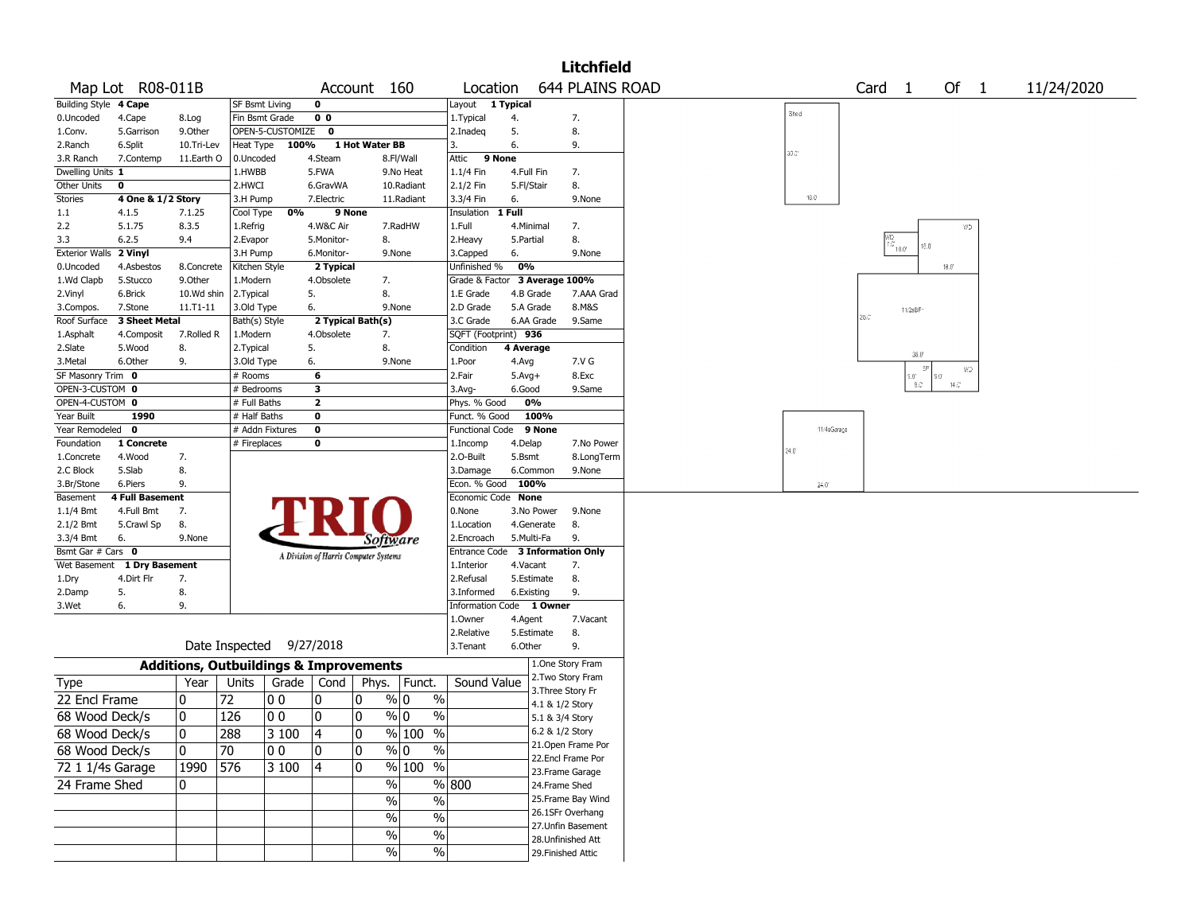|                              |                          |                                                   |                           |                          |                         |                                       |                                |                                  |            |                 | <b>Litchfield</b>      |       |             |                   |                                                                                                                                                                                                                                                                                                                                                  |                |              |  |            |  |
|------------------------------|--------------------------|---------------------------------------------------|---------------------------|--------------------------|-------------------------|---------------------------------------|--------------------------------|----------------------------------|------------|-----------------|------------------------|-------|-------------|-------------------|--------------------------------------------------------------------------------------------------------------------------------------------------------------------------------------------------------------------------------------------------------------------------------------------------------------------------------------------------|----------------|--------------|--|------------|--|
|                              | Map Lot R08-011B         |                                                   |                           |                          |                         | Account 160                           |                                | Location                         |            |                 | <b>644 PLAINS ROAD</b> |       |             | Card <sub>1</sub> |                                                                                                                                                                                                                                                                                                                                                  |                | Of $1$       |  | 11/24/2020 |  |
| Building Style 4 Cape        |                          |                                                   | <b>SF Bsmt Living</b>     |                          | 0                       |                                       |                                | Layout 1 Typical                 |            |                 |                        | Shed  |             |                   |                                                                                                                                                                                                                                                                                                                                                  |                |              |  |            |  |
| 0.Uncoded                    | 4.Cape                   | 8.Log                                             | Fin Bsmt Grade            |                          | 0 <sub>0</sub>          |                                       |                                | 1. Typical                       | 4.         |                 | 7.                     |       |             |                   |                                                                                                                                                                                                                                                                                                                                                  |                |              |  |            |  |
| 1.Conv.                      | 5.Garrison               | 9.0ther                                           |                           | OPEN-5-CUSTOMIZE 0       |                         |                                       |                                | 2.Inadeq                         | 5.         |                 | 8.                     |       |             |                   |                                                                                                                                                                                                                                                                                                                                                  |                |              |  |            |  |
| 2.Ranch                      | 6.Split                  | 10.Tri-Lev                                        | Heat Type                 | 100%                     |                         | 1 Hot Water BB                        |                                | 13.                              | 6.         |                 | 9.                     | 30.01 |             |                   |                                                                                                                                                                                                                                                                                                                                                  |                |              |  |            |  |
| 3.R Ranch                    | 7.Contemp                | 11.Earth O                                        | 0.Uncoded                 |                          | 4.Steam                 |                                       | 8.Fl/Wall                      | 9 None<br>Attic                  |            |                 |                        |       |             |                   |                                                                                                                                                                                                                                                                                                                                                  |                |              |  |            |  |
| Dwelling Units 1             |                          |                                                   | 1.HWBB                    |                          | 5.FWA                   |                                       | 9.No Heat                      | $1.1/4$ Fin                      | 4.Full Fin |                 | 7.                     |       |             |                   |                                                                                                                                                                                                                                                                                                                                                  |                |              |  |            |  |
| Other Units                  | 0                        |                                                   | 2.HWCI                    |                          | 6.GravWA                |                                       | 10.Radiant                     | 2.1/2 Fin                        | 5.Fl/Stair |                 | 8.                     |       | 16.0        |                   |                                                                                                                                                                                                                                                                                                                                                  |                |              |  |            |  |
| <b>Stories</b>               | 4 One & 1/2 Story        |                                                   | 3.H Pump                  |                          | 7.Electric              |                                       | 11.Radiant                     | 3.3/4 Fin                        | 6.         |                 | 9.None                 |       |             |                   |                                                                                                                                                                                                                                                                                                                                                  |                |              |  |            |  |
| 1.1                          | 4.1.5                    | 7.1.25                                            | Cool Type                 | 0%                       | 9 None                  |                                       |                                | Insulation                       | 1 Full     |                 |                        |       |             |                   |                                                                                                                                                                                                                                                                                                                                                  |                |              |  |            |  |
| 2.2                          | 5.1.75                   | 8.3.5                                             | 1.Refrig                  |                          | 4.W&C Air               |                                       | 7.RadHW                        | 1.Full                           | 4.Minimal  |                 | 7.                     |       |             |                   |                                                                                                                                                                                                                                                                                                                                                  |                | WD           |  |            |  |
| 3.3<br><b>Exterior Walls</b> | 6.2.5                    | 9.4                                               | 2.Evapor                  |                          | 5.Monitor-              | 8.                                    |                                | 2. Heavy                         | 5.Partial  |                 | 8.<br>9.None           |       |             |                   | $\begin{picture}(180,170)(-4,0) \put(0,0){\line(1,0){10}} \put(10,0){\line(1,0){10}} \put(10,0){\line(1,0){10}} \put(10,0){\line(1,0){10}} \put(10,0){\line(1,0){10}} \put(10,0){\line(1,0){10}} \put(10,0){\line(1,0){10}} \put(10,0){\line(1,0){10}} \put(10,0){\line(1,0){10}} \put(10,0){\line(1,0){10}} \put(10,0){\line(1,0){10}} \put(10$ | 16.0           |              |  |            |  |
|                              | 2 Vinyl                  |                                                   | 3.H Pump                  |                          | 6.Monitor-              | 9.None                                |                                | 3.Capped<br>Unfinished %         | 6.<br>0%   |                 |                        |       |             |                   |                                                                                                                                                                                                                                                                                                                                                  | $18.0^{\circ}$ |              |  |            |  |
| 0.Uncoded<br>1.Wd Clapb      | 4.Asbestos<br>5.Stucco   | 8.Concrete<br>9.0ther                             | Kitchen Style<br>1.Modern |                          | 2 Typical<br>4.Obsolete | 7.                                    |                                | Grade & Factor                   |            |                 | 3 Average 100%         |       |             |                   |                                                                                                                                                                                                                                                                                                                                                  |                |              |  |            |  |
| 2.Vinyl                      | 6.Brick                  | 10.Wd shin                                        | 2.Typical                 |                          | 5.                      | 8.                                    |                                | 1.E Grade                        | 4.B Grade  |                 | 7.AAA Grad             |       |             |                   |                                                                                                                                                                                                                                                                                                                                                  |                |              |  |            |  |
| 3.Compos.                    | 7.Stone                  | 11.T1-11                                          | 3.Old Type                |                          | 6.                      | 9.None                                |                                | 2.D Grade                        | 5.A Grade  |                 | 8.M&S                  |       |             |                   |                                                                                                                                                                                                                                                                                                                                                  |                |              |  |            |  |
| Roof Surface                 | 3 Sheet Metal            |                                                   | Bath(s) Style             |                          | 2 Typical Bath(s)       |                                       |                                | 3.C Grade                        |            | 6.AA Grade      | 9.Same                 |       |             | $26.0^\circ$      | 11/2sBF                                                                                                                                                                                                                                                                                                                                          |                |              |  |            |  |
| 1.Asphalt                    | 4.Composit               | 7.Rolled R                                        | 1.Modern                  |                          | 4.Obsolete              | 7.                                    |                                | SQFT (Footprint) 936             |            |                 |                        |       |             |                   |                                                                                                                                                                                                                                                                                                                                                  |                |              |  |            |  |
| 2.Slate                      | 5.Wood                   | 8.                                                | 2. Typical                |                          | 5.                      | 8.                                    |                                | Condition                        | 4 Average  |                 |                        |       |             |                   |                                                                                                                                                                                                                                                                                                                                                  |                |              |  |            |  |
| 3.Metal                      | 6.Other                  | 9.                                                | 3.Old Type                |                          | 6.                      | 9.None                                |                                | 1.Poor                           | 4.Avg      |                 | 7.V G                  |       |             |                   | $36.0\,$                                                                                                                                                                                                                                                                                                                                         |                |              |  |            |  |
| SF Masonry Trim 0            |                          |                                                   | # Rooms                   |                          | 6                       |                                       |                                | 2.Fair                           | $5.Avg+$   |                 | 8.Exc                  |       |             |                   | $=$ P<br>9.01                                                                                                                                                                                                                                                                                                                                    | $9.0^\circ$    | WD           |  |            |  |
| OPEN-3-CUSTOM 0              |                          |                                                   | # Bedrooms                |                          | 3                       |                                       |                                | $3.$ Avg-                        | 6.Good     |                 | 9.Same                 |       |             |                   | $8.3^{\circ}$                                                                                                                                                                                                                                                                                                                                    |                | $14.0^\circ$ |  |            |  |
| OPEN-4-CUSTOM 0              |                          |                                                   | # Full Baths              |                          | $\overline{2}$          |                                       |                                | Phys. % Good                     | 0%         |                 |                        |       |             |                   |                                                                                                                                                                                                                                                                                                                                                  |                |              |  |            |  |
| Year Built                   | 1990                     |                                                   | # Half Baths              |                          | $\mathbf 0$             |                                       |                                | Funct. % Good                    |            | 100%            |                        |       |             |                   |                                                                                                                                                                                                                                                                                                                                                  |                |              |  |            |  |
| Year Remodeled 0             |                          |                                                   | # Addn Fixtures           |                          | $\pmb{0}$               |                                       |                                | <b>Functional Code</b>           |            | 9 None          |                        |       | 11/4sGarage |                   |                                                                                                                                                                                                                                                                                                                                                  |                |              |  |            |  |
| Foundation                   | 1 Concrete               |                                                   | # Fireplaces              |                          | $\bf{0}$                |                                       |                                | 1.Incomp                         | 4.Delap    |                 | 7.No Power             | 24.0  |             |                   |                                                                                                                                                                                                                                                                                                                                                  |                |              |  |            |  |
| 1.Concrete                   | 4.Wood                   | 7.                                                |                           |                          |                         |                                       |                                | 2.O-Built                        | 5.Bsmt     |                 | 8.LongTerm             |       |             |                   |                                                                                                                                                                                                                                                                                                                                                  |                |              |  |            |  |
| 2.C Block                    | 5.Slab                   | 8.                                                |                           |                          |                         |                                       |                                | 3.Damage                         | 6.Common   |                 | 9.None                 |       |             |                   |                                                                                                                                                                                                                                                                                                                                                  |                |              |  |            |  |
| 3.Br/Stone                   | 6.Piers                  | 9.                                                |                           |                          |                         |                                       |                                | Econ. % Good                     | 100%       |                 |                        |       | 24.0        |                   |                                                                                                                                                                                                                                                                                                                                                  |                |              |  |            |  |
| Basement                     | <b>4 Full Basement</b>   |                                                   |                           |                          |                         |                                       |                                | Economic Code None               |            |                 |                        |       |             |                   |                                                                                                                                                                                                                                                                                                                                                  |                |              |  |            |  |
| $1.1/4$ Bmt<br>2.1/2 Bmt     | 4.Full Bmt<br>5.Crawl Sp | 7.<br>8.                                          |                           |                          |                         |                                       |                                | 0.None<br>1.Location             | 4.Generate | 3.No Power      | 9.None<br>8.           |       |             |                   |                                                                                                                                                                                                                                                                                                                                                  |                |              |  |            |  |
| 3.3/4 Bmt                    | 6.                       | 9.None                                            |                           |                          |                         |                                       |                                | 2.Encroach                       | 5.Multi-Fa |                 | 9.                     |       |             |                   |                                                                                                                                                                                                                                                                                                                                                  |                |              |  |            |  |
| Bsmt Gar # Cars 0            |                          |                                                   |                           |                          |                         | Software                              |                                | Entrance Code 3 Information Only |            |                 |                        |       |             |                   |                                                                                                                                                                                                                                                                                                                                                  |                |              |  |            |  |
| Wet Basement                 | 1 Dry Basement           |                                                   |                           |                          |                         | A Division of Harris Computer Systems |                                | 1.Interior                       | 4.Vacant   |                 | 7.                     |       |             |                   |                                                                                                                                                                                                                                                                                                                                                  |                |              |  |            |  |
| 1.Dry                        | 4.Dirt Flr               | 7.                                                |                           |                          |                         |                                       |                                | 2.Refusal                        | 5.Estimate |                 | 8.                     |       |             |                   |                                                                                                                                                                                                                                                                                                                                                  |                |              |  |            |  |
| 2.Damp                       | 5.                       | 8.                                                |                           |                          |                         |                                       |                                | 3.Informed                       | 6.Existing |                 | 9.                     |       |             |                   |                                                                                                                                                                                                                                                                                                                                                  |                |              |  |            |  |
| 3.Wet                        | 6.                       | 9.                                                |                           |                          |                         |                                       |                                | <b>Information Code</b>          |            | 1 Owner         |                        |       |             |                   |                                                                                                                                                                                                                                                                                                                                                  |                |              |  |            |  |
|                              |                          |                                                   |                           |                          |                         |                                       |                                | 1.Owner                          | 4.Agent    |                 | 7.Vacant               |       |             |                   |                                                                                                                                                                                                                                                                                                                                                  |                |              |  |            |  |
|                              |                          |                                                   |                           |                          |                         |                                       |                                | 2.Relative                       | 5.Estimate |                 | 8.                     |       |             |                   |                                                                                                                                                                                                                                                                                                                                                  |                |              |  |            |  |
|                              |                          |                                                   |                           | Date Inspected 9/27/2018 |                         |                                       |                                | 3.Tenant                         | 6.Other    |                 | 9.                     |       |             |                   |                                                                                                                                                                                                                                                                                                                                                  |                |              |  |            |  |
|                              |                          | <b>Additions, Outbuildings &amp; Improvements</b> |                           |                          |                         |                                       |                                |                                  |            |                 | 1.One Story Fram       |       |             |                   |                                                                                                                                                                                                                                                                                                                                                  |                |              |  |            |  |
| Type                         |                          | Year                                              | Units                     | Grade                    | Cond                    | Phys.                                 | Funct.                         | Sound Value                      |            |                 | 2. Two Story Fram      |       |             |                   |                                                                                                                                                                                                                                                                                                                                                  |                |              |  |            |  |
| 22 Encl Frame                |                          | 0                                                 | 72                        | O O                      | 0                       | 0                                     | % 0<br>$\%$                    |                                  |            | 4.1 & 1/2 Story | 3. Three Story Fr      |       |             |                   |                                                                                                                                                                                                                                                                                                                                                  |                |              |  |            |  |
| 68 Wood Deck/s               |                          | 0                                                 | 126                       | l 0 0                    | 10                      | 0                                     | % 0<br>$\frac{0}{0}$           |                                  |            | 5.1 & 3/4 Story |                        |       |             |                   |                                                                                                                                                                                                                                                                                                                                                  |                |              |  |            |  |
|                              |                          |                                                   | 288                       | $3100$ 4                 |                         | 0                                     | $\frac{9}{6}$ 100 %            |                                  |            | 6.2 & 1/2 Story |                        |       |             |                   |                                                                                                                                                                                                                                                                                                                                                  |                |              |  |            |  |
| 68 Wood Deck/s               |                          | 0                                                 |                           |                          |                         |                                       |                                |                                  |            |                 | 21.Open Frame Por      |       |             |                   |                                                                                                                                                                                                                                                                                                                                                  |                |              |  |            |  |
| 68 Wood Deck/s               |                          | 10.                                               | 70                        | 00                       | 10                      | 10                                    | $\sqrt[9]{0}$<br>$\frac{1}{2}$ |                                  |            |                 | 22.Encl Frame Por      |       |             |                   |                                                                                                                                                                                                                                                                                                                                                  |                |              |  |            |  |
| 72 1 1/4s Garage             |                          | 1990 576                                          |                           | 3 100                    | 4                       | 0                                     | $\sqrt[6]{\frac{100}{5}}$ %    |                                  |            |                 | 23. Frame Garage       |       |             |                   |                                                                                                                                                                                                                                                                                                                                                  |                |              |  |            |  |
| 24 Frame Shed                |                          | $\mathbf{0}$                                      |                           |                          |                         | $\%$                                  |                                | % 800                            |            | 24.Frame Shed   |                        |       |             |                   |                                                                                                                                                                                                                                                                                                                                                  |                |              |  |            |  |
|                              |                          |                                                   |                           |                          |                         | $\%$                                  | $\%$                           |                                  |            |                 | 25. Frame Bay Wind     |       |             |                   |                                                                                                                                                                                                                                                                                                                                                  |                |              |  |            |  |
|                              |                          |                                                   |                           |                          |                         | $\frac{9}{6}$                         | $\%$                           |                                  |            |                 | 26.1SFr Overhang       |       |             |                   |                                                                                                                                                                                                                                                                                                                                                  |                |              |  |            |  |
|                              |                          |                                                   |                           |                          |                         | $\%$                                  | $\%$                           |                                  |            |                 | 27. Unfin Basement     |       |             |                   |                                                                                                                                                                                                                                                                                                                                                  |                |              |  |            |  |
|                              |                          |                                                   |                           |                          |                         |                                       |                                |                                  |            |                 | 28. Unfinished Att     |       |             |                   |                                                                                                                                                                                                                                                                                                                                                  |                |              |  |            |  |
|                              |                          |                                                   |                           |                          |                         | $\frac{9}{6}$                         | $\frac{1}{2}$                  |                                  |            |                 | 29. Finished Attic     |       |             |                   |                                                                                                                                                                                                                                                                                                                                                  |                |              |  |            |  |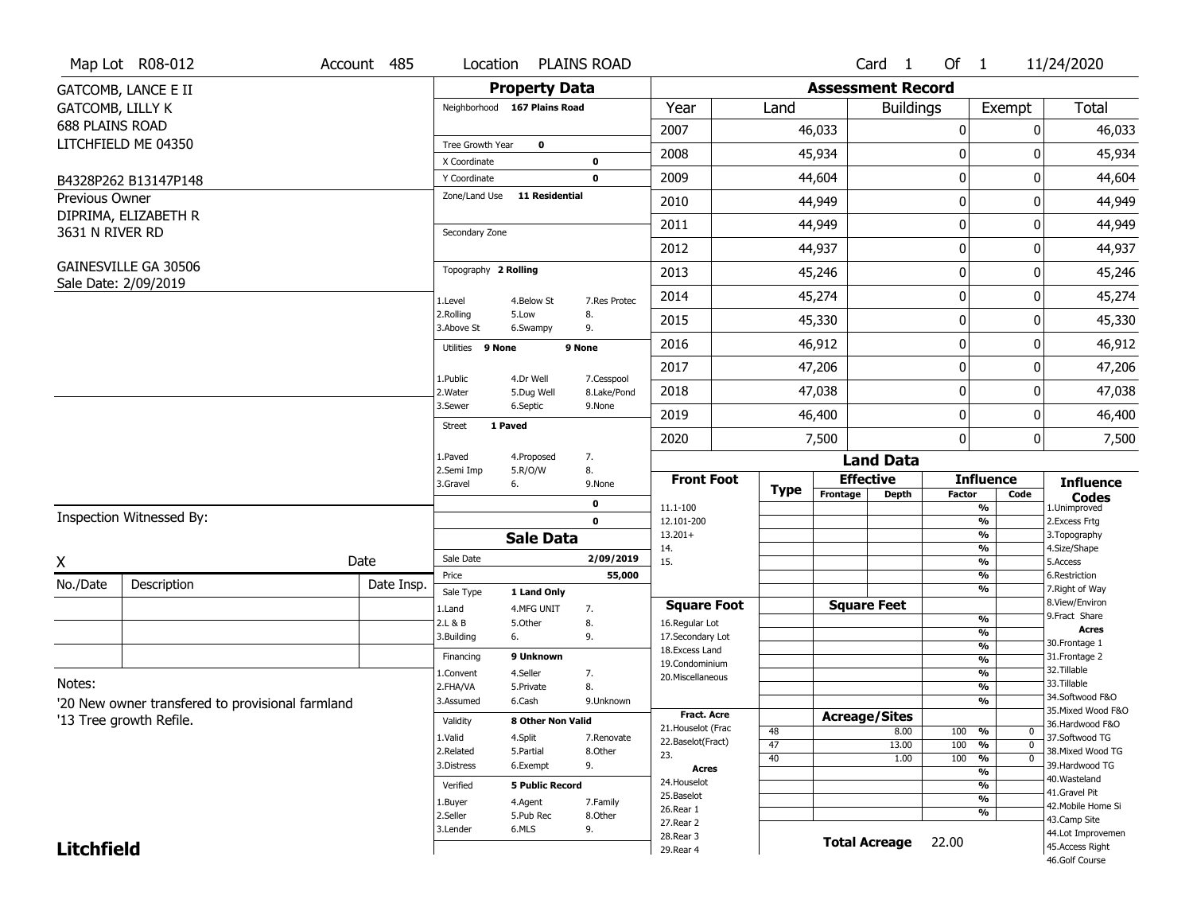|                        | Map Lot R08-012                                  | Account 485 | Location                 |                              | <b>PLAINS ROAD</b>  |                          |             |                          | Card 1               | Of $1$           |                                           | 11/24/2020                            |
|------------------------|--------------------------------------------------|-------------|--------------------------|------------------------------|---------------------|--------------------------|-------------|--------------------------|----------------------|------------------|-------------------------------------------|---------------------------------------|
|                        | <b>GATCOMB, LANCE E II</b>                       |             |                          | <b>Property Data</b>         |                     |                          |             | <b>Assessment Record</b> |                      |                  |                                           |                                       |
| GATCOMB, LILLY K       |                                                  |             |                          | Neighborhood 167 Plains Road |                     | Year                     | Land        |                          | <b>Buildings</b>     |                  | Exempt                                    | <b>Total</b>                          |
| <b>688 PLAINS ROAD</b> |                                                  |             |                          |                              |                     | 2007                     |             | 46,033                   |                      | 0                | 0                                         | 46,033                                |
|                        | LITCHFIELD ME 04350                              |             | Tree Growth Year         | $\mathbf 0$                  |                     | 2008                     |             | 45,934                   |                      | 0                | 0                                         | 45,934                                |
|                        |                                                  |             | X Coordinate             |                              | 0                   |                          |             |                          |                      |                  |                                           |                                       |
|                        | B4328P262 B13147P148                             |             | Y Coordinate             |                              | $\mathbf 0$         | 2009                     |             | 44,604                   |                      | $\mathbf 0$      | 0                                         | 44,604                                |
| Previous Owner         |                                                  |             | Zone/Land Use            | <b>11 Residential</b>        |                     | 2010                     |             | 44,949                   |                      | 0                | 0                                         | 44,949                                |
| 3631 N RIVER RD        | DIPRIMA, ELIZABETH R                             |             | Secondary Zone           |                              |                     | 2011                     |             | 44,949                   |                      | $\mathbf 0$      | 0                                         | 44,949                                |
|                        |                                                  |             |                          |                              |                     | 2012                     |             | 44,937                   |                      | $\mathbf 0$      | 0                                         | 44,937                                |
|                        | GAINESVILLE GA 30506                             |             | Topography 2 Rolling     |                              |                     | 2013                     |             | 45,246                   |                      | $\boldsymbol{0}$ | 0                                         | 45,246                                |
|                        | Sale Date: 2/09/2019                             |             | 1.Level                  | 4.Below St                   | 7.Res Protec        | 2014                     |             | 45,274                   |                      | $\mathbf 0$      | 0                                         | 45,274                                |
|                        |                                                  |             | 2.Rolling<br>3.Above St  | 5.Low<br>6.Swampy            | 8.<br>9.            | 2015                     |             | 45,330                   |                      | $\mathbf 0$      | 0                                         | 45,330                                |
|                        |                                                  |             | Utilities 9 None         |                              | 9 None              | 2016                     |             | 46,912                   |                      | $\mathbf 0$      | 0                                         | 46,912                                |
|                        |                                                  |             | 1.Public                 | 4.Dr Well                    | 7.Cesspool          | 2017                     |             | 47,206                   |                      | $\mathbf 0$      | 0                                         | 47,206                                |
|                        |                                                  |             | 2. Water                 | 5.Dug Well                   | 8.Lake/Pond         | 2018                     |             | 47,038                   |                      | 0                | 0                                         | 47,038                                |
|                        |                                                  |             | 3.Sewer<br><b>Street</b> | 6.Septic<br>1 Paved          | 9.None              | 2019                     |             | 46,400                   |                      | $\mathbf 0$      | 0                                         | 46,400                                |
|                        |                                                  |             |                          |                              |                     | 2020                     |             | 7,500                    |                      | $\mathbf 0$      | 0                                         | 7,500                                 |
|                        |                                                  |             | 1.Paved                  | 4.Proposed                   | 7.                  |                          |             |                          | <b>Land Data</b>     |                  |                                           |                                       |
|                        |                                                  |             | 2.Semi Imp<br>3.Gravel   | 5.R/O/W<br>6.                | 8.<br>9.None        | <b>Front Foot</b>        |             |                          | <b>Effective</b>     |                  | <b>Influence</b>                          | <b>Influence</b>                      |
|                        |                                                  |             |                          |                              | 0                   | 11.1-100                 | <b>Type</b> | Frontage                 | <b>Depth</b>         | <b>Factor</b>    | Code<br>%                                 | <b>Codes</b><br>1.Unimproved          |
|                        | Inspection Witnessed By:                         |             |                          |                              | $\mathbf 0$         | 12.101-200               |             |                          |                      |                  | $\frac{9}{6}$                             | 2.Excess Frtg                         |
|                        |                                                  |             |                          | <b>Sale Data</b>             |                     | $13.201+$<br>14.         |             |                          |                      |                  | %<br>$\frac{9}{6}$                        | 3. Topography<br>4.Size/Shape         |
| X                      |                                                  | Date        | Sale Date                |                              | 2/09/2019           | 15.                      |             |                          |                      |                  | %                                         | 5.Access                              |
| No./Date               | Description                                      | Date Insp.  | Price                    |                              | 55,000              |                          |             |                          |                      |                  | $\frac{9}{6}$                             | 6.Restriction                         |
|                        |                                                  |             | Sale Type                | 1 Land Only                  |                     | <b>Square Foot</b>       |             |                          | <b>Square Feet</b>   |                  | %                                         | 7. Right of Way<br>8.View/Environ     |
|                        |                                                  |             | 1.Land<br>2.L & B        | 4.MFG UNIT<br>5.Other        | 7.<br>8.            | 16.Regular Lot           |             |                          |                      |                  | $\frac{9}{6}$                             | 9. Fract Share                        |
|                        |                                                  |             | 3.Building               | 6.                           | 9.                  | 17.Secondary Lot         |             |                          |                      |                  | %                                         | <b>Acres</b>                          |
|                        |                                                  |             | Financing                | 9 Unknown                    |                     | 18. Excess Land          |             |                          |                      |                  | $\frac{9}{6}$<br>$\overline{\frac{9}{6}}$ | 30. Frontage 1<br>31. Frontage 2      |
|                        |                                                  |             | 1.Convent                | 4.Seller                     | 7.                  | 19.Condominium           |             |                          |                      |                  | $\frac{9}{6}$                             | 32. Tillable                          |
| Notes:                 |                                                  |             | 2.FHA/VA                 | 5.Private                    | 8.                  | 20.Miscellaneous         |             |                          |                      |                  | $\frac{9}{6}$                             | 33.Tillable                           |
|                        | '20 New owner transfered to provisional farmland |             | 3.Assumed                | 6.Cash                       | 9.Unknown           |                          |             |                          |                      |                  | %                                         | 34.Softwood F&O                       |
|                        | '13 Tree growth Refile.                          |             | Validity                 | <b>8 Other Non Valid</b>     |                     | Fract. Acre              |             |                          | <b>Acreage/Sites</b> |                  |                                           | 35. Mixed Wood F&O<br>36.Hardwood F&O |
|                        |                                                  |             | 1.Valid                  | 4.Split                      | 7.Renovate          | 21. Houselot (Frac       | 48          |                          | 8.00                 | 100              | %<br>0                                    | 37.Softwood TG                        |
|                        |                                                  |             | 2.Related                | 5.Partial                    | 8.Other             | 22.Baselot(Fract)<br>23. | 47          |                          | 13.00                | 100              | $\overline{0}$<br>%                       | 38. Mixed Wood TG                     |
|                        |                                                  |             | 3.Distress               | 6.Exempt                     | 9.                  | <b>Acres</b>             | 40          |                          | 1.00                 | 100              | $\overline{0}$<br>%                       | 39.Hardwood TG                        |
|                        |                                                  |             | Verified                 | <b>5 Public Record</b>       |                     | 24. Houselot             |             |                          |                      |                  | %<br>%                                    | 40. Wasteland                         |
|                        |                                                  |             |                          |                              |                     | 25.Baselot               |             |                          |                      |                  | $\frac{9}{6}$                             | 41.Gravel Pit                         |
|                        |                                                  |             | 1.Buyer<br>2.Seller      | 4.Agent<br>5.Pub Rec         | 7.Family<br>8.Other | 26.Rear 1                |             |                          |                      |                  | %                                         | 42. Mobile Home Si                    |
|                        |                                                  |             | 3.Lender                 | 6.MLS                        | 9.                  | 27.Rear 2                |             |                          |                      |                  |                                           | 43.Camp Site<br>44.Lot Improvemen     |
| <b>Litchfield</b>      |                                                  |             |                          |                              |                     | 28.Rear 3                |             |                          | <b>Total Acreage</b> | 22.00            |                                           | 45.Access Right                       |
|                        |                                                  |             |                          |                              |                     | 29. Rear 4               |             |                          |                      |                  |                                           | 46.Golf Course                        |